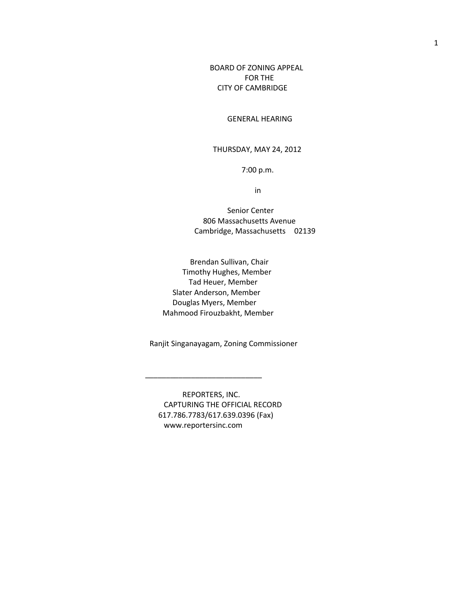BOARD OF ZONING APPEAL FOR THE CITY OF CAMBRIDGE

GENERAL HEARING

THURSDAY, MAY 24, 2012

7:00 p.m.

in

 Senior Center 806 Massachusetts Avenue Cambridge, Massachusetts 02139

 Brendan Sullivan, Chair Timothy Hughes, Member Tad Heuer, Member Slater Anderson, Member Douglas Myers, Member Mahmood Firouzbakht, Member

Ranjit Singanayagam, Zoning Commissioner

REPORTERS, INC. CAPTURING THE OFFICIAL RECORD 617.786.7783/617.639.0396 (Fax) www.reportersinc.com

 $\frac{1}{\sqrt{2}}$  ,  $\frac{1}{\sqrt{2}}$  ,  $\frac{1}{\sqrt{2}}$  ,  $\frac{1}{\sqrt{2}}$  ,  $\frac{1}{\sqrt{2}}$  ,  $\frac{1}{\sqrt{2}}$  ,  $\frac{1}{\sqrt{2}}$  ,  $\frac{1}{\sqrt{2}}$  ,  $\frac{1}{\sqrt{2}}$  ,  $\frac{1}{\sqrt{2}}$  ,  $\frac{1}{\sqrt{2}}$  ,  $\frac{1}{\sqrt{2}}$  ,  $\frac{1}{\sqrt{2}}$  ,  $\frac{1}{\sqrt{2}}$  ,  $\frac{1}{\sqrt{2}}$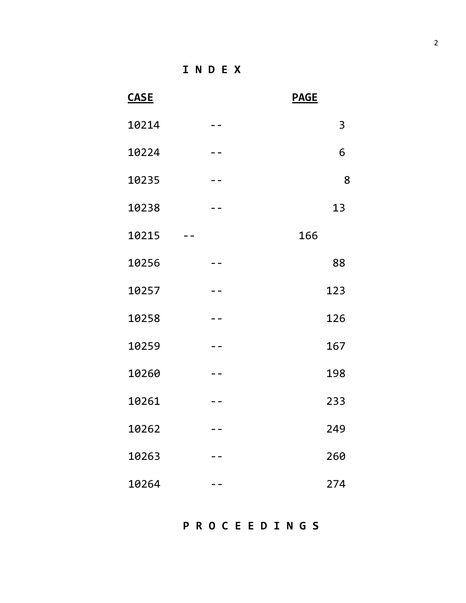**I N D E X**

| <b>CASE</b> |       | <b>PAGE</b> |
|-------------|-------|-------------|
| 10214       |       | 3           |
| 10224       |       | 6           |
| 10235       |       | 8           |
| 10238       |       | 13          |
| 10215       |       | 166         |
| 10256       |       | 88          |
| 10257       |       | 123         |
| 10258       |       | 126         |
| 10259       |       | 167         |
| 10260       |       | 198         |
| 10261       |       | 233         |
| 10262       | $- -$ | 249         |
| 10263       |       | 260         |
| 10264       |       | 274         |

**P R O C E E D I N G S**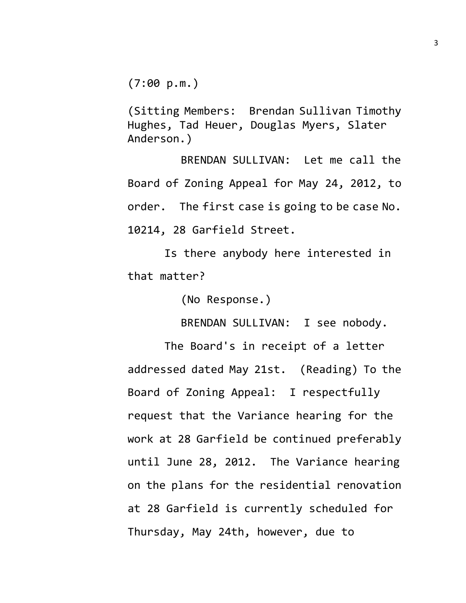$(7:00 \text{ p.m.})$ 

(Sitting Members: Brendan Sullivan Timothy Hughes, Tad Heuer, Douglas Myers, Slater Anderson.)

BRENDAN SULLIVAN: Let me call the Board of Zoning Appeal for May 24, 2012, to order. The first case is going to be case No. 10214, 28 Garfield Street.

Is there anybody here interested in that matter?

(No Response.)

BRENDAN SULLIVAN: I see nobody.

The Board's in receipt of a letter addressed dated May 21st. (Reading) To the Board of Zoning Appeal: I respectfully request that the Variance hearing for the work at 28 Garfield be continued preferably until June 28, 2012. The Variance hearing on the plans for the residential renovation at 28 Garfield is currently scheduled for Thursday, May 24th, however, due to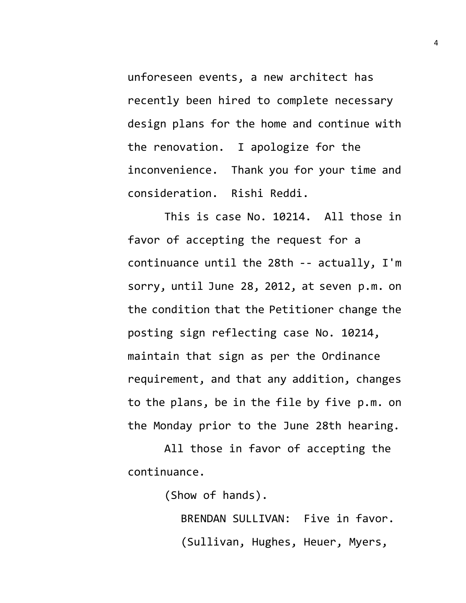unforeseen events, a new architect has recently been hired to complete necessary design plans for the home and continue with the renovation. I apologize for the inconvenience. Thank you for your time and consideration. Rishi Reddi.

This is case No. 10214. All those in favor of accepting the request for a continuance until the 28th -- actually, I'm sorry, until June 28, 2012, at seven p.m. on the condition that the Petitioner change the posting sign reflecting case No. 10214, maintain that sign as per the Ordinance requirement, and that any addition, changes to the plans, be in the file by five p.m. on the Monday prior to the June 28th hearing.

All those in favor of accepting the continuance.

(Show of hands).

BRENDAN SULLIVAN: Five in favor. (Sullivan, Hughes, Heuer, Myers,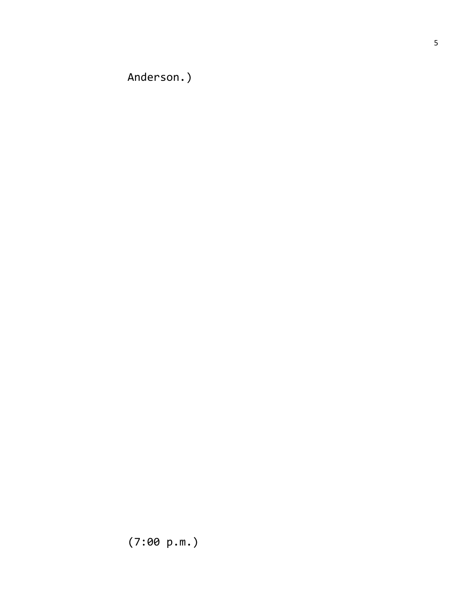Anderson.)

(7:00 p.m.)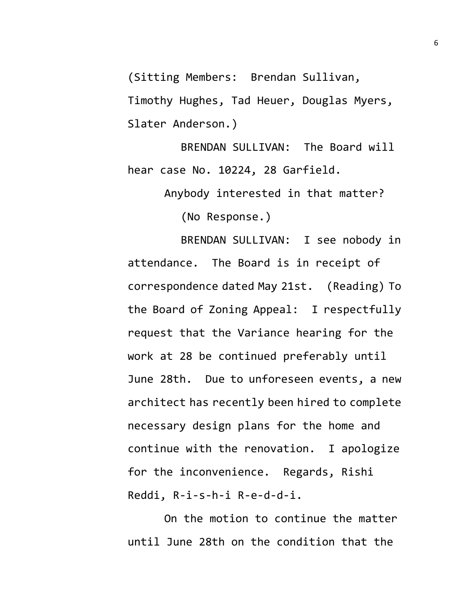(Sitting Members: Brendan Sullivan,

Timothy Hughes, Tad Heuer, Douglas Myers, Slater Anderson.)

BRENDAN SULLIVAN: The Board will hear case No. 10224, 28 Garfield.

Anybody interested in that matter?

(No Response.)

BRENDAN SULLIVAN: I see nobody in attendance. The Board is in receipt of correspondence dated May 21st. (Reading) To the Board of Zoning Appeal: I respectfully request that the Variance hearing for the work at 28 be continued preferably until June 28th. Due to unforeseen events, a new architect has recently been hired to complete necessary design plans for the home and continue with the renovation. I apologize for the inconvenience. Regards, Rishi Reddi, R-i-s-h-i R-e-d-d-i.

On the motion to continue the matter until June 28th on the condition that the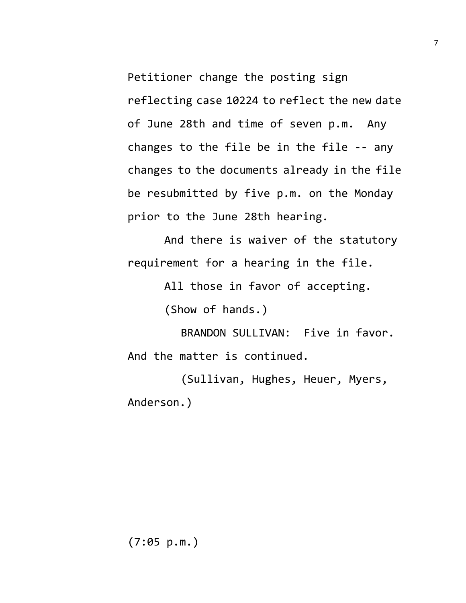Petitioner change the posting sign reflecting case 10224 to reflect the new date of June 28th and time of seven p.m. Any changes to the file be in the file -- any changes to the documents already in the file be resubmitted by five p.m. on the Monday prior to the June 28th hearing.

And there is waiver of the statutory requirement for a hearing in the file.

All those in favor of accepting.

(Show of hands.)

BRANDON SULLIVAN: Five in favor. And the matter is continued.

(Sullivan, Hughes, Heuer, Myers, Anderson.)

(7:05 p.m.)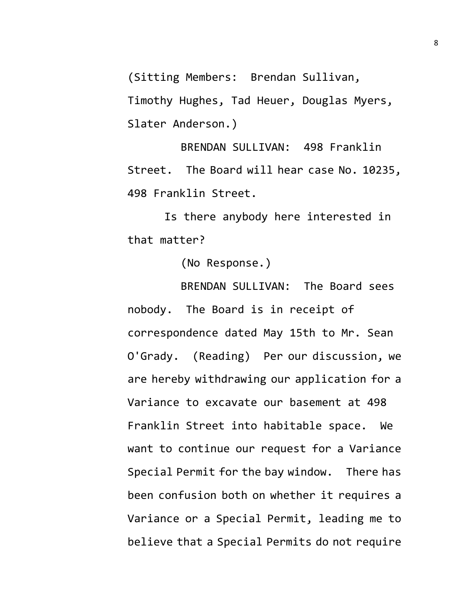(Sitting Members: Brendan Sullivan,

Timothy Hughes, Tad Heuer, Douglas Myers, Slater Anderson.)

BRENDAN SULLIVAN: 498 Franklin Street. The Board will hear case No. 10235, 498 Franklin Street.

Is there anybody here interested in that matter?

(No Response.)

BRENDAN SULLIVAN: The Board sees nobody. The Board is in receipt of correspondence dated May 15th to Mr. Sean O'Grady. (Reading) Per our discussion, we are hereby withdrawing our application for a Variance to excavate our basement at 498 Franklin Street into habitable space. We want to continue our request for a Variance Special Permit for the bay window. There has been confusion both on whether it requires a Variance or a Special Permit, leading me to believe that a Special Permits do not require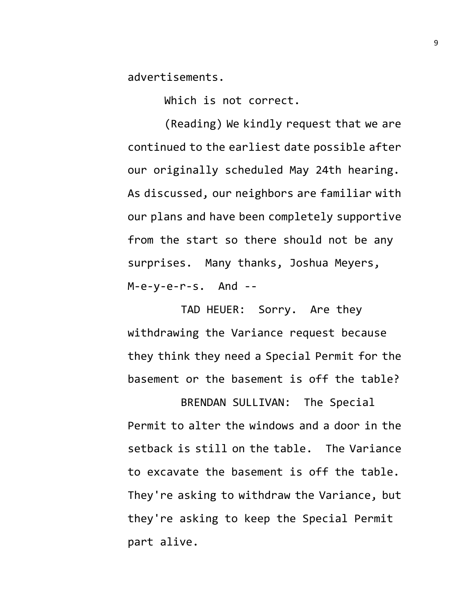advertisements.

Which is not correct.

(Reading) We kindly request that we are continued to the earliest date possible after our originally scheduled May 24th hearing. As discussed, our neighbors are familiar with our plans and have been completely supportive from the start so there should not be any surprises. Many thanks, Joshua Meyers, M-e-y-e-r-s. And --

TAD HEUER: Sorry. Are they withdrawing the Variance request because they think they need a Special Permit for the basement or the basement is off the table?

BRENDAN SULLIVAN: The Special Permit to alter the windows and a door in the setback is still on the table. The Variance to excavate the basement is off the table. They're asking to withdraw the Variance, but they're asking to keep the Special Permit part alive.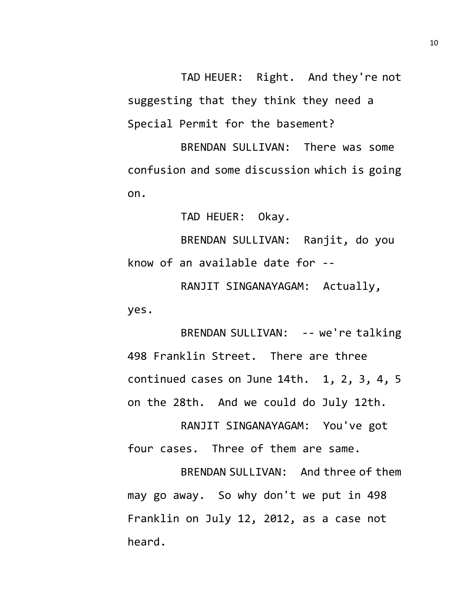TAD HEUER: Right. And they're not suggesting that they think they need a Special Permit for the basement?

BRENDAN SULLIVAN: There was some confusion and some discussion which is going on.

TAD HEUER: Okay.

BRENDAN SULLIVAN: Ranjit, do you know of an available date for --

RANJIT SINGANAYAGAM: Actually, yes.

BRENDAN SULLIVAN: -- we're talking 498 Franklin Street. There are three continued cases on June 14th. 1, 2, 3, 4, 5 on the 28th. And we could do July 12th.

RANJIT SINGANAYAGAM: You've got four cases. Three of them are same.

BRENDAN SULLIVAN: And three of them may go away. So why don't we put in 498 Franklin on July 12, 2012, as a case not heard.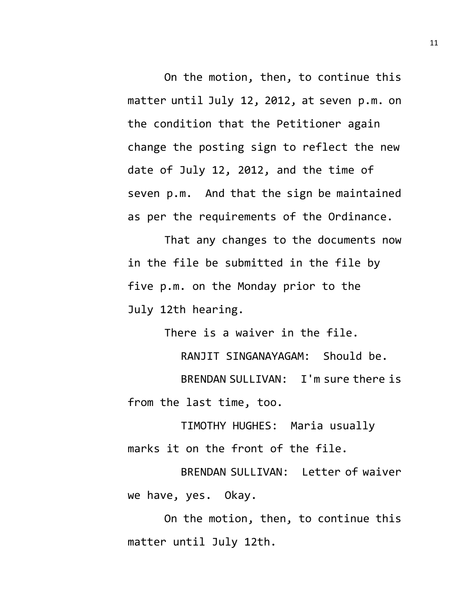On the motion, then, to continue this matter until July 12, 2012, at seven p.m. on the condition that the Petitioner again change the posting sign to reflect the new date of July 12, 2012, and the time of seven p.m. And that the sign be maintained as per the requirements of the Ordinance.

That any changes to the documents now in the file be submitted in the file by five p.m. on the Monday prior to the July 12th hearing.

There is a waiver in the file.

RANJIT SINGANAYAGAM: Should be.

BRENDAN SULLIVAN: I'm sure there is from the last time, too.

TIMOTHY HUGHES: Maria usually marks it on the front of the file.

BRENDAN SULLIVAN: Letter of waiver we have, yes. Okay.

On the motion, then, to continue this matter until July 12th.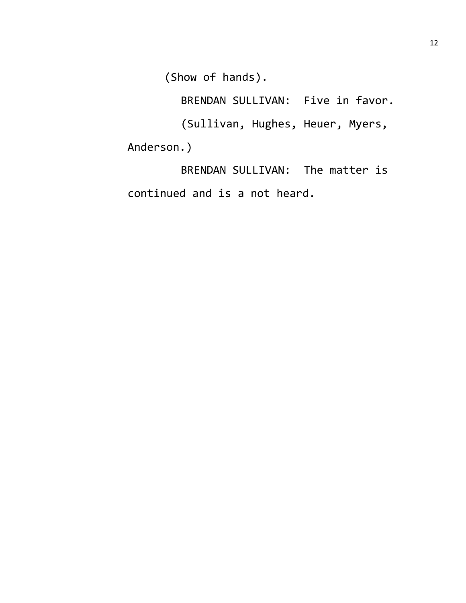(Show of hands).

BRENDAN SULLIVAN: Five in favor.

(Sullivan, Hughes, Heuer, Myers, Anderson.)

BRENDAN SULLIVAN: The matter is continued and is a not heard.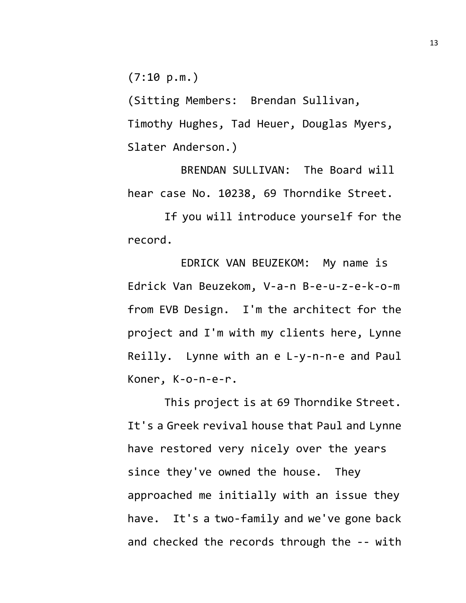$(7:10 \text{ p.m.})$ 

(Sitting Members: Brendan Sullivan, Timothy Hughes, Tad Heuer, Douglas Myers, Slater Anderson.)

BRENDAN SULLIVAN: The Board will hear case No. 10238, 69 Thorndike Street.

If you will introduce yourself for the record.

EDRICK VAN BEUZEKOM: My name is Edrick Van Beuzekom, V-a-n B-e-u-z-e-k-o-m from EVB Design. I'm the architect for the project and I'm with my clients here, Lynne Reilly. Lynne with an e L-y-n-n-e and Paul Koner, K-o-n-e-r.

This project is at 69 Thorndike Street. It's a Greek revival house that Paul and Lynne have restored very nicely over the years since they've owned the house. They approached me initially with an issue they have. It's a two-family and we've gone back and checked the records through the -- with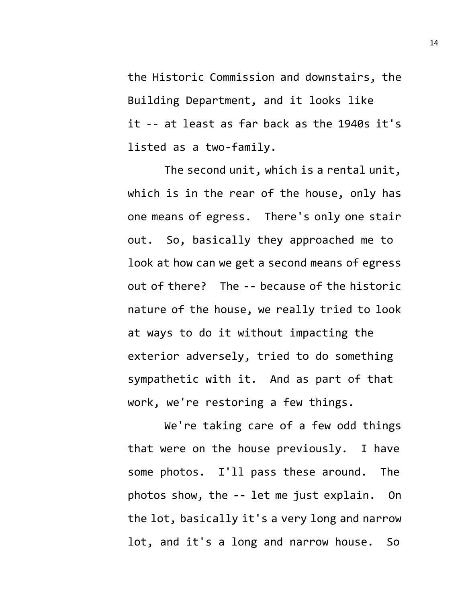the Historic Commission and downstairs, the Building Department, and it looks like it -- at least as far back as the 1940s it's listed as a two-family.

The second unit, which is a rental unit, which is in the rear of the house, only has one means of egress. There's only one stair out. So, basically they approached me to look at how can we get a second means of egress out of there? The -- because of the historic nature of the house, we really tried to look at ways to do it without impacting the exterior adversely, tried to do something sympathetic with it. And as part of that work, we're restoring a few things.

We're taking care of a few odd things that were on the house previously. I have some photos. I'll pass these around. The photos show, the -- let me just explain. On the lot, basically it's a very long and narrow lot, and it's a long and narrow house. So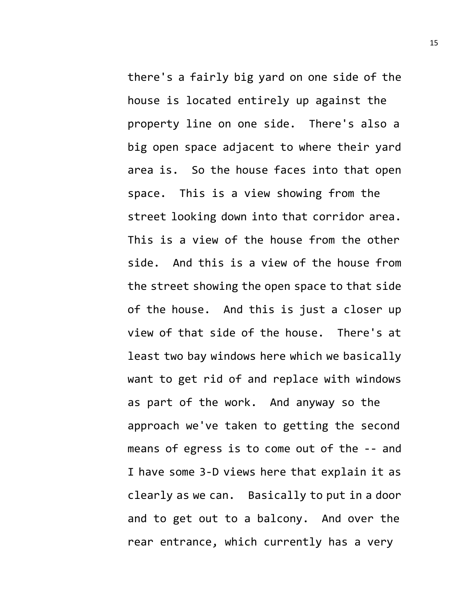there's a fairly big yard on one side of the house is located entirely up against the property line on one side. There's also a big open space adjacent to where their yard area is. So the house faces into that open space. This is a view showing from the street looking down into that corridor area. This is a view of the house from the other side. And this is a view of the house from the street showing the open space to that side of the house. And this is just a closer up view of that side of the house. There's at least two bay windows here which we basically want to get rid of and replace with windows as part of the work. And anyway so the approach we've taken to getting the second means of egress is to come out of the -- and I have some 3-D views here that explain it as clearly as we can. Basically to put in a door and to get out to a balcony. And over the rear entrance, which currently has a very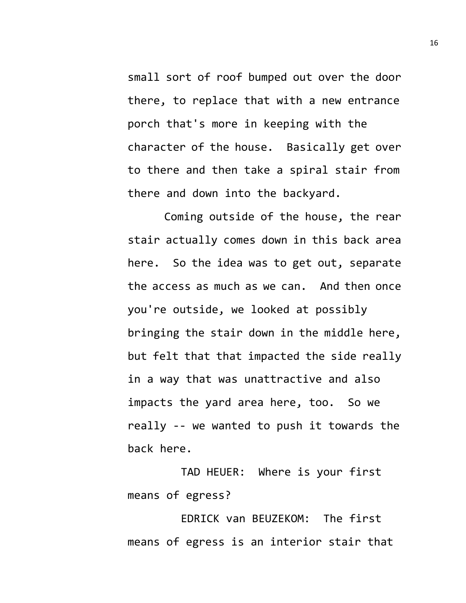small sort of roof bumped out over the door there, to replace that with a new entrance porch that's more in keeping with the character of the house. Basically get over to there and then take a spiral stair from there and down into the backyard.

Coming outside of the house, the rear stair actually comes down in this back area here. So the idea was to get out, separate the access as much as we can. And then once you're outside, we looked at possibly bringing the stair down in the middle here, but felt that that impacted the side really in a way that was unattractive and also impacts the yard area here, too. So we really -- we wanted to push it towards the back here.

TAD HEUER: Where is your first means of egress?

EDRICK van BEUZEKOM: The first means of egress is an interior stair that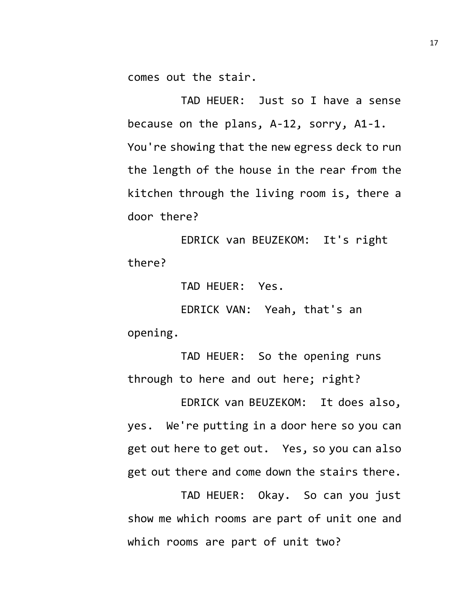comes out the stair.

TAD HEUER: Just so I have a sense because on the plans, A-12, sorry, A1-1. You're showing that the new egress deck to run the length of the house in the rear from the kitchen through the living room is, there a door there?

EDRICK van BEUZEKOM: It's right there?

TAD HEUER: Yes.

EDRICK VAN: Yeah, that's an opening.

TAD HEUER: So the opening runs through to here and out here; right?

EDRICK van BEUZEKOM: It does also, yes. We're putting in a door here so you can get out here to get out. Yes, so you can also get out there and come down the stairs there.

TAD HEUER: Okay. So can you just show me which rooms are part of unit one and which rooms are part of unit two?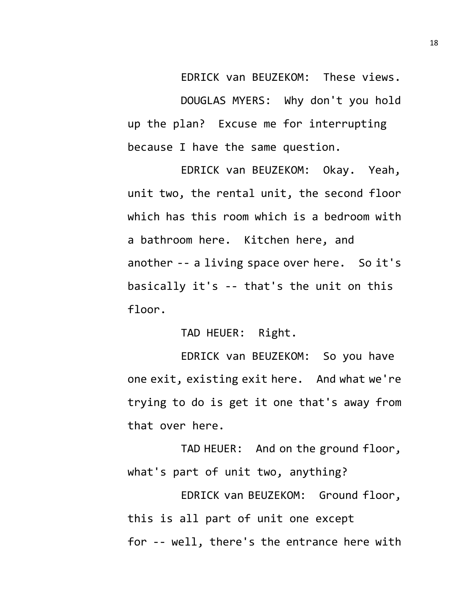EDRICK van BEUZEKOM: These views. DOUGLAS MYERS: Why don't you hold up the plan? Excuse me for interrupting because I have the same question.

EDRICK van BEUZEKOM: Okay. Yeah, unit two, the rental unit, the second floor which has this room which is a bedroom with a bathroom here. Kitchen here, and another -- a living space over here. So it's basically it's -- that's the unit on this floor.

TAD HEUER: Right.

EDRICK van BEUZEKOM: So you have one exit, existing exit here. And what we're trying to do is get it one that's away from that over here.

TAD HEUER: And on the ground floor, what's part of unit two, anything?

EDRICK van BEUZEKOM: Ground floor, this is all part of unit one except for -- well, there's the entrance here with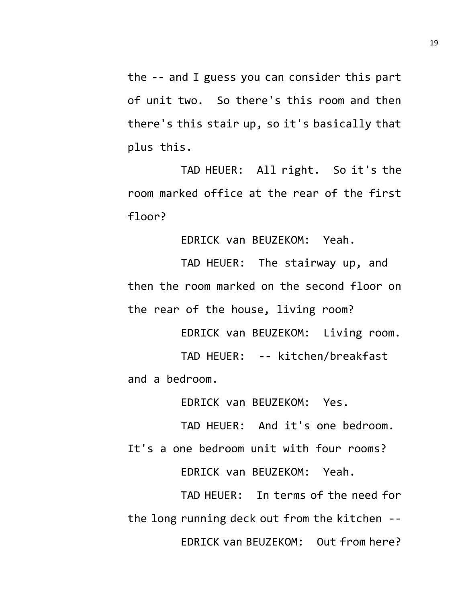the -- and I guess you can consider this part of unit two. So there's this room and then there's this stair up, so it's basically that plus this.

TAD HEUER: All right. So it's the room marked office at the rear of the first floor?

EDRICK van BEUZEKOM: Yeah.

TAD HEUER: The stairway up, and then the room marked on the second floor on the rear of the house, living room?

EDRICK van BEUZEKOM: Living room.

TAD HEUER: -- kitchen/breakfast and a bedroom.

EDRICK van BEUZEKOM: Yes.

TAD HEUER: And it's one bedroom.

It's a one bedroom unit with four rooms?

EDRICK van BEUZEKOM: Yeah.

TAD HEUER: In terms of the need for the long running deck out from the kitchen -- EDRICK van BEUZEKOM: Out from here?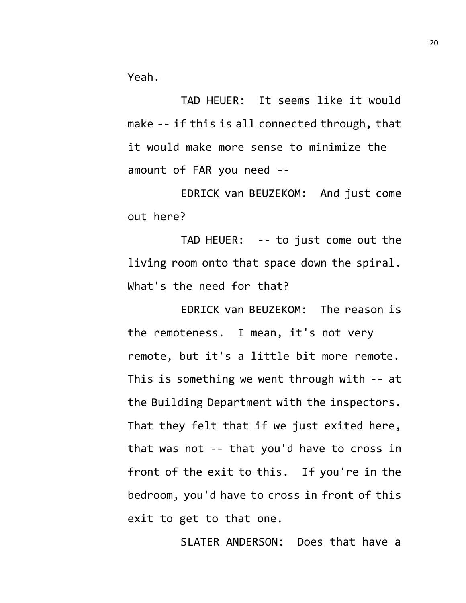Yeah.

TAD HEUER: It seems like it would make -- if this is all connected through, that it would make more sense to minimize the amount of FAR you need --

EDRICK van BEUZEKOM: And just come out here?

TAD HEUER: -- to just come out the living room onto that space down the spiral. What's the need for that?

EDRICK van BEUZEKOM: The reason is the remoteness. I mean, it's not very remote, but it's a little bit more remote. This is something we went through with -- at the Building Department with the inspectors. That they felt that if we just exited here, that was not -- that you'd have to cross in front of the exit to this. If you're in the bedroom, you'd have to cross in front of this exit to get to that one.

SLATER ANDERSON: Does that have a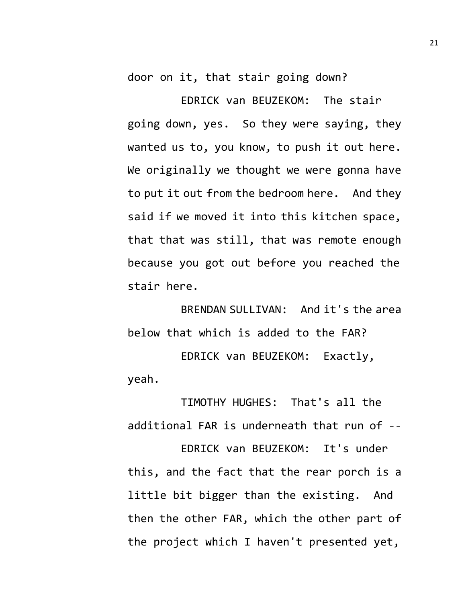door on it, that stair going down?

EDRICK van BEUZEKOM: The stair going down, yes. So they were saying, they wanted us to, you know, to push it out here. We originally we thought we were gonna have to put it out from the bedroom here. And they said if we moved it into this kitchen space, that that was still, that was remote enough because you got out before you reached the stair here.

BRENDAN SULLIVAN: And it's the area below that which is added to the FAR?

EDRICK van BEUZEKOM: Exactly, yeah.

TIMOTHY HUGHES: That's all the additional FAR is underneath that run of --

EDRICK van BEUZEKOM: It's under this, and the fact that the rear porch is a little bit bigger than the existing. And then the other FAR, which the other part of the project which I haven't presented yet,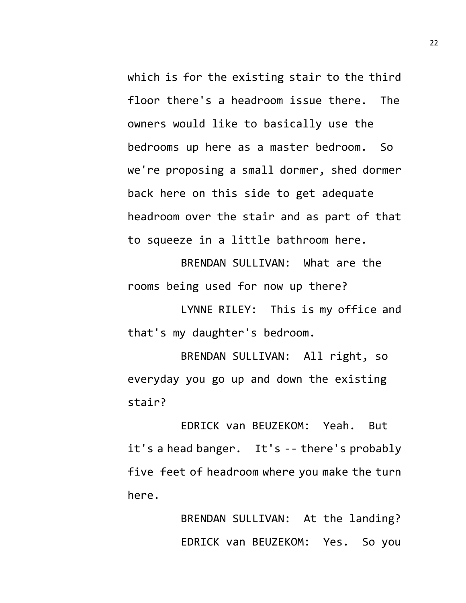which is for the existing stair to the third floor there's a headroom issue there. The owners would like to basically use the bedrooms up here as a master bedroom. So we're proposing a small dormer, shed dormer back here on this side to get adequate headroom over the stair and as part of that to squeeze in a little bathroom here.

BRENDAN SULLIVAN: What are the rooms being used for now up there?

LYNNE RILEY: This is my office and that's my daughter's bedroom.

BRENDAN SULLIVAN: All right, so everyday you go up and down the existing stair?

EDRICK van BEUZEKOM: Yeah. But it's a head banger. It's -- there's probably five feet of headroom where you make the turn here.

> BRENDAN SULLIVAN: At the landing? EDRICK van BEUZEKOM: Yes. So you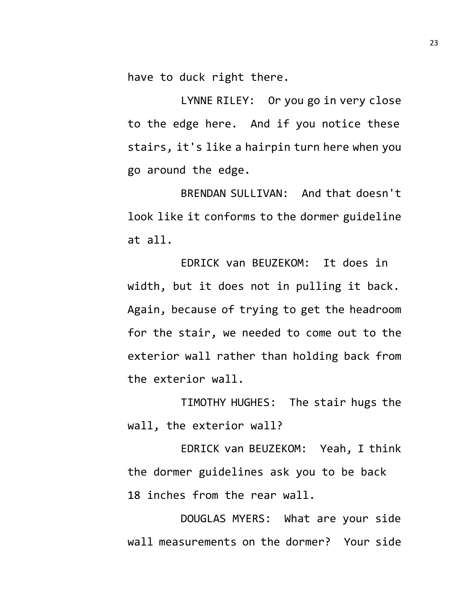have to duck right there.

LYNNE RILEY: Or you go in very close to the edge here. And if you notice these stairs, it's like a hairpin turn here when you go around the edge.

BRENDAN SULLIVAN: And that doesn't look like it conforms to the dormer guideline at all.

EDRICK van BEUZEKOM: It does in width, but it does not in pulling it back. Again, because of trying to get the headroom for the stair, we needed to come out to the exterior wall rather than holding back from the exterior wall.

TIMOTHY HUGHES: The stair hugs the wall, the exterior wall?

EDRICK van BEUZEKOM: Yeah, I think the dormer guidelines ask you to be back 18 inches from the rear wall.

DOUGLAS MYERS: What are your side wall measurements on the dormer? Your side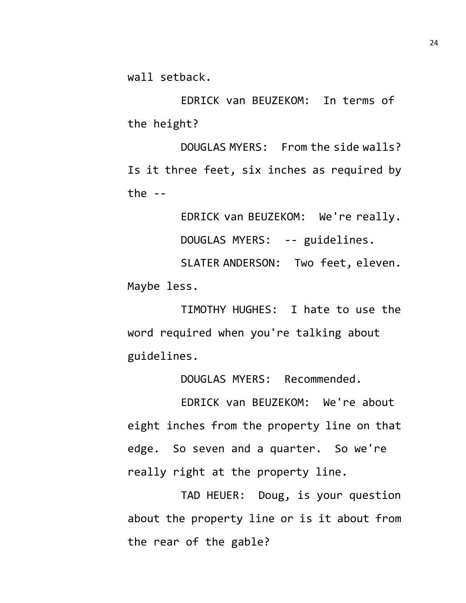wall setback.

EDRICK van BEUZEKOM: In terms of the height?

DOUGLAS MYERS: From the side walls? Is it three feet, six inches as required by the  $-$ 

EDRICK van BEUZEKOM: We're really.

DOUGLAS MYERS: -- guidelines.

SLATER ANDERSON: Two feet, eleven. Maybe less.

TIMOTHY HUGHES: I hate to use the word required when you're talking about guidelines.

DOUGLAS MYERS: Recommended.

EDRICK van BEUZEKOM: We're about eight inches from the property line on that edge. So seven and a quarter. So we're really right at the property line.

TAD HEUER: Doug, is your question about the property line or is it about from the rear of the gable?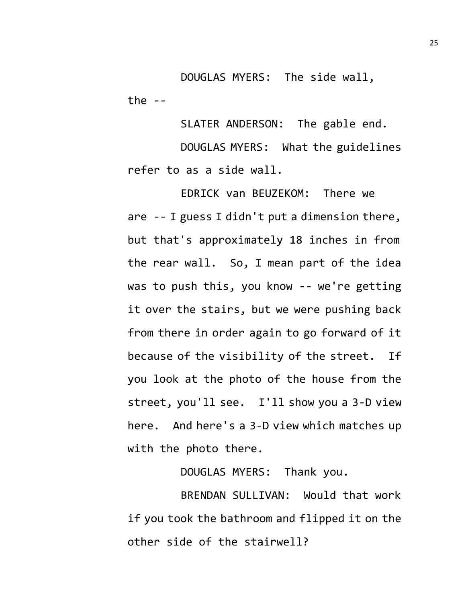DOUGLAS MYERS: The side wall, the  $-$ 

SLATER ANDERSON: The gable end.

DOUGLAS MYERS: What the guidelines refer to as a side wall.

EDRICK van BEUZEKOM: There we are -- I guess I didn't put a dimension there, but that's approximately 18 inches in from the rear wall. So, I mean part of the idea was to push this, you know -- we're getting it over the stairs, but we were pushing back from there in order again to go forward of it because of the visibility of the street. If you look at the photo of the house from the street, you'll see. I'll show you a 3-D view here. And here's a 3-D view which matches up with the photo there.

DOUGLAS MYERS: Thank you.

BRENDAN SULLIVAN: Would that work if you took the bathroom and flipped it on the other side of the stairwell?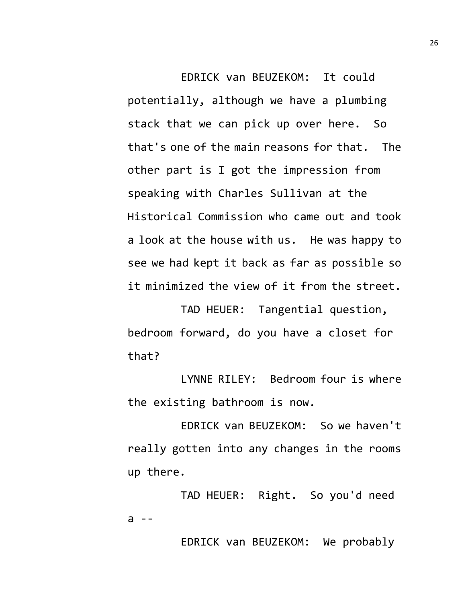EDRICK van BEUZEKOM: It could potentially, although we have a plumbing stack that we can pick up over here. So that's one of the main reasons for that. The other part is I got the impression from speaking with Charles Sullivan at the Historical Commission who came out and took a look at the house with us. He was happy to see we had kept it back as far as possible so it minimized the view of it from the street.

TAD HEUER: Tangential question, bedroom forward, do you have a closet for that?

LYNNE RILEY: Bedroom four is where the existing bathroom is now.

EDRICK van BEUZEKOM: So we haven't really gotten into any changes in the rooms up there.

TAD HEUER: Right. So you'd need  $a - -$ 

EDRICK van BEUZEKOM: We probably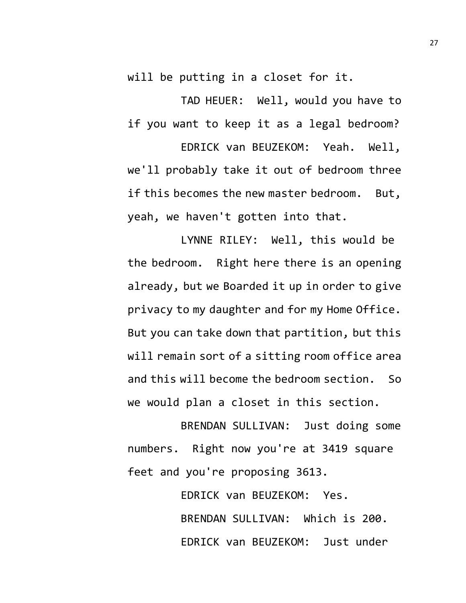will be putting in a closet for it.

TAD HEUER: Well, would you have to if you want to keep it as a legal bedroom?

EDRICK van BEUZEKOM: Yeah. Well, we'll probably take it out of bedroom three if this becomes the new master bedroom. But, yeah, we haven't gotten into that.

LYNNE RILEY: Well, this would be the bedroom. Right here there is an opening already, but we Boarded it up in order to give privacy to my daughter and for my Home Office. But you can take down that partition, but this will remain sort of a sitting room office area and this will become the bedroom section. So we would plan a closet in this section.

BRENDAN SULLIVAN: Just doing some numbers. Right now you're at 3419 square feet and you're proposing 3613.

> EDRICK van BEUZEKOM: Yes. BRENDAN SULLIVAN: Which is 200. EDRICK van BEUZEKOM: Just under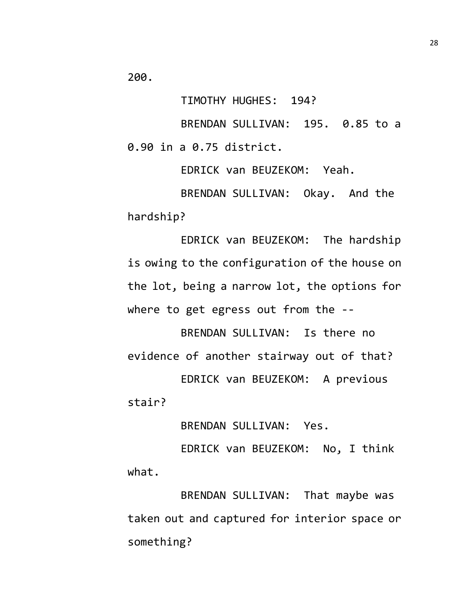200.

TIMOTHY HUGHES: 194?

BRENDAN SULLIVAN: 195. 0.85 to a 0.90 in a 0.75 district.

EDRICK van BEUZEKOM: Yeah.

BRENDAN SULLIVAN: Okay. And the hardship?

EDRICK van BEUZEKOM: The hardship is owing to the configuration of the house on the lot, being a narrow lot, the options for where to get egress out from the --

BRENDAN SULLIVAN: Is there no evidence of another stairway out of that?

EDRICK van BEUZEKOM: A previous stair?

BRENDAN SULLIVAN: Yes.

EDRICK van BEUZEKOM: No, I think what.

BRENDAN SULLIVAN: That maybe was taken out and captured for interior space or something?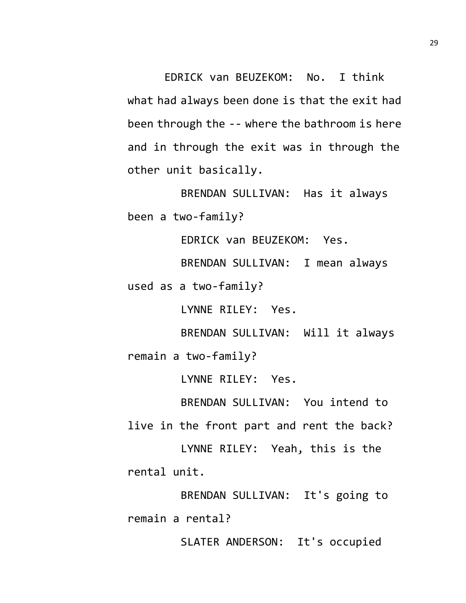EDRICK van BEUZEKOM: No. I think what had always been done is that the exit had been through the -- where the bathroom is here and in through the exit was in through the other unit basically.

BRENDAN SULLIVAN: Has it always been a two-family?

EDRICK van BEUZEKOM: Yes.

BRENDAN SULLIVAN: I mean always

used as a two-family?

LYNNE RILEY: Yes.

BRENDAN SULLIVAN: Will it always

remain a two-family?

LYNNE RILEY: Yes.

BRENDAN SULLIVAN: You intend to

live in the front part and rent the back? LYNNE RILEY: Yeah, this is the

rental unit.

BRENDAN SULLIVAN: It's going to remain a rental?

SLATER ANDERSON: It's occupied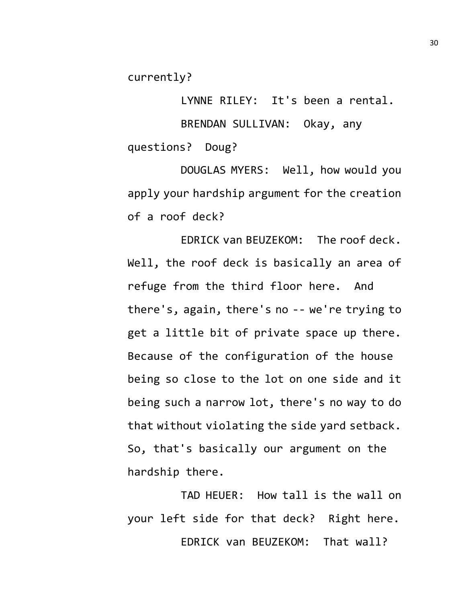currently?

LYNNE RILEY: It's been a rental. BRENDAN SULLIVAN: Okay, any questions? Doug?

DOUGLAS MYERS: Well, how would you apply your hardship argument for the creation of a roof deck?

EDRICK van BEUZEKOM: The roof deck. Well, the roof deck is basically an area of refuge from the third floor here. And there's, again, there's no -- we're trying to get a little bit of private space up there. Because of the configuration of the house being so close to the lot on one side and it being such a narrow lot, there's no way to do that without violating the side yard setback. So, that's basically our argument on the hardship there.

TAD HEUER: How tall is the wall on your left side for that deck? Right here. EDRICK van BEUZEKOM: That wall?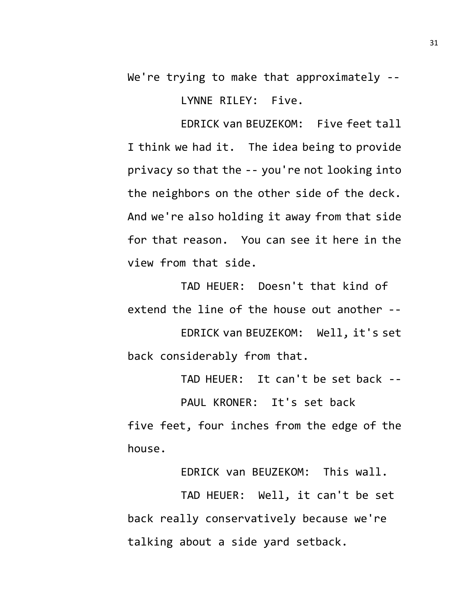We're trying to make that approximately --

LYNNE RILEY: Five.

EDRICK van BEUZEKOM: Five feet tall I think we had it. The idea being to provide privacy so that the -- you're not looking into the neighbors on the other side of the deck. And we're also holding it away from that side for that reason. You can see it here in the view from that side.

TAD HEUER: Doesn't that kind of extend the line of the house out another --

EDRICK van BEUZEKOM: Well, it's set back considerably from that.

TAD HEUER: It can't be set back --

PAUL KRONER: It's set back

five feet, four inches from the edge of the house.

EDRICK van BEUZEKOM: This wall.

TAD HEUER: Well, it can't be set back really conservatively because we're talking about a side yard setback.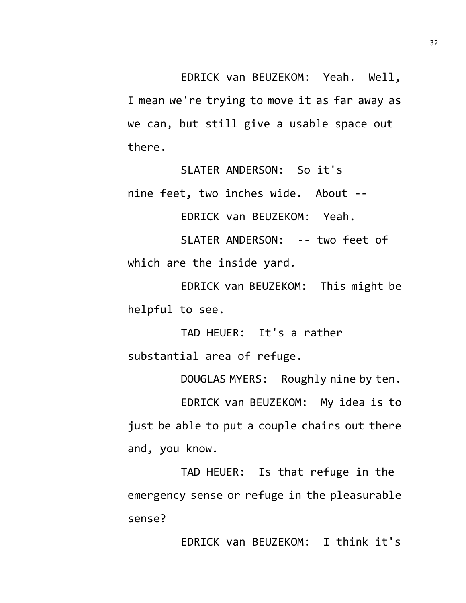EDRICK van BEUZEKOM: Yeah. Well, I mean we're trying to move it as far away as we can, but still give a usable space out there.

SLATER ANDERSON: So it's nine feet, two inches wide. About --

EDRICK van BEUZEKOM: Yeah.

SLATER ANDERSON: -- two feet of which are the inside yard.

EDRICK van BEUZEKOM: This might be helpful to see.

TAD HEUER: It's a rather substantial area of refuge.

DOUGLAS MYERS: Roughly nine by ten.

EDRICK van BEUZEKOM: My idea is to just be able to put a couple chairs out there and, you know.

TAD HEUER: Is that refuge in the emergency sense or refuge in the pleasurable sense?

EDRICK van BEUZEKOM: I think it's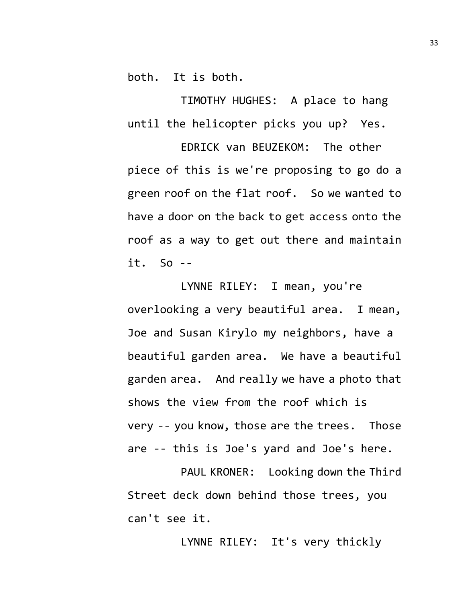both. It is both.

TIMOTHY HUGHES: A place to hang until the helicopter picks you up? Yes.

EDRICK van BEUZEKOM: The other piece of this is we're proposing to go do a green roof on the flat roof. So we wanted to have a door on the back to get access onto the roof as a way to get out there and maintain it. So --

LYNNE RILEY: I mean, you're overlooking a very beautiful area. I mean, Joe and Susan Kirylo my neighbors, have a beautiful garden area. We have a beautiful garden area. And really we have a photo that shows the view from the roof which is very -- you know, those are the trees. Those are -- this is Joe's yard and Joe's here.

PAUL KRONER: Looking down the Third Street deck down behind those trees, you can't see it.

LYNNE RILEY: It's very thickly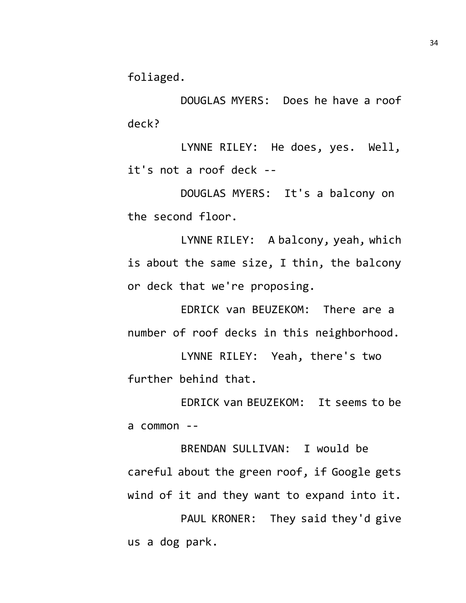foliaged.

DOUGLAS MYERS: Does he have a roof deck?

LYNNE RILEY: He does, yes. Well, it's not a roof deck --

DOUGLAS MYERS: It's a balcony on the second floor.

LYNNE RILEY: A balcony, yeah, which is about the same size, I thin, the balcony or deck that we're proposing.

EDRICK van BEUZEKOM: There are a number of roof decks in this neighborhood.

LYNNE RILEY: Yeah, there's two further behind that.

EDRICK van BEUZEKOM: It seems to be a common --

BRENDAN SULLIVAN: I would be careful about the green roof, if Google gets wind of it and they want to expand into it.

PAUL KRONER: They said they'd give us a dog park.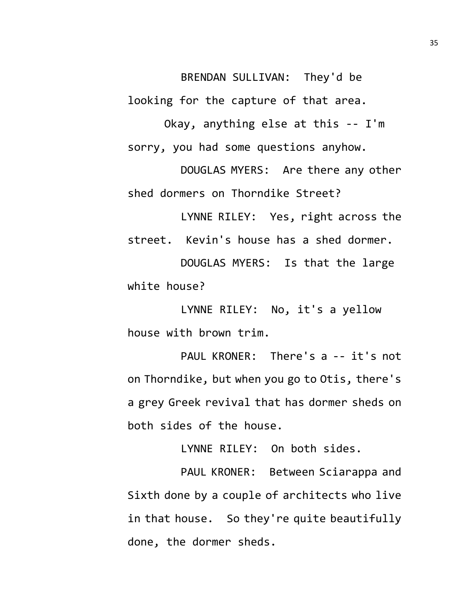BRENDAN SULLIVAN: They'd be looking for the capture of that area.

Okay, anything else at this -- I'm sorry, you had some questions anyhow.

DOUGLAS MYERS: Are there any other shed dormers on Thorndike Street?

LYNNE RILEY: Yes, right across the street. Kevin's house has a shed dormer.

DOUGLAS MYERS: Is that the large white house?

LYNNE RILEY: No, it's a yellow house with brown trim.

PAUL KRONER: There's a -- it's not on Thorndike, but when you go to Otis, there's a grey Greek revival that has dormer sheds on both sides of the house.

LYNNE RILEY: On both sides.

PAUL KRONER: Between Sciarappa and Sixth done by a couple of architects who live in that house. So they're quite beautifully done, the dormer sheds.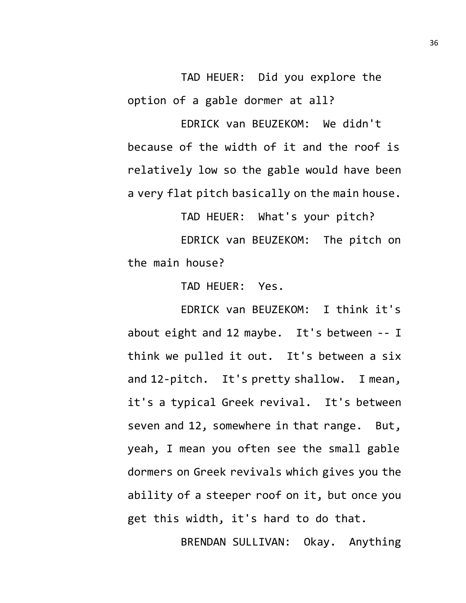TAD HEUER: Did you explore the option of a gable dormer at all?

EDRICK van BEUZEKOM: We didn't because of the width of it and the roof is relatively low so the gable would have been a very flat pitch basically on the main house.

TAD HEUER: What's your pitch? EDRICK van BEUZEKOM: The pitch on the main house?

TAD HEUER: Yes.

EDRICK van BEUZEKOM: I think it's about eight and 12 maybe. It's between -- I think we pulled it out. It's between a six and 12-pitch. It's pretty shallow. I mean, it's a typical Greek revival. It's between seven and 12, somewhere in that range. But, yeah, I mean you often see the small gable dormers on Greek revivals which gives you the ability of a steeper roof on it, but once you get this width, it's hard to do that.

BRENDAN SULLIVAN: Okay. Anything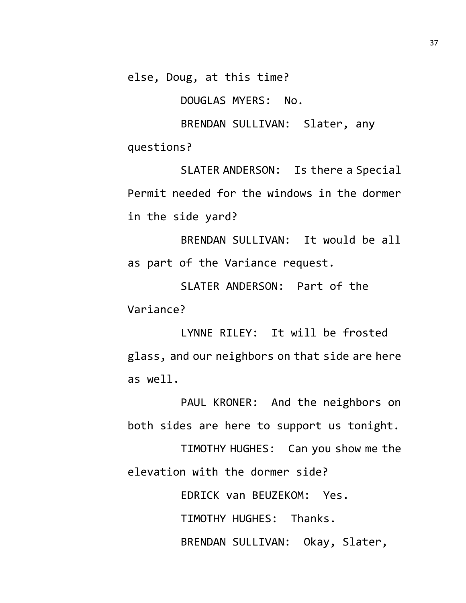else, Doug, at this time?

DOUGLAS MYERS: No.

BRENDAN SULLIVAN: Slater, any questions?

SLATER ANDERSON: Is there a Special Permit needed for the windows in the dormer in the side yard?

BRENDAN SULLIVAN: It would be all as part of the Variance request.

SLATER ANDERSON: Part of the Variance?

LYNNE RILEY: It will be frosted glass, and our neighbors on that side are here as well.

PAUL KRONER: And the neighbors on both sides are here to support us tonight.

TIMOTHY HUGHES: Can you show me the elevation with the dormer side?

> EDRICK van BEUZEKOM: Yes. TIMOTHY HUGHES: Thanks. BRENDAN SULLIVAN: Okay, Slater,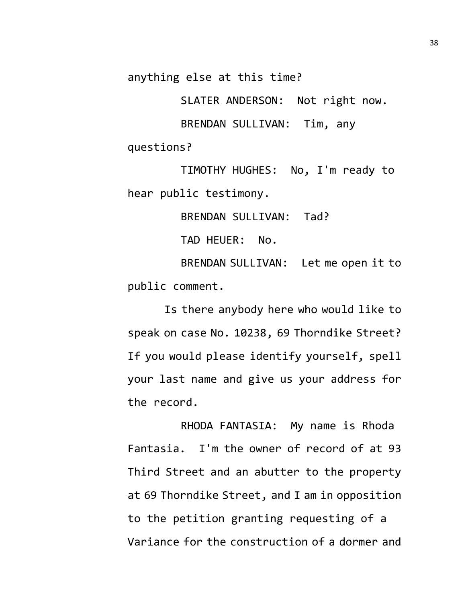anything else at this time?

SLATER ANDERSON: Not right now.

BRENDAN SULLIVAN: Tim, any questions?

TIMOTHY HUGHES: No, I'm ready to hear public testimony.

BRENDAN SULLIVAN: Tad?

TAD HEUER: No.

BRENDAN SULLIVAN: Let me open it to public comment.

Is there anybody here who would like to speak on case No. 10238, 69 Thorndike Street? If you would please identify yourself, spell your last name and give us your address for the record.

RHODA FANTASIA: My name is Rhoda Fantasia. I'm the owner of record of at 93 Third Street and an abutter to the property at 69 Thorndike Street, and I am in opposition to the petition granting requesting of a Variance for the construction of a dormer and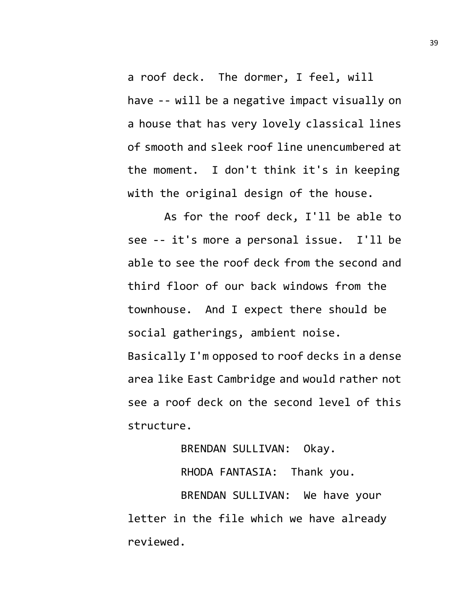a roof deck. The dormer, I feel, will have -- will be a negative impact visually on a house that has very lovely classical lines of smooth and sleek roof line unencumbered at the moment. I don't think it's in keeping with the original design of the house.

As for the roof deck, I'll be able to see -- it's more a personal issue. I'll be able to see the roof deck from the second and third floor of our back windows from the townhouse. And I expect there should be social gatherings, ambient noise. Basically I'm opposed to roof decks in a dense area like East Cambridge and would rather not see a roof deck on the second level of this structure.

BRENDAN SULLIVAN: Okay.

RHODA FANTASIA: Thank you.

BRENDAN SULLIVAN: We have your letter in the file which we have already reviewed.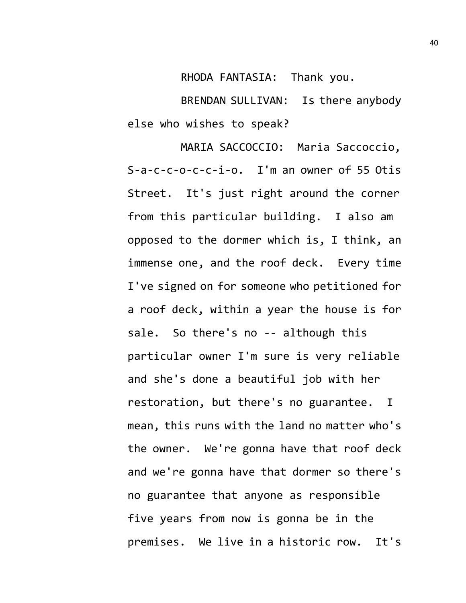RHODA FANTASIA: Thank you.

BRENDAN SULLIVAN: Is there anybody else who wishes to speak?

MARIA SACCOCCIO: Maria Saccoccio, S-a-c-c-o-c-c-i-o. I'm an owner of 55 Otis Street. It's just right around the corner from this particular building. I also am opposed to the dormer which is, I think, an immense one, and the roof deck. Every time I've signed on for someone who petitioned for a roof deck, within a year the house is for sale. So there's no -- although this particular owner I'm sure is very reliable and she's done a beautiful job with her restoration, but there's no guarantee. I mean, this runs with the land no matter who's the owner. We're gonna have that roof deck and we're gonna have that dormer so there's no guarantee that anyone as responsible five years from now is gonna be in the premises. We live in a historic row. It's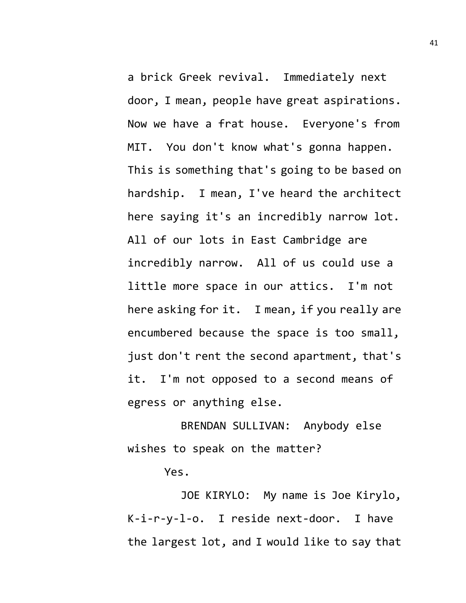a brick Greek revival. Immediately next door, I mean, people have great aspirations. Now we have a frat house. Everyone's from MIT. You don't know what's gonna happen. This is something that's going to be based on hardship. I mean, I've heard the architect here saying it's an incredibly narrow lot. All of our lots in East Cambridge are incredibly narrow. All of us could use a little more space in our attics. I'm not here asking for it. I mean, if you really are encumbered because the space is too small, just don't rent the second apartment, that's it. I'm not opposed to a second means of egress or anything else.

BRENDAN SULLIVAN: Anybody else wishes to speak on the matter?

Yes.

JOE KIRYLO: My name is Joe Kirylo, K-i-r-y-l-o. I reside next-door. I have the largest lot, and I would like to say that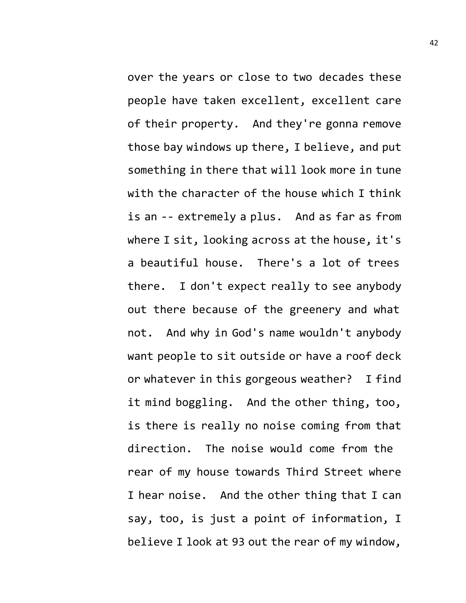over the years or close to two decades these people have taken excellent, excellent care of their property. And they're gonna remove those bay windows up there, I believe, and put something in there that will look more in tune with the character of the house which I think is an -- extremely a plus. And as far as from where I sit, looking across at the house, it's a beautiful house. There's a lot of trees there. I don't expect really to see anybody out there because of the greenery and what not. And why in God's name wouldn't anybody want people to sit outside or have a roof deck or whatever in this gorgeous weather? I find it mind boggling. And the other thing, too, is there is really no noise coming from that direction. The noise would come from the rear of my house towards Third Street where I hear noise. And the other thing that I can say, too, is just a point of information, I believe I look at 93 out the rear of my window,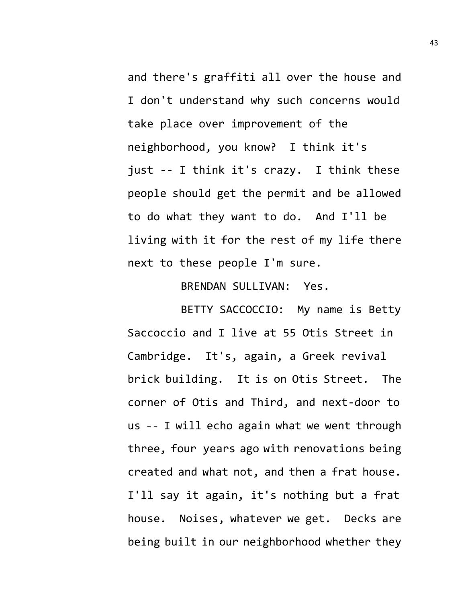and there's graffiti all over the house and I don't understand why such concerns would take place over improvement of the neighborhood, you know? I think it's just -- I think it's crazy. I think these people should get the permit and be allowed to do what they want to do. And I'll be living with it for the rest of my life there next to these people I'm sure.

BRENDAN SULLIVAN: Yes.

BETTY SACCOCCIO: My name is Betty Saccoccio and I live at 55 Otis Street in Cambridge. It's, again, a Greek revival brick building. It is on Otis Street. The corner of Otis and Third, and next-door to us -- I will echo again what we went through three, four years ago with renovations being created and what not, and then a frat house. I'll say it again, it's nothing but a frat house. Noises, whatever we get. Decks are being built in our neighborhood whether they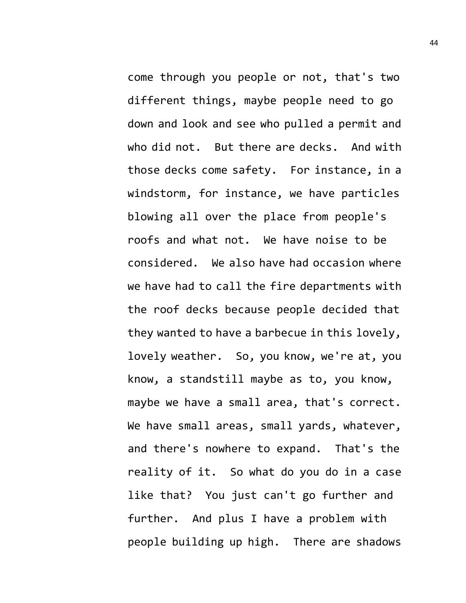come through you people or not, that's two different things, maybe people need to go down and look and see who pulled a permit and who did not. But there are decks. And with those decks come safety. For instance, in a windstorm, for instance, we have particles blowing all over the place from people's roofs and what not. We have noise to be considered. We also have had occasion where we have had to call the fire departments with the roof decks because people decided that they wanted to have a barbecue in this lovely, lovely weather. So, you know, we're at, you know, a standstill maybe as to, you know, maybe we have a small area, that's correct. We have small areas, small yards, whatever, and there's nowhere to expand. That's the reality of it. So what do you do in a case like that? You just can't go further and further. And plus I have a problem with people building up high. There are shadows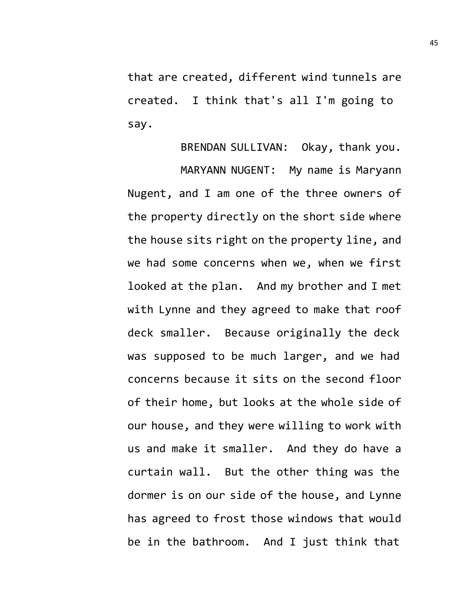that are created, different wind tunnels are created. I think that's all I'm going to say.

BRENDAN SULLIVAN: Okay, thank you.

MARYANN NUGENT: My name is Maryann Nugent, and I am one of the three owners of the property directly on the short side where the house sits right on the property line, and we had some concerns when we, when we first looked at the plan. And my brother and I met with Lynne and they agreed to make that roof deck smaller. Because originally the deck was supposed to be much larger, and we had concerns because it sits on the second floor of their home, but looks at the whole side of our house, and they were willing to work with us and make it smaller. And they do have a curtain wall. But the other thing was the dormer is on our side of the house, and Lynne has agreed to frost those windows that would be in the bathroom. And I just think that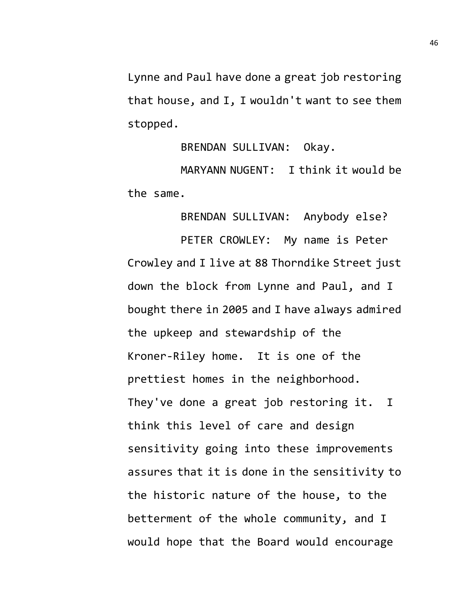Lynne and Paul have done a great job restoring that house, and I, I wouldn't want to see them stopped.

BRENDAN SULLIVAN: Okay.

MARYANN NUGENT: I think it would be the same.

BRENDAN SULLIVAN: Anybody else?

PETER CROWLEY: My name is Peter Crowley and I live at 88 Thorndike Street just down the block from Lynne and Paul, and I bought there in 2005 and I have always admired the upkeep and stewardship of the Kroner-Riley home. It is one of the prettiest homes in the neighborhood. They've done a great job restoring it. I think this level of care and design sensitivity going into these improvements assures that it is done in the sensitivity to the historic nature of the house, to the betterment of the whole community, and I would hope that the Board would encourage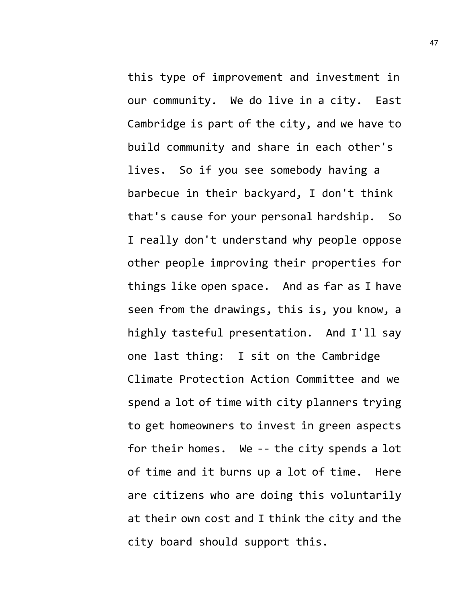this type of improvement and investment in our community. We do live in a city. East Cambridge is part of the city, and we have to build community and share in each other's lives. So if you see somebody having a barbecue in their backyard, I don't think that's cause for your personal hardship. So I really don't understand why people oppose other people improving their properties for things like open space. And as far as I have seen from the drawings, this is, you know, a highly tasteful presentation. And I'll say one last thing: I sit on the Cambridge Climate Protection Action Committee and we spend a lot of time with city planners trying to get homeowners to invest in green aspects for their homes. We -- the city spends a lot of time and it burns up a lot of time. Here are citizens who are doing this voluntarily at their own cost and I think the city and the city board should support this.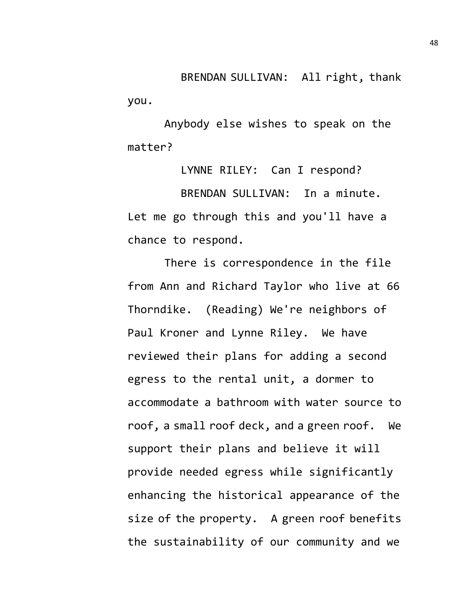BRENDAN SULLIVAN: All right, thank you.

Anybody else wishes to speak on the matter?

LYNNE RILEY: Can I respond? BRENDAN SULLIVAN: In a minute. Let me go through this and you'll have a chance to respond.

There is correspondence in the file from Ann and Richard Taylor who live at 66 Thorndike. (Reading) We're neighbors of Paul Kroner and Lynne Riley. We have reviewed their plans for adding a second egress to the rental unit, a dormer to accommodate a bathroom with water source to roof, a small roof deck, and a green roof. We support their plans and believe it will provide needed egress while significantly enhancing the historical appearance of the size of the property. A green roof benefits the sustainability of our community and we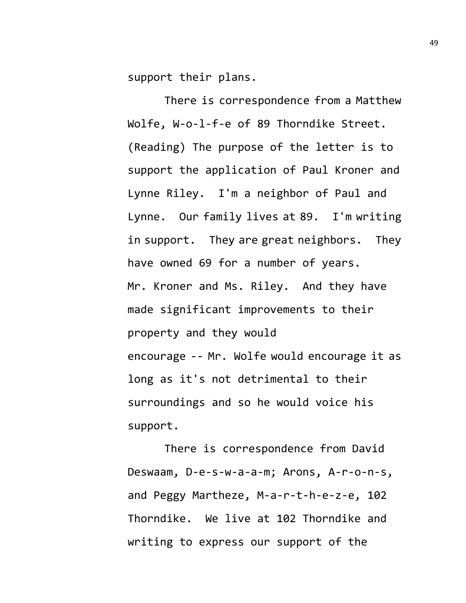support their plans.

There is correspondence from a Matthew Wolfe, W-o-l-f-e of 89 Thorndike Street. (Reading) The purpose of the letter is to support the application of Paul Kroner and Lynne Riley. I'm a neighbor of Paul and Lynne. Our family lives at 89. I'm writing in support. They are great neighbors. They have owned 69 for a number of years. Mr. Kroner and Ms. Riley. And they have made significant improvements to their property and they would encourage -- Mr. Wolfe would encourage it as long as it's not detrimental to their surroundings and so he would voice his support.

There is correspondence from David Deswaam, D-e-s-w-a-a-m; Arons, A-r-o-n-s, and Peggy Martheze, M-a-r-t-h-e-z-e, 102 Thorndike. We live at 102 Thorndike and writing to express our support of the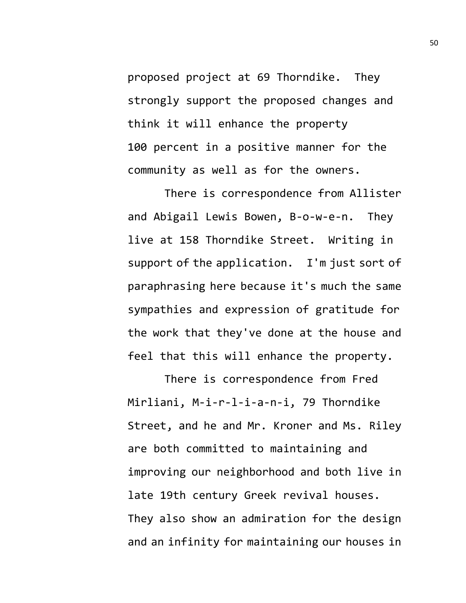proposed project at 69 Thorndike. They strongly support the proposed changes and think it will enhance the property 100 percent in a positive manner for the community as well as for the owners.

There is correspondence from Allister and Abigail Lewis Bowen, B-o-w-e-n. They live at 158 Thorndike Street. Writing in support of the application. I'm just sort of paraphrasing here because it's much the same sympathies and expression of gratitude for the work that they've done at the house and feel that this will enhance the property.

There is correspondence from Fred Mirliani, M-i-r-l-i-a-n-i, 79 Thorndike Street, and he and Mr. Kroner and Ms. Riley are both committed to maintaining and improving our neighborhood and both live in late 19th century Greek revival houses. They also show an admiration for the design and an infinity for maintaining our houses in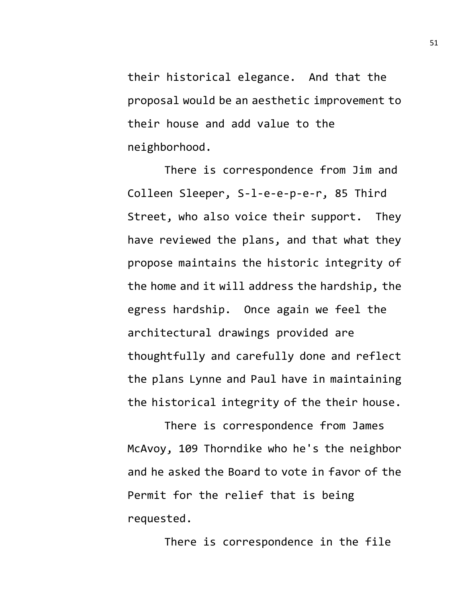their historical elegance. And that the proposal would be an aesthetic improvement to their house and add value to the neighborhood.

There is correspondence from Jim and Colleen Sleeper, S-l-e-e-p-e-r, 85 Third Street, who also voice their support. They have reviewed the plans, and that what they propose maintains the historic integrity of the home and it will address the hardship, the egress hardship. Once again we feel the architectural drawings provided are thoughtfully and carefully done and reflect the plans Lynne and Paul have in maintaining the historical integrity of the their house.

There is correspondence from James McAvoy, 109 Thorndike who he's the neighbor and he asked the Board to vote in favor of the Permit for the relief that is being requested.

There is correspondence in the file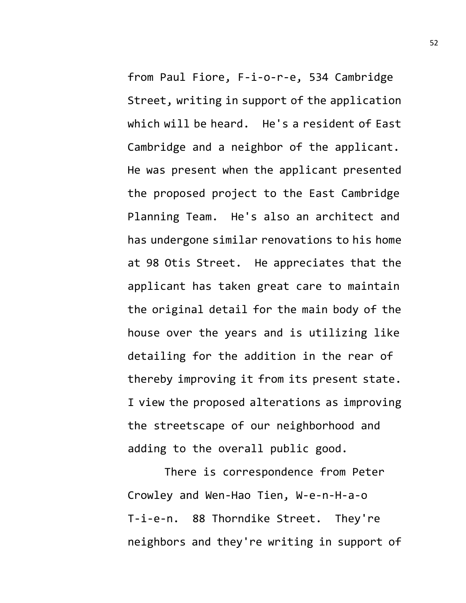from Paul Fiore, F-i-o-r-e, 534 Cambridge Street, writing in support of the application which will be heard. He's a resident of East Cambridge and a neighbor of the applicant. He was present when the applicant presented the proposed project to the East Cambridge Planning Team. He's also an architect and has undergone similar renovations to his home at 98 Otis Street. He appreciates that the applicant has taken great care to maintain the original detail for the main body of the house over the years and is utilizing like detailing for the addition in the rear of thereby improving it from its present state. I view the proposed alterations as improving the streetscape of our neighborhood and adding to the overall public good.

There is correspondence from Peter Crowley and Wen-Hao Tien, W-e-n-H-a-o T-i-e-n. 88 Thorndike Street. They're neighbors and they're writing in support of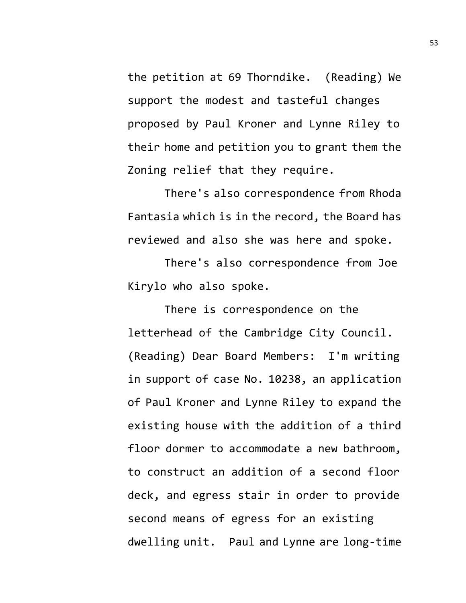the petition at 69 Thorndike. (Reading) We support the modest and tasteful changes proposed by Paul Kroner and Lynne Riley to their home and petition you to grant them the Zoning relief that they require.

There's also correspondence from Rhoda Fantasia which is in the record, the Board has reviewed and also she was here and spoke.

There's also correspondence from Joe Kirylo who also spoke.

There is correspondence on the letterhead of the Cambridge City Council. (Reading) Dear Board Members: I'm writing in support of case No. 10238, an application of Paul Kroner and Lynne Riley to expand the existing house with the addition of a third floor dormer to accommodate a new bathroom, to construct an addition of a second floor deck, and egress stair in order to provide second means of egress for an existing dwelling unit. Paul and Lynne are long-time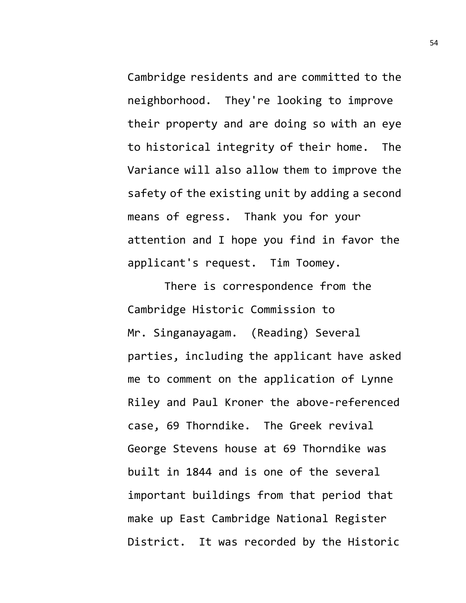Cambridge residents and are committed to the neighborhood. They're looking to improve their property and are doing so with an eye to historical integrity of their home. The Variance will also allow them to improve the safety of the existing unit by adding a second means of egress. Thank you for your attention and I hope you find in favor the applicant's request. Tim Toomey.

There is correspondence from the Cambridge Historic Commission to Mr. Singanayagam. (Reading) Several parties, including the applicant have asked me to comment on the application of Lynne Riley and Paul Kroner the above-referenced case, 69 Thorndike. The Greek revival George Stevens house at 69 Thorndike was built in 1844 and is one of the several important buildings from that period that make up East Cambridge National Register District. It was recorded by the Historic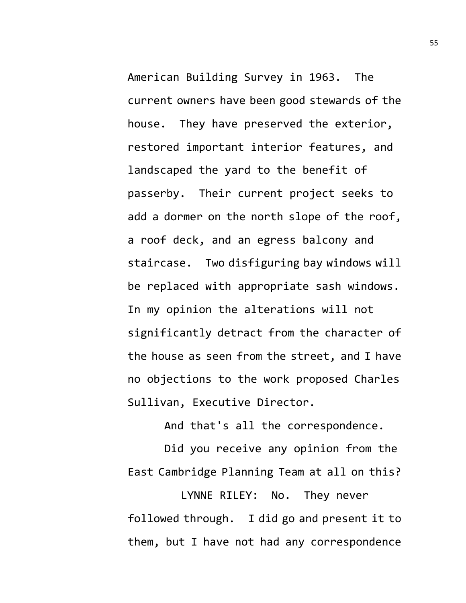American Building Survey in 1963. The current owners have been good stewards of the house. They have preserved the exterior, restored important interior features, and landscaped the yard to the benefit of passerby. Their current project seeks to add a dormer on the north slope of the roof, a roof deck, and an egress balcony and staircase. Two disfiguring bay windows will be replaced with appropriate sash windows. In my opinion the alterations will not significantly detract from the character of the house as seen from the street, and I have no objections to the work proposed Charles Sullivan, Executive Director.

And that's all the correspondence.

Did you receive any opinion from the East Cambridge Planning Team at all on this?

LYNNE RILEY: No. They never followed through. I did go and present it to them, but I have not had any correspondence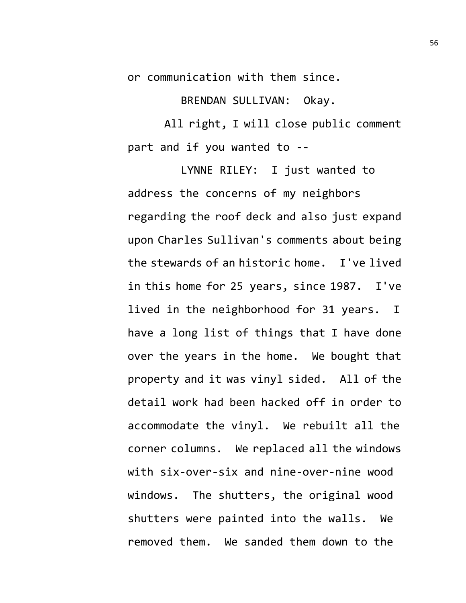or communication with them since.

BRENDAN SULLIVAN: Okay.

All right, I will close public comment part and if you wanted to --

LYNNE RILEY: I just wanted to address the concerns of my neighbors regarding the roof deck and also just expand upon Charles Sullivan's comments about being the stewards of an historic home. I've lived in this home for 25 years, since 1987. I've lived in the neighborhood for 31 years. I have a long list of things that I have done over the years in the home. We bought that property and it was vinyl sided. All of the detail work had been hacked off in order to accommodate the vinyl. We rebuilt all the corner columns. We replaced all the windows with six-over-six and nine-over-nine wood windows. The shutters, the original wood shutters were painted into the walls. We removed them. We sanded them down to the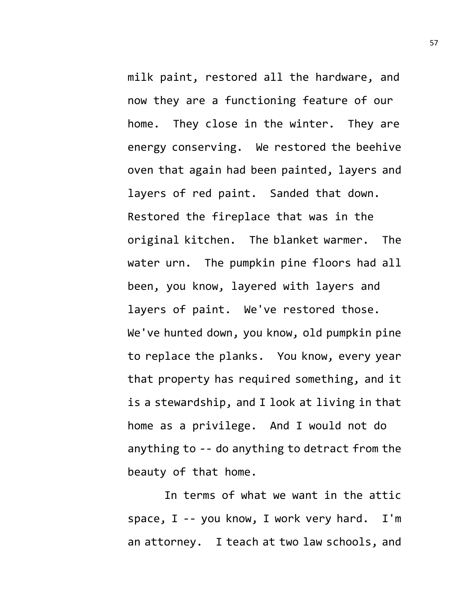milk paint, restored all the hardware, and now they are a functioning feature of our home. They close in the winter. They are energy conserving. We restored the beehive oven that again had been painted, layers and layers of red paint. Sanded that down. Restored the fireplace that was in the original kitchen. The blanket warmer. The water urn. The pumpkin pine floors had all been, you know, layered with layers and layers of paint. We've restored those. We've hunted down, you know, old pumpkin pine to replace the planks. You know, every year that property has required something, and it is a stewardship, and I look at living in that home as a privilege. And I would not do anything to -- do anything to detract from the beauty of that home.

In terms of what we want in the attic space, I -- you know, I work very hard. I'm an attorney. I teach at two law schools, and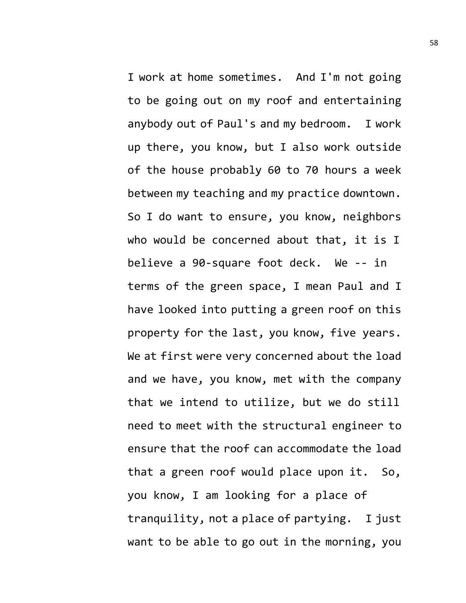I work at home sometimes. And I'm not going to be going out on my roof and entertaining anybody out of Paul's and my bedroom. I work up there, you know, but I also work outside of the house probably 60 to 70 hours a week between my teaching and my practice downtown. So I do want to ensure, you know, neighbors who would be concerned about that, it is I believe a 90-square foot deck. We -- in terms of the green space, I mean Paul and I have looked into putting a green roof on this property for the last, you know, five years. We at first were very concerned about the load and we have, you know, met with the company that we intend to utilize, but we do still need to meet with the structural engineer to ensure that the roof can accommodate the load that a green roof would place upon it. So, you know, I am looking for a place of tranquility, not a place of partying. I just want to be able to go out in the morning, you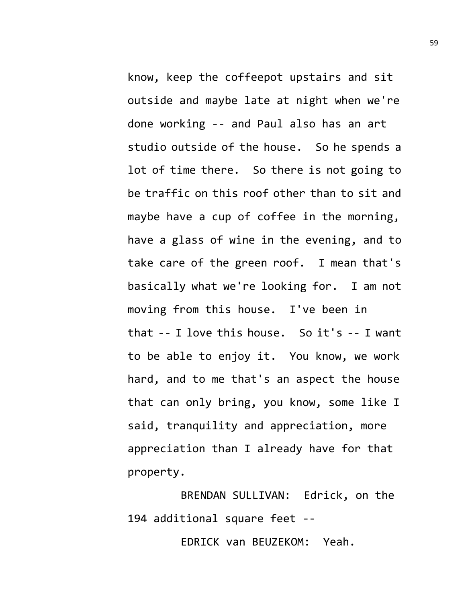know, keep the coffeepot upstairs and sit outside and maybe late at night when we're done working -- and Paul also has an art studio outside of the house. So he spends a lot of time there. So there is not going to be traffic on this roof other than to sit and maybe have a cup of coffee in the morning, have a glass of wine in the evening, and to take care of the green roof. I mean that's basically what we're looking for. I am not moving from this house. I've been in that -- I love this house. So it's -- I want to be able to enjoy it. You know, we work hard, and to me that's an aspect the house that can only bring, you know, some like I said, tranquility and appreciation, more appreciation than I already have for that property.

BRENDAN SULLIVAN: Edrick, on the 194 additional square feet --

EDRICK van BEUZEKOM: Yeah.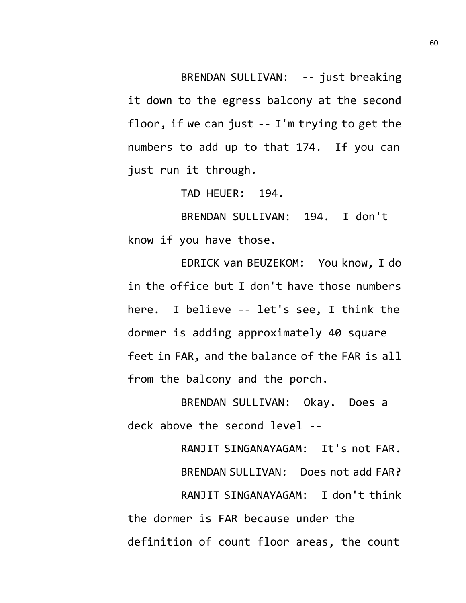BRENDAN SULLIVAN: -- just breaking it down to the egress balcony at the second floor, if we can just -- I'm trying to get the numbers to add up to that 174. If you can just run it through.

TAD HEUER: 194.

BRENDAN SULLIVAN: 194. I don't know if you have those.

EDRICK van BEUZEKOM: You know, I do in the office but I don't have those numbers here. I believe -- let's see, I think the dormer is adding approximately 40 square feet in FAR, and the balance of the FAR is all from the balcony and the porch.

BRENDAN SULLIVAN: Okay. Does a deck above the second level --

RANJIT SINGANAYAGAM: It's not FAR. BRENDAN SULLIVAN: Does not add FAR? RANJIT SINGANAYAGAM: I don't think the dormer is FAR because under the definition of count floor areas, the count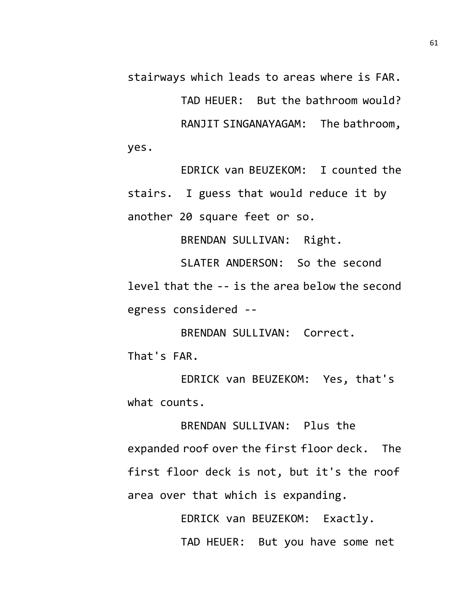stairways which leads to areas where is FAR.

TAD HEUER: But the bathroom would? RANJIT SINGANAYAGAM: The bathroom, yes.

EDRICK van BEUZEKOM: I counted the stairs. I guess that would reduce it by another 20 square feet or so.

BRENDAN SULLIVAN: Right.

SLATER ANDERSON: So the second level that the -- is the area below the second egress considered --

BRENDAN SULLIVAN: Correct. That's FAR.

EDRICK van BEUZEKOM: Yes, that's what counts.

BRENDAN SULLIVAN: Plus the expanded roof over the first floor deck. The first floor deck is not, but it's the roof area over that which is expanding.

> EDRICK van BEUZEKOM: Exactly. TAD HEUER: But you have some net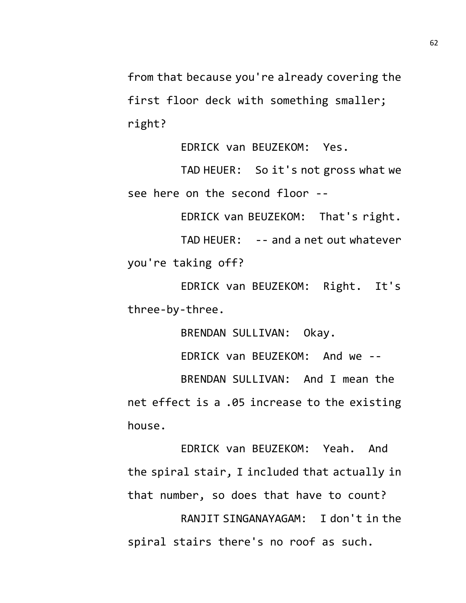from that because you're already covering the first floor deck with something smaller; right?

EDRICK van BEUZEKOM: Yes.

TAD HEUER: So it's not gross what we see here on the second floor --

EDRICK van BEUZEKOM: That's right.

TAD HEUER: -- and a net out whatever you're taking off?

EDRICK van BEUZEKOM: Right. It's three-by-three.

BRENDAN SULLIVAN: Okay.

EDRICK van BEUZEKOM: And we --

BRENDAN SULLIVAN: And I mean the net effect is a .05 increase to the existing house.

EDRICK van BEUZEKOM: Yeah. And the spiral stair, I included that actually in that number, so does that have to count?

RANJIT SINGANAYAGAM: I don't in the spiral stairs there's no roof as such.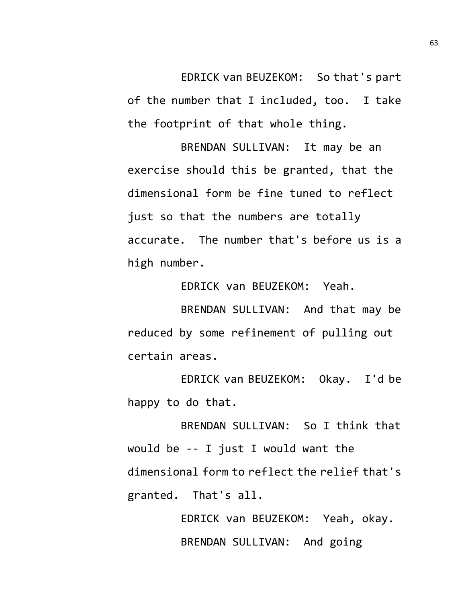EDRICK van BEUZEKOM: So that's part of the number that I included, too. I take the footprint of that whole thing.

BRENDAN SULLIVAN: It may be an exercise should this be granted, that the dimensional form be fine tuned to reflect just so that the numbers are totally accurate. The number that's before us is a high number.

EDRICK van BEUZEKOM: Yeah.

BRENDAN SULLIVAN: And that may be reduced by some refinement of pulling out certain areas.

EDRICK van BEUZEKOM: Okay. I'd be happy to do that.

BRENDAN SULLIVAN: So I think that would be -- I just I would want the dimensional form to reflect the relief that's granted. That's all.

> EDRICK van BEUZEKOM: Yeah, okay. BRENDAN SULLIVAN: And going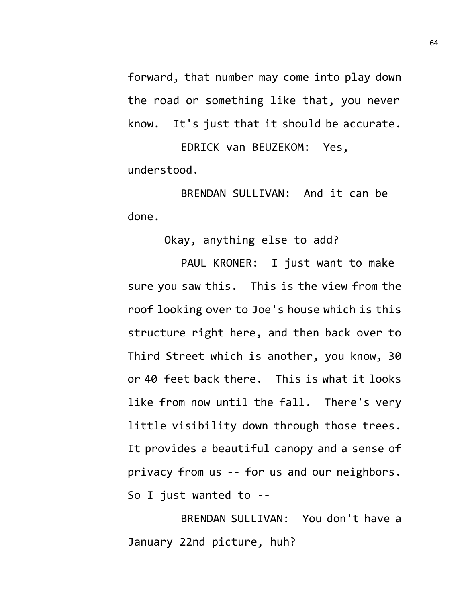forward, that number may come into play down the road or something like that, you never know. It's just that it should be accurate.

EDRICK van BEUZEKOM: Yes, understood.

BRENDAN SULLIVAN: And it can be done.

Okay, anything else to add?

PAUL KRONER: I just want to make sure you saw this. This is the view from the roof looking over to Joe's house which is this structure right here, and then back over to Third Street which is another, you know, 30 or 40 feet back there. This is what it looks like from now until the fall. There's very little visibility down through those trees. It provides a beautiful canopy and a sense of privacy from us -- for us and our neighbors. So I just wanted to --

BRENDAN SULLIVAN: You don't have a January 22nd picture, huh?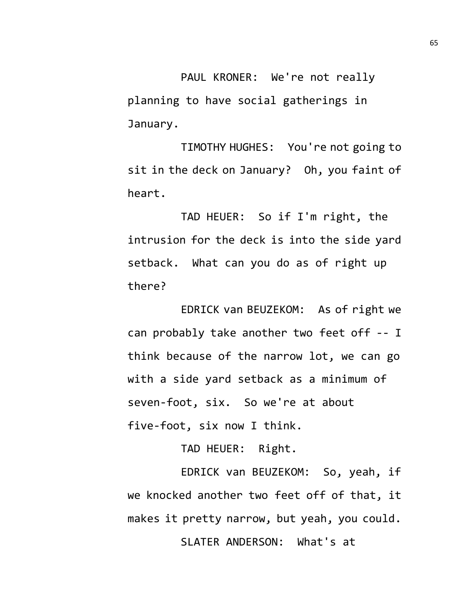PAUL KRONER: We're not really planning to have social gatherings in January.

TIMOTHY HUGHES: You're not going to sit in the deck on January? Oh, you faint of heart.

TAD HEUER: So if I'm right, the intrusion for the deck is into the side yard setback. What can you do as of right up there?

EDRICK van BEUZEKOM: As of right we can probably take another two feet off -- I think because of the narrow lot, we can go with a side yard setback as a minimum of seven-foot, six. So we're at about five-foot, six now I think.

TAD HEUER: Right.

EDRICK van BEUZEKOM: So, yeah, if we knocked another two feet off of that, it makes it pretty narrow, but yeah, you could.

SLATER ANDERSON: What's at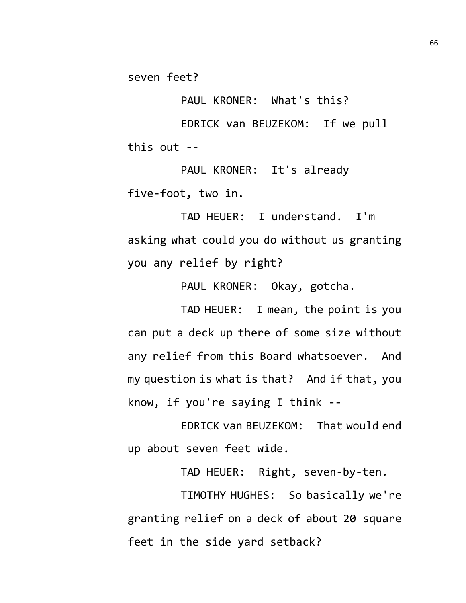seven feet?

PAUL KRONER: What's this?

EDRICK van BEUZEKOM: If we pull this out --

PAUL KRONER: It's already five-foot, two in.

TAD HEUER: I understand. I'm asking what could you do without us granting you any relief by right?

PAUL KRONER: Okay, gotcha.

TAD HEUER: I mean, the point is you can put a deck up there of some size without any relief from this Board whatsoever. And my question is what is that? And if that, you know, if you're saying I think --

EDRICK van BEUZEKOM: That would end up about seven feet wide.

TAD HEUER: Right, seven-by-ten.

TIMOTHY HUGHES: So basically we're granting relief on a deck of about 20 square feet in the side yard setback?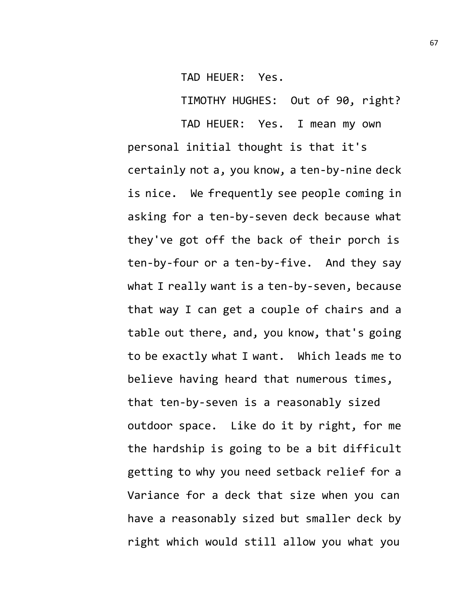TAD HEUER: Yes.

TIMOTHY HUGHES: Out of 90, right?

TAD HEUER: Yes. I mean my own personal initial thought is that it's certainly not a, you know, a ten-by-nine deck is nice. We frequently see people coming in asking for a ten-by-seven deck because what they've got off the back of their porch is ten-by-four or a ten-by-five. And they say what I really want is a ten-by-seven, because that way I can get a couple of chairs and a table out there, and, you know, that's going to be exactly what I want. Which leads me to believe having heard that numerous times, that ten-by-seven is a reasonably sized outdoor space. Like do it by right, for me the hardship is going to be a bit difficult getting to why you need setback relief for a Variance for a deck that size when you can have a reasonably sized but smaller deck by right which would still allow you what you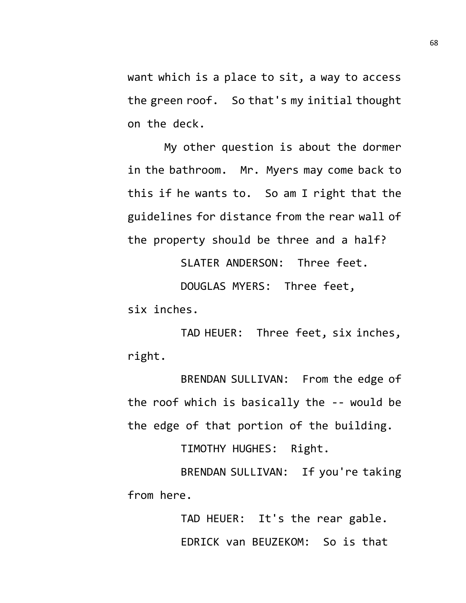want which is a place to sit, a way to access the green roof. So that's my initial thought on the deck.

My other question is about the dormer in the bathroom. Mr. Myers may come back to this if he wants to. So am I right that the guidelines for distance from the rear wall of the property should be three and a half?

SLATER ANDERSON: Three feet.

DOUGLAS MYERS: Three feet,

six inches.

TAD HEUER: Three feet, six inches, right.

BRENDAN SULLIVAN: From the edge of the roof which is basically the -- would be the edge of that portion of the building.

TIMOTHY HUGHES: Right.

BRENDAN SULLIVAN: If you're taking from here.

> TAD HEUER: It's the rear gable. EDRICK van BEUZEKOM: So is that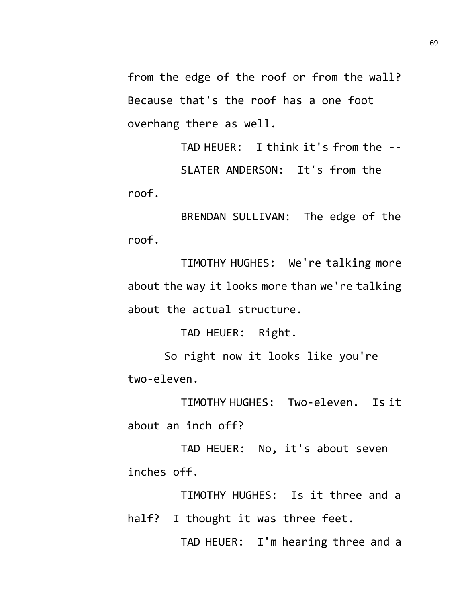from the edge of the roof or from the wall? Because that's the roof has a one foot overhang there as well.

TAD HEUER: I think it's from the -- SLATER ANDERSON: It's from the roof.

BRENDAN SULLIVAN: The edge of the roof.

TIMOTHY HUGHES: We're talking more about the way it looks more than we're talking about the actual structure.

TAD HEUER: Right.

So right now it looks like you're two-eleven.

TIMOTHY HUGHES: Two-eleven. Is it about an inch off?

TAD HEUER: No, it's about seven inches off.

TIMOTHY HUGHES: Is it three and a half? I thought it was three feet.

TAD HEUER: I'm hearing three and a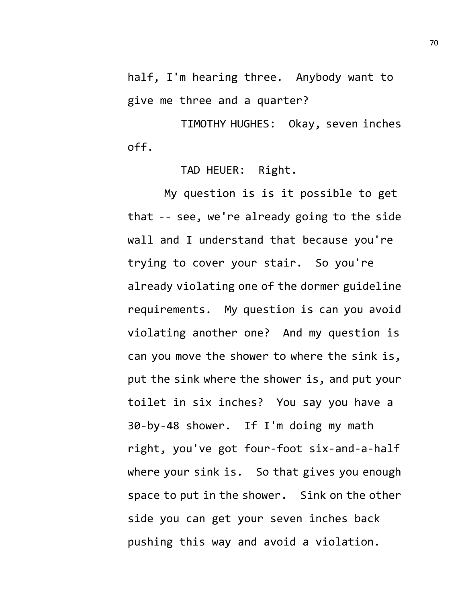half, I'm hearing three. Anybody want to give me three and a quarter?

TIMOTHY HUGHES: Okay, seven inches off.

## TAD HEUER: Right.

My question is is it possible to get that -- see, we're already going to the side wall and I understand that because you're trying to cover your stair. So you're already violating one of the dormer guideline requirements. My question is can you avoid violating another one? And my question is can you move the shower to where the sink is, put the sink where the shower is, and put your toilet in six inches? You say you have a 30-by-48 shower. If I'm doing my math right, you've got four-foot six-and-a-half where your sink is. So that gives you enough space to put in the shower. Sink on the other side you can get your seven inches back pushing this way and avoid a violation.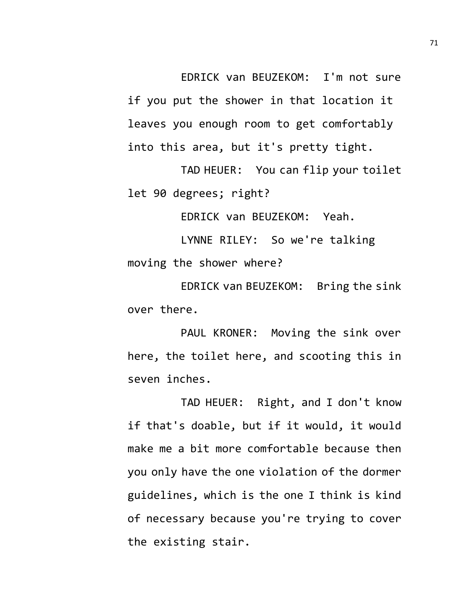EDRICK van BEUZEKOM: I'm not sure if you put the shower in that location it leaves you enough room to get comfortably into this area, but it's pretty tight.

TAD HEUER: You can flip your toilet let 90 degrees; right?

EDRICK van BEUZEKOM: Yeah.

LYNNE RILEY: So we're talking moving the shower where?

EDRICK van BEUZEKOM: Bring the sink over there.

PAUL KRONER: Moving the sink over here, the toilet here, and scooting this in seven inches.

TAD HEUER: Right, and I don't know if that's doable, but if it would, it would make me a bit more comfortable because then you only have the one violation of the dormer guidelines, which is the one I think is kind of necessary because you're trying to cover the existing stair.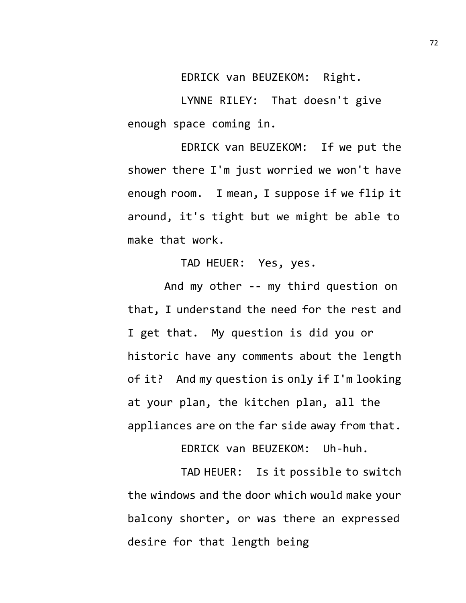EDRICK van BEUZEKOM: Right.

LYNNE RILEY: That doesn't give enough space coming in.

EDRICK van BEUZEKOM: If we put the shower there I'm just worried we won't have enough room. I mean, I suppose if we flip it around, it's tight but we might be able to make that work.

TAD HEUER: Yes, yes.

And my other -- my third question on that, I understand the need for the rest and I get that. My question is did you or historic have any comments about the length of it? And my question is only if I'm looking at your plan, the kitchen plan, all the appliances are on the far side away from that.

EDRICK van BEUZEKOM: Uh-huh.

TAD HEUER: Is it possible to switch the windows and the door which would make your balcony shorter, or was there an expressed desire for that length being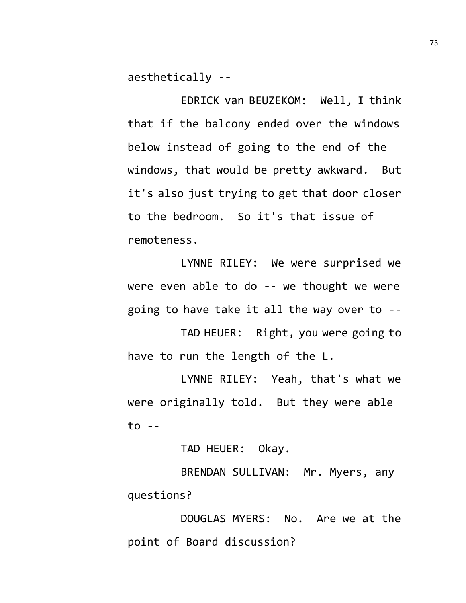aesthetically --

EDRICK van BEUZEKOM: Well, I think that if the balcony ended over the windows below instead of going to the end of the windows, that would be pretty awkward. But it's also just trying to get that door closer to the bedroom. So it's that issue of remoteness.

LYNNE RILEY: We were surprised we were even able to do -- we thought we were going to have take it all the way over to --

TAD HEUER: Right, you were going to have to run the length of the L.

LYNNE RILEY: Yeah, that's what we were originally told. But they were able  $to -$ 

TAD HEUER: Okay.

BRENDAN SULLIVAN: Mr. Myers, any questions?

DOUGLAS MYERS: No. Are we at the point of Board discussion?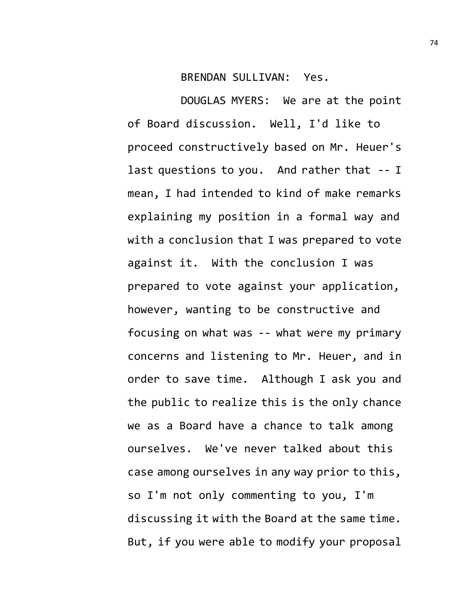## BRENDAN SULLIVAN: Yes.

DOUGLAS MYERS: We are at the point of Board discussion. Well, I'd like to proceed constructively based on Mr. Heuer's last questions to you. And rather that -- I mean, I had intended to kind of make remarks explaining my position in a formal way and with a conclusion that I was prepared to vote against it. With the conclusion I was prepared to vote against your application, however, wanting to be constructive and focusing on what was -- what were my primary concerns and listening to Mr. Heuer, and in order to save time. Although I ask you and the public to realize this is the only chance we as a Board have a chance to talk among ourselves. We've never talked about this case among ourselves in any way prior to this, so I'm not only commenting to you, I'm discussing it with the Board at the same time. But, if you were able to modify your proposal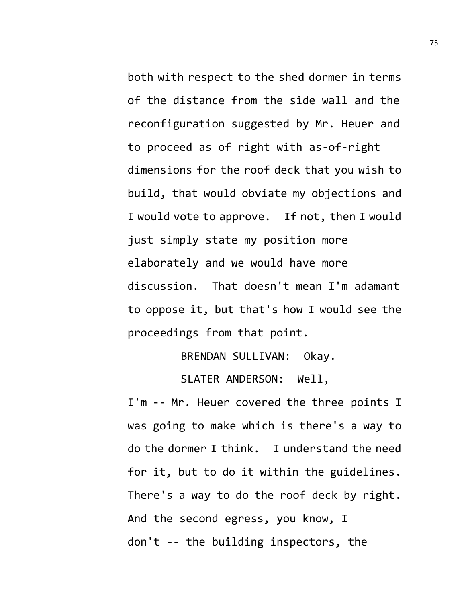both with respect to the shed dormer in terms of the distance from the side wall and the reconfiguration suggested by Mr. Heuer and to proceed as of right with as-of-right dimensions for the roof deck that you wish to build, that would obviate my objections and I would vote to approve. If not, then I would just simply state my position more elaborately and we would have more discussion. That doesn't mean I'm adamant to oppose it, but that's how I would see the proceedings from that point.

BRENDAN SULLIVAN: Okay.

SLATER ANDERSON: Well,

I'm -- Mr. Heuer covered the three points I was going to make which is there's a way to do the dormer I think. I understand the need for it, but to do it within the guidelines. There's a way to do the roof deck by right. And the second egress, you know, I don't -- the building inspectors, the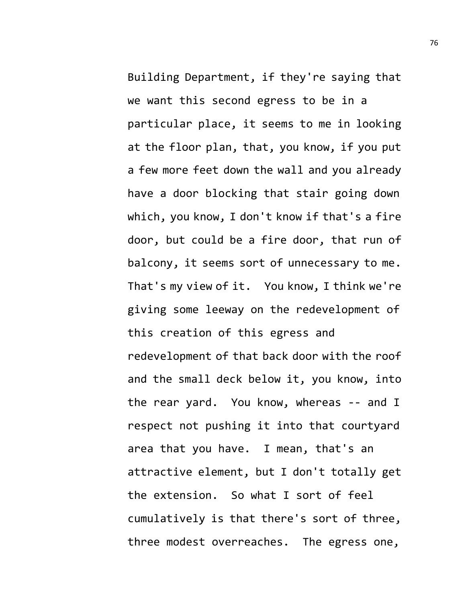Building Department, if they're saying that we want this second egress to be in a particular place, it seems to me in looking at the floor plan, that, you know, if you put a few more feet down the wall and you already have a door blocking that stair going down which, you know, I don't know if that's a fire door, but could be a fire door, that run of balcony, it seems sort of unnecessary to me. That's my view of it. You know, I think we're giving some leeway on the redevelopment of this creation of this egress and redevelopment of that back door with the roof and the small deck below it, you know, into the rear yard. You know, whereas -- and I respect not pushing it into that courtyard area that you have. I mean, that's an attractive element, but I don't totally get the extension. So what I sort of feel cumulatively is that there's sort of three, three modest overreaches. The egress one,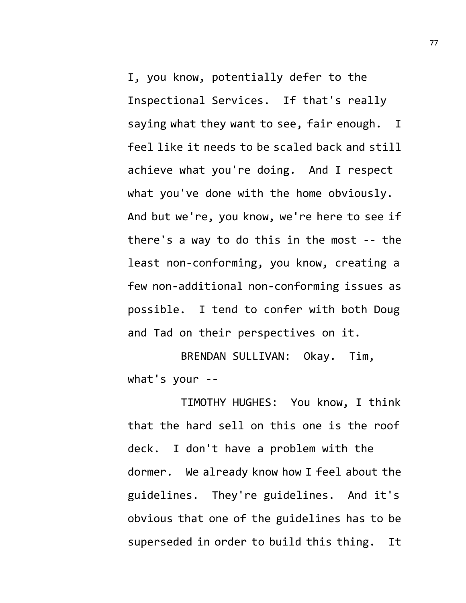I, you know, potentially defer to the Inspectional Services. If that's really saying what they want to see, fair enough. I feel like it needs to be scaled back and still achieve what you're doing. And I respect what you've done with the home obviously. And but we're, you know, we're here to see if there's a way to do this in the most -- the least non-conforming, you know, creating a few non-additional non-conforming issues as possible. I tend to confer with both Doug and Tad on their perspectives on it.

BRENDAN SULLIVAN: Okay. Tim, what's your --

TIMOTHY HUGHES: You know, I think that the hard sell on this one is the roof deck. I don't have a problem with the dormer. We already know how I feel about the guidelines. They're guidelines. And it's obvious that one of the guidelines has to be superseded in order to build this thing. It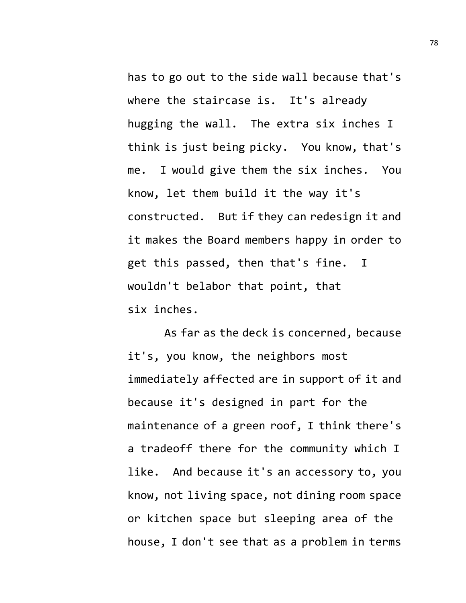has to go out to the side wall because that's where the staircase is. It's already hugging the wall. The extra six inches I think is just being picky. You know, that's me. I would give them the six inches. You know, let them build it the way it's constructed. But if they can redesign it and it makes the Board members happy in order to get this passed, then that's fine. I wouldn't belabor that point, that six inches.

As far as the deck is concerned, because it's, you know, the neighbors most immediately affected are in support of it and because it's designed in part for the maintenance of a green roof, I think there's a tradeoff there for the community which I like. And because it's an accessory to, you know, not living space, not dining room space or kitchen space but sleeping area of the house, I don't see that as a problem in terms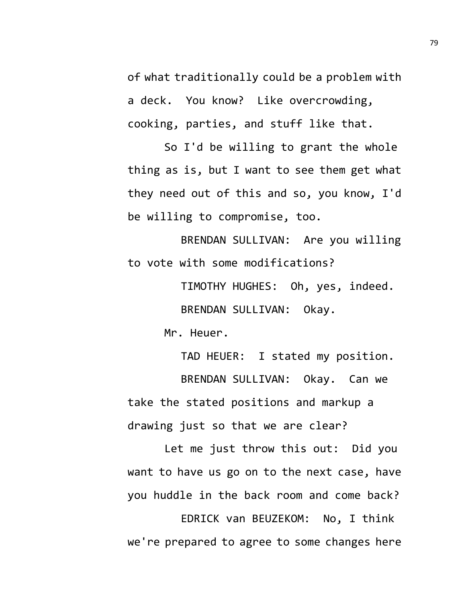of what traditionally could be a problem with a deck. You know? Like overcrowding, cooking, parties, and stuff like that.

So I'd be willing to grant the whole thing as is, but I want to see them get what they need out of this and so, you know, I'd be willing to compromise, too.

BRENDAN SULLIVAN: Are you willing to vote with some modifications?

> TIMOTHY HUGHES: Oh, yes, indeed. BRENDAN SULLIVAN: Okay.

Mr. Heuer.

TAD HEUER: I stated my position. BRENDAN SULLIVAN: Okay. Can we take the stated positions and markup a drawing just so that we are clear?

Let me just throw this out: Did you want to have us go on to the next case, have you huddle in the back room and come back?

EDRICK van BEUZEKOM: No, I think we're prepared to agree to some changes here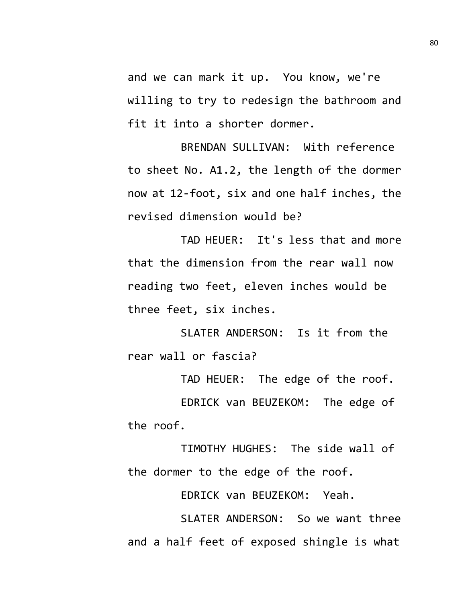and we can mark it up. You know, we're willing to try to redesign the bathroom and fit it into a shorter dormer.

BRENDAN SULLIVAN: With reference to sheet No. A1.2, the length of the dormer now at 12-foot, six and one half inches, the revised dimension would be?

TAD HEUER: It's less that and more that the dimension from the rear wall now reading two feet, eleven inches would be three feet, six inches.

SLATER ANDERSON: Is it from the rear wall or fascia?

TAD HEUER: The edge of the roof. EDRICK van BEUZEKOM: The edge of the roof.

TIMOTHY HUGHES: The side wall of the dormer to the edge of the roof.

EDRICK van BEUZEKOM: Yeah.

SLATER ANDERSON: So we want three and a half feet of exposed shingle is what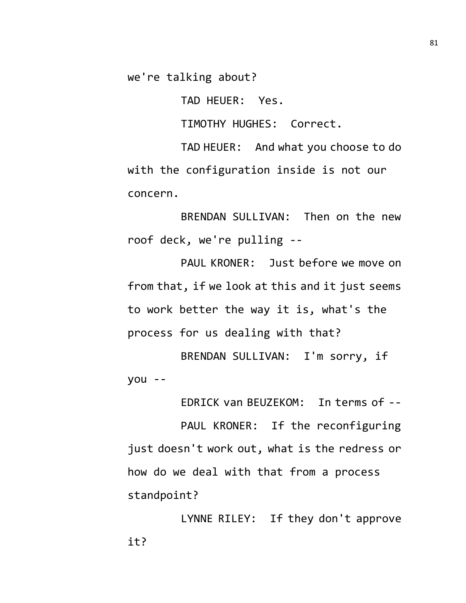we're talking about?

TAD HEUER: Yes.

TIMOTHY HUGHES: Correct.

TAD HEUER: And what you choose to do with the configuration inside is not our concern.

BRENDAN SULLIVAN: Then on the new roof deck, we're pulling --

PAUL KRONER: Just before we move on from that, if we look at this and it just seems to work better the way it is, what's the process for us dealing with that?

BRENDAN SULLIVAN: I'm sorry, if you --

EDRICK van BEUZEKOM: In terms of --

PAUL KRONER: If the reconfiguring just doesn't work out, what is the redress or how do we deal with that from a process standpoint?

LYNNE RILEY: If they don't approve it?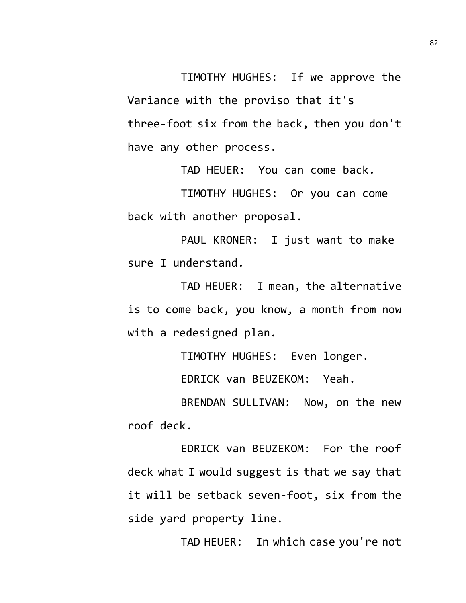TIMOTHY HUGHES: If we approve the Variance with the proviso that it's three-foot six from the back, then you don't have any other process.

TAD HEUER: You can come back.

TIMOTHY HUGHES: Or you can come back with another proposal.

PAUL KRONER: I just want to make sure I understand.

TAD HEUER: I mean, the alternative is to come back, you know, a month from now with a redesigned plan.

TIMOTHY HUGHES: Even longer.

EDRICK van BEUZEKOM: Yeah.

BRENDAN SULLIVAN: Now, on the new roof deck.

EDRICK van BEUZEKOM: For the roof deck what I would suggest is that we say that it will be setback seven-foot, six from the side yard property line.

TAD HEUER: In which case you're not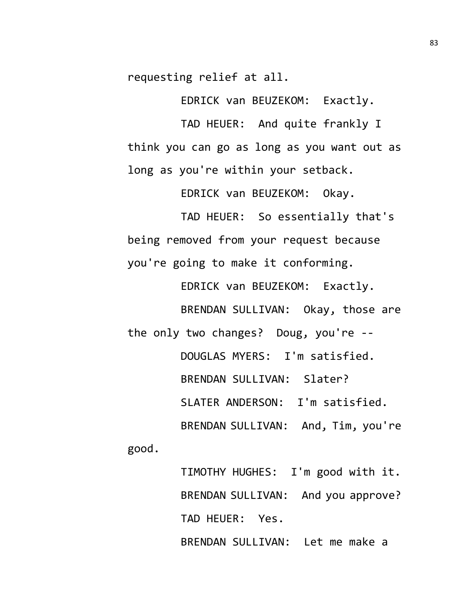requesting relief at all.

EDRICK van BEUZEKOM: Exactly.

TAD HEUER: And quite frankly I think you can go as long as you want out as long as you're within your setback.

EDRICK van BEUZEKOM: Okay.

TAD HEUER: So essentially that's being removed from your request because you're going to make it conforming.

EDRICK van BEUZEKOM: Exactly. BRENDAN SULLIVAN: Okay, those are the only two changes? Doug, you're -- DOUGLAS MYERS: I'm satisfied. BRENDAN SULLIVAN: Slater? SLATER ANDERSON: I'm satisfied. BRENDAN SULLIVAN: And, Tim, you're

good.

TIMOTHY HUGHES: I'm good with it. BRENDAN SULLIVAN: And you approve? TAD HEUER: Yes. BRENDAN SULLIVAN: Let me make a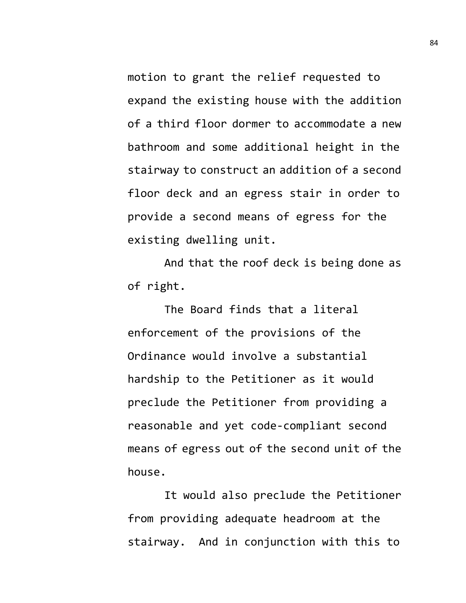motion to grant the relief requested to expand the existing house with the addition of a third floor dormer to accommodate a new bathroom and some additional height in the stairway to construct an addition of a second floor deck and an egress stair in order to provide a second means of egress for the existing dwelling unit.

And that the roof deck is being done as of right.

The Board finds that a literal enforcement of the provisions of the Ordinance would involve a substantial hardship to the Petitioner as it would preclude the Petitioner from providing a reasonable and yet code-compliant second means of egress out of the second unit of the house.

It would also preclude the Petitioner from providing adequate headroom at the stairway. And in conjunction with this to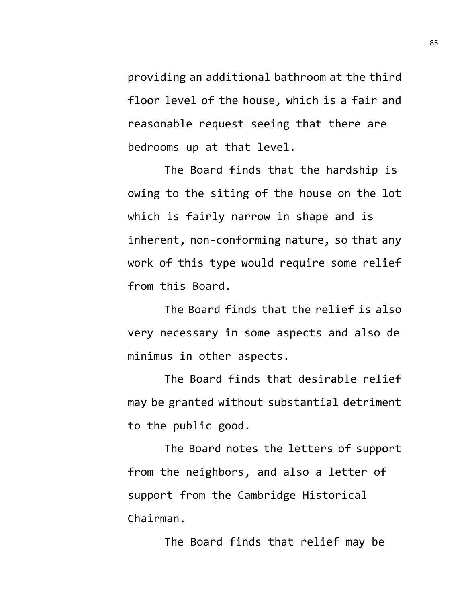providing an additional bathroom at the third floor level of the house, which is a fair and reasonable request seeing that there are bedrooms up at that level.

The Board finds that the hardship is owing to the siting of the house on the lot which is fairly narrow in shape and is inherent, non-conforming nature, so that any work of this type would require some relief from this Board.

The Board finds that the relief is also very necessary in some aspects and also de minimus in other aspects.

The Board finds that desirable relief may be granted without substantial detriment to the public good.

The Board notes the letters of support from the neighbors, and also a letter of support from the Cambridge Historical Chairman.

The Board finds that relief may be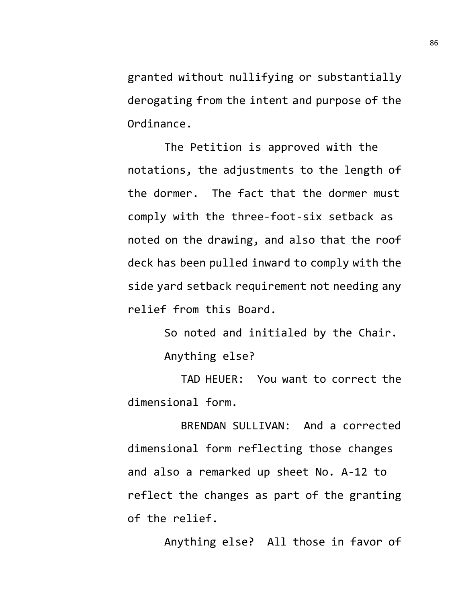granted without nullifying or substantially derogating from the intent and purpose of the Ordinance.

The Petition is approved with the notations, the adjustments to the length of the dormer. The fact that the dormer must comply with the three-foot-six setback as noted on the drawing, and also that the roof deck has been pulled inward to comply with the side yard setback requirement not needing any relief from this Board.

> So noted and initialed by the Chair. Anything else?

TAD HEUER: You want to correct the dimensional form.

BRENDAN SULLIVAN: And a corrected dimensional form reflecting those changes and also a remarked up sheet No. A-12 to reflect the changes as part of the granting of the relief.

Anything else? All those in favor of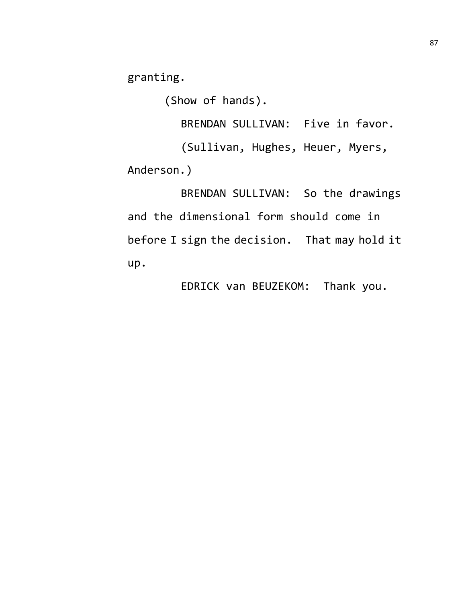granting.

(Show of hands).

BRENDAN SULLIVAN: Five in favor.

(Sullivan, Hughes, Heuer, Myers, Anderson.)

BRENDAN SULLIVAN: So the drawings and the dimensional form should come in before I sign the decision. That may hold it up.

EDRICK van BEUZEKOM: Thank you.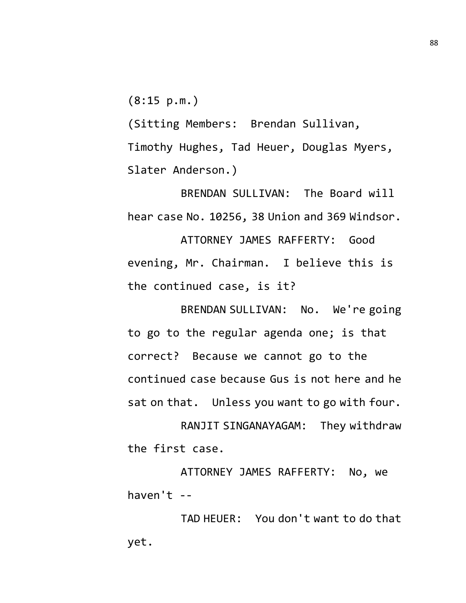(8:15 p.m.)

(Sitting Members: Brendan Sullivan, Timothy Hughes, Tad Heuer, Douglas Myers, Slater Anderson.)

BRENDAN SULLIVAN: The Board will hear case No. 10256, 38 Union and 369 Windsor.

ATTORNEY JAMES RAFFERTY: Good evening, Mr. Chairman. I believe this is the continued case, is it?

BRENDAN SULLIVAN: No. We're going to go to the regular agenda one; is that correct? Because we cannot go to the continued case because Gus is not here and he sat on that. Unless you want to go with four.

RANJIT SINGANAYAGAM: They withdraw the first case.

ATTORNEY JAMES RAFFERTY: No, we haven't --

TAD HEUER: You don't want to do that yet.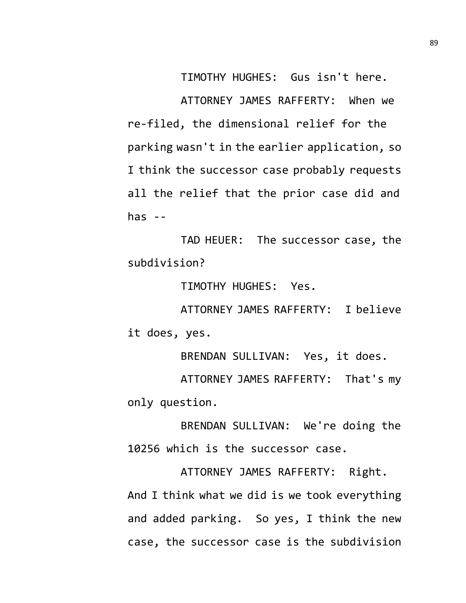TIMOTHY HUGHES: Gus isn't here.

ATTORNEY JAMES RAFFERTY: When we re-filed, the dimensional relief for the parking wasn't in the earlier application, so I think the successor case probably requests all the relief that the prior case did and has  $-$ 

TAD HEUER: The successor case, the subdivision?

TIMOTHY HUGHES: Yes.

ATTORNEY JAMES RAFFERTY: I believe it does, yes.

BRENDAN SULLIVAN: Yes, it does.

ATTORNEY JAMES RAFFERTY: That's my only question.

BRENDAN SULLIVAN: We're doing the 10256 which is the successor case.

ATTORNEY JAMES RAFFERTY: Right. And I think what we did is we took everything and added parking. So yes, I think the new case, the successor case is the subdivision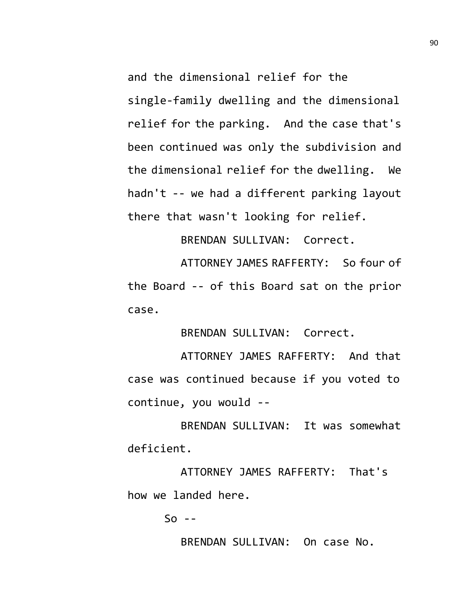and the dimensional relief for the single-family dwelling and the dimensional relief for the parking. And the case that's been continued was only the subdivision and the dimensional relief for the dwelling. We hadn't -- we had a different parking layout there that wasn't looking for relief.

BRENDAN SULLIVAN: Correct.

ATTORNEY JAMES RAFFERTY: So four of the Board -- of this Board sat on the prior case.

BRENDAN SULLIVAN: Correct.

ATTORNEY JAMES RAFFERTY: And that case was continued because if you voted to continue, you would --

BRENDAN SULLIVAN: It was somewhat deficient.

ATTORNEY JAMES RAFFERTY: That's how we landed here.

 $So - -$ 

BRENDAN SULLIVAN: On case No.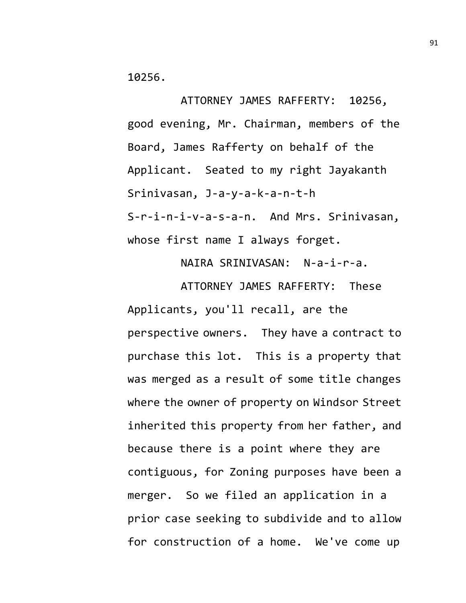10256.

ATTORNEY JAMES RAFFERTY: 10256, good evening, Mr. Chairman, members of the Board, James Rafferty on behalf of the Applicant. Seated to my right Jayakanth Srinivasan, J-a-y-a-k-a-n-t-h S-r-i-n-i-v-a-s-a-n. And Mrs. Srinivasan, whose first name I always forget.

NAIRA SRINIVASAN: N-a-i-r-a.

ATTORNEY JAMES RAFFERTY: These Applicants, you'll recall, are the perspective owners. They have a contract to purchase this lot. This is a property that was merged as a result of some title changes where the owner of property on Windsor Street inherited this property from her father, and because there is a point where they are contiguous, for Zoning purposes have been a merger. So we filed an application in a prior case seeking to subdivide and to allow for construction of a home. We've come up

91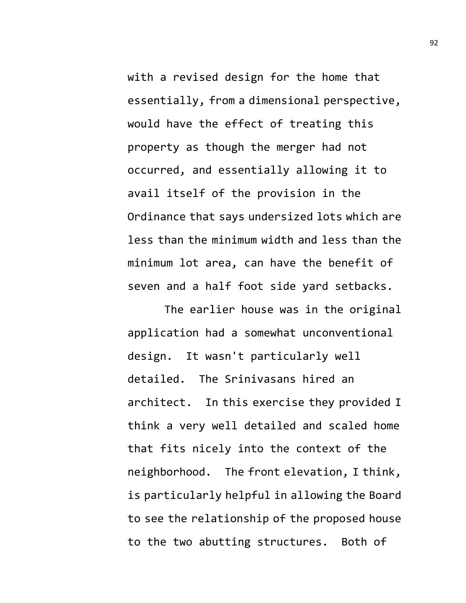with a revised design for the home that essentially, from a dimensional perspective, would have the effect of treating this property as though the merger had not occurred, and essentially allowing it to avail itself of the provision in the Ordinance that says undersized lots which are less than the minimum width and less than the minimum lot area, can have the benefit of seven and a half foot side yard setbacks.

The earlier house was in the original application had a somewhat unconventional design. It wasn't particularly well detailed. The Srinivasans hired an architect. In this exercise they provided I think a very well detailed and scaled home that fits nicely into the context of the neighborhood. The front elevation, I think, is particularly helpful in allowing the Board to see the relationship of the proposed house to the two abutting structures. Both of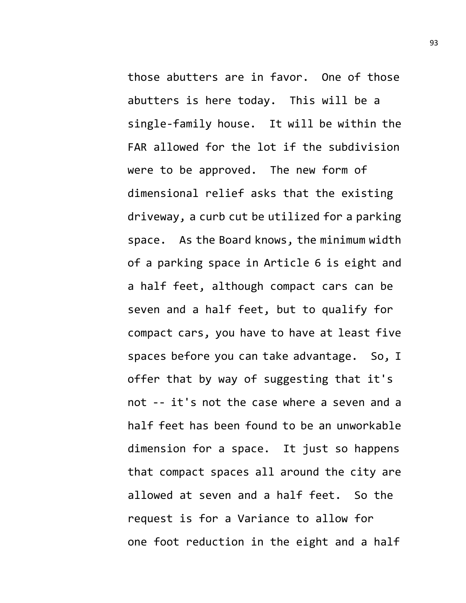those abutters are in favor. One of those abutters is here today. This will be a single-family house. It will be within the FAR allowed for the lot if the subdivision were to be approved. The new form of dimensional relief asks that the existing driveway, a curb cut be utilized for a parking space. As the Board knows, the minimum width of a parking space in Article 6 is eight and a half feet, although compact cars can be seven and a half feet, but to qualify for compact cars, you have to have at least five spaces before you can take advantage. So, I offer that by way of suggesting that it's not -- it's not the case where a seven and a half feet has been found to be an unworkable dimension for a space. It just so happens that compact spaces all around the city are allowed at seven and a half feet. So the request is for a Variance to allow for one foot reduction in the eight and a half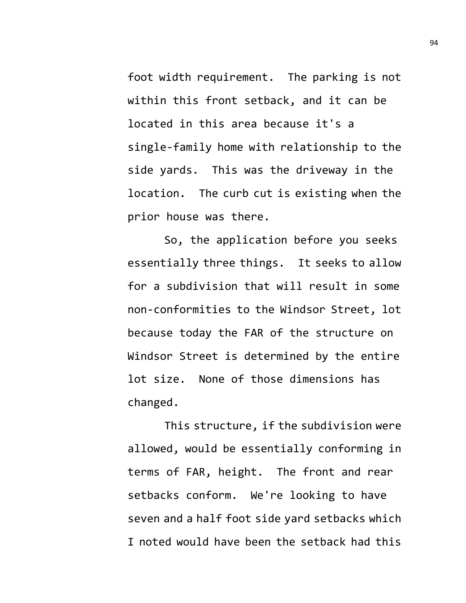foot width requirement. The parking is not within this front setback, and it can be located in this area because it's a single-family home with relationship to the side yards. This was the driveway in the location. The curb cut is existing when the prior house was there.

So, the application before you seeks essentially three things. It seeks to allow for a subdivision that will result in some non-conformities to the Windsor Street, lot because today the FAR of the structure on Windsor Street is determined by the entire lot size. None of those dimensions has changed.

This structure, if the subdivision were allowed, would be essentially conforming in terms of FAR, height. The front and rear setbacks conform. We're looking to have seven and a half foot side yard setbacks which I noted would have been the setback had this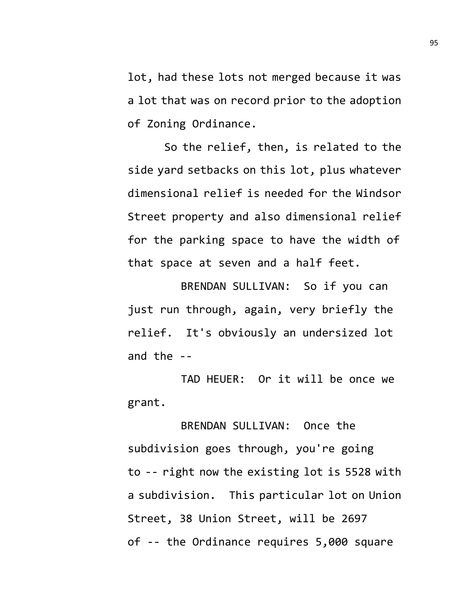lot, had these lots not merged because it was a lot that was on record prior to the adoption of Zoning Ordinance.

So the relief, then, is related to the side yard setbacks on this lot, plus whatever dimensional relief is needed for the Windsor Street property and also dimensional relief for the parking space to have the width of that space at seven and a half feet.

BRENDAN SULLIVAN: So if you can just run through, again, very briefly the relief. It's obviously an undersized lot and the --

TAD HEUER: Or it will be once we grant.

BRENDAN SULLIVAN: Once the subdivision goes through, you're going to -- right now the existing lot is 5528 with a subdivision. This particular lot on Union Street, 38 Union Street, will be 2697 of -- the Ordinance requires 5,000 square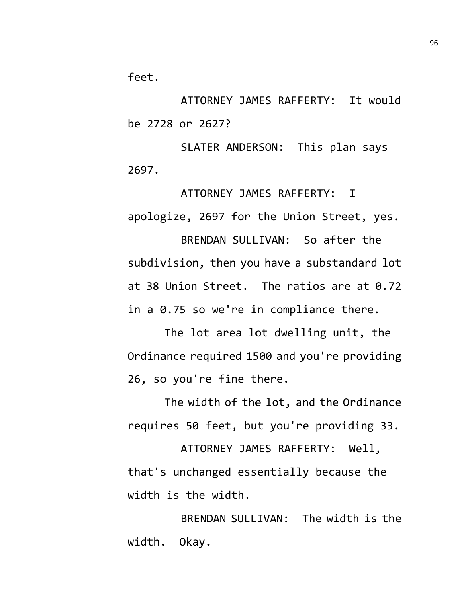feet.

ATTORNEY JAMES RAFFERTY: It would be 2728 or 2627?

SLATER ANDERSON: This plan says 2697.

ATTORNEY JAMES RAFFERTY: I apologize, 2697 for the Union Street, yes.

BRENDAN SULLIVAN: So after the subdivision, then you have a substandard lot at 38 Union Street. The ratios are at 0.72 in a 0.75 so we're in compliance there.

The lot area lot dwelling unit, the Ordinance required 1500 and you're providing 26, so you're fine there.

The width of the lot, and the Ordinance requires 50 feet, but you're providing 33.

ATTORNEY JAMES RAFFERTY: Well, that's unchanged essentially because the width is the width.

BRENDAN SULLIVAN: The width is the width. Okay.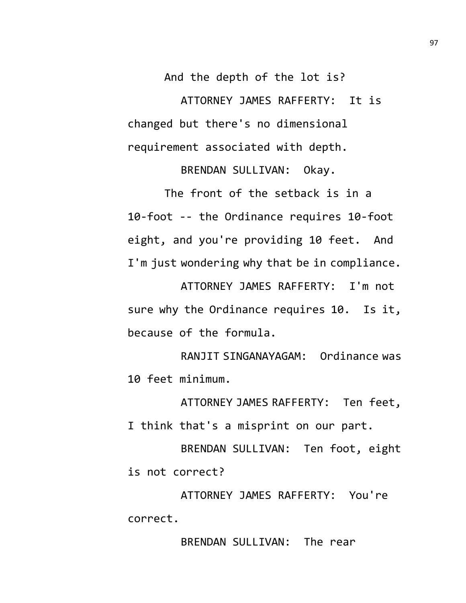And the depth of the lot is? ATTORNEY JAMES RAFFERTY: It is changed but there's no dimensional requirement associated with depth.

BRENDAN SULLIVAN: Okay.

The front of the setback is in a 10-foot -- the Ordinance requires 10-foot eight, and you're providing 10 feet. And I'm just wondering why that be in compliance.

ATTORNEY JAMES RAFFERTY: I'm not sure why the Ordinance requires 10. Is it, because of the formula.

RANJIT SINGANAYAGAM: Ordinance was 10 feet minimum.

ATTORNEY JAMES RAFFERTY: Ten feet, I think that's a misprint on our part.

BRENDAN SULLIVAN: Ten foot, eight is not correct?

ATTORNEY JAMES RAFFERTY: You're correct.

BRENDAN SULLIVAN: The rear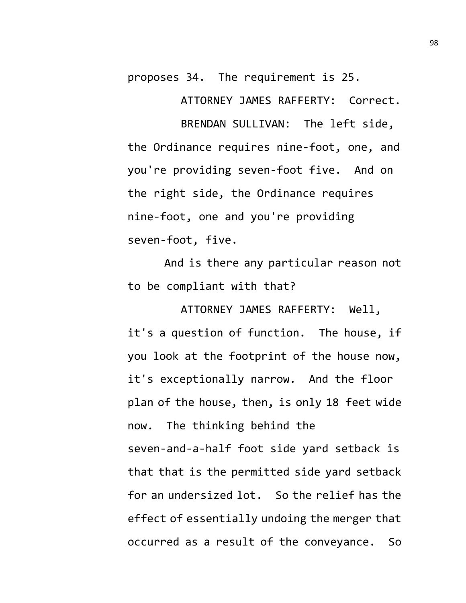proposes 34. The requirement is 25.

ATTORNEY JAMES RAFFERTY: Correct.

BRENDAN SULLIVAN: The left side, the Ordinance requires nine-foot, one, and you're providing seven-foot five. And on the right side, the Ordinance requires nine-foot, one and you're providing seven-foot, five.

And is there any particular reason not to be compliant with that?

ATTORNEY JAMES RAFFERTY: Well, it's a question of function. The house, if you look at the footprint of the house now, it's exceptionally narrow. And the floor plan of the house, then, is only 18 feet wide now. The thinking behind the seven-and-a-half foot side yard setback is that that is the permitted side yard setback for an undersized lot. So the relief has the effect of essentially undoing the merger that occurred as a result of the conveyance. So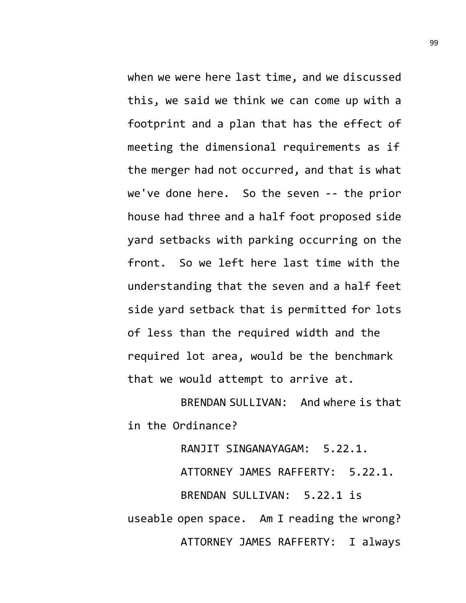when we were here last time, and we discussed this, we said we think we can come up with a footprint and a plan that has the effect of meeting the dimensional requirements as if the merger had not occurred, and that is what we've done here. So the seven -- the prior house had three and a half foot proposed side yard setbacks with parking occurring on the front. So we left here last time with the understanding that the seven and a half feet side yard setback that is permitted for lots of less than the required width and the required lot area, would be the benchmark that we would attempt to arrive at.

BRENDAN SULLIVAN: And where is that in the Ordinance?

RANJIT SINGANAYAGAM: 5.22.1. ATTORNEY JAMES RAFFERTY: 5.22.1. BRENDAN SULLIVAN: 5.22.1 is useable open space. Am I reading the wrong? ATTORNEY JAMES RAFFERTY: I always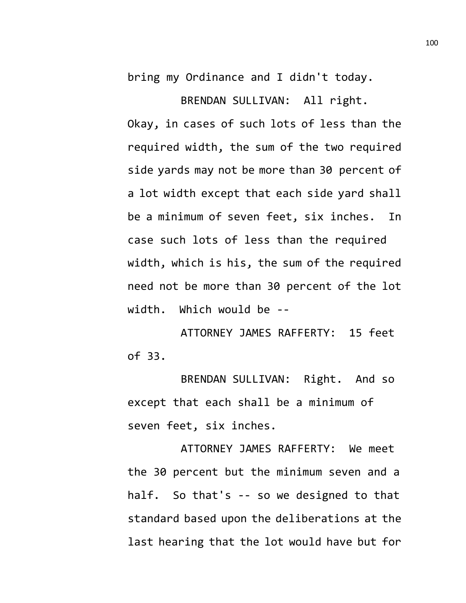bring my Ordinance and I didn't today.

BRENDAN SULLIVAN: All right. Okay, in cases of such lots of less than the required width, the sum of the two required side yards may not be more than 30 percent of a lot width except that each side yard shall be a minimum of seven feet, six inches. In case such lots of less than the required width, which is his, the sum of the required need not be more than 30 percent of the lot width. Which would be --

ATTORNEY JAMES RAFFERTY: 15 feet of 33.

BRENDAN SULLIVAN: Right. And so except that each shall be a minimum of seven feet, six inches.

ATTORNEY JAMES RAFFERTY: We meet the 30 percent but the minimum seven and a half. So that's -- so we designed to that standard based upon the deliberations at the last hearing that the lot would have but for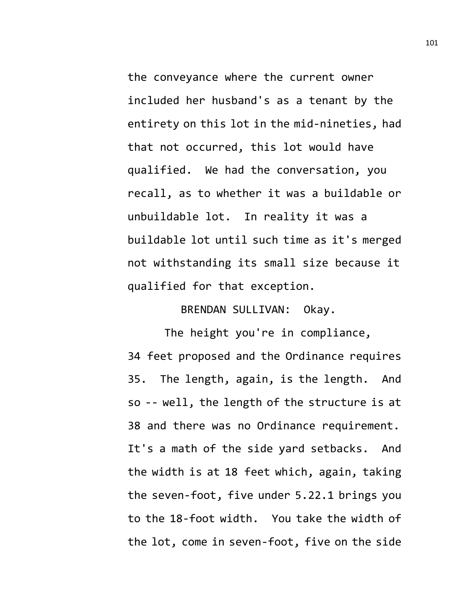the conveyance where the current owner included her husband's as a tenant by the entirety on this lot in the mid-nineties, had that not occurred, this lot would have qualified. We had the conversation, you recall, as to whether it was a buildable or unbuildable lot. In reality it was a buildable lot until such time as it's merged not withstanding its small size because it qualified for that exception.

BRENDAN SULLIVAN: Okay.

The height you're in compliance, 34 feet proposed and the Ordinance requires 35. The length, again, is the length. And so -- well, the length of the structure is at 38 and there was no Ordinance requirement. It's a math of the side yard setbacks. And the width is at 18 feet which, again, taking the seven-foot, five under 5.22.1 brings you to the 18-foot width. You take the width of the lot, come in seven-foot, five on the side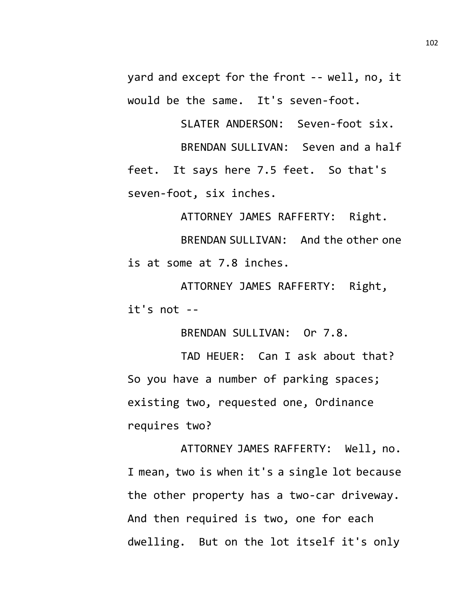yard and except for the front -- well, no, it would be the same. It's seven-foot.

SLATER ANDERSON: Seven-foot six. BRENDAN SULLIVAN: Seven and a half

feet. It says here 7.5 feet. So that's seven-foot, six inches.

ATTORNEY JAMES RAFFERTY: Right.

BRENDAN SULLIVAN: And the other one is at some at 7.8 inches.

ATTORNEY JAMES RAFFERTY: Right, it's not --

BRENDAN SULLIVAN: Or 7.8.

TAD HEUER: Can I ask about that? So you have a number of parking spaces; existing two, requested one, Ordinance requires two?

ATTORNEY JAMES RAFFERTY: Well, no. I mean, two is when it's a single lot because the other property has a two-car driveway. And then required is two, one for each dwelling. But on the lot itself it's only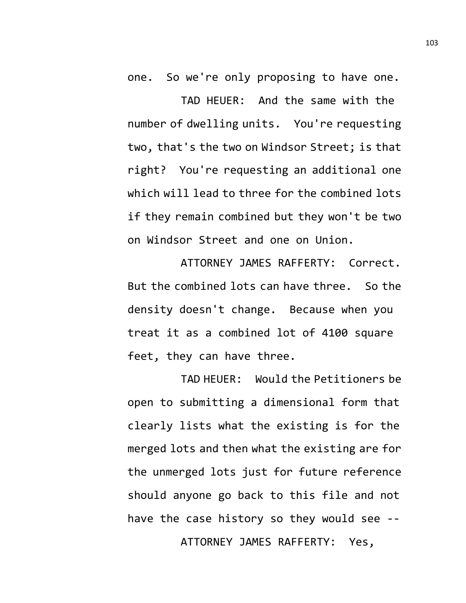one. So we're only proposing to have one.

TAD HEUER: And the same with the number of dwelling units. You're requesting two, that's the two on Windsor Street; is that right? You're requesting an additional one which will lead to three for the combined lots if they remain combined but they won't be two on Windsor Street and one on Union.

ATTORNEY JAMES RAFFERTY: Correct. But the combined lots can have three. So the density doesn't change. Because when you treat it as a combined lot of 4100 square feet, they can have three.

TAD HEUER: Would the Petitioners be open to submitting a dimensional form that clearly lists what the existing is for the merged lots and then what the existing are for the unmerged lots just for future reference should anyone go back to this file and not have the case history so they would see -- ATTORNEY JAMES RAFFERTY: Yes,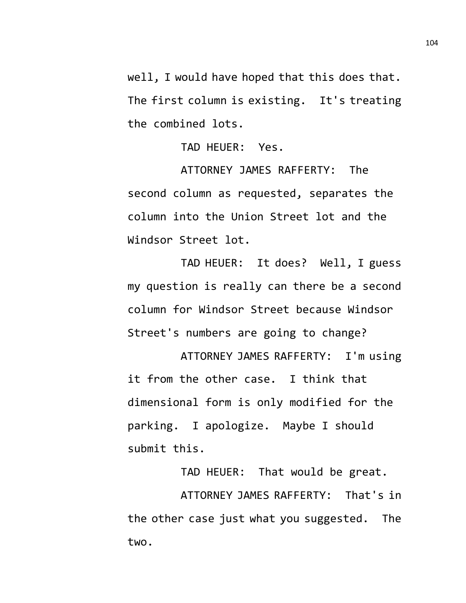well, I would have hoped that this does that. The first column is existing. It's treating the combined lots.

TAD HEUER: Yes.

ATTORNEY JAMES RAFFERTY: The second column as requested, separates the column into the Union Street lot and the Windsor Street lot.

TAD HEUER: It does? Well, I guess my question is really can there be a second column for Windsor Street because Windsor Street's numbers are going to change?

ATTORNEY JAMES RAFFERTY: I'm using it from the other case. I think that dimensional form is only modified for the parking. I apologize. Maybe I should submit this.

TAD HEUER: That would be great.

ATTORNEY JAMES RAFFERTY: That's in the other case just what you suggested. The two.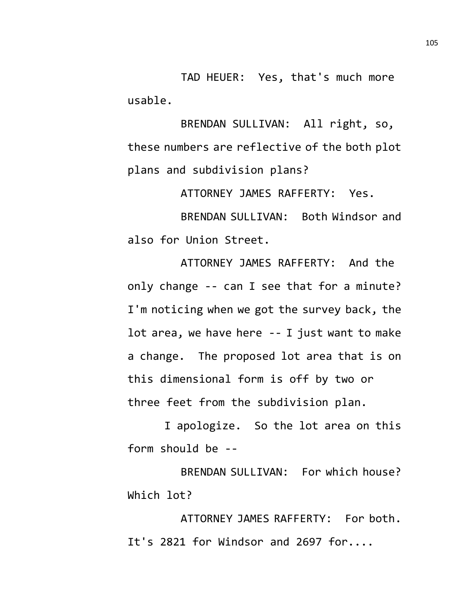TAD HEUER: Yes, that's much more usable.

BRENDAN SULLIVAN: All right, so, these numbers are reflective of the both plot plans and subdivision plans?

ATTORNEY JAMES RAFFERTY: Yes.

BRENDAN SULLIVAN: Both Windsor and also for Union Street.

ATTORNEY JAMES RAFFERTY: And the only change -- can I see that for a minute? I'm noticing when we got the survey back, the lot area, we have here -- I just want to make a change. The proposed lot area that is on this dimensional form is off by two or three feet from the subdivision plan.

I apologize. So the lot area on this form should be --

BRENDAN SULLIVAN: For which house? Which lot?

ATTORNEY JAMES RAFFERTY: For both. It's 2821 for Windsor and 2697 for....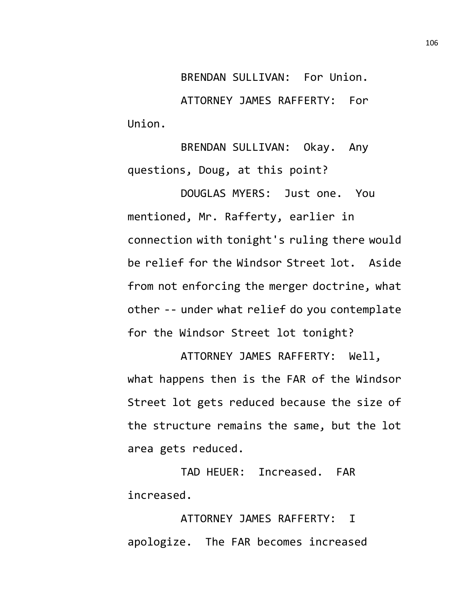BRENDAN SULLIVAN: For Union. ATTORNEY JAMES RAFFERTY: For Union.

BRENDAN SULLIVAN: Okay. Any questions, Doug, at this point?

DOUGLAS MYERS: Just one. You mentioned, Mr. Rafferty, earlier in connection with tonight's ruling there would be relief for the Windsor Street lot. Aside from not enforcing the merger doctrine, what other -- under what relief do you contemplate for the Windsor Street lot tonight?

ATTORNEY JAMES RAFFERTY: Well, what happens then is the FAR of the Windsor Street lot gets reduced because the size of the structure remains the same, but the lot area gets reduced.

TAD HEUER: Increased. FAR increased.

ATTORNEY JAMES RAFFERTY: I apologize. The FAR becomes increased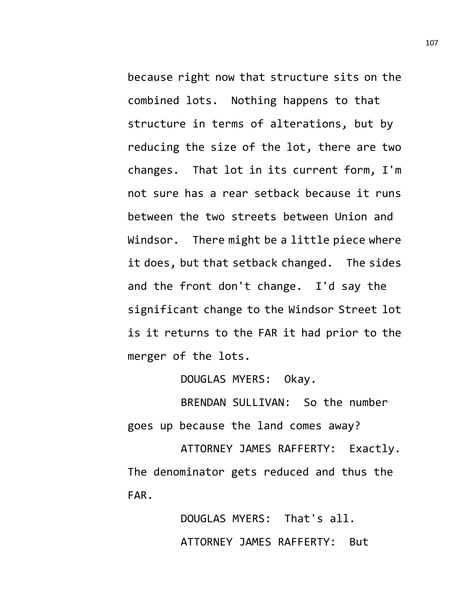because right now that structure sits on the combined lots. Nothing happens to that structure in terms of alterations, but by reducing the size of the lot, there are two changes. That lot in its current form, I'm not sure has a rear setback because it runs between the two streets between Union and Windsor. There might be a little piece where it does, but that setback changed. The sides and the front don't change. I'd say the significant change to the Windsor Street lot is it returns to the FAR it had prior to the merger of the lots.

DOUGLAS MYERS: Okay.

BRENDAN SULLIVAN: So the number goes up because the land comes away?

ATTORNEY JAMES RAFFERTY: Exactly. The denominator gets reduced and thus the FAR.

> DOUGLAS MYERS: That's all. ATTORNEY JAMES RAFFERTY: But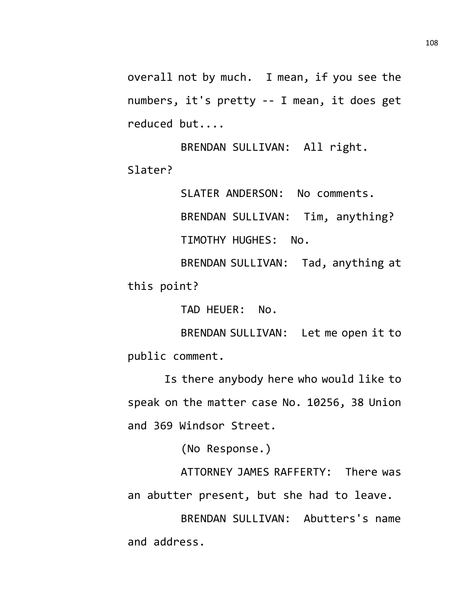overall not by much. I mean, if you see the numbers, it's pretty -- I mean, it does get reduced but....

BRENDAN SULLIVAN: All right. Slater?

SLATER ANDERSON: No comments.

BRENDAN SULLIVAN: Tim, anything?

TIMOTHY HUGHES: No.

BRENDAN SULLIVAN: Tad, anything at this point?

TAD HEUER: No.

BRENDAN SULLIVAN: Let me open it to public comment.

Is there anybody here who would like to speak on the matter case No. 10256, 38 Union and 369 Windsor Street.

(No Response.)

ATTORNEY JAMES RAFFERTY: There was an abutter present, but she had to leave.

BRENDAN SULLIVAN: Abutters's name and address.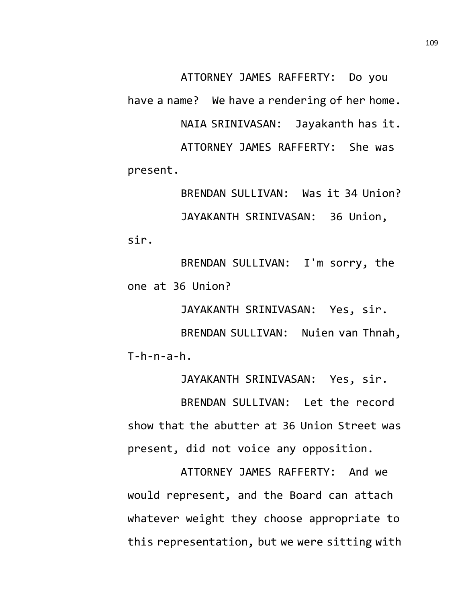ATTORNEY JAMES RAFFERTY: Do you have a name? We have a rendering of her home. NAIA SRINIVASAN: Jayakanth has it. ATTORNEY JAMES RAFFERTY: She was present.

BRENDAN SULLIVAN: Was it 34 Union? JAYAKANTH SRINIVASAN: 36 Union, sir.

BRENDAN SULLIVAN: I'm sorry, the one at 36 Union?

JAYAKANTH SRINIVASAN: Yes, sir. BRENDAN SULLIVAN: Nuien van Thnah,  $T-h-n-a-h$ .

JAYAKANTH SRINIVASAN: Yes, sir.

BRENDAN SULLIVAN: Let the record show that the abutter at 36 Union Street was present, did not voice any opposition.

ATTORNEY JAMES RAFFERTY: And we would represent, and the Board can attach whatever weight they choose appropriate to this representation, but we were sitting with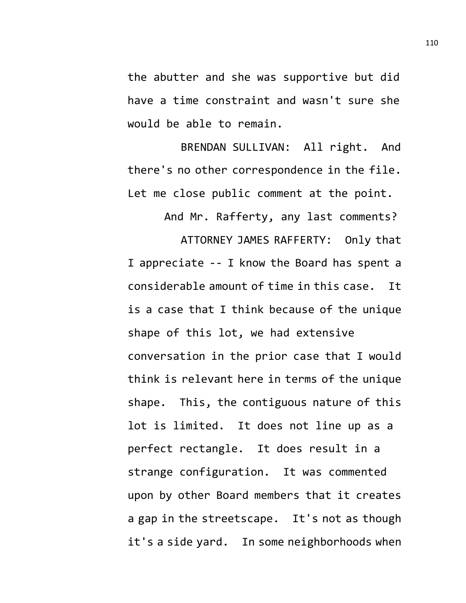the abutter and she was supportive but did have a time constraint and wasn't sure she would be able to remain.

BRENDAN SULLIVAN: All right. And there's no other correspondence in the file. Let me close public comment at the point.

And Mr. Rafferty, any last comments?

ATTORNEY JAMES RAFFERTY: Only that I appreciate -- I know the Board has spent a considerable amount of time in this case. It is a case that I think because of the unique shape of this lot, we had extensive conversation in the prior case that I would think is relevant here in terms of the unique shape. This, the contiguous nature of this lot is limited. It does not line up as a perfect rectangle. It does result in a strange configuration. It was commented upon by other Board members that it creates a gap in the streetscape. It's not as though it's a side yard. In some neighborhoods when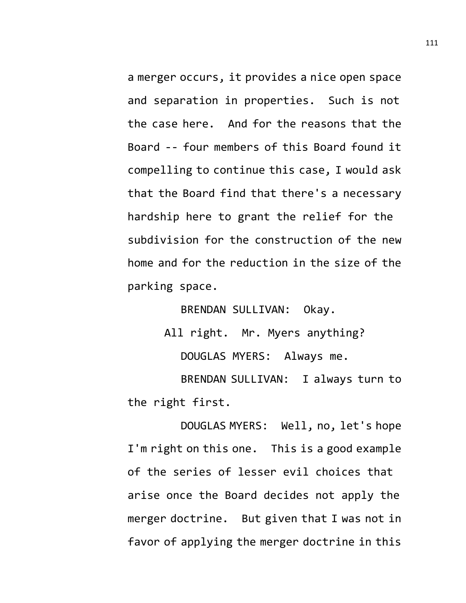a merger occurs, it provides a nice open space and separation in properties. Such is not the case here. And for the reasons that the Board -- four members of this Board found it compelling to continue this case, I would ask that the Board find that there's a necessary hardship here to grant the relief for the subdivision for the construction of the new home and for the reduction in the size of the parking space.

BRENDAN SULLIVAN: Okay.

All right. Mr. Myers anything?

DOUGLAS MYERS: Always me.

BRENDAN SULLIVAN: I always turn to the right first.

DOUGLAS MYERS: Well, no, let's hope I'm right on this one. This is a good example of the series of lesser evil choices that arise once the Board decides not apply the merger doctrine. But given that I was not in favor of applying the merger doctrine in this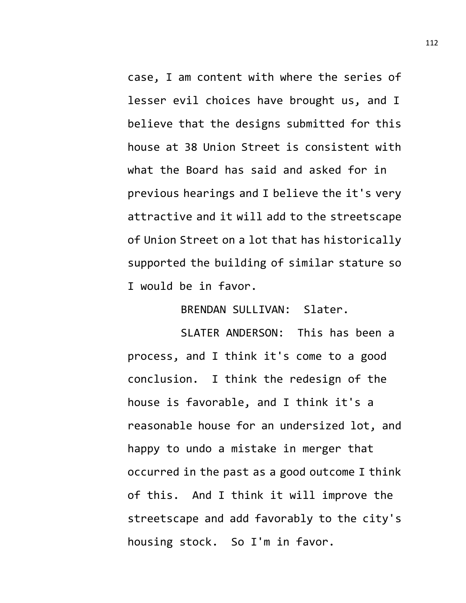case, I am content with where the series of lesser evil choices have brought us, and I believe that the designs submitted for this house at 38 Union Street is consistent with what the Board has said and asked for in previous hearings and I believe the it's very attractive and it will add to the streetscape of Union Street on a lot that has historically supported the building of similar stature so I would be in favor.

BRENDAN SULLIVAN: Slater.

SLATER ANDERSON: This has been a process, and I think it's come to a good conclusion. I think the redesign of the house is favorable, and I think it's a reasonable house for an undersized lot, and happy to undo a mistake in merger that occurred in the past as a good outcome I think of this. And I think it will improve the streetscape and add favorably to the city's housing stock. So I'm in favor.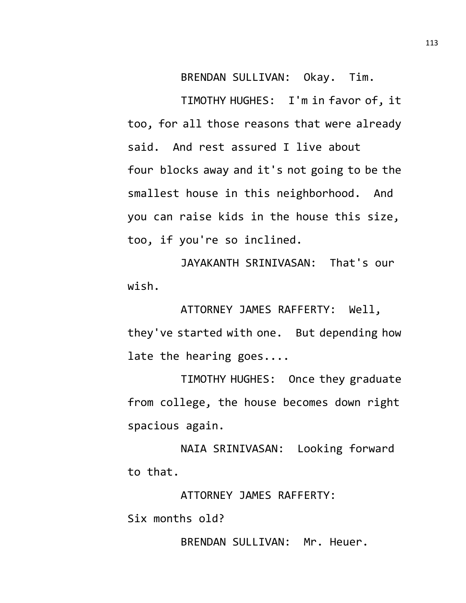BRENDAN SULLIVAN: Okay. Tim.

TIMOTHY HUGHES: I'm in favor of, it too, for all those reasons that were already said. And rest assured I live about four blocks away and it's not going to be the smallest house in this neighborhood. And you can raise kids in the house this size, too, if you're so inclined.

JAYAKANTH SRINIVASAN: That's our wish.

ATTORNEY JAMES RAFFERTY: Well, they've started with one. But depending how late the hearing goes....

TIMOTHY HUGHES: Once they graduate from college, the house becomes down right spacious again.

NAIA SRINIVASAN: Looking forward to that.

ATTORNEY JAMES RAFFERTY:

Six months old?

BRENDAN SULLIVAN: Mr. Heuer.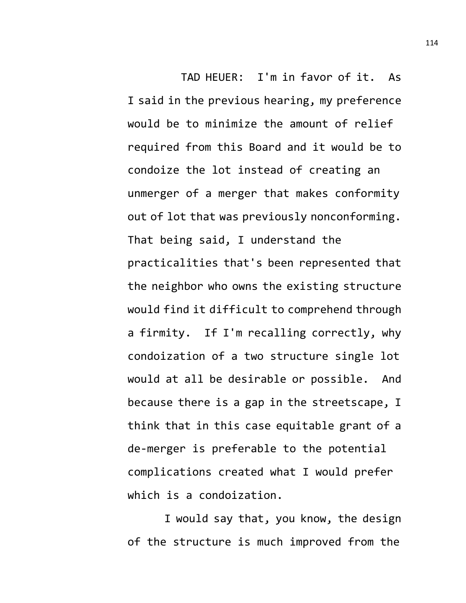TAD HEUER: I'm in favor of it. As I said in the previous hearing, my preference would be to minimize the amount of relief required from this Board and it would be to condoize the lot instead of creating an unmerger of a merger that makes conformity out of lot that was previously nonconforming. That being said, I understand the practicalities that's been represented that the neighbor who owns the existing structure would find it difficult to comprehend through a firmity. If I'm recalling correctly, why condoization of a two structure single lot would at all be desirable or possible. And because there is a gap in the streetscape, I think that in this case equitable grant of a de-merger is preferable to the potential complications created what I would prefer which is a condoization.

I would say that, you know, the design of the structure is much improved from the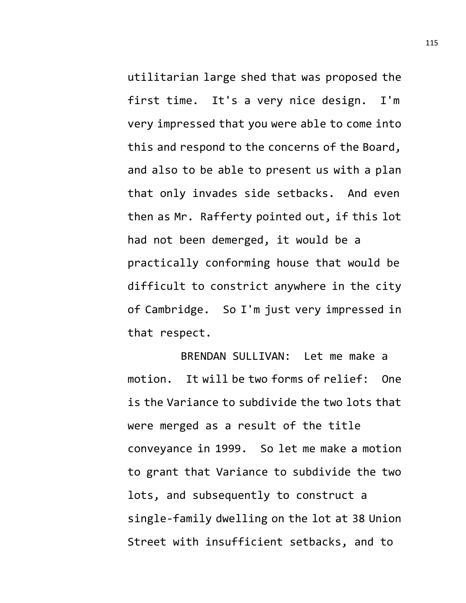utilitarian large shed that was proposed the first time. It's a very nice design. I'm very impressed that you were able to come into this and respond to the concerns of the Board, and also to be able to present us with a plan that only invades side setbacks. And even then as Mr. Rafferty pointed out, if this lot had not been demerged, it would be a practically conforming house that would be difficult to constrict anywhere in the city of Cambridge. So I'm just very impressed in that respect.

BRENDAN SULLIVAN: Let me make a motion. It will be two forms of relief: One is the Variance to subdivide the two lots that were merged as a result of the title conveyance in 1999. So let me make a motion to grant that Variance to subdivide the two lots, and subsequently to construct a single-family dwelling on the lot at 38 Union Street with insufficient setbacks, and to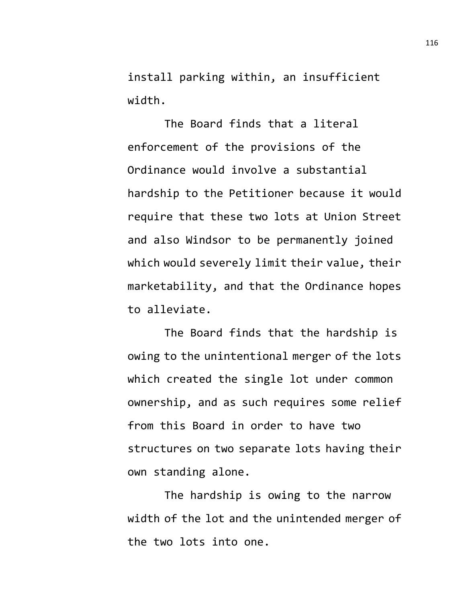install parking within, an insufficient width.

The Board finds that a literal enforcement of the provisions of the Ordinance would involve a substantial hardship to the Petitioner because it would require that these two lots at Union Street and also Windsor to be permanently joined which would severely limit their value, their marketability, and that the Ordinance hopes to alleviate.

The Board finds that the hardship is owing to the unintentional merger of the lots which created the single lot under common ownership, and as such requires some relief from this Board in order to have two structures on two separate lots having their own standing alone.

The hardship is owing to the narrow width of the lot and the unintended merger of the two lots into one.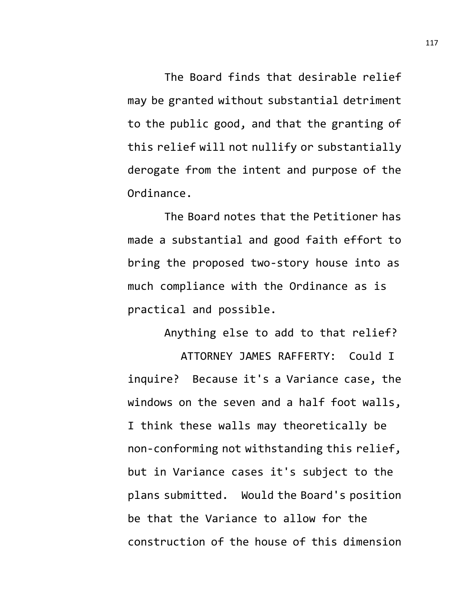The Board finds that desirable relief may be granted without substantial detriment to the public good, and that the granting of this relief will not nullify or substantially derogate from the intent and purpose of the Ordinance.

The Board notes that the Petitioner has made a substantial and good faith effort to bring the proposed two-story house into as much compliance with the Ordinance as is practical and possible.

Anything else to add to that relief? ATTORNEY JAMES RAFFERTY: Could I inquire? Because it's a Variance case, the windows on the seven and a half foot walls, I think these walls may theoretically be non-conforming not withstanding this relief, but in Variance cases it's subject to the plans submitted. Would the Board's position be that the Variance to allow for the construction of the house of this dimension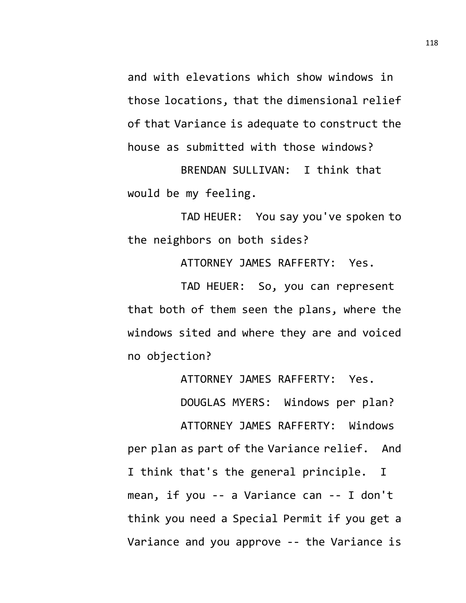and with elevations which show windows in those locations, that the dimensional relief of that Variance is adequate to construct the house as submitted with those windows?

BRENDAN SULLIVAN: I think that would be my feeling.

TAD HEUER: You say you've spoken to the neighbors on both sides?

ATTORNEY JAMES RAFFERTY: Yes.

TAD HEUER: So, you can represent that both of them seen the plans, where the windows sited and where they are and voiced no objection?

ATTORNEY JAMES RAFFERTY: Yes.

DOUGLAS MYERS: Windows per plan?

ATTORNEY JAMES RAFFERTY: Windows per plan as part of the Variance relief. And I think that's the general principle. I mean, if you -- a Variance can -- I don't think you need a Special Permit if you get a Variance and you approve -- the Variance is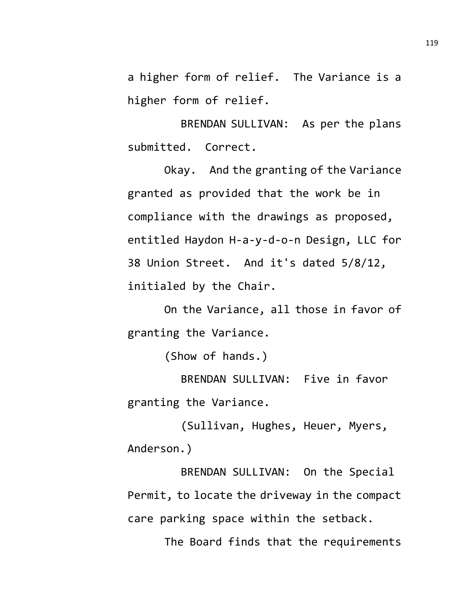a higher form of relief. The Variance is a higher form of relief.

BRENDAN SULLIVAN: As per the plans submitted. Correct.

Okay. And the granting of the Variance granted as provided that the work be in compliance with the drawings as proposed, entitled Haydon H-a-y-d-o-n Design, LLC for 38 Union Street. And it's dated 5/8/12, initialed by the Chair.

On the Variance, all those in favor of granting the Variance.

(Show of hands.)

BRENDAN SULLIVAN: Five in favor granting the Variance.

(Sullivan, Hughes, Heuer, Myers, Anderson.)

BRENDAN SULLIVAN: On the Special Permit, to locate the driveway in the compact care parking space within the setback.

The Board finds that the requirements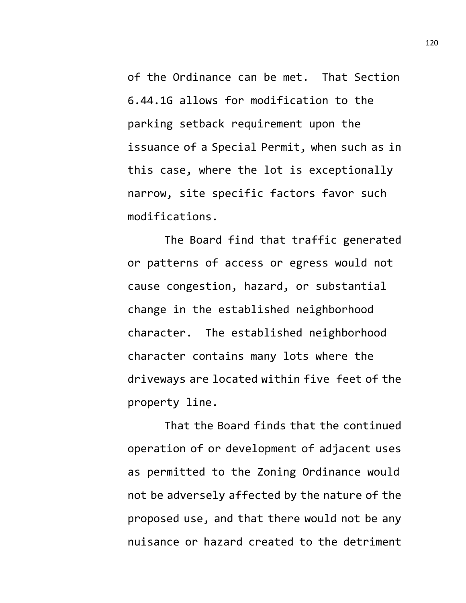of the Ordinance can be met. That Section 6.44.1G allows for modification to the parking setback requirement upon the issuance of a Special Permit, when such as in this case, where the lot is exceptionally narrow, site specific factors favor such modifications.

The Board find that traffic generated or patterns of access or egress would not cause congestion, hazard, or substantial change in the established neighborhood character. The established neighborhood character contains many lots where the driveways are located within five feet of the property line.

That the Board finds that the continued operation of or development of adjacent uses as permitted to the Zoning Ordinance would not be adversely affected by the nature of the proposed use, and that there would not be any nuisance or hazard created to the detriment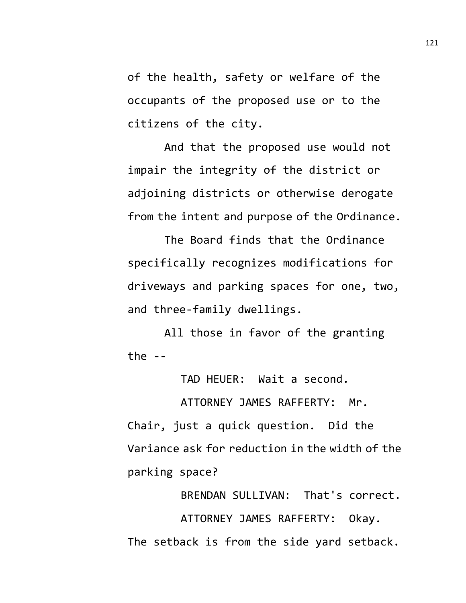of the health, safety or welfare of the occupants of the proposed use or to the citizens of the city.

And that the proposed use would not impair the integrity of the district or adjoining districts or otherwise derogate from the intent and purpose of the Ordinance.

The Board finds that the Ordinance specifically recognizes modifications for driveways and parking spaces for one, two, and three-family dwellings.

All those in favor of the granting the  $-$ 

TAD HEUER: Wait a second.

ATTORNEY JAMES RAFFERTY: Mr. Chair, just a quick question. Did the Variance ask for reduction in the width of the parking space?

BRENDAN SULLIVAN: That's correct. ATTORNEY JAMES RAFFERTY: Okay. The setback is from the side yard setback.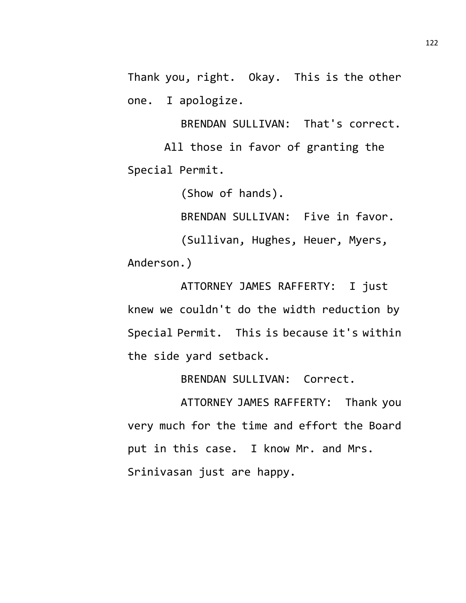Thank you, right. Okay. This is the other one. I apologize.

BRENDAN SULLIVAN: That's correct. All those in favor of granting the Special Permit.

(Show of hands).

BRENDAN SULLIVAN: Five in favor.

(Sullivan, Hughes, Heuer, Myers, Anderson.)

ATTORNEY JAMES RAFFERTY: I just knew we couldn't do the width reduction by Special Permit. This is because it's within the side yard setback.

BRENDAN SULLIVAN: Correct.

ATTORNEY JAMES RAFFERTY: Thank you very much for the time and effort the Board put in this case. I know Mr. and Mrs. Srinivasan just are happy.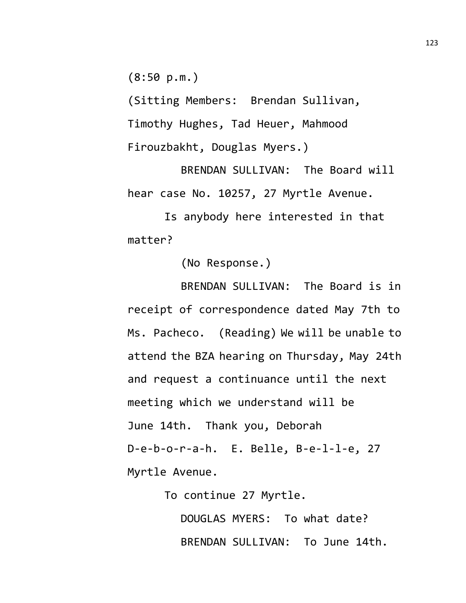(8:50 p.m.)

(Sitting Members: Brendan Sullivan, Timothy Hughes, Tad Heuer, Mahmood Firouzbakht, Douglas Myers.)

BRENDAN SULLIVAN: The Board will hear case No. 10257, 27 Myrtle Avenue.

Is anybody here interested in that matter?

(No Response.)

BRENDAN SULLIVAN: The Board is in receipt of correspondence dated May 7th to Ms. Pacheco. (Reading) We will be unable to attend the BZA hearing on Thursday, May 24th and request a continuance until the next meeting which we understand will be June 14th. Thank you, Deborah D-e-b-o-r-a-h. E. Belle, B-e-l-l-e, 27 Myrtle Avenue.

To continue 27 Myrtle.

DOUGLAS MYERS: To what date? BRENDAN SULLIVAN: To June 14th.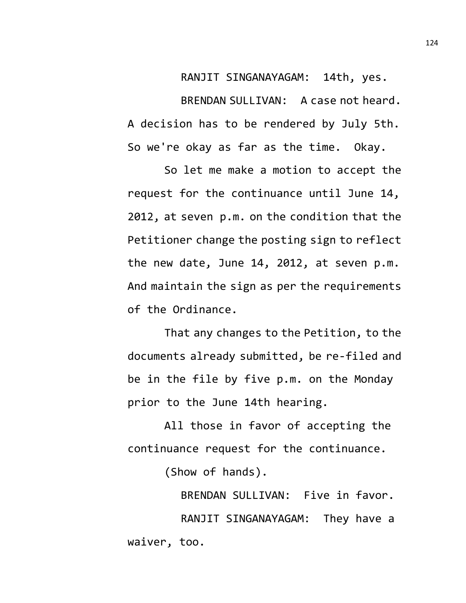RANJIT SINGANAYAGAM: 14th, yes. BRENDAN SULLIVAN: A case not heard. A decision has to be rendered by July 5th. So we're okay as far as the time. Okay.

So let me make a motion to accept the request for the continuance until June 14, 2012, at seven p.m. on the condition that the Petitioner change the posting sign to reflect the new date, June 14, 2012, at seven p.m. And maintain the sign as per the requirements of the Ordinance.

That any changes to the Petition, to the documents already submitted, be re-filed and be in the file by five p.m. on the Monday prior to the June 14th hearing.

All those in favor of accepting the continuance request for the continuance.

(Show of hands).

BRENDAN SULLIVAN: Five in favor. RANJIT SINGANAYAGAM: They have a waiver, too.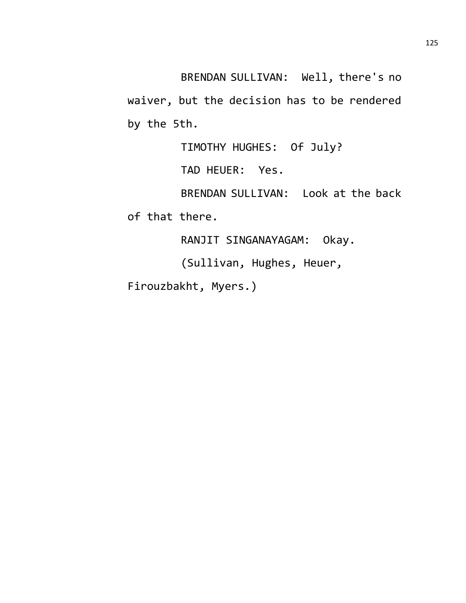BRENDAN SULLIVAN: Well, there's no waiver, but the decision has to be rendered by the 5th.

TIMOTHY HUGHES: Of July?

TAD HEUER: Yes.

BRENDAN SULLIVAN: Look at the back

of that there.

RANJIT SINGANAYAGAM: Okay.

(Sullivan, Hughes, Heuer,

Firouzbakht, Myers.)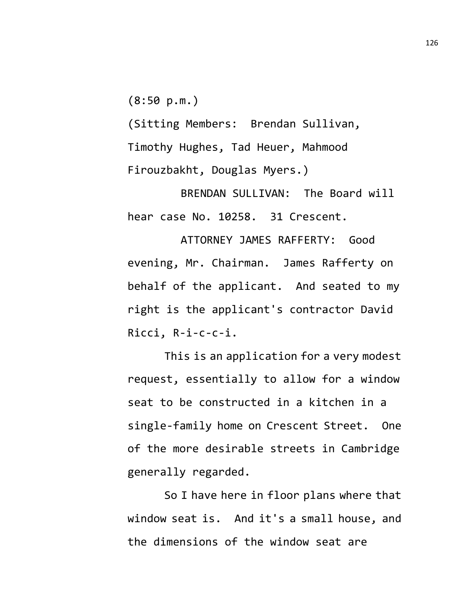$(8:50 p.m.)$ 

(Sitting Members: Brendan Sullivan, Timothy Hughes, Tad Heuer, Mahmood Firouzbakht, Douglas Myers.)

BRENDAN SULLIVAN: The Board will hear case No. 10258. 31 Crescent.

ATTORNEY JAMES RAFFERTY: Good evening, Mr. Chairman. James Rafferty on behalf of the applicant. And seated to my right is the applicant's contractor David Ricci, R-i-c-c-i.

This is an application for a very modest request, essentially to allow for a window seat to be constructed in a kitchen in a single-family home on Crescent Street. One of the more desirable streets in Cambridge generally regarded.

So I have here in floor plans where that window seat is. And it's a small house, and the dimensions of the window seat are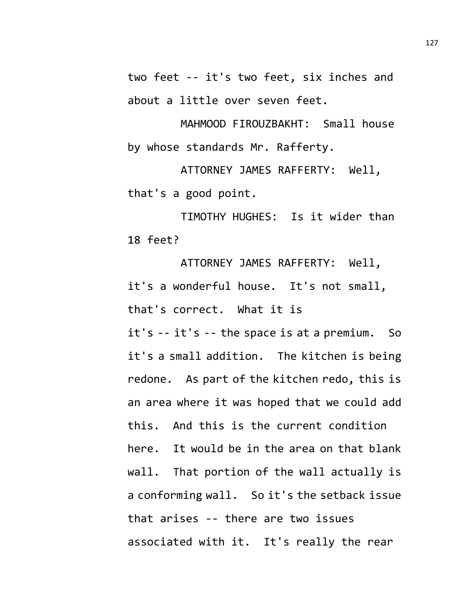two feet -- it's two feet, six inches and about a little over seven feet.

MAHMOOD FIROUZBAKHT: Small house by whose standards Mr. Rafferty.

ATTORNEY JAMES RAFFERTY: Well, that's a good point.

TIMOTHY HUGHES: Is it wider than 18 feet?

ATTORNEY JAMES RAFFERTY: Well, it's a wonderful house. It's not small, that's correct. What it is

it's -- it's -- the space is at a premium. So it's a small addition. The kitchen is being redone. As part of the kitchen redo, this is an area where it was hoped that we could add this. And this is the current condition here. It would be in the area on that blank wall. That portion of the wall actually is a conforming wall. So it's the setback issue that arises -- there are two issues associated with it. It's really the rear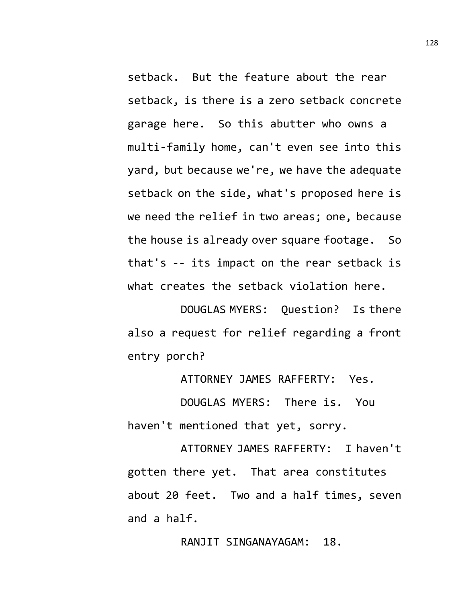setback. But the feature about the rear setback, is there is a zero setback concrete garage here. So this abutter who owns a multi-family home, can't even see into this yard, but because we're, we have the adequate setback on the side, what's proposed here is we need the relief in two areas; one, because the house is already over square footage. So that's -- its impact on the rear setback is what creates the setback violation here.

DOUGLAS MYERS: Question? Is there also a request for relief regarding a front entry porch?

ATTORNEY JAMES RAFFERTY: Yes.

DOUGLAS MYERS: There is. You haven't mentioned that yet, sorry.

ATTORNEY JAMES RAFFERTY: I haven't gotten there yet. That area constitutes about 20 feet. Two and a half times, seven and a half.

RANJIT SINGANAYAGAM: 18.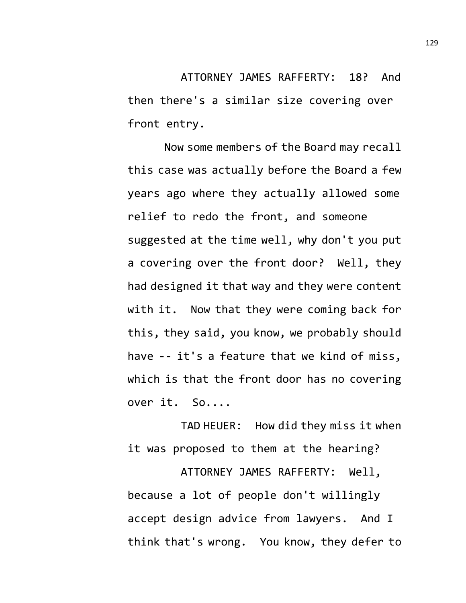ATTORNEY JAMES RAFFERTY: 18? And then there's a similar size covering over front entry.

Now some members of the Board may recall this case was actually before the Board a few years ago where they actually allowed some relief to redo the front, and someone suggested at the time well, why don't you put a covering over the front door? Well, they had designed it that way and they were content with it. Now that they were coming back for this, they said, you know, we probably should have -- it's a feature that we kind of miss, which is that the front door has no covering over it. So....

TAD HEUER: How did they miss it when it was proposed to them at the hearing?

ATTORNEY JAMES RAFFERTY: Well, because a lot of people don't willingly accept design advice from lawyers. And I think that's wrong. You know, they defer to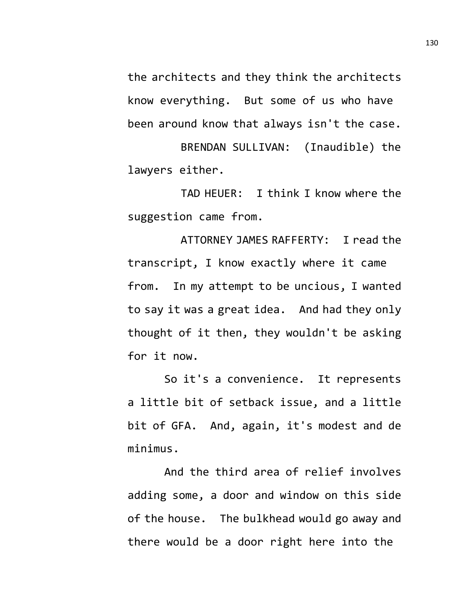the architects and they think the architects know everything. But some of us who have been around know that always isn't the case.

BRENDAN SULLIVAN: (Inaudible) the lawyers either.

TAD HEUER: I think I know where the suggestion came from.

ATTORNEY JAMES RAFFERTY: I read the transcript, I know exactly where it came from. In my attempt to be uncious, I wanted to say it was a great idea. And had they only thought of it then, they wouldn't be asking for it now.

So it's a convenience. It represents a little bit of setback issue, and a little bit of GFA. And, again, it's modest and de minimus.

And the third area of relief involves adding some, a door and window on this side of the house. The bulkhead would go away and there would be a door right here into the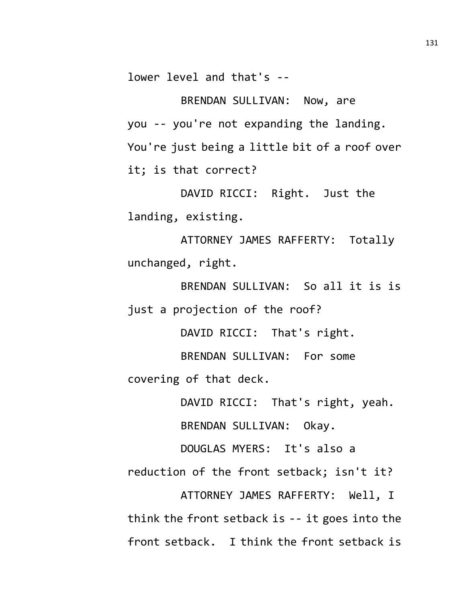lower level and that's --

BRENDAN SULLIVAN: Now, are you -- you're not expanding the landing. You're just being a little bit of a roof over it; is that correct?

DAVID RICCI: Right. Just the landing, existing.

ATTORNEY JAMES RAFFERTY: Totally unchanged, right.

BRENDAN SULLIVAN: So all it is is just a projection of the roof?

DAVID RICCI: That's right.

BRENDAN SULLIVAN: For some covering of that deck.

DAVID RICCI: That's right, yeah.

BRENDAN SULLIVAN: Okay.

DOUGLAS MYERS: It's also a

reduction of the front setback; isn't it?

ATTORNEY JAMES RAFFERTY: Well, I think the front setback is -- it goes into the front setback. I think the front setback is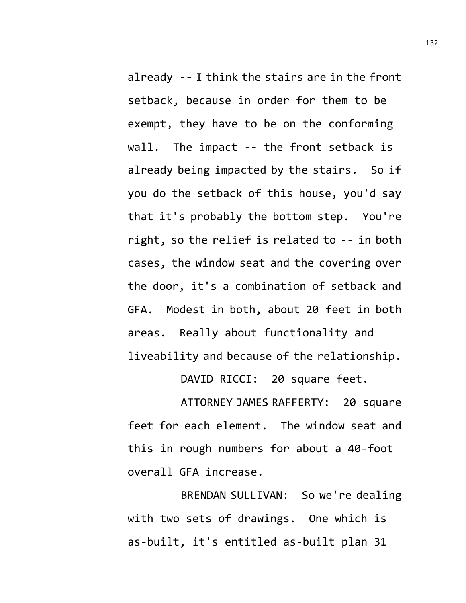already -- I think the stairs are in the front setback, because in order for them to be exempt, they have to be on the conforming wall. The impact -- the front setback is already being impacted by the stairs. So if you do the setback of this house, you'd say that it's probably the bottom step. You're right, so the relief is related to -- in both cases, the window seat and the covering over the door, it's a combination of setback and GFA. Modest in both, about 20 feet in both areas. Really about functionality and liveability and because of the relationship.

DAVID RICCI: 20 square feet.

ATTORNEY JAMES RAFFERTY: 20 square feet for each element. The window seat and this in rough numbers for about a 40-foot overall GFA increase.

BRENDAN SULLIVAN: So we're dealing with two sets of drawings. One which is as-built, it's entitled as-built plan 31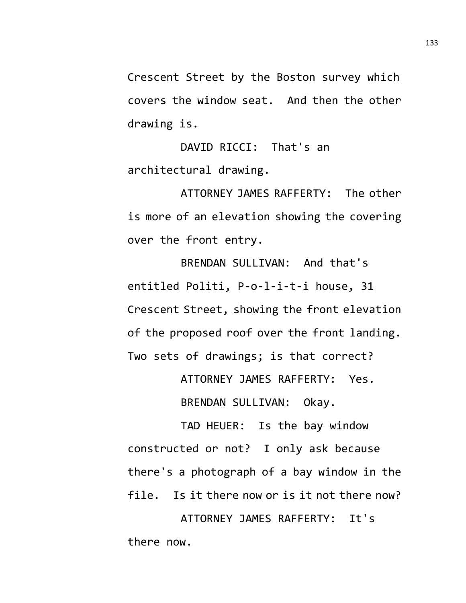Crescent Street by the Boston survey which covers the window seat. And then the other drawing is.

DAVID RICCI: That's an architectural drawing.

ATTORNEY JAMES RAFFERTY: The other is more of an elevation showing the covering over the front entry.

BRENDAN SULLIVAN: And that's entitled Politi, P-o-l-i-t-i house, 31 Crescent Street, showing the front elevation of the proposed roof over the front landing. Two sets of drawings; is that correct?

ATTORNEY JAMES RAFFERTY: Yes.

BRENDAN SULLIVAN: Okay.

TAD HEUER: Is the bay window constructed or not? I only ask because there's a photograph of a bay window in the file. Is it there now or is it not there now?

ATTORNEY JAMES RAFFERTY: It's there now.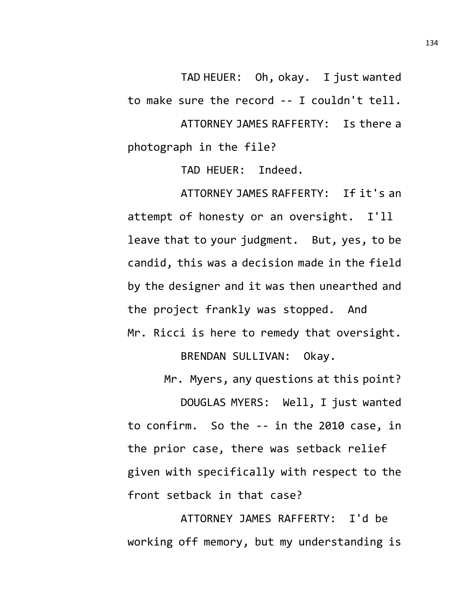TAD HEUER: Oh, okay. I just wanted to make sure the record -- I couldn't tell. ATTORNEY JAMES RAFFERTY: Is there a photograph in the file?

TAD HEUER: Indeed.

ATTORNEY JAMES RAFFERTY: If it's an attempt of honesty or an oversight. I'll leave that to your judgment. But, yes, to be candid, this was a decision made in the field by the designer and it was then unearthed and the project frankly was stopped. And Mr. Ricci is here to remedy that oversight.

BRENDAN SULLIVAN: Okay.

Mr. Myers, any questions at this point?

DOUGLAS MYERS: Well, I just wanted to confirm. So the -- in the 2010 case, in the prior case, there was setback relief given with specifically with respect to the front setback in that case?

ATTORNEY JAMES RAFFERTY: I'd be working off memory, but my understanding is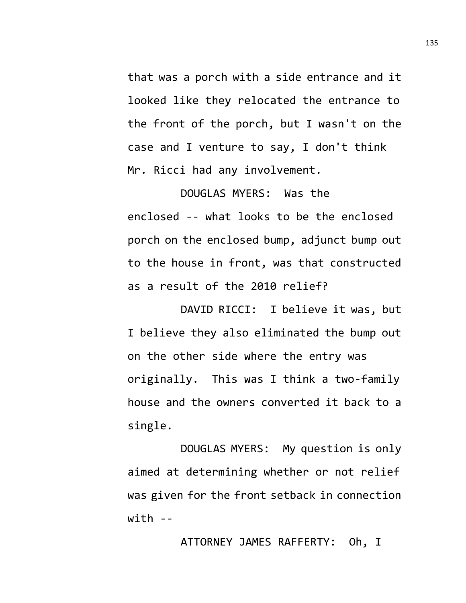that was a porch with a side entrance and it looked like they relocated the entrance to the front of the porch, but I wasn't on the case and I venture to say, I don't think Mr. Ricci had any involvement.

DOUGLAS MYERS: Was the enclosed -- what looks to be the enclosed porch on the enclosed bump, adjunct bump out to the house in front, was that constructed as a result of the 2010 relief?

DAVID RICCI: I believe it was, but I believe they also eliminated the bump out on the other side where the entry was originally. This was I think a two-family house and the owners converted it back to a single.

DOUGLAS MYERS: My question is only aimed at determining whether or not relief was given for the front setback in connection  $with - -$ 

ATTORNEY JAMES RAFFERTY: Oh, I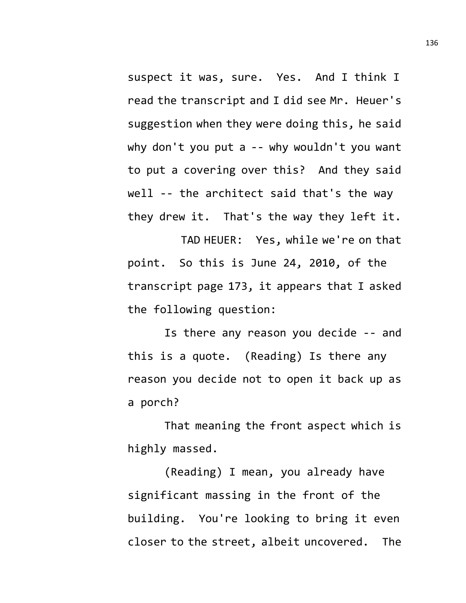suspect it was, sure. Yes. And I think I read the transcript and I did see Mr. Heuer's suggestion when they were doing this, he said why don't you put a -- why wouldn't you want to put a covering over this? And they said well -- the architect said that's the way they drew it. That's the way they left it.

TAD HEUER: Yes, while we're on that point. So this is June 24, 2010, of the transcript page 173, it appears that I asked the following question:

Is there any reason you decide -- and this is a quote. (Reading) Is there any reason you decide not to open it back up as a porch?

That meaning the front aspect which is highly massed.

(Reading) I mean, you already have significant massing in the front of the building. You're looking to bring it even closer to the street, albeit uncovered. The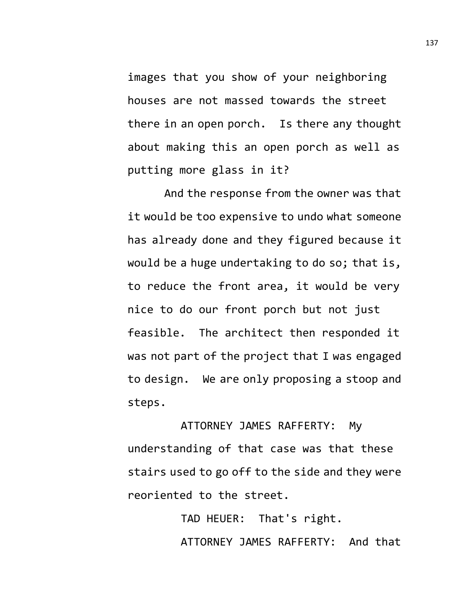images that you show of your neighboring houses are not massed towards the street there in an open porch. Is there any thought about making this an open porch as well as putting more glass in it?

And the response from the owner was that it would be too expensive to undo what someone has already done and they figured because it would be a huge undertaking to do so; that is, to reduce the front area, it would be very nice to do our front porch but not just feasible. The architect then responded it was not part of the project that I was engaged to design. We are only proposing a stoop and steps.

ATTORNEY JAMES RAFFERTY: My understanding of that case was that these stairs used to go off to the side and they were reoriented to the street.

> TAD HEUER: That's right. ATTORNEY JAMES RAFFERTY: And that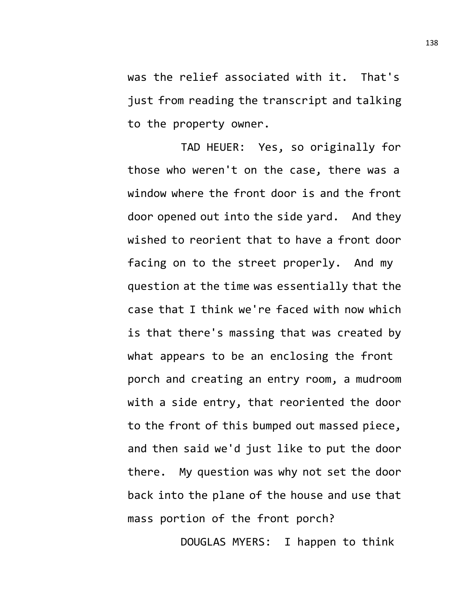was the relief associated with it. That's just from reading the transcript and talking to the property owner.

TAD HEUER: Yes, so originally for those who weren't on the case, there was a window where the front door is and the front door opened out into the side yard. And they wished to reorient that to have a front door facing on to the street properly. And my question at the time was essentially that the case that I think we're faced with now which is that there's massing that was created by what appears to be an enclosing the front porch and creating an entry room, a mudroom with a side entry, that reoriented the door to the front of this bumped out massed piece, and then said we'd just like to put the door there. My question was why not set the door back into the plane of the house and use that mass portion of the front porch?

DOUGLAS MYERS: I happen to think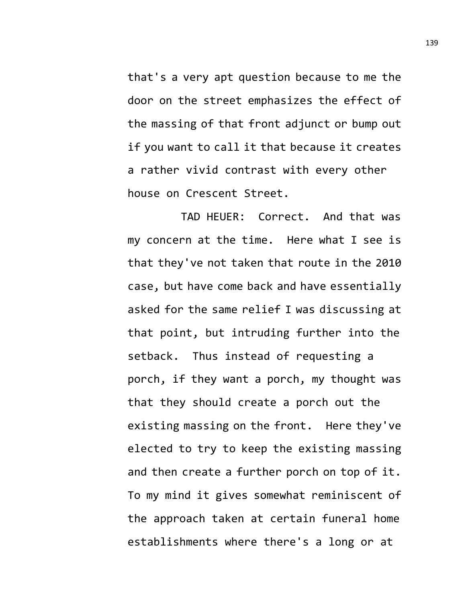that's a very apt question because to me the door on the street emphasizes the effect of the massing of that front adjunct or bump out if you want to call it that because it creates a rather vivid contrast with every other house on Crescent Street.

TAD HEUER: Correct. And that was my concern at the time. Here what I see is that they've not taken that route in the 2010 case, but have come back and have essentially asked for the same relief I was discussing at that point, but intruding further into the setback. Thus instead of requesting a porch, if they want a porch, my thought was that they should create a porch out the existing massing on the front. Here they've elected to try to keep the existing massing and then create a further porch on top of it. To my mind it gives somewhat reminiscent of the approach taken at certain funeral home establishments where there's a long or at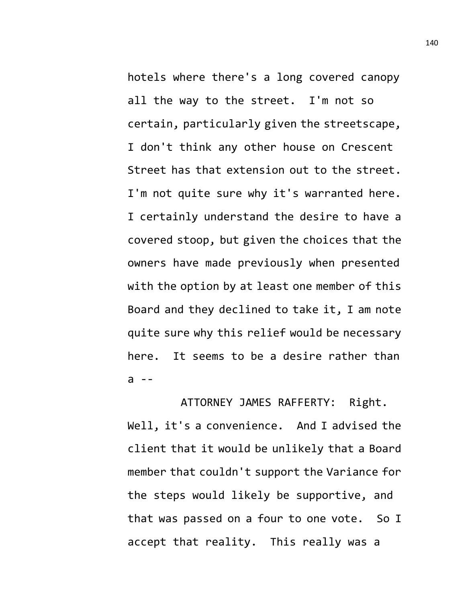hotels where there's a long covered canopy all the way to the street. I'm not so certain, particularly given the streetscape, I don't think any other house on Crescent Street has that extension out to the street. I'm not quite sure why it's warranted here. I certainly understand the desire to have a covered stoop, but given the choices that the owners have made previously when presented with the option by at least one member of this Board and they declined to take it, I am note quite sure why this relief would be necessary here. It seems to be a desire rather than  $a - -$ 

ATTORNEY JAMES RAFFERTY: Right. Well, it's a convenience. And I advised the client that it would be unlikely that a Board member that couldn't support the Variance for the steps would likely be supportive, and that was passed on a four to one vote. So I accept that reality. This really was a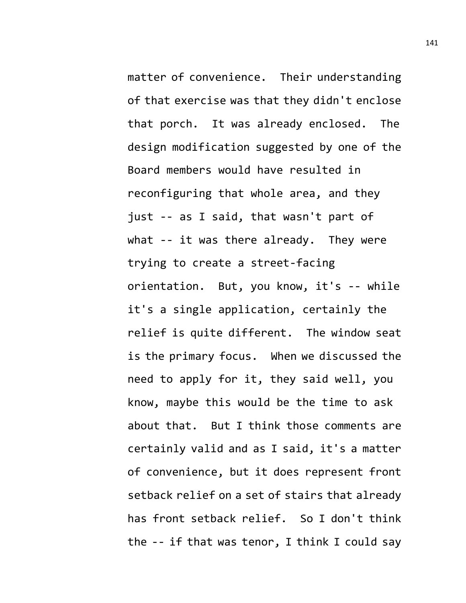matter of convenience. Their understanding of that exercise was that they didn't enclose that porch. It was already enclosed. The design modification suggested by one of the Board members would have resulted in reconfiguring that whole area, and they just -- as I said, that wasn't part of what -- it was there already. They were trying to create a street-facing orientation. But, you know, it's -- while it's a single application, certainly the relief is quite different. The window seat is the primary focus. When we discussed the need to apply for it, they said well, you know, maybe this would be the time to ask about that. But I think those comments are certainly valid and as I said, it's a matter of convenience, but it does represent front setback relief on a set of stairs that already has front setback relief. So I don't think the -- if that was tenor, I think I could say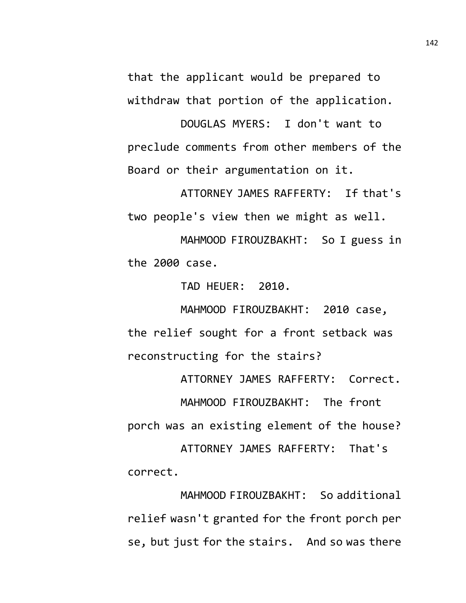that the applicant would be prepared to withdraw that portion of the application.

DOUGLAS MYERS: I don't want to preclude comments from other members of the Board or their argumentation on it.

ATTORNEY JAMES RAFFERTY: If that's two people's view then we might as well.

MAHMOOD FIROUZBAKHT: So I guess in the 2000 case.

TAD HEUER: 2010.

MAHMOOD FIROUZBAKHT: 2010 case, the relief sought for a front setback was reconstructing for the stairs?

ATTORNEY JAMES RAFFERTY: Correct. MAHMOOD FIROUZBAKHT: The front porch was an existing element of the house? ATTORNEY JAMES RAFFERTY: That's correct.

MAHMOOD FIROUZBAKHT: So additional relief wasn't granted for the front porch per se, but just for the stairs. And so was there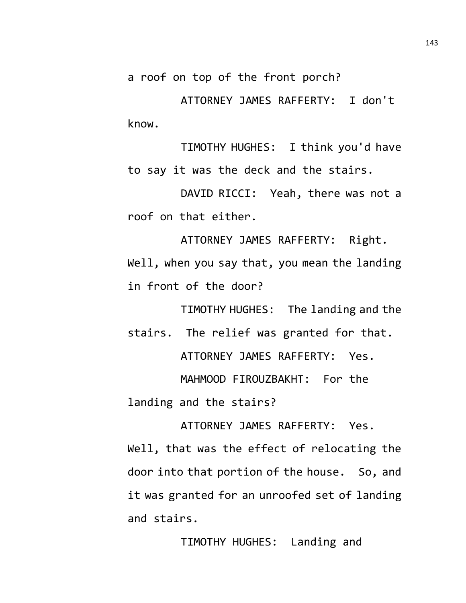a roof on top of the front porch?

ATTORNEY JAMES RAFFERTY: I don't know.

TIMOTHY HUGHES: I think you'd have to say it was the deck and the stairs.

DAVID RICCI: Yeah, there was not a roof on that either.

ATTORNEY JAMES RAFFERTY: Right. Well, when you say that, you mean the landing in front of the door?

TIMOTHY HUGHES: The landing and the stairs. The relief was granted for that.

ATTORNEY JAMES RAFFERTY: Yes.

MAHMOOD FIROUZBAKHT: For the landing and the stairs?

ATTORNEY JAMES RAFFERTY: Yes. Well, that was the effect of relocating the door into that portion of the house. So, and it was granted for an unroofed set of landing and stairs.

TIMOTHY HUGHES: Landing and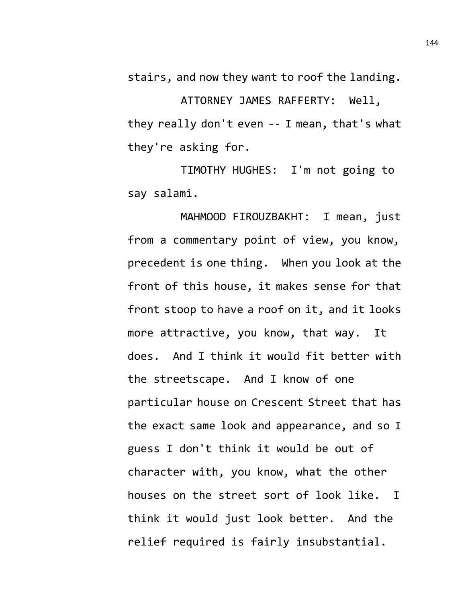stairs, and now they want to roof the landing.

ATTORNEY JAMES RAFFERTY: Well, they really don't even -- I mean, that's what they're asking for.

TIMOTHY HUGHES: I'm not going to say salami.

MAHMOOD FIROUZBAKHT: I mean, just from a commentary point of view, you know, precedent is one thing. When you look at the front of this house, it makes sense for that front stoop to have a roof on it, and it looks more attractive, you know, that way. It does. And I think it would fit better with the streetscape. And I know of one particular house on Crescent Street that has the exact same look and appearance, and so I guess I don't think it would be out of character with, you know, what the other houses on the street sort of look like. I think it would just look better. And the relief required is fairly insubstantial.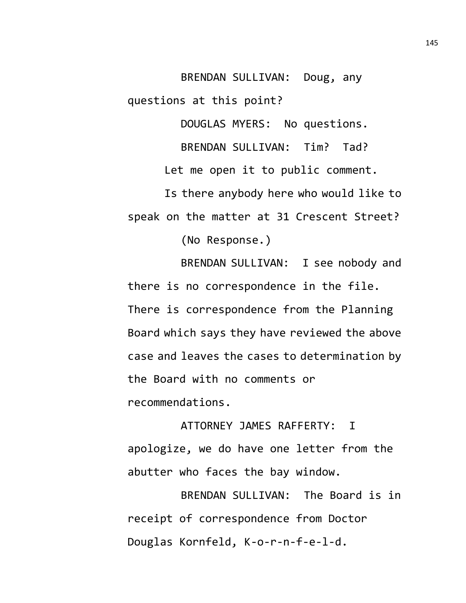BRENDAN SULLIVAN: Doug, any questions at this point?

DOUGLAS MYERS: No questions.

BRENDAN SULLIVAN: Tim? Tad?

Let me open it to public comment.

Is there anybody here who would like to speak on the matter at 31 Crescent Street?

(No Response.)

BRENDAN SULLIVAN: I see nobody and there is no correspondence in the file. There is correspondence from the Planning Board which says they have reviewed the above case and leaves the cases to determination by the Board with no comments or recommendations.

ATTORNEY JAMES RAFFERTY: I apologize, we do have one letter from the abutter who faces the bay window.

BRENDAN SULLIVAN: The Board is in receipt of correspondence from Doctor Douglas Kornfeld, K-o-r-n-f-e-l-d.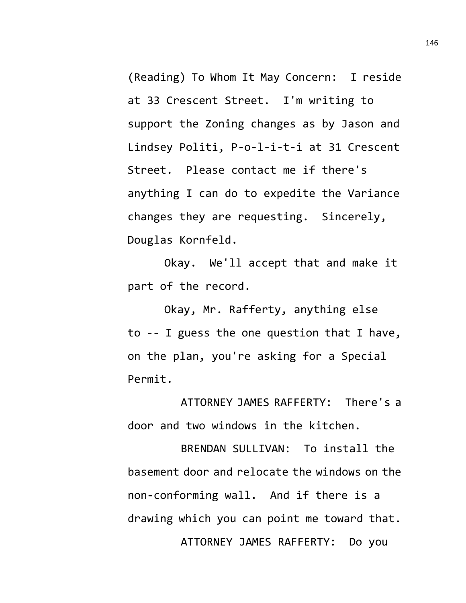(Reading) To Whom It May Concern: I reside at 33 Crescent Street. I'm writing to support the Zoning changes as by Jason and Lindsey Politi, P-o-l-i-t-i at 31 Crescent Street. Please contact me if there's anything I can do to expedite the Variance changes they are requesting. Sincerely, Douglas Kornfeld.

Okay. We'll accept that and make it part of the record.

Okay, Mr. Rafferty, anything else to -- I guess the one question that I have, on the plan, you're asking for a Special Permit.

ATTORNEY JAMES RAFFERTY: There's a door and two windows in the kitchen.

BRENDAN SULLIVAN: To install the basement door and relocate the windows on the non-conforming wall. And if there is a drawing which you can point me toward that. ATTORNEY JAMES RAFFERTY: Do you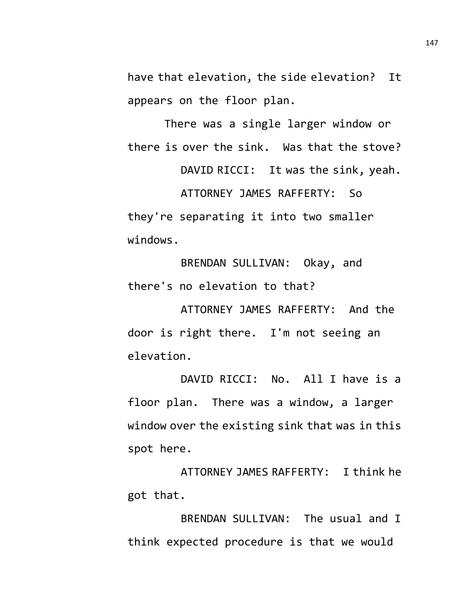have that elevation, the side elevation? It appears on the floor plan.

There was a single larger window or there is over the sink. Was that the stove?

DAVID RICCI: It was the sink, yeah. ATTORNEY JAMES RAFFERTY: So they're separating it into two smaller windows.

BRENDAN SULLIVAN: Okay, and there's no elevation to that?

ATTORNEY JAMES RAFFERTY: And the door is right there. I'm not seeing an elevation.

DAVID RICCI: No. All I have is a floor plan. There was a window, a larger window over the existing sink that was in this spot here.

ATTORNEY JAMES RAFFERTY: I think he got that.

BRENDAN SULLIVAN: The usual and I think expected procedure is that we would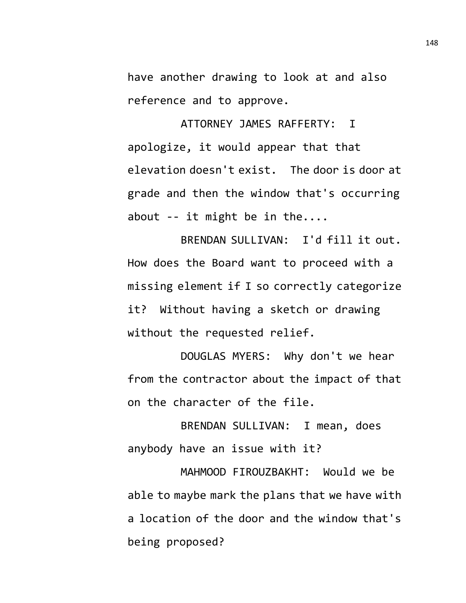have another drawing to look at and also reference and to approve.

ATTORNEY JAMES RAFFERTY: I apologize, it would appear that that elevation doesn't exist. The door is door at grade and then the window that's occurring about  $--$  it might be in the....

BRENDAN SULLIVAN: I'd fill it out. How does the Board want to proceed with a missing element if I so correctly categorize it? Without having a sketch or drawing without the requested relief.

DOUGLAS MYERS: Why don't we hear from the contractor about the impact of that on the character of the file.

BRENDAN SULLIVAN: I mean, does anybody have an issue with it?

MAHMOOD FIROUZBAKHT: Would we be able to maybe mark the plans that we have with a location of the door and the window that's being proposed?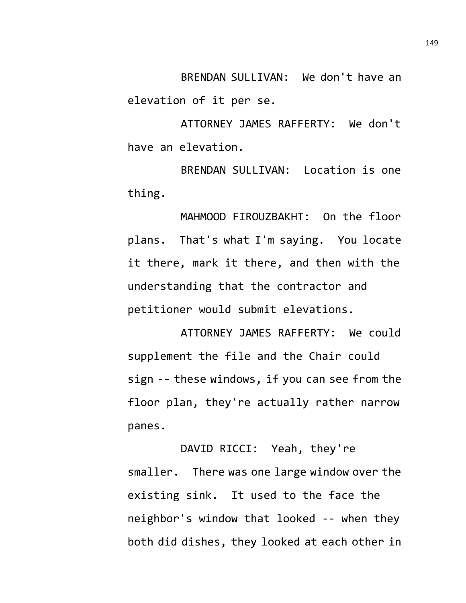BRENDAN SULLIVAN: We don't have an elevation of it per se.

ATTORNEY JAMES RAFFERTY: We don't have an elevation.

BRENDAN SULLIVAN: Location is one thing.

MAHMOOD FIROUZBAKHT: On the floor plans. That's what I'm saying. You locate it there, mark it there, and then with the understanding that the contractor and petitioner would submit elevations.

ATTORNEY JAMES RAFFERTY: We could supplement the file and the Chair could sign -- these windows, if you can see from the floor plan, they're actually rather narrow panes.

DAVID RICCI: Yeah, they're smaller. There was one large window over the existing sink. It used to the face the neighbor's window that looked -- when they both did dishes, they looked at each other in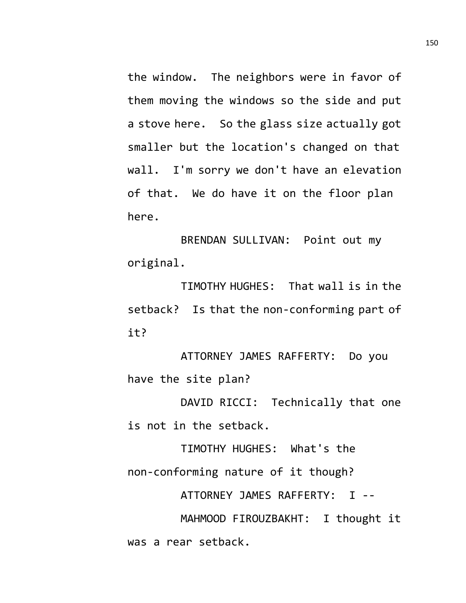the window. The neighbors were in favor of them moving the windows so the side and put a stove here. So the glass size actually got smaller but the location's changed on that wall. I'm sorry we don't have an elevation of that. We do have it on the floor plan here.

BRENDAN SULLIVAN: Point out my original.

TIMOTHY HUGHES: That wall is in the setback? Is that the non-conforming part of it?

ATTORNEY JAMES RAFFERTY: Do you have the site plan?

DAVID RICCI: Technically that one is not in the setback.

TIMOTHY HUGHES: What's the non-conforming nature of it though?

ATTORNEY JAMES RAFFERTY: I --

MAHMOOD FIROUZBAKHT: I thought it was a rear setback.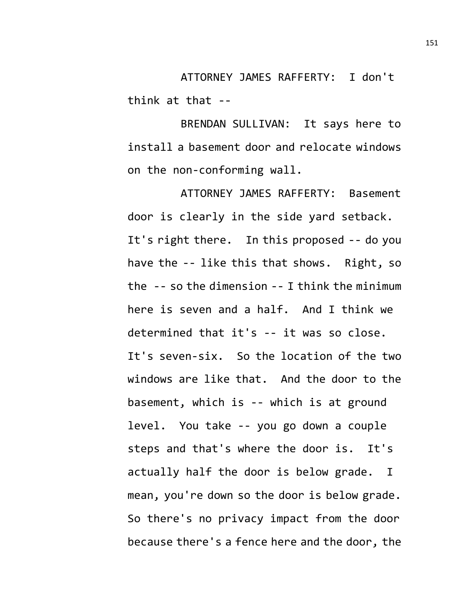ATTORNEY JAMES RAFFERTY: I don't think at that --

BRENDAN SULLIVAN: It says here to install a basement door and relocate windows on the non-conforming wall.

ATTORNEY JAMES RAFFERTY: Basement door is clearly in the side yard setback. It's right there. In this proposed -- do you have the -- like this that shows. Right, so the -- so the dimension -- I think the minimum here is seven and a half. And I think we determined that it's -- it was so close. It's seven-six. So the location of the two windows are like that. And the door to the basement, which is -- which is at ground level. You take -- you go down a couple steps and that's where the door is. It's actually half the door is below grade. I mean, you're down so the door is below grade. So there's no privacy impact from the door because there's a fence here and the door, the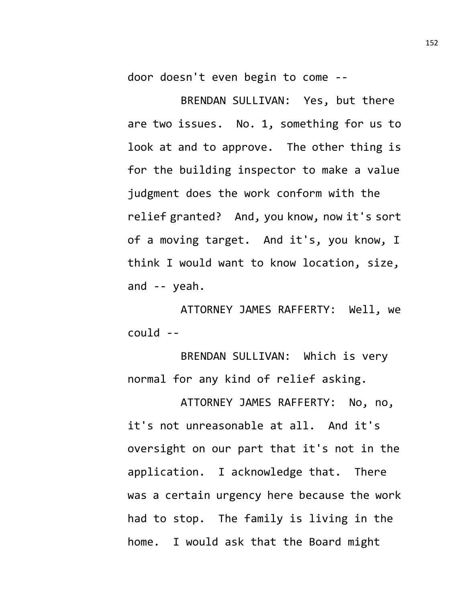door doesn't even begin to come --

BRENDAN SULLIVAN: Yes, but there are two issues. No. 1, something for us to look at and to approve. The other thing is for the building inspector to make a value judgment does the work conform with the relief granted? And, you know, now it's sort of a moving target. And it's, you know, I think I would want to know location, size, and -- yeah.

ATTORNEY JAMES RAFFERTY: Well, we could --

BRENDAN SULLIVAN: Which is very normal for any kind of relief asking.

ATTORNEY JAMES RAFFERTY: No, no, it's not unreasonable at all. And it's oversight on our part that it's not in the application. I acknowledge that. There was a certain urgency here because the work had to stop. The family is living in the home. I would ask that the Board might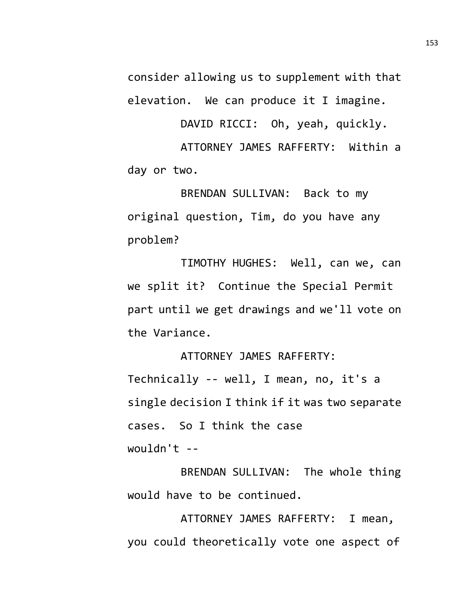consider allowing us to supplement with that elevation. We can produce it I imagine.

DAVID RICCI: Oh, yeah, quickly.

ATTORNEY JAMES RAFFERTY: Within a day or two.

BRENDAN SULLIVAN: Back to my original question, Tim, do you have any problem?

TIMOTHY HUGHES: Well, can we, can we split it? Continue the Special Permit part until we get drawings and we'll vote on the Variance.

ATTORNEY JAMES RAFFERTY:

Technically -- well, I mean, no, it's a single decision I think if it was two separate cases. So I think the case wouldn't --

BRENDAN SULLIVAN: The whole thing would have to be continued.

ATTORNEY JAMES RAFFERTY: I mean, you could theoretically vote one aspect of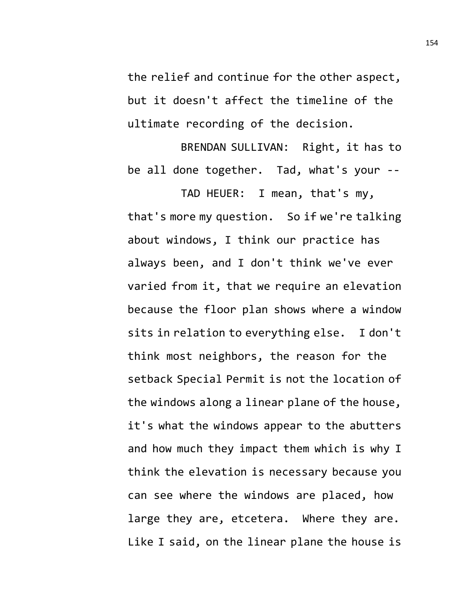the relief and continue for the other aspect, but it doesn't affect the timeline of the ultimate recording of the decision.

BRENDAN SULLIVAN: Right, it has to be all done together. Tad, what's your --

TAD HEUER: I mean, that's my, that's more my question. So if we're talking about windows, I think our practice has always been, and I don't think we've ever varied from it, that we require an elevation because the floor plan shows where a window sits in relation to everything else. I don't think most neighbors, the reason for the setback Special Permit is not the location of the windows along a linear plane of the house, it's what the windows appear to the abutters and how much they impact them which is why I think the elevation is necessary because you can see where the windows are placed, how large they are, etcetera. Where they are. Like I said, on the linear plane the house is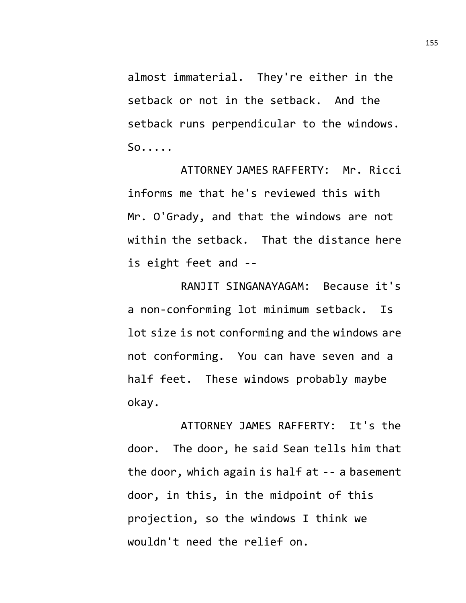almost immaterial. They're either in the setback or not in the setback. And the setback runs perpendicular to the windows. So.....

ATTORNEY JAMES RAFFERTY: Mr. Ricci informs me that he's reviewed this with Mr. O'Grady, and that the windows are not within the setback. That the distance here is eight feet and --

RANJIT SINGANAYAGAM: Because it's a non-conforming lot minimum setback. Is lot size is not conforming and the windows are not conforming. You can have seven and a half feet. These windows probably maybe okay.

ATTORNEY JAMES RAFFERTY: It's the door. The door, he said Sean tells him that the door, which again is half at -- a basement door, in this, in the midpoint of this projection, so the windows I think we wouldn't need the relief on.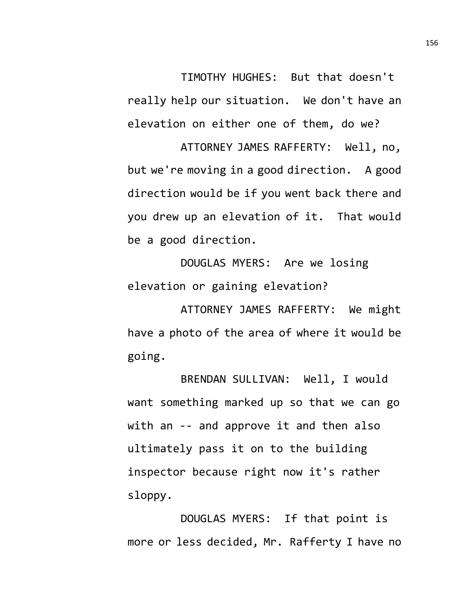TIMOTHY HUGHES: But that doesn't really help our situation. We don't have an elevation on either one of them, do we?

ATTORNEY JAMES RAFFERTY: Well, no, but we're moving in a good direction. A good direction would be if you went back there and you drew up an elevation of it. That would be a good direction.

DOUGLAS MYERS: Are we losing elevation or gaining elevation?

ATTORNEY JAMES RAFFERTY: We might have a photo of the area of where it would be going.

BRENDAN SULLIVAN: Well, I would want something marked up so that we can go with an -- and approve it and then also ultimately pass it on to the building inspector because right now it's rather sloppy.

DOUGLAS MYERS: If that point is more or less decided, Mr. Rafferty I have no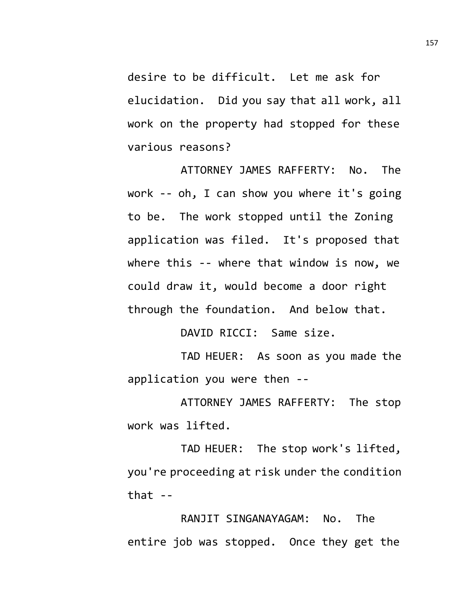desire to be difficult. Let me ask for elucidation. Did you say that all work, all work on the property had stopped for these various reasons?

ATTORNEY JAMES RAFFERTY: No. The work -- oh, I can show you where it's going to be. The work stopped until the Zoning application was filed. It's proposed that where this -- where that window is now, we could draw it, would become a door right through the foundation. And below that.

DAVID RICCI: Same size.

TAD HEUER: As soon as you made the application you were then --

ATTORNEY JAMES RAFFERTY: The stop work was lifted.

TAD HEUER: The stop work's lifted, you're proceeding at risk under the condition that  $-$ 

RANJIT SINGANAYAGAM: No. The entire job was stopped. Once they get the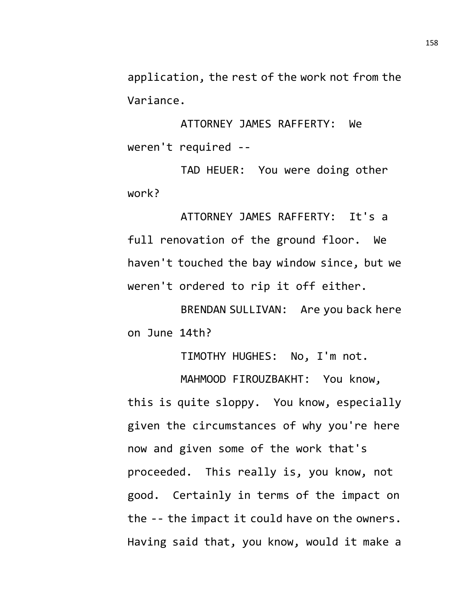application, the rest of the work not from the Variance.

ATTORNEY JAMES RAFFERTY: We weren't required --

TAD HEUER: You were doing other work?

ATTORNEY JAMES RAFFERTY: It's a full renovation of the ground floor. We haven't touched the bay window since, but we weren't ordered to rip it off either.

BRENDAN SULLIVAN: Are you back here on June 14th?

TIMOTHY HUGHES: No, I'm not.

MAHMOOD FIROUZBAKHT: You know, this is quite sloppy. You know, especially given the circumstances of why you're here now and given some of the work that's proceeded. This really is, you know, not good. Certainly in terms of the impact on the -- the impact it could have on the owners. Having said that, you know, would it make a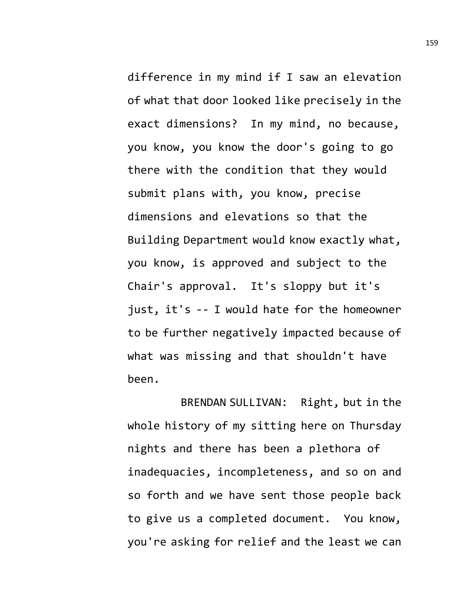difference in my mind if I saw an elevation of what that door looked like precisely in the exact dimensions? In my mind, no because, you know, you know the door's going to go there with the condition that they would submit plans with, you know, precise dimensions and elevations so that the Building Department would know exactly what, you know, is approved and subject to the Chair's approval. It's sloppy but it's just, it's -- I would hate for the homeowner to be further negatively impacted because of what was missing and that shouldn't have been.

BRENDAN SULLIVAN: Right, but in the whole history of my sitting here on Thursday nights and there has been a plethora of inadequacies, incompleteness, and so on and so forth and we have sent those people back to give us a completed document. You know, you're asking for relief and the least we can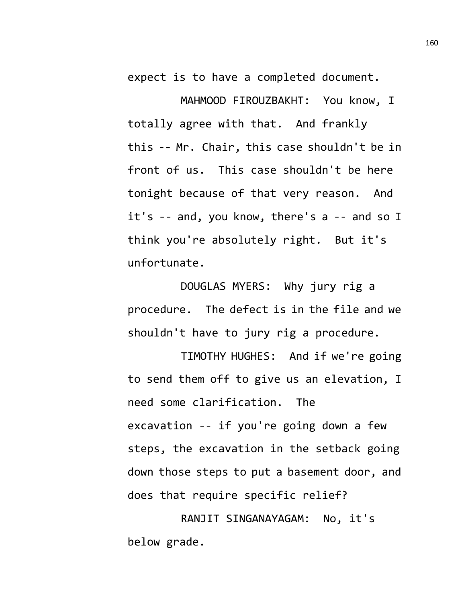expect is to have a completed document.

MAHMOOD FIROUZBAKHT: You know, I totally agree with that. And frankly this -- Mr. Chair, this case shouldn't be in front of us. This case shouldn't be here tonight because of that very reason. And it's -- and, you know, there's a -- and so I think you're absolutely right. But it's unfortunate.

DOUGLAS MYERS: Why jury rig a procedure. The defect is in the file and we shouldn't have to jury rig a procedure.

TIMOTHY HUGHES: And if we're going to send them off to give us an elevation, I need some clarification. The excavation -- if you're going down a few steps, the excavation in the setback going down those steps to put a basement door, and does that require specific relief?

RANJIT SINGANAYAGAM: No, it's below grade.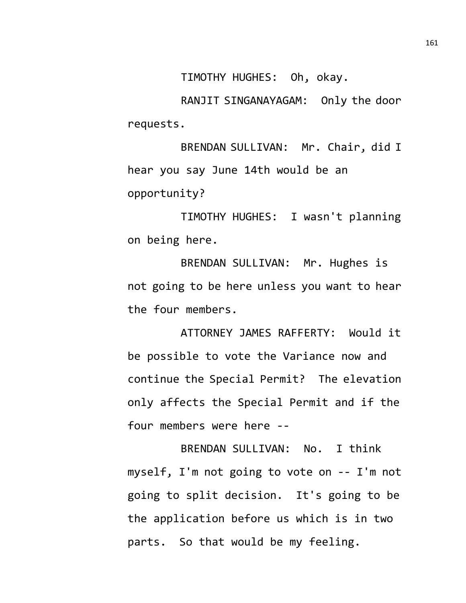TIMOTHY HUGHES: Oh, okay.

RANJIT SINGANAYAGAM: Only the door requests.

BRENDAN SULLIVAN: Mr. Chair, did I hear you say June 14th would be an opportunity?

TIMOTHY HUGHES: I wasn't planning on being here.

BRENDAN SULLIVAN: Mr. Hughes is not going to be here unless you want to hear the four members.

ATTORNEY JAMES RAFFERTY: Would it be possible to vote the Variance now and continue the Special Permit? The elevation only affects the Special Permit and if the four members were here --

BRENDAN SULLIVAN: No. I think myself, I'm not going to vote on -- I'm not going to split decision. It's going to be the application before us which is in two parts. So that would be my feeling.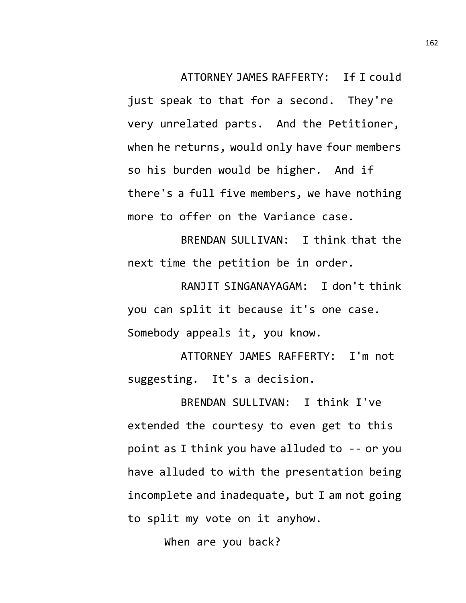ATTORNEY JAMES RAFFERTY: If I could just speak to that for a second. They're very unrelated parts. And the Petitioner, when he returns, would only have four members so his burden would be higher. And if there's a full five members, we have nothing more to offer on the Variance case.

BRENDAN SULLIVAN: I think that the next time the petition be in order.

RANJIT SINGANAYAGAM: I don't think you can split it because it's one case. Somebody appeals it, you know.

ATTORNEY JAMES RAFFERTY: I'm not suggesting. It's a decision.

BRENDAN SULLIVAN: I think I've extended the courtesy to even get to this point as I think you have alluded to -- or you have alluded to with the presentation being incomplete and inadequate, but I am not going to split my vote on it anyhow.

When are you back?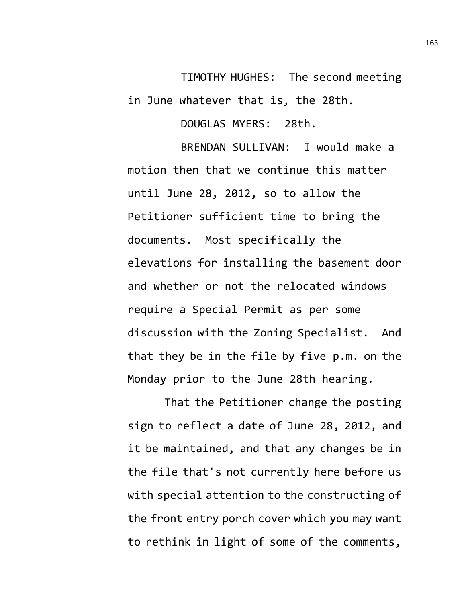TIMOTHY HUGHES: The second meeting in June whatever that is, the 28th.

DOUGLAS MYERS: 28th.

BRENDAN SULLIVAN: I would make a motion then that we continue this matter until June 28, 2012, so to allow the Petitioner sufficient time to bring the documents. Most specifically the elevations for installing the basement door and whether or not the relocated windows require a Special Permit as per some discussion with the Zoning Specialist. And that they be in the file by five p.m. on the Monday prior to the June 28th hearing.

That the Petitioner change the posting sign to reflect a date of June 28, 2012, and it be maintained, and that any changes be in the file that's not currently here before us with special attention to the constructing of the front entry porch cover which you may want to rethink in light of some of the comments,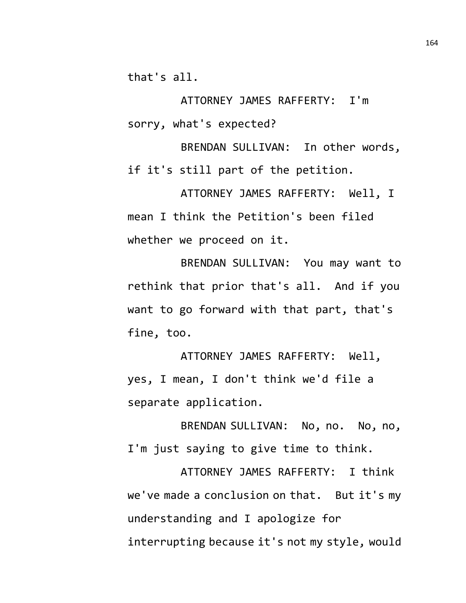that's all.

ATTORNEY JAMES RAFFERTY: I'm sorry, what's expected?

BRENDAN SULLIVAN: In other words, if it's still part of the petition.

ATTORNEY JAMES RAFFERTY: Well, I mean I think the Petition's been filed whether we proceed on it.

BRENDAN SULLIVAN: You may want to rethink that prior that's all. And if you want to go forward with that part, that's fine, too.

ATTORNEY JAMES RAFFERTY: Well, yes, I mean, I don't think we'd file a separate application.

BRENDAN SULLIVAN: No, no. No, no, I'm just saying to give time to think.

ATTORNEY JAMES RAFFERTY: I think we've made a conclusion on that. But it's my understanding and I apologize for interrupting because it's not my style, would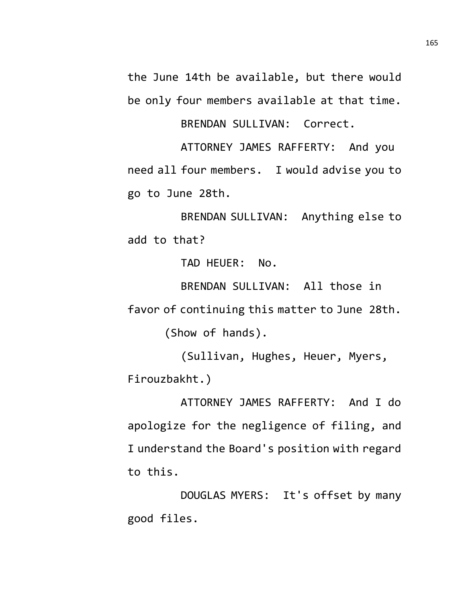the June 14th be available, but there would be only four members available at that time.

BRENDAN SULLIVAN: Correct.

ATTORNEY JAMES RAFFERTY: And you need all four members. I would advise you to go to June 28th.

BRENDAN SULLIVAN: Anything else to add to that?

TAD HEUER: No.

BRENDAN SULLIVAN: All those in favor of continuing this matter to June 28th. (Show of hands).

(Sullivan, Hughes, Heuer, Myers, Firouzbakht.)

ATTORNEY JAMES RAFFERTY: And I do apologize for the negligence of filing, and I understand the Board's position with regard to this.

DOUGLAS MYERS: It's offset by many good files.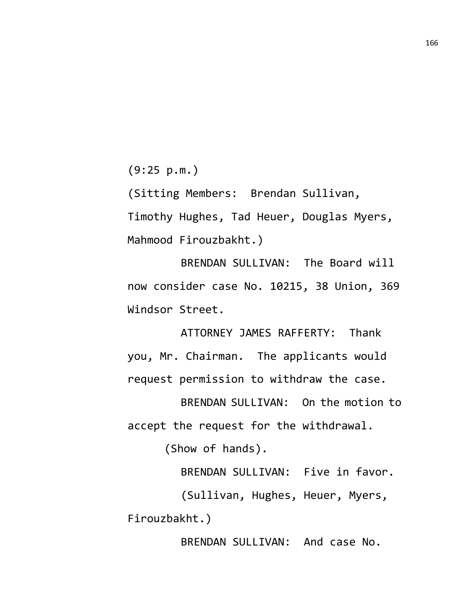(9:25 p.m.)

(Sitting Members: Brendan Sullivan, Timothy Hughes, Tad Heuer, Douglas Myers, Mahmood Firouzbakht.)

BRENDAN SULLIVAN: The Board will now consider case No. 10215, 38 Union, 369 Windsor Street.

ATTORNEY JAMES RAFFERTY: Thank you, Mr. Chairman. The applicants would request permission to withdraw the case.

BRENDAN SULLIVAN: On the motion to accept the request for the withdrawal.

(Show of hands).

BRENDAN SULLIVAN: Five in favor. (Sullivan, Hughes, Heuer, Myers, Firouzbakht.)

BRENDAN SULLIVAN: And case No.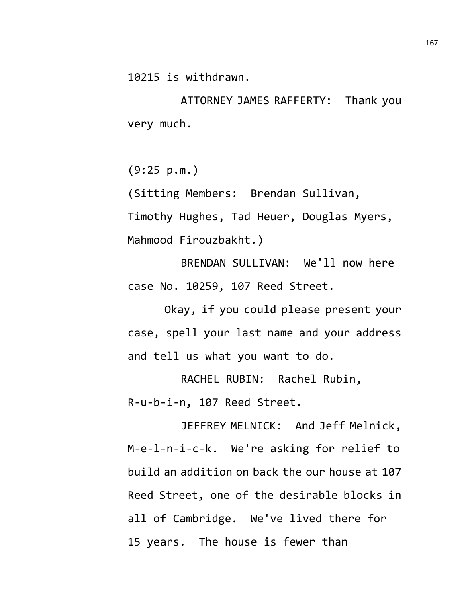10215 is withdrawn.

ATTORNEY JAMES RAFFERTY: Thank you very much.

(9:25 p.m.)

(Sitting Members: Brendan Sullivan, Timothy Hughes, Tad Heuer, Douglas Myers, Mahmood Firouzbakht.)

BRENDAN SULLIVAN: We'll now here case No. 10259, 107 Reed Street.

Okay, if you could please present your case, spell your last name and your address and tell us what you want to do.

RACHEL RUBIN: Rachel Rubin, R-u-b-i-n, 107 Reed Street.

JEFFREY MELNICK: And Jeff Melnick, M-e-l-n-i-c-k. We're asking for relief to build an addition on back the our house at 107 Reed Street, one of the desirable blocks in all of Cambridge. We've lived there for 15 years. The house is fewer than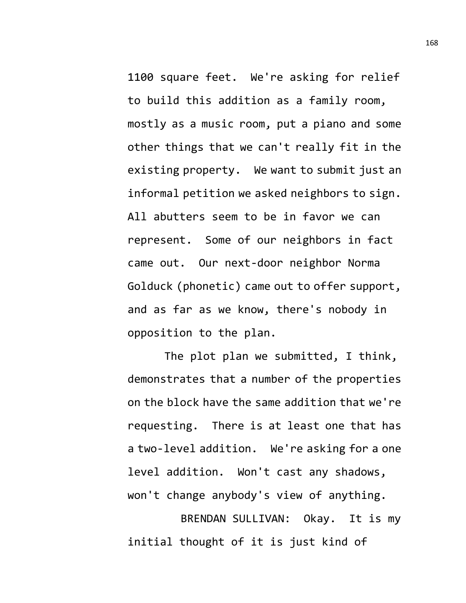1100 square feet. We're asking for relief to build this addition as a family room, mostly as a music room, put a piano and some other things that we can't really fit in the existing property. We want to submit just an informal petition we asked neighbors to sign. All abutters seem to be in favor we can represent. Some of our neighbors in fact came out. Our next-door neighbor Norma Golduck (phonetic) came out to offer support, and as far as we know, there's nobody in opposition to the plan.

The plot plan we submitted, I think, demonstrates that a number of the properties on the block have the same addition that we're requesting. There is at least one that has a two-level addition. We're asking for a one level addition. Won't cast any shadows, won't change anybody's view of anything.

BRENDAN SULLIVAN: Okay. It is my initial thought of it is just kind of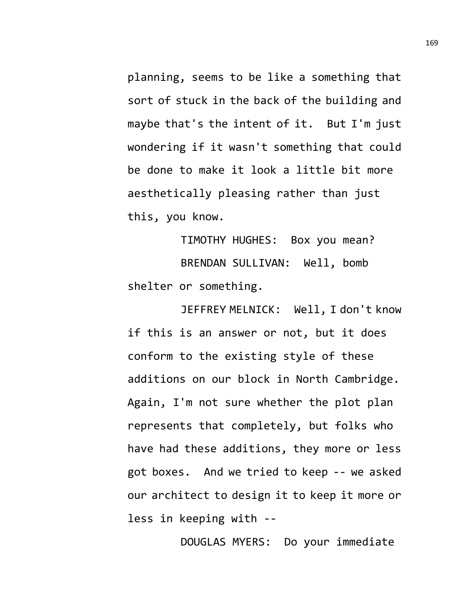planning, seems to be like a something that sort of stuck in the back of the building and maybe that's the intent of it. But I'm just wondering if it wasn't something that could be done to make it look a little bit more aesthetically pleasing rather than just this, you know.

TIMOTHY HUGHES: Box you mean? BRENDAN SULLIVAN: Well, bomb shelter or something.

JEFFREY MELNICK: Well, I don't know if this is an answer or not, but it does conform to the existing style of these additions on our block in North Cambridge. Again, I'm not sure whether the plot plan represents that completely, but folks who have had these additions, they more or less got boxes. And we tried to keep -- we asked our architect to design it to keep it more or less in keeping with --

DOUGLAS MYERS: Do your immediate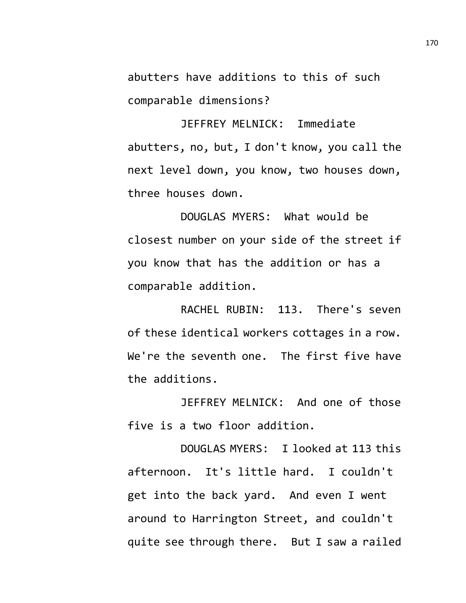abutters have additions to this of such comparable dimensions?

JEFFREY MELNICK: Immediate abutters, no, but, I don't know, you call the next level down, you know, two houses down, three houses down.

DOUGLAS MYERS: What would be closest number on your side of the street if you know that has the addition or has a comparable addition.

RACHEL RUBIN: 113. There's seven of these identical workers cottages in a row. We're the seventh one. The first five have the additions.

JEFFREY MELNICK: And one of those five is a two floor addition.

DOUGLAS MYERS: I looked at 113 this afternoon. It's little hard. I couldn't get into the back yard. And even I went around to Harrington Street, and couldn't quite see through there. But I saw a railed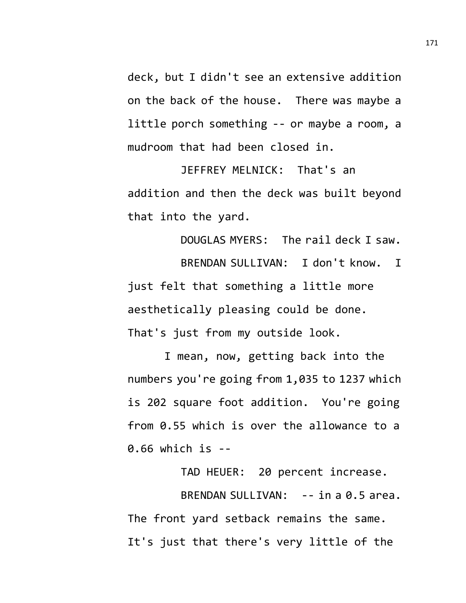deck, but I didn't see an extensive addition on the back of the house. There was maybe a little porch something -- or maybe a room, a mudroom that had been closed in.

JEFFREY MELNICK: That's an addition and then the deck was built beyond that into the yard.

DOUGLAS MYERS: The rail deck I saw. BRENDAN SULLIVAN: I don't know. I just felt that something a little more aesthetically pleasing could be done. That's just from my outside look.

I mean, now, getting back into the numbers you're going from 1,035 to 1237 which is 202 square foot addition. You're going from 0.55 which is over the allowance to a 0.66 which is --

TAD HEUER: 20 percent increase. BRENDAN SULLIVAN: -- in a 0.5 area. The front yard setback remains the same. It's just that there's very little of the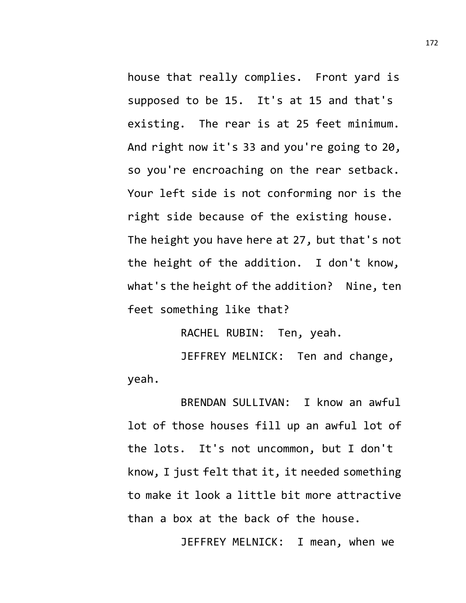house that really complies. Front yard is supposed to be 15. It's at 15 and that's existing. The rear is at 25 feet minimum. And right now it's 33 and you're going to 20, so you're encroaching on the rear setback. Your left side is not conforming nor is the right side because of the existing house. The height you have here at 27, but that's not the height of the addition. I don't know, what's the height of the addition? Nine, ten feet something like that?

RACHEL RUBIN: Ten, yeah.

JEFFREY MELNICK: Ten and change, yeah.

BRENDAN SULLIVAN: I know an awful lot of those houses fill up an awful lot of the lots. It's not uncommon, but I don't know, I just felt that it, it needed something to make it look a little bit more attractive than a box at the back of the house.

JEFFREY MELNICK: I mean, when we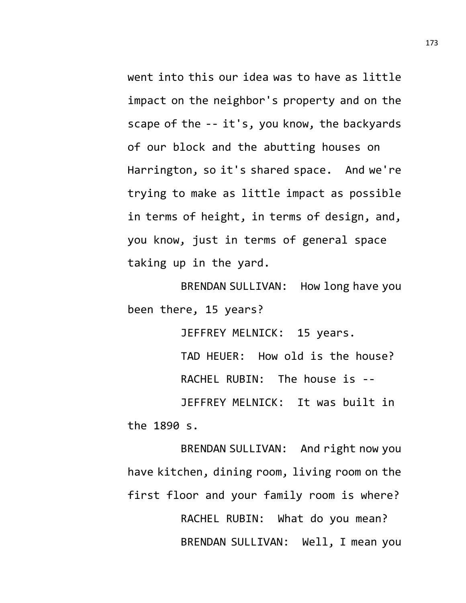went into this our idea was to have as little impact on the neighbor's property and on the scape of the -- it's, you know, the backyards of our block and the abutting houses on Harrington, so it's shared space. And we're trying to make as little impact as possible in terms of height, in terms of design, and, you know, just in terms of general space taking up in the yard.

BRENDAN SULLIVAN: How long have you been there, 15 years?

JEFFREY MELNICK: 15 years.

TAD HEUER: How old is the house? RACHEL RUBIN: The house is --

JEFFREY MELNICK: It was built in the 1890 s.

BRENDAN SULLIVAN: And right now you have kitchen, dining room, living room on the first floor and your family room is where? RACHEL RUBIN: What do you mean? BRENDAN SULLIVAN: Well, I mean you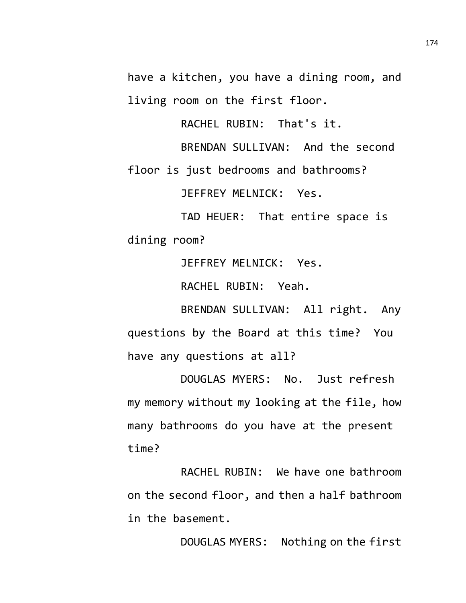have a kitchen, you have a dining room, and living room on the first floor.

RACHEL RUBIN: That's it.

BRENDAN SULLIVAN: And the second floor is just bedrooms and bathrooms? JEFFREY MELNICK: Yes.

TAD HEUER: That entire space is dining room?

JEFFREY MELNICK: Yes.

RACHEL RUBIN: Yeah.

BRENDAN SULLIVAN: All right. Any questions by the Board at this time? You have any questions at all?

DOUGLAS MYERS: No. Just refresh my memory without my looking at the file, how many bathrooms do you have at the present time?

RACHEL RUBIN: We have one bathroom on the second floor, and then a half bathroom in the basement.

DOUGLAS MYERS: Nothing on the first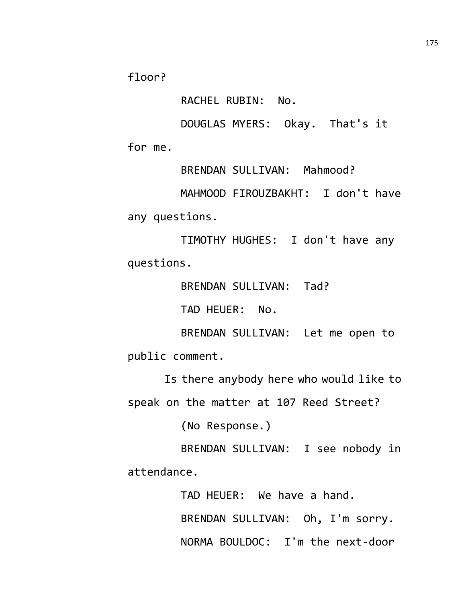floor?

RACHEL RUBIN: No.

DOUGLAS MYERS: Okay. That's it for me.

BRENDAN SULLIVAN: Mahmood? MAHMOOD FIROUZBAKHT: I don't have any questions.

TIMOTHY HUGHES: I don't have any questions.

BRENDAN SULLIVAN: Tad?

TAD HEUER: No.

BRENDAN SULLIVAN: Let me open to public comment.

Is there anybody here who would like to speak on the matter at 107 Reed Street?

(No Response.)

BRENDAN SULLIVAN: I see nobody in attendance.

> TAD HEUER: We have a hand. BRENDAN SULLIVAN: Oh, I'm sorry. NORMA BOULDOC: I'm the next-door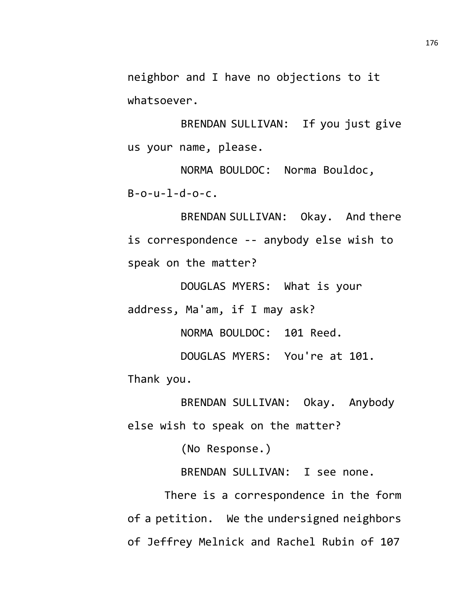neighbor and I have no objections to it whatsoever.

BRENDAN SULLIVAN: If you just give us your name, please.

NORMA BOULDOC: Norma Bouldoc,  $B - 0 - U - 1 - d - 0 - c$ .

BRENDAN SULLIVAN: Okay. And there is correspondence -- anybody else wish to speak on the matter?

DOUGLAS MYERS: What is your address, Ma'am, if I may ask?

NORMA BOULDOC: 101 Reed.

DOUGLAS MYERS: You're at 101.

Thank you.

BRENDAN SULLIVAN: Okay. Anybody else wish to speak on the matter?

(No Response.)

BRENDAN SULLIVAN: I see none.

There is a correspondence in the form of a petition. We the undersigned neighbors of Jeffrey Melnick and Rachel Rubin of 107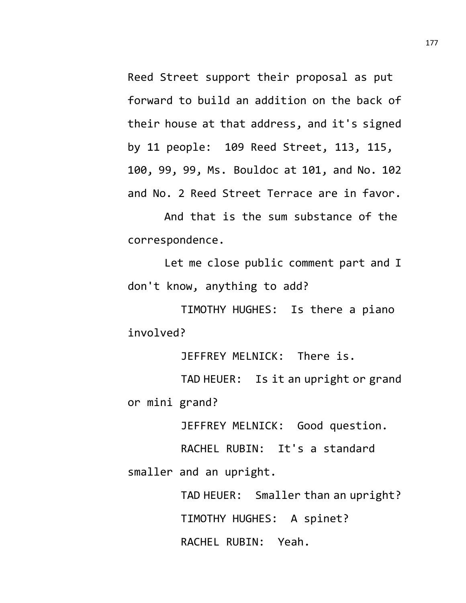Reed Street support their proposal as put forward to build an addition on the back of their house at that address, and it's signed by 11 people: 109 Reed Street, 113, 115, 100, 99, 99, Ms. Bouldoc at 101, and No. 102 and No. 2 Reed Street Terrace are in favor.

And that is the sum substance of the correspondence.

Let me close public comment part and I don't know, anything to add?

TIMOTHY HUGHES: Is there a piano involved?

JEFFREY MELNICK: There is.

TAD HEUER: Is it an upright or grand or mini grand?

JEFFREY MELNICK: Good question.

RACHEL RUBIN: It's a standard smaller and an upright.

> TAD HEUER: Smaller than an upright? TIMOTHY HUGHES: A spinet? RACHEL RUBIN: Yeah.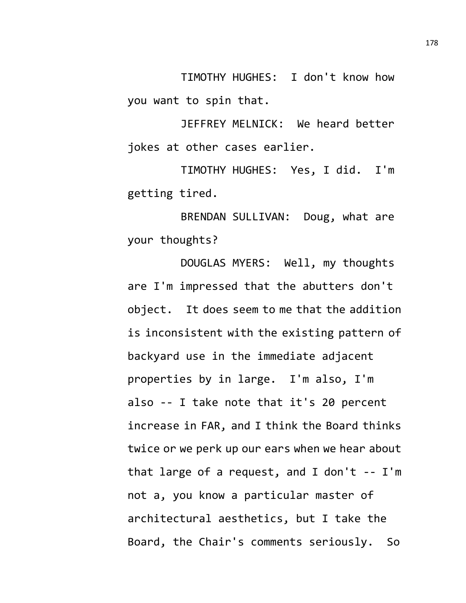TIMOTHY HUGHES: I don't know how you want to spin that.

JEFFREY MELNICK: We heard better jokes at other cases earlier.

TIMOTHY HUGHES: Yes, I did. I'm getting tired.

BRENDAN SULLIVAN: Doug, what are your thoughts?

DOUGLAS MYERS: Well, my thoughts are I'm impressed that the abutters don't object. It does seem to me that the addition is inconsistent with the existing pattern of backyard use in the immediate adjacent properties by in large. I'm also, I'm also -- I take note that it's 20 percent increase in FAR, and I think the Board thinks twice or we perk up our ears when we hear about that large of a request, and I don't -- I'm not a, you know a particular master of architectural aesthetics, but I take the Board, the Chair's comments seriously. So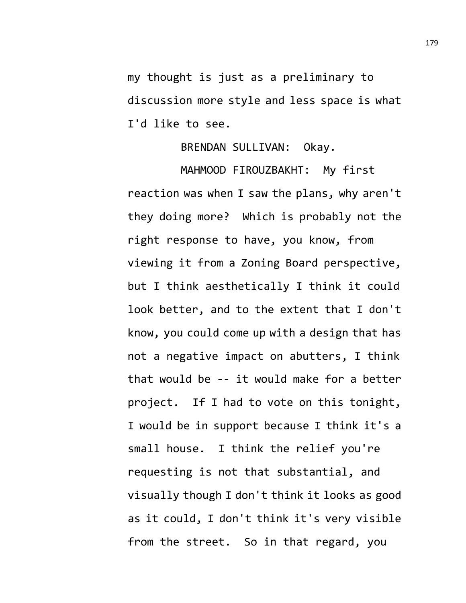my thought is just as a preliminary to discussion more style and less space is what I'd like to see.

## BRENDAN SULLIVAN: Okay.

MAHMOOD FIROUZBAKHT: My first reaction was when I saw the plans, why aren't they doing more? Which is probably not the right response to have, you know, from viewing it from a Zoning Board perspective, but I think aesthetically I think it could look better, and to the extent that I don't know, you could come up with a design that has not a negative impact on abutters, I think that would be -- it would make for a better project. If I had to vote on this tonight, I would be in support because I think it's a small house. I think the relief you're requesting is not that substantial, and visually though I don't think it looks as good as it could, I don't think it's very visible from the street. So in that regard, you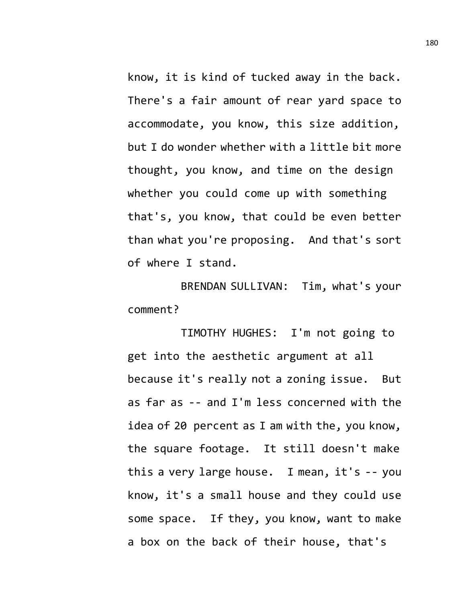know, it is kind of tucked away in the back. There's a fair amount of rear yard space to accommodate, you know, this size addition, but I do wonder whether with a little bit more thought, you know, and time on the design whether you could come up with something that's, you know, that could be even better than what you're proposing. And that's sort of where I stand.

BRENDAN SULLIVAN: Tim, what's your comment?

TIMOTHY HUGHES: I'm not going to get into the aesthetic argument at all because it's really not a zoning issue. But as far as -- and I'm less concerned with the idea of 20 percent as I am with the, you know, the square footage. It still doesn't make this a very large house. I mean, it's -- you know, it's a small house and they could use some space. If they, you know, want to make a box on the back of their house, that's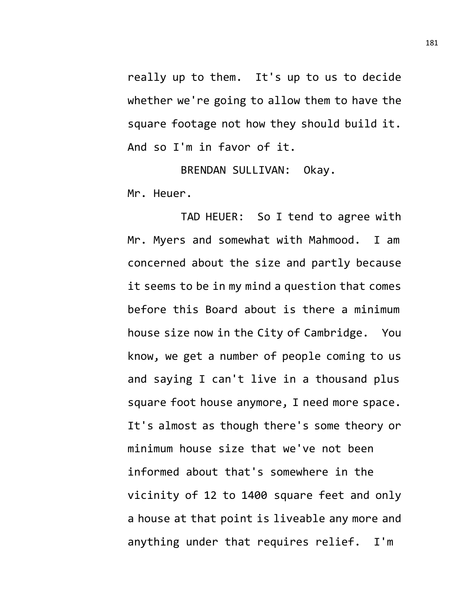really up to them. It's up to us to decide whether we're going to allow them to have the square footage not how they should build it. And so I'm in favor of it.

BRENDAN SULLIVAN: Okay. Mr. Heuer.

TAD HEUER: So I tend to agree with Mr. Myers and somewhat with Mahmood. I am concerned about the size and partly because it seems to be in my mind a question that comes before this Board about is there a minimum house size now in the City of Cambridge. You know, we get a number of people coming to us and saying I can't live in a thousand plus square foot house anymore, I need more space. It's almost as though there's some theory or minimum house size that we've not been informed about that's somewhere in the vicinity of 12 to 1400 square feet and only a house at that point is liveable any more and anything under that requires relief. I'm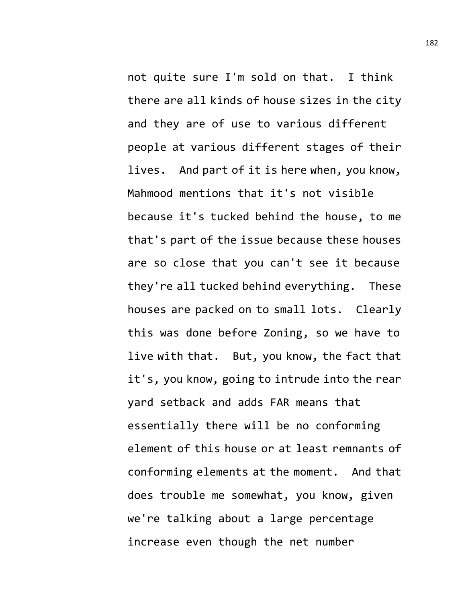not quite sure I'm sold on that. I think there are all kinds of house sizes in the city and they are of use to various different people at various different stages of their lives. And part of it is here when, you know, Mahmood mentions that it's not visible because it's tucked behind the house, to me that's part of the issue because these houses are so close that you can't see it because they're all tucked behind everything. These houses are packed on to small lots. Clearly this was done before Zoning, so we have to live with that. But, you know, the fact that it's, you know, going to intrude into the rear yard setback and adds FAR means that essentially there will be no conforming element of this house or at least remnants of conforming elements at the moment. And that does trouble me somewhat, you know, given we're talking about a large percentage increase even though the net number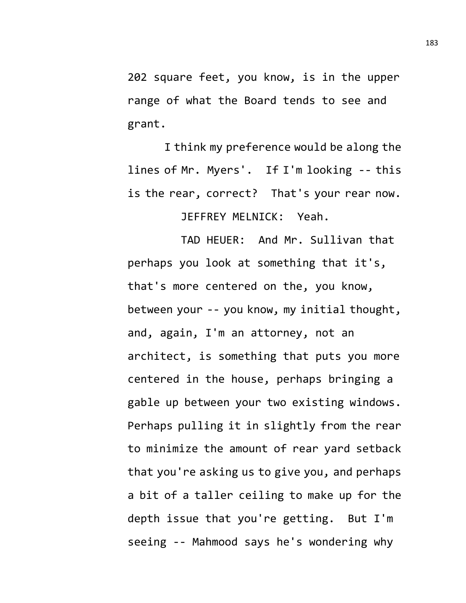202 square feet, you know, is in the upper range of what the Board tends to see and grant.

I think my preference would be along the lines of Mr. Myers'. If I'm looking -- this is the rear, correct? That's your rear now.

JEFFREY MELNICK: Yeah.

TAD HEUER: And Mr. Sullivan that perhaps you look at something that it's, that's more centered on the, you know, between your -- you know, my initial thought, and, again, I'm an attorney, not an architect, is something that puts you more centered in the house, perhaps bringing a gable up between your two existing windows. Perhaps pulling it in slightly from the rear to minimize the amount of rear yard setback that you're asking us to give you, and perhaps a bit of a taller ceiling to make up for the depth issue that you're getting. But I'm seeing -- Mahmood says he's wondering why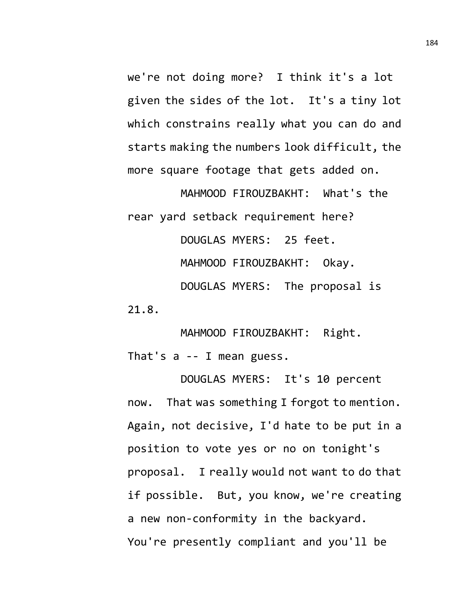we're not doing more? I think it's a lot given the sides of the lot. It's a tiny lot which constrains really what you can do and starts making the numbers look difficult, the more square footage that gets added on.

MAHMOOD FIROUZBAKHT: What's the rear yard setback requirement here? DOUGLAS MYERS: 25 feet. MAHMOOD FIROUZBAKHT: Okay. DOUGLAS MYERS: The proposal is 21.8.

MAHMOOD FIROUZBAKHT: Right. That's a -- I mean guess.

DOUGLAS MYERS: It's 10 percent now. That was something I forgot to mention. Again, not decisive, I'd hate to be put in a position to vote yes or no on tonight's proposal. I really would not want to do that if possible. But, you know, we're creating a new non-conformity in the backyard. You're presently compliant and you'll be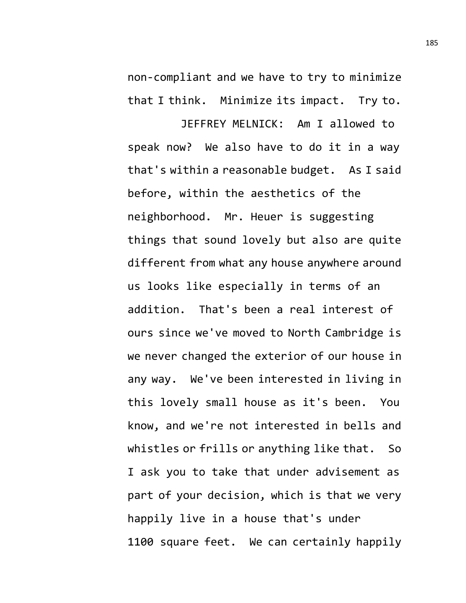non-compliant and we have to try to minimize that I think. Minimize its impact. Try to.

JEFFREY MELNICK: Am I allowed to speak now? We also have to do it in a way that's within a reasonable budget. As I said before, within the aesthetics of the neighborhood. Mr. Heuer is suggesting things that sound lovely but also are quite different from what any house anywhere around us looks like especially in terms of an addition. That's been a real interest of ours since we've moved to North Cambridge is we never changed the exterior of our house in any way. We've been interested in living in this lovely small house as it's been. You know, and we're not interested in bells and whistles or frills or anything like that. So I ask you to take that under advisement as part of your decision, which is that we very happily live in a house that's under 1100 square feet. We can certainly happily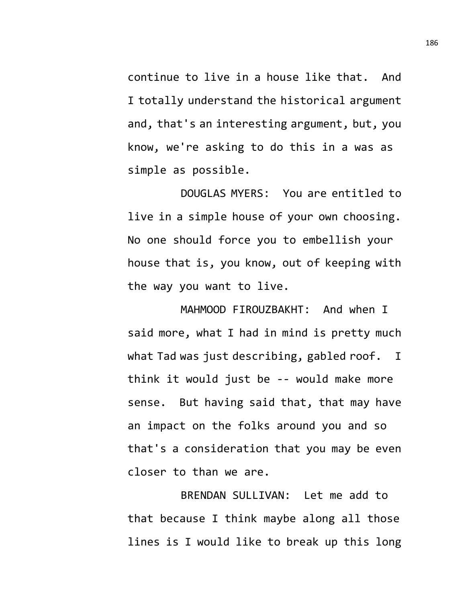continue to live in a house like that. And I totally understand the historical argument and, that's an interesting argument, but, you know, we're asking to do this in a was as simple as possible.

DOUGLAS MYERS: You are entitled to live in a simple house of your own choosing. No one should force you to embellish your house that is, you know, out of keeping with the way you want to live.

MAHMOOD FIROUZBAKHT: And when I said more, what I had in mind is pretty much what Tad was just describing, gabled roof. I think it would just be -- would make more sense. But having said that, that may have an impact on the folks around you and so that's a consideration that you may be even closer to than we are.

BRENDAN SULLIVAN: Let me add to that because I think maybe along all those lines is I would like to break up this long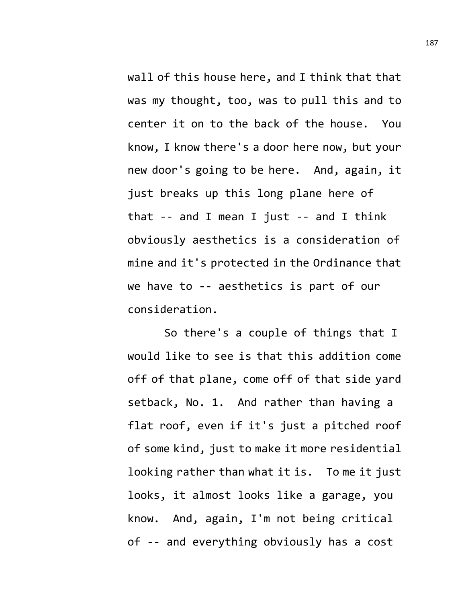wall of this house here, and I think that that was my thought, too, was to pull this and to center it on to the back of the house. You know, I know there's a door here now, but your new door's going to be here. And, again, it just breaks up this long plane here of that -- and I mean I just -- and I think obviously aesthetics is a consideration of mine and it's protected in the Ordinance that we have to -- aesthetics is part of our consideration.

So there's a couple of things that I would like to see is that this addition come off of that plane, come off of that side yard setback, No. 1. And rather than having a flat roof, even if it's just a pitched roof of some kind, just to make it more residential looking rather than what it is. To me it just looks, it almost looks like a garage, you know. And, again, I'm not being critical of -- and everything obviously has a cost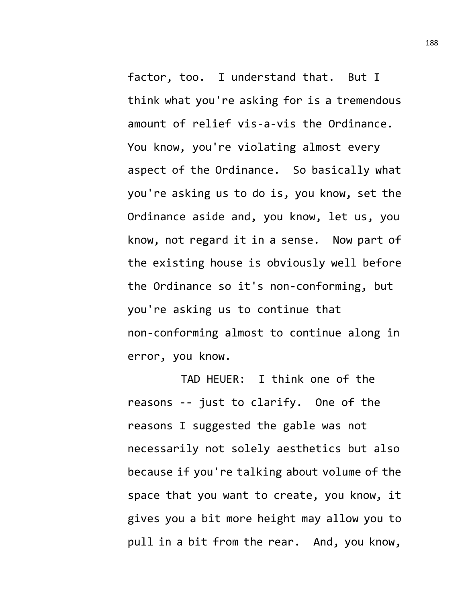factor, too. I understand that. But I think what you're asking for is a tremendous amount of relief vis-a-vis the Ordinance. You know, you're violating almost every aspect of the Ordinance. So basically what you're asking us to do is, you know, set the Ordinance aside and, you know, let us, you know, not regard it in a sense. Now part of the existing house is obviously well before the Ordinance so it's non-conforming, but you're asking us to continue that non-conforming almost to continue along in error, you know.

TAD HEUER: I think one of the reasons -- just to clarify. One of the reasons I suggested the gable was not necessarily not solely aesthetics but also because if you're talking about volume of the space that you want to create, you know, it gives you a bit more height may allow you to pull in a bit from the rear. And, you know,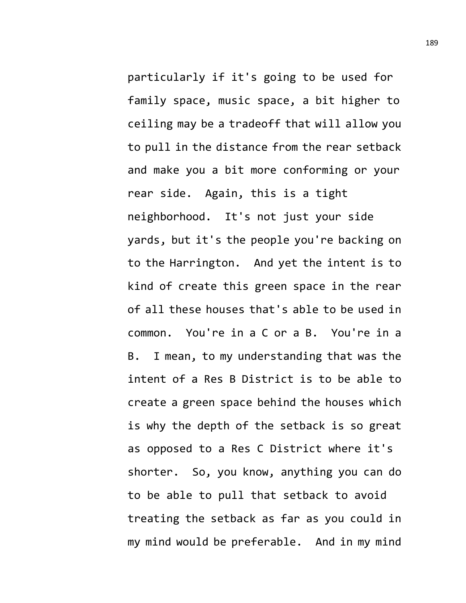particularly if it's going to be used for family space, music space, a bit higher to ceiling may be a tradeoff that will allow you to pull in the distance from the rear setback and make you a bit more conforming or your rear side. Again, this is a tight neighborhood. It's not just your side yards, but it's the people you're backing on to the Harrington. And yet the intent is to kind of create this green space in the rear of all these houses that's able to be used in common. You're in a C or a B. You're in a B. I mean, to my understanding that was the intent of a Res B District is to be able to create a green space behind the houses which is why the depth of the setback is so great as opposed to a Res C District where it's shorter. So, you know, anything you can do to be able to pull that setback to avoid treating the setback as far as you could in my mind would be preferable. And in my mind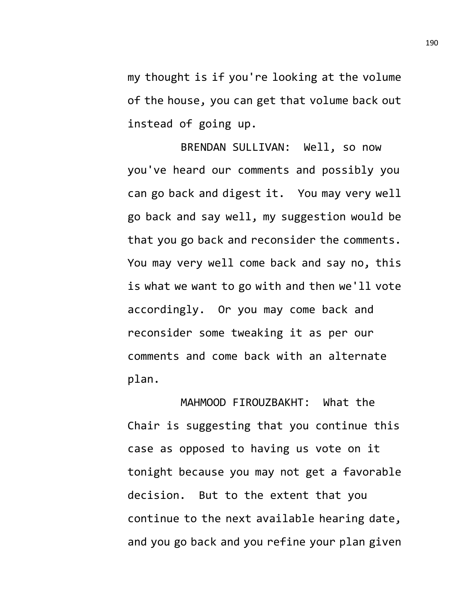my thought is if you're looking at the volume of the house, you can get that volume back out instead of going up.

BRENDAN SULLIVAN: Well, so now you've heard our comments and possibly you can go back and digest it. You may very well go back and say well, my suggestion would be that you go back and reconsider the comments. You may very well come back and say no, this is what we want to go with and then we'll vote accordingly. Or you may come back and reconsider some tweaking it as per our comments and come back with an alternate plan.

MAHMOOD FIROUZBAKHT: What the Chair is suggesting that you continue this case as opposed to having us vote on it tonight because you may not get a favorable decision. But to the extent that you continue to the next available hearing date, and you go back and you refine your plan given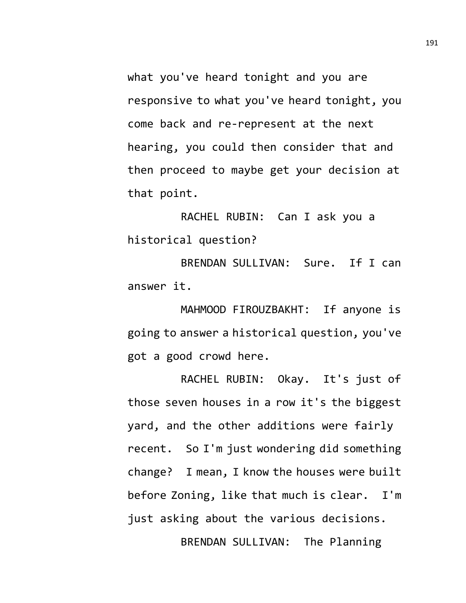what you've heard tonight and you are responsive to what you've heard tonight, you come back and re-represent at the next hearing, you could then consider that and then proceed to maybe get your decision at that point.

RACHEL RUBIN: Can I ask you a historical question?

BRENDAN SULLIVAN: Sure. If I can answer it.

MAHMOOD FIROUZBAKHT: If anyone is going to answer a historical question, you've got a good crowd here.

RACHEL RUBIN: Okay. It's just of those seven houses in a row it's the biggest yard, and the other additions were fairly recent. So I'm just wondering did something change? I mean, I know the houses were built before Zoning, like that much is clear. I'm just asking about the various decisions.

BRENDAN SULLIVAN: The Planning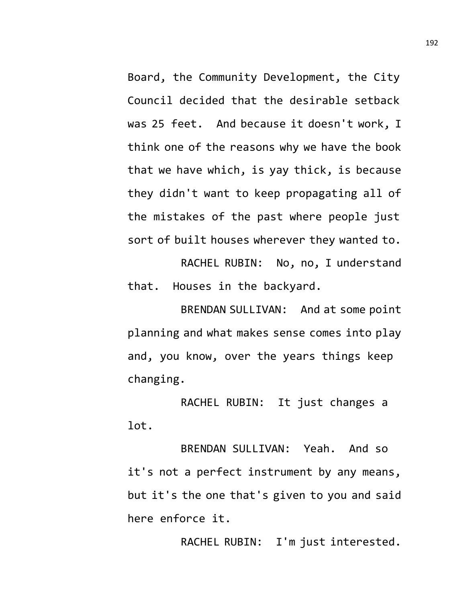Board, the Community Development, the City Council decided that the desirable setback was 25 feet. And because it doesn't work, I think one of the reasons why we have the book that we have which, is yay thick, is because they didn't want to keep propagating all of the mistakes of the past where people just sort of built houses wherever they wanted to.

RACHEL RUBIN: No, no, I understand that. Houses in the backyard.

BRENDAN SULLIVAN: And at some point planning and what makes sense comes into play and, you know, over the years things keep changing.

RACHEL RUBIN: It just changes a lot.

BRENDAN SULLIVAN: Yeah. And so it's not a perfect instrument by any means, but it's the one that's given to you and said here enforce it.

RACHEL RUBIN: I'm just interested.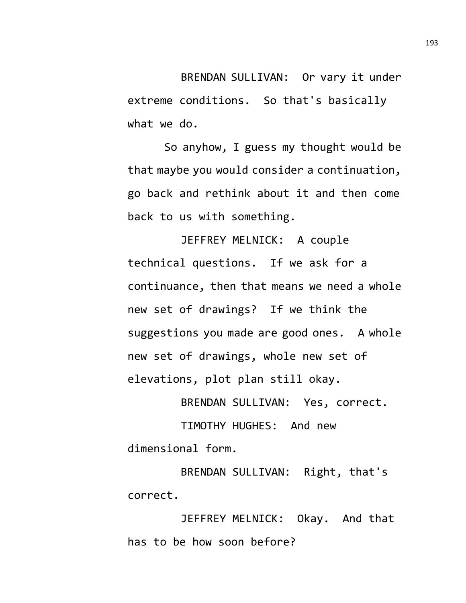BRENDAN SULLIVAN: Or vary it under extreme conditions. So that's basically what we do.

So anyhow, I guess my thought would be that maybe you would consider a continuation, go back and rethink about it and then come back to us with something.

JEFFREY MELNICK: A couple technical questions. If we ask for a continuance, then that means we need a whole new set of drawings? If we think the suggestions you made are good ones. A whole new set of drawings, whole new set of elevations, plot plan still okay.

BRENDAN SULLIVAN: Yes, correct.

TIMOTHY HUGHES: And new dimensional form.

BRENDAN SULLIVAN: Right, that's correct.

JEFFREY MELNICK: Okay. And that has to be how soon before?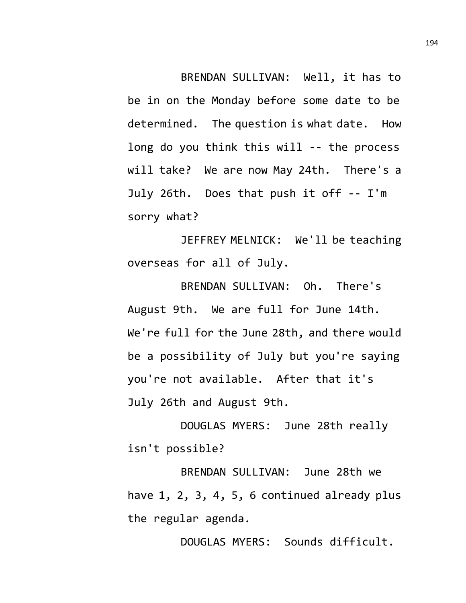BRENDAN SULLIVAN: Well, it has to be in on the Monday before some date to be determined. The question is what date. How long do you think this will -- the process will take? We are now May 24th. There's a July 26th. Does that push it off -- I'm sorry what?

JEFFREY MELNICK: We'll be teaching overseas for all of July.

BRENDAN SULLIVAN: Oh. There's August 9th. We are full for June 14th. We're full for the June 28th, and there would be a possibility of July but you're saying you're not available. After that it's July 26th and August 9th.

DOUGLAS MYERS: June 28th really isn't possible?

BRENDAN SULLIVAN: June 28th we have 1, 2, 3, 4, 5, 6 continued already plus the regular agenda.

DOUGLAS MYERS: Sounds difficult.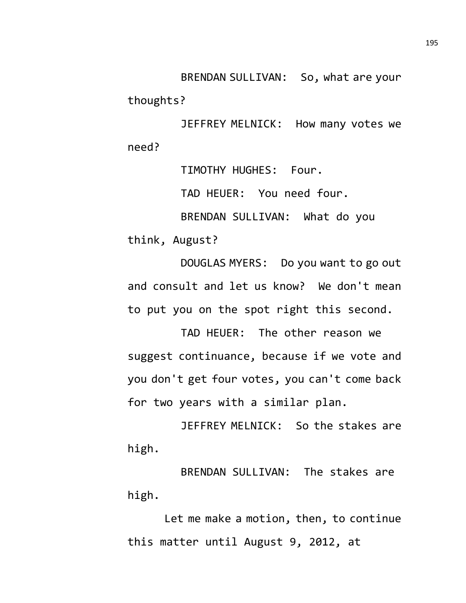BRENDAN SULLIVAN: So, what are your thoughts?

JEFFREY MELNICK: How many votes we need?

> TIMOTHY HUGHES: Four. TAD HEUER: You need four.

BRENDAN SULLIVAN: What do you

think, August?

DOUGLAS MYERS: Do you want to go out and consult and let us know? We don't mean to put you on the spot right this second.

TAD HEUER: The other reason we suggest continuance, because if we vote and you don't get four votes, you can't come back for two years with a similar plan.

JEFFREY MELNICK: So the stakes are high.

BRENDAN SULLIVAN: The stakes are high.

Let me make a motion, then, to continue this matter until August 9, 2012, at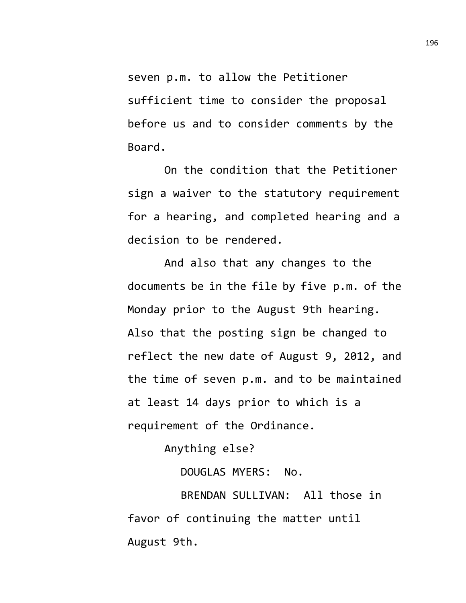seven p.m. to allow the Petitioner sufficient time to consider the proposal before us and to consider comments by the Board.

On the condition that the Petitioner sign a waiver to the statutory requirement for a hearing, and completed hearing and a decision to be rendered.

And also that any changes to the documents be in the file by five p.m. of the Monday prior to the August 9th hearing. Also that the posting sign be changed to reflect the new date of August 9, 2012, and the time of seven p.m. and to be maintained at least 14 days prior to which is a requirement of the Ordinance.

Anything else?

DOUGLAS MYERS: No.

BRENDAN SULLIVAN: All those in favor of continuing the matter until August 9th.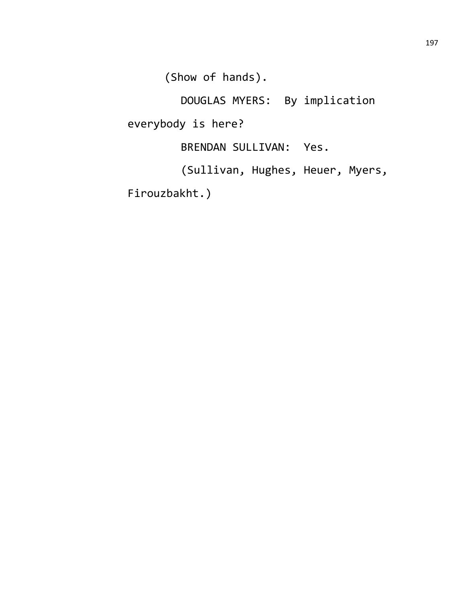(Show of hands).

DOUGLAS MYERS: By implication everybody is here? BRENDAN SULLIVAN: Yes.

(Sullivan, Hughes, Heuer, Myers,

Firouzbakht.)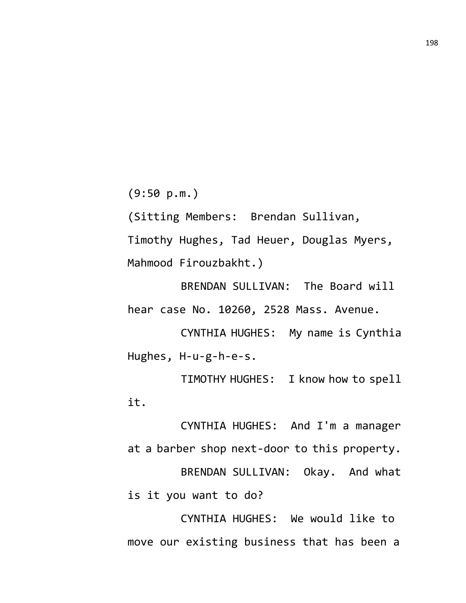(9:50 p.m.)

(Sitting Members: Brendan Sullivan,

Timothy Hughes, Tad Heuer, Douglas Myers, Mahmood Firouzbakht.)

BRENDAN SULLIVAN: The Board will hear case No. 10260, 2528 Mass. Avenue.

CYNTHIA HUGHES: My name is Cynthia Hughes, H-u-g-h-e-s.

TIMOTHY HUGHES: I know how to spell it.

CYNTHIA HUGHES: And I'm a manager at a barber shop next-door to this property. BRENDAN SULLIVAN: Okay. And what is it you want to do?

CYNTHIA HUGHES: We would like to move our existing business that has been a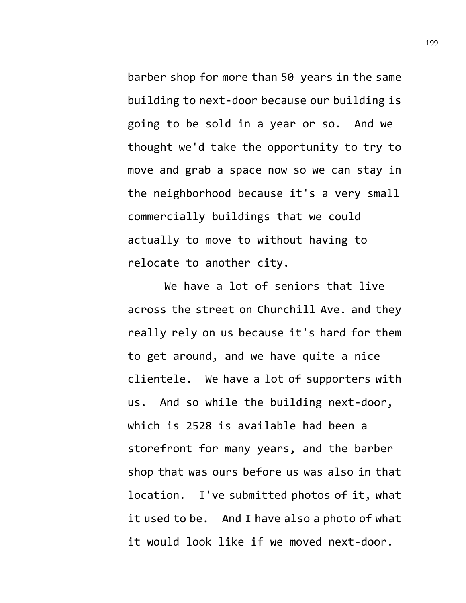barber shop for more than 50 years in the same building to next-door because our building is going to be sold in a year or so. And we thought we'd take the opportunity to try to move and grab a space now so we can stay in the neighborhood because it's a very small commercially buildings that we could actually to move to without having to relocate to another city.

We have a lot of seniors that live across the street on Churchill Ave. and they really rely on us because it's hard for them to get around, and we have quite a nice clientele. We have a lot of supporters with us. And so while the building next-door, which is 2528 is available had been a storefront for many years, and the barber shop that was ours before us was also in that location. I've submitted photos of it, what it used to be. And I have also a photo of what it would look like if we moved next-door.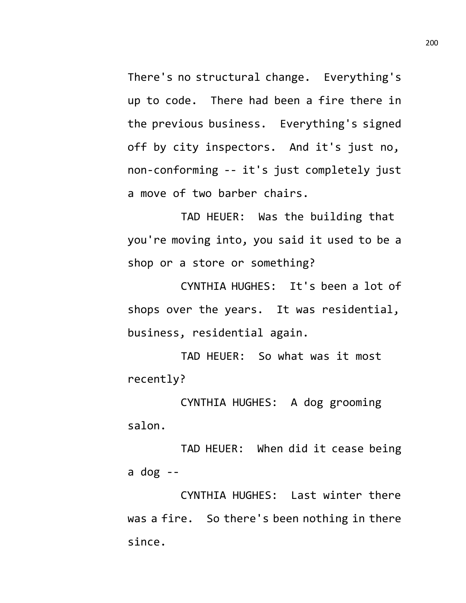There's no structural change. Everything's up to code. There had been a fire there in the previous business. Everything's signed off by city inspectors. And it's just no, non-conforming -- it's just completely just a move of two barber chairs.

TAD HEUER: Was the building that you're moving into, you said it used to be a shop or a store or something?

CYNTHIA HUGHES: It's been a lot of shops over the years. It was residential, business, residential again.

TAD HEUER: So what was it most recently?

CYNTHIA HUGHES: A dog grooming salon.

TAD HEUER: When did it cease being a dog  $-$ 

CYNTHIA HUGHES: Last winter there was a fire. So there's been nothing in there since.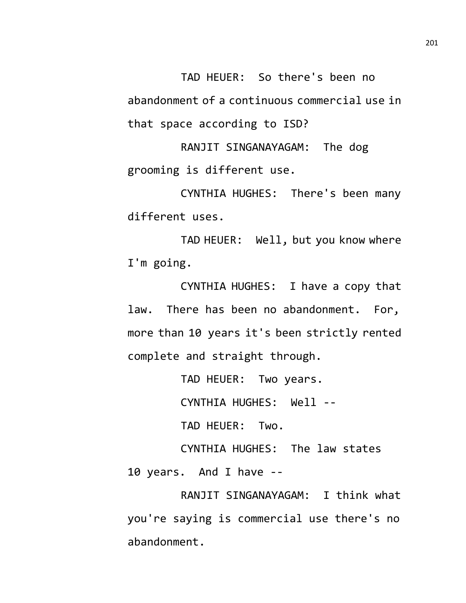TAD HEUER: So there's been no abandonment of a continuous commercial use in that space according to ISD?

RANJIT SINGANAYAGAM: The dog grooming is different use.

CYNTHIA HUGHES: There's been many different uses.

TAD HEUER: Well, but you know where I'm going.

CYNTHIA HUGHES: I have a copy that law. There has been no abandonment. For, more than 10 years it's been strictly rented complete and straight through.

TAD HEUER: Two years.

CYNTHIA HUGHES: Well --

TAD HEUER: Two.

CYNTHIA HUGHES: The law states 10 years. And I have --

RANJIT SINGANAYAGAM: I think what you're saying is commercial use there's no abandonment.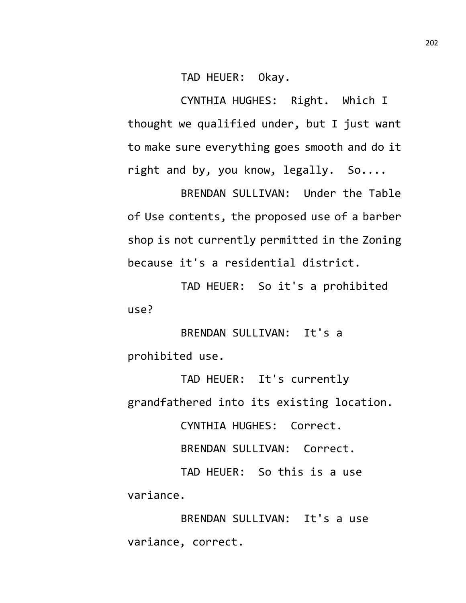TAD HEUER: Okay.

CYNTHIA HUGHES: Right. Which I thought we qualified under, but I just want to make sure everything goes smooth and do it right and by, you know, legally. So....

BRENDAN SULLIVAN: Under the Table of Use contents, the proposed use of a barber shop is not currently permitted in the Zoning because it's a residential district.

TAD HEUER: So it's a prohibited use?

BRENDAN SULLIVAN: It's a prohibited use.

TAD HEUER: It's currently grandfathered into its existing location.

CYNTHIA HUGHES: Correct.

BRENDAN SULLIVAN: Correct.

TAD HEUER: So this is a use variance.

BRENDAN SULLIVAN: It's a use variance, correct.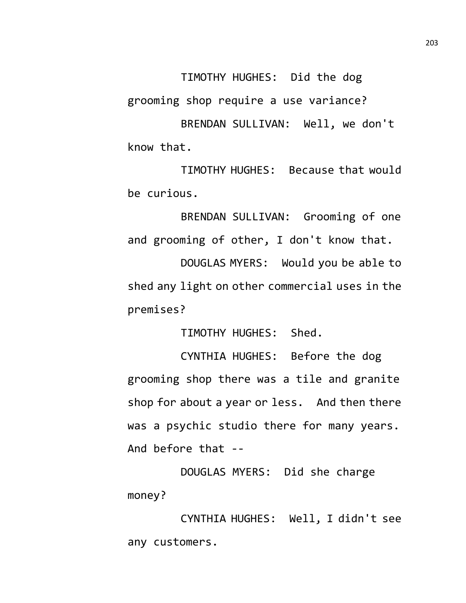TIMOTHY HUGHES: Did the dog grooming shop require a use variance?

BRENDAN SULLIVAN: Well, we don't know that.

TIMOTHY HUGHES: Because that would be curious.

BRENDAN SULLIVAN: Grooming of one and grooming of other, I don't know that.

DOUGLAS MYERS: Would you be able to shed any light on other commercial uses in the premises?

TIMOTHY HUGHES: Shed.

CYNTHIA HUGHES: Before the dog grooming shop there was a tile and granite shop for about a year or less. And then there was a psychic studio there for many years. And before that --

DOUGLAS MYERS: Did she charge money?

CYNTHIA HUGHES: Well, I didn't see any customers.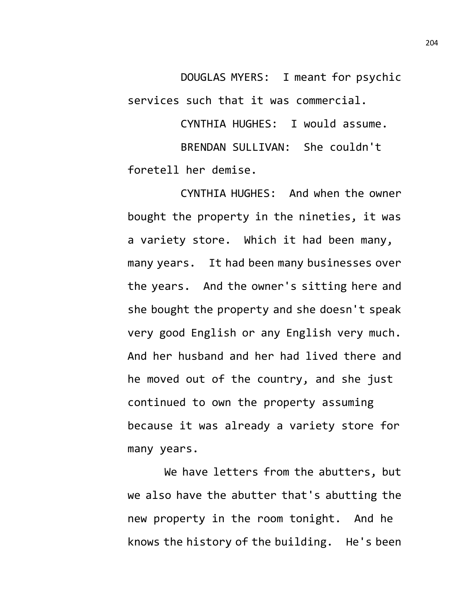DOUGLAS MYERS: I meant for psychic services such that it was commercial.

CYNTHIA HUGHES: I would assume. BRENDAN SULLIVAN: She couldn't foretell her demise.

CYNTHIA HUGHES: And when the owner bought the property in the nineties, it was a variety store. Which it had been many, many years. It had been many businesses over the years. And the owner's sitting here and she bought the property and she doesn't speak very good English or any English very much. And her husband and her had lived there and he moved out of the country, and she just continued to own the property assuming because it was already a variety store for many years.

We have letters from the abutters, but we also have the abutter that's abutting the new property in the room tonight. And he knows the history of the building. He's been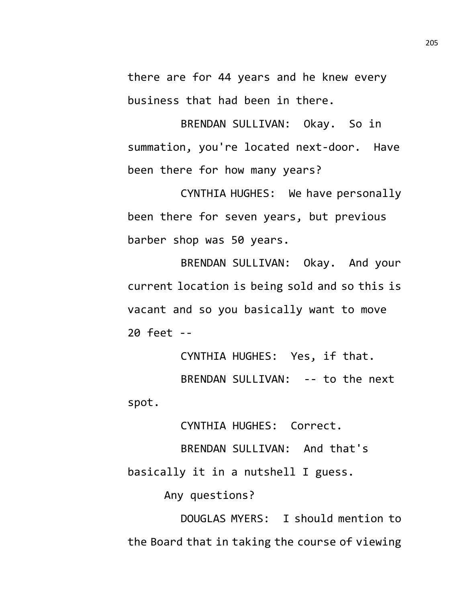there are for 44 years and he knew every business that had been in there.

BRENDAN SULLIVAN: Okay. So in summation, you're located next-door. Have been there for how many years?

CYNTHIA HUGHES: We have personally been there for seven years, but previous barber shop was 50 years.

BRENDAN SULLIVAN: Okay. And your current location is being sold and so this is vacant and so you basically want to move 20 feet --

CYNTHIA HUGHES: Yes, if that. BRENDAN SULLIVAN: -- to the next

spot.

CYNTHIA HUGHES: Correct.

BRENDAN SULLIVAN: And that's basically it in a nutshell I guess.

Any questions?

DOUGLAS MYERS: I should mention to the Board that in taking the course of viewing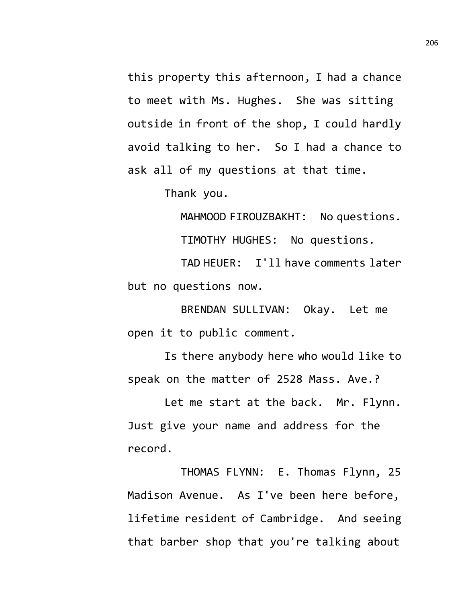this property this afternoon, I had a chance to meet with Ms. Hughes. She was sitting outside in front of the shop, I could hardly avoid talking to her. So I had a chance to ask all of my questions at that time.

Thank you.

MAHMOOD FIROUZBAKHT: No questions.

TIMOTHY HUGHES: No questions.

TAD HEUER: I'll have comments later but no questions now.

BRENDAN SULLIVAN: Okay. Let me open it to public comment.

Is there anybody here who would like to speak on the matter of 2528 Mass. Ave.?

Let me start at the back. Mr. Flynn. Just give your name and address for the record.

THOMAS FLYNN: E. Thomas Flynn, 25 Madison Avenue. As I've been here before, lifetime resident of Cambridge. And seeing that barber shop that you're talking about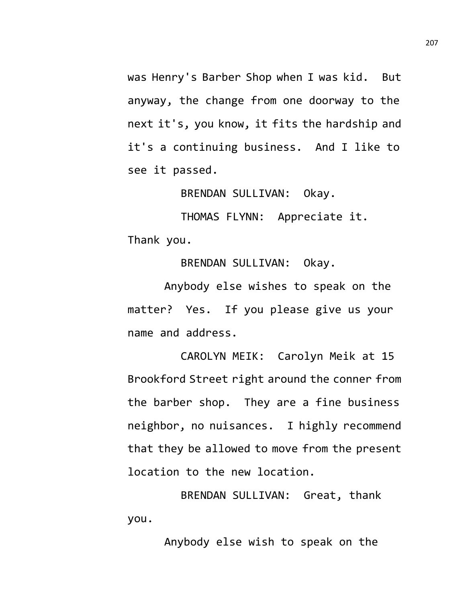was Henry's Barber Shop when I was kid. But anyway, the change from one doorway to the next it's, you know, it fits the hardship and it's a continuing business. And I like to see it passed.

BRENDAN SULLIVAN: Okay.

THOMAS FLYNN: Appreciate it. Thank you.

BRENDAN SULLIVAN: Okay.

Anybody else wishes to speak on the matter? Yes. If you please give us your name and address.

CAROLYN MEIK: Carolyn Meik at 15 Brookford Street right around the conner from the barber shop. They are a fine business neighbor, no nuisances. I highly recommend that they be allowed to move from the present location to the new location.

BRENDAN SULLIVAN: Great, thank you.

Anybody else wish to speak on the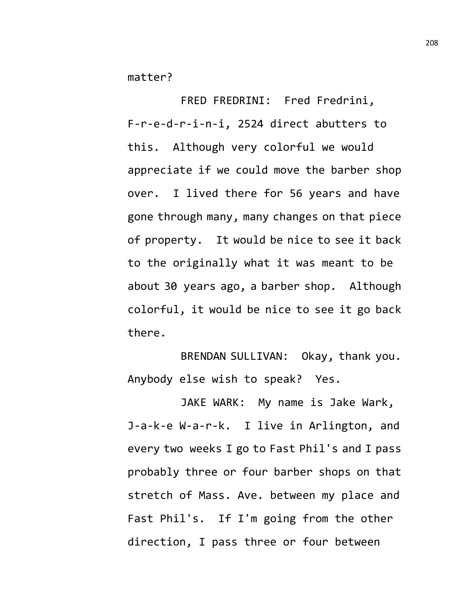matter?

FRED FREDRINI: Fred Fredrini, F-r-e-d-r-i-n-i, 2524 direct abutters to this. Although very colorful we would appreciate if we could move the barber shop over. I lived there for 56 years and have gone through many, many changes on that piece of property. It would be nice to see it back to the originally what it was meant to be about 30 years ago, a barber shop. Although colorful, it would be nice to see it go back there.

BRENDAN SULLIVAN: Okay, thank you. Anybody else wish to speak? Yes.

JAKE WARK: My name is Jake Wark, J-a-k-e W-a-r-k. I live in Arlington, and every two weeks I go to Fast Phil's and I pass probably three or four barber shops on that stretch of Mass. Ave. between my place and Fast Phil's. If I'm going from the other direction, I pass three or four between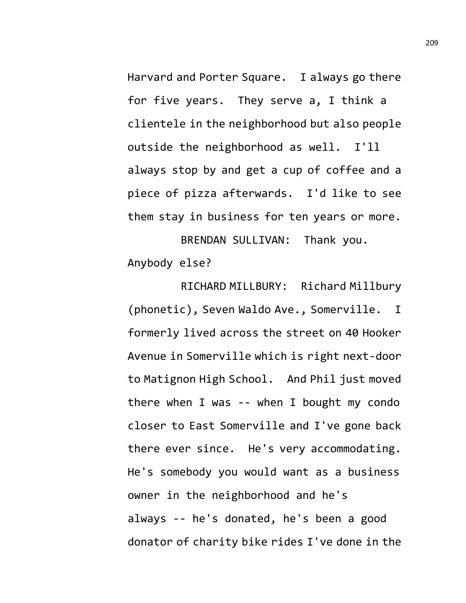Harvard and Porter Square. I always go there for five years. They serve a, I think a clientele in the neighborhood but also people outside the neighborhood as well. I'll always stop by and get a cup of coffee and a piece of pizza afterwards. I'd like to see them stay in business for ten years or more.

BRENDAN SULLIVAN: Thank you. Anybody else?

RICHARD MILLBURY: Richard Millbury (phonetic), Seven Waldo Ave., Somerville. I formerly lived across the street on 40 Hooker Avenue in Somerville which is right next-door to Matignon High School. And Phil just moved there when I was -- when I bought my condo closer to East Somerville and I've gone back there ever since. He's very accommodating. He's somebody you would want as a business owner in the neighborhood and he's always -- he's donated, he's been a good donator of charity bike rides I've done in the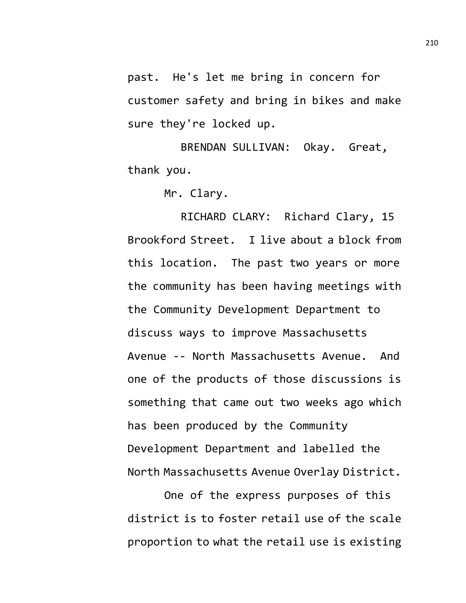past. He's let me bring in concern for customer safety and bring in bikes and make sure they're locked up.

BRENDAN SULLIVAN: Okay. Great, thank you.

Mr. Clary.

RICHARD CLARY: Richard Clary, 15 Brookford Street. I live about a block from this location. The past two years or more the community has been having meetings with the Community Development Department to discuss ways to improve Massachusetts Avenue -- North Massachusetts Avenue. And one of the products of those discussions is something that came out two weeks ago which has been produced by the Community Development Department and labelled the North Massachusetts Avenue Overlay District.

One of the express purposes of this district is to foster retail use of the scale proportion to what the retail use is existing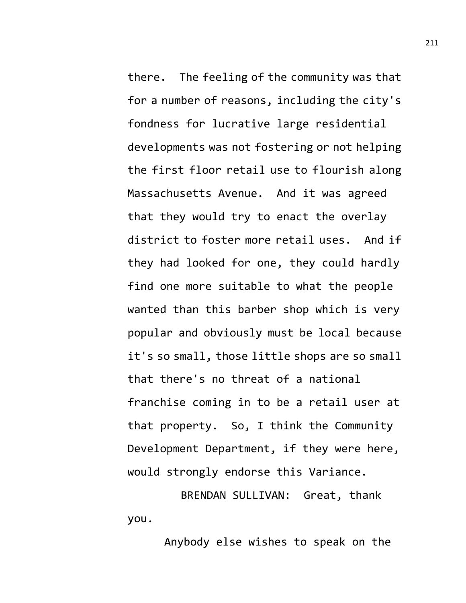there. The feeling of the community was that for a number of reasons, including the city's fondness for lucrative large residential developments was not fostering or not helping the first floor retail use to flourish along Massachusetts Avenue. And it was agreed that they would try to enact the overlay district to foster more retail uses. And if they had looked for one, they could hardly find one more suitable to what the people wanted than this barber shop which is very popular and obviously must be local because it's so small, those little shops are so small that there's no threat of a national franchise coming in to be a retail user at that property. So, I think the Community Development Department, if they were here, would strongly endorse this Variance.

BRENDAN SULLIVAN: Great, thank you.

Anybody else wishes to speak on the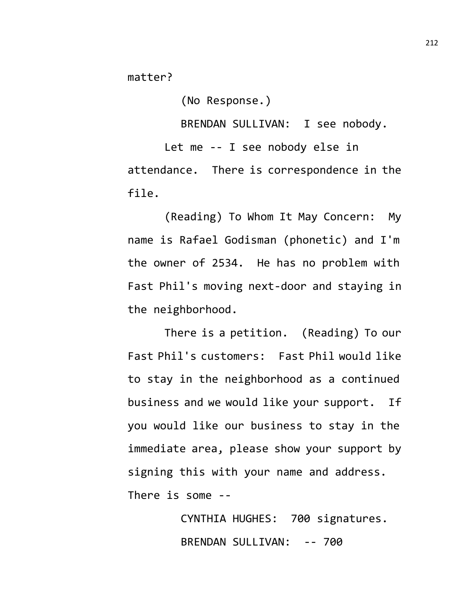matter?

(No Response.)

BRENDAN SULLIVAN: I see nobody.

Let me -- I see nobody else in attendance. There is correspondence in the file.

(Reading) To Whom It May Concern: My name is Rafael Godisman (phonetic) and I'm the owner of 2534. He has no problem with Fast Phil's moving next-door and staying in the neighborhood.

There is a petition. (Reading) To our Fast Phil's customers: Fast Phil would like to stay in the neighborhood as a continued business and we would like your support. If you would like our business to stay in the immediate area, please show your support by signing this with your name and address. There is some --

> CYNTHIA HUGHES: 700 signatures. BRENDAN SULLIVAN: -- 700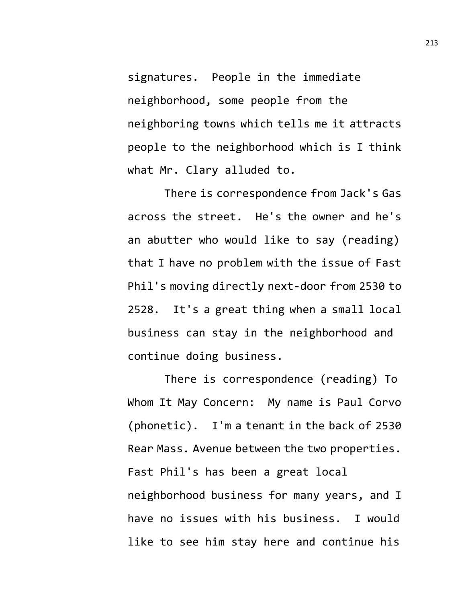signatures. People in the immediate neighborhood, some people from the neighboring towns which tells me it attracts people to the neighborhood which is I think what Mr. Clary alluded to.

There is correspondence from Jack's Gas across the street. He's the owner and he's an abutter who would like to say (reading) that I have no problem with the issue of Fast Phil's moving directly next-door from 2530 to 2528. It's a great thing when a small local business can stay in the neighborhood and continue doing business.

There is correspondence (reading) To Whom It May Concern: My name is Paul Corvo (phonetic). I'm a tenant in the back of 2530 Rear Mass. Avenue between the two properties. Fast Phil's has been a great local neighborhood business for many years, and I have no issues with his business. I would like to see him stay here and continue his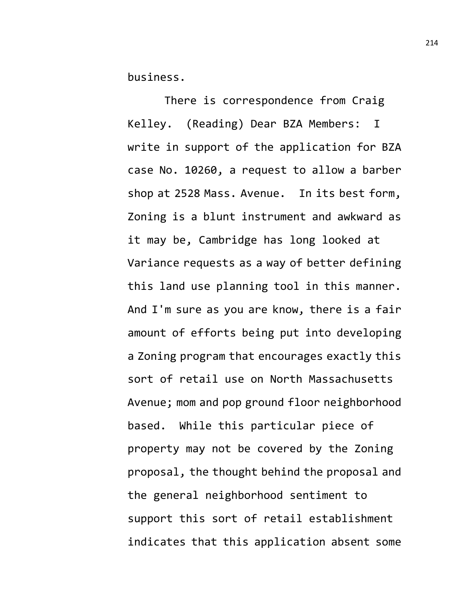business.

There is correspondence from Craig Kelley. (Reading) Dear BZA Members: I write in support of the application for BZA case No. 10260, a request to allow a barber shop at 2528 Mass. Avenue. In its best form, Zoning is a blunt instrument and awkward as it may be, Cambridge has long looked at Variance requests as a way of better defining this land use planning tool in this manner. And I'm sure as you are know, there is a fair amount of efforts being put into developing a Zoning program that encourages exactly this sort of retail use on North Massachusetts Avenue; mom and pop ground floor neighborhood based. While this particular piece of property may not be covered by the Zoning proposal, the thought behind the proposal and the general neighborhood sentiment to support this sort of retail establishment indicates that this application absent some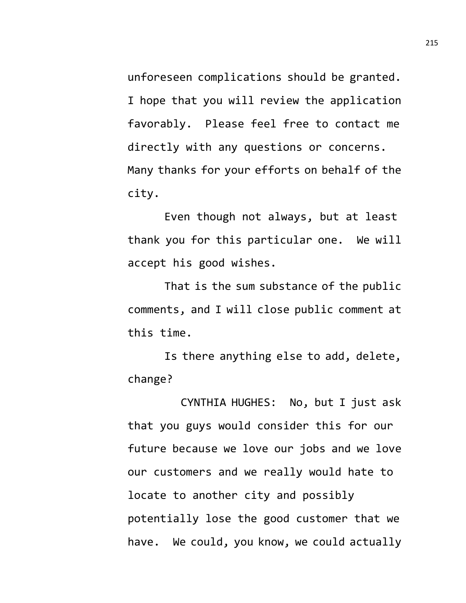unforeseen complications should be granted. I hope that you will review the application favorably. Please feel free to contact me directly with any questions or concerns. Many thanks for your efforts on behalf of the city.

Even though not always, but at least thank you for this particular one. We will accept his good wishes.

That is the sum substance of the public comments, and I will close public comment at this time.

Is there anything else to add, delete, change?

CYNTHIA HUGHES: No, but I just ask that you guys would consider this for our future because we love our jobs and we love our customers and we really would hate to locate to another city and possibly potentially lose the good customer that we have. We could, you know, we could actually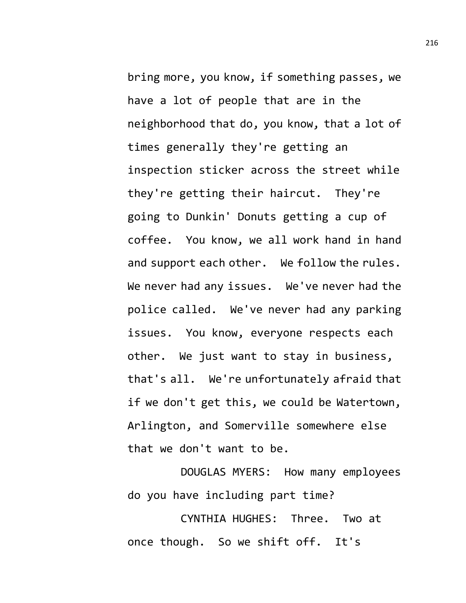bring more, you know, if something passes, we have a lot of people that are in the neighborhood that do, you know, that a lot of times generally they're getting an inspection sticker across the street while they're getting their haircut. They're going to Dunkin' Donuts getting a cup of coffee. You know, we all work hand in hand and support each other. We follow the rules. We never had any issues. We've never had the police called. We've never had any parking issues. You know, everyone respects each other. We just want to stay in business, that's all. We're unfortunately afraid that if we don't get this, we could be Watertown, Arlington, and Somerville somewhere else that we don't want to be.

DOUGLAS MYERS: How many employees do you have including part time?

CYNTHIA HUGHES: Three. Two at once though. So we shift off. It's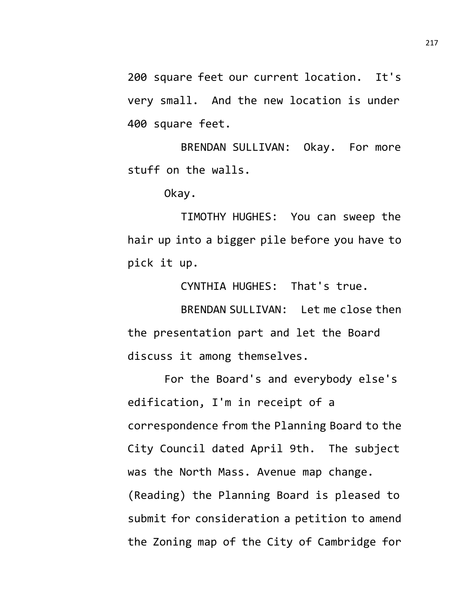200 square feet our current location. It's very small. And the new location is under 400 square feet.

BRENDAN SULLIVAN: Okay. For more stuff on the walls.

Okay.

TIMOTHY HUGHES: You can sweep the hair up into a bigger pile before you have to pick it up.

CYNTHIA HUGHES: That's true.

BRENDAN SULLIVAN: Let me close then the presentation part and let the Board discuss it among themselves.

For the Board's and everybody else's edification, I'm in receipt of a correspondence from the Planning Board to the City Council dated April 9th. The subject was the North Mass. Avenue map change. (Reading) the Planning Board is pleased to submit for consideration a petition to amend the Zoning map of the City of Cambridge for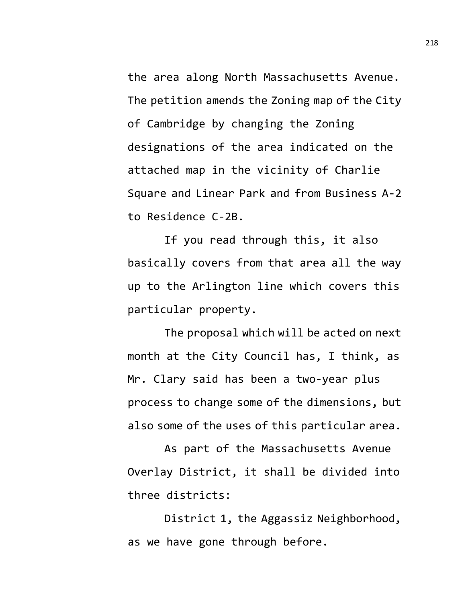the area along North Massachusetts Avenue. The petition amends the Zoning map of the City of Cambridge by changing the Zoning designations of the area indicated on the attached map in the vicinity of Charlie Square and Linear Park and from Business A-2 to Residence C-2B.

If you read through this, it also basically covers from that area all the way up to the Arlington line which covers this particular property.

The proposal which will be acted on next month at the City Council has, I think, as Mr. Clary said has been a two-year plus process to change some of the dimensions, but also some of the uses of this particular area.

As part of the Massachusetts Avenue Overlay District, it shall be divided into three districts:

District 1, the Aggassiz Neighborhood, as we have gone through before.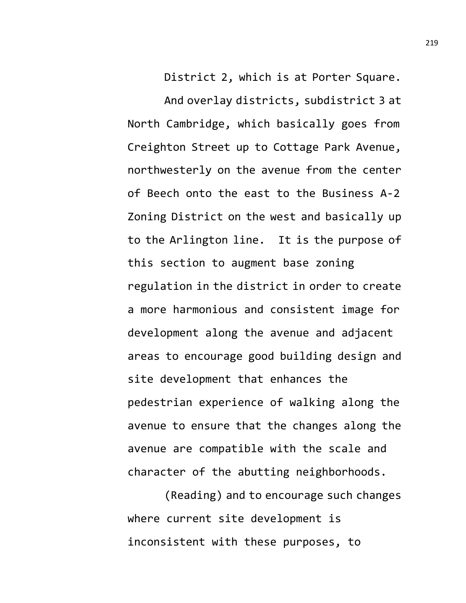District 2, which is at Porter Square.

And overlay districts, subdistrict 3 at North Cambridge, which basically goes from Creighton Street up to Cottage Park Avenue, northwesterly on the avenue from the center of Beech onto the east to the Business A-2 Zoning District on the west and basically up to the Arlington line. It is the purpose of this section to augment base zoning regulation in the district in order to create a more harmonious and consistent image for development along the avenue and adjacent areas to encourage good building design and site development that enhances the pedestrian experience of walking along the avenue to ensure that the changes along the avenue are compatible with the scale and character of the abutting neighborhoods.

(Reading) and to encourage such changes where current site development is inconsistent with these purposes, to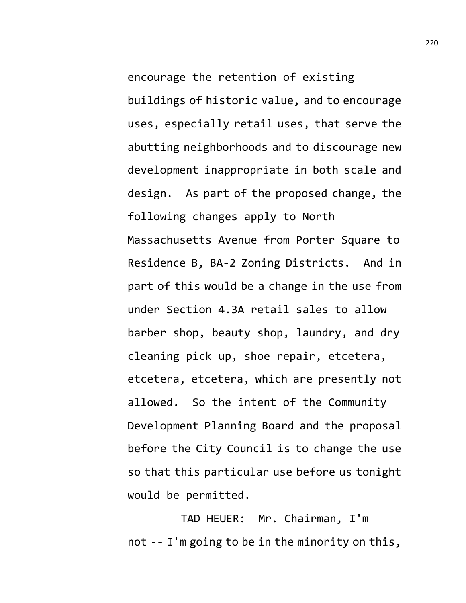encourage the retention of existing buildings of historic value, and to encourage uses, especially retail uses, that serve the abutting neighborhoods and to discourage new development inappropriate in both scale and design. As part of the proposed change, the following changes apply to North Massachusetts Avenue from Porter Square to Residence B, BA-2 Zoning Districts. And in part of this would be a change in the use from under Section 4.3A retail sales to allow barber shop, beauty shop, laundry, and dry cleaning pick up, shoe repair, etcetera, etcetera, etcetera, which are presently not allowed. So the intent of the Community Development Planning Board and the proposal before the City Council is to change the use so that this particular use before us tonight would be permitted.

TAD HEUER: Mr. Chairman, I'm not -- I'm going to be in the minority on this,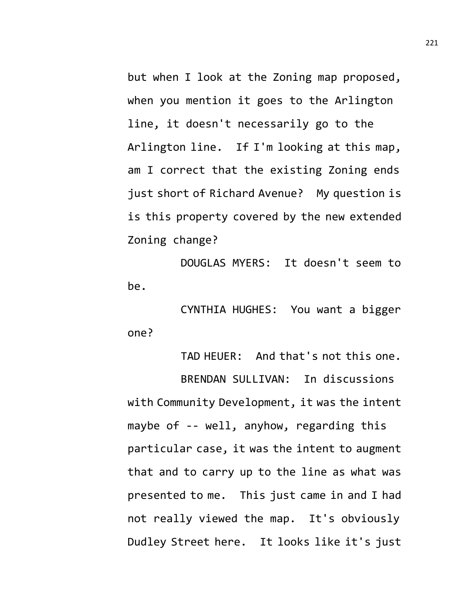but when I look at the Zoning map proposed, when you mention it goes to the Arlington line, it doesn't necessarily go to the Arlington line. If I'm looking at this map, am I correct that the existing Zoning ends just short of Richard Avenue? My question is is this property covered by the new extended Zoning change?

DOUGLAS MYERS: It doesn't seem to be.

CYNTHIA HUGHES: You want a bigger one?

TAD HEUER: And that's not this one. BRENDAN SULLIVAN: In discussions with Community Development, it was the intent maybe of -- well, anyhow, regarding this particular case, it was the intent to augment that and to carry up to the line as what was presented to me. This just came in and I had not really viewed the map. It's obviously Dudley Street here. It looks like it's just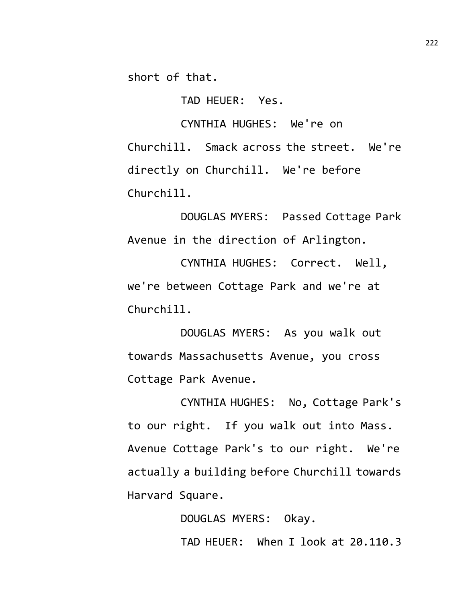short of that.

TAD HEUER: Yes.

CYNTHIA HUGHES: We're on Churchill. Smack across the street. We're directly on Churchill. We're before Churchill.

DOUGLAS MYERS: Passed Cottage Park Avenue in the direction of Arlington.

CYNTHIA HUGHES: Correct. Well, we're between Cottage Park and we're at Churchill.

DOUGLAS MYERS: As you walk out towards Massachusetts Avenue, you cross Cottage Park Avenue.

CYNTHIA HUGHES: No, Cottage Park's to our right. If you walk out into Mass. Avenue Cottage Park's to our right. We're actually a building before Churchill towards Harvard Square.

> DOUGLAS MYERS: Okay. TAD HEUER: When I look at 20.110.3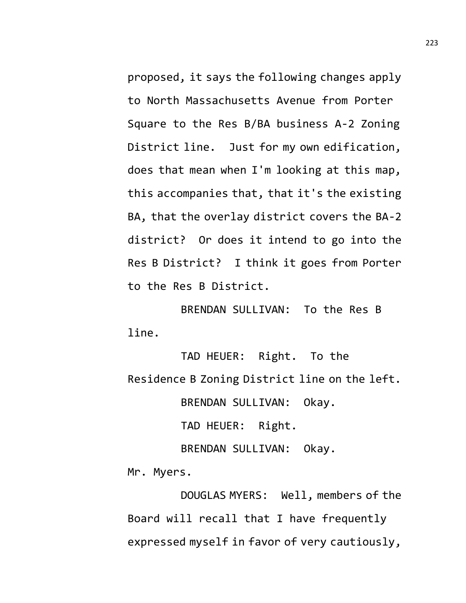proposed, it says the following changes apply to North Massachusetts Avenue from Porter Square to the Res B/BA business A-2 Zoning District line. Just for my own edification, does that mean when I'm looking at this map, this accompanies that, that it's the existing BA, that the overlay district covers the BA-2 district? Or does it intend to go into the Res B District? I think it goes from Porter to the Res B District.

BRENDAN SULLIVAN: To the Res B line.

TAD HEUER: Right. To the Residence B Zoning District line on the left. BRENDAN SULLIVAN: Okay. TAD HEUER: Right.

BRENDAN SULLIVAN: Okay. Mr. Myers.

DOUGLAS MYERS: Well, members of the Board will recall that I have frequently expressed myself in favor of very cautiously,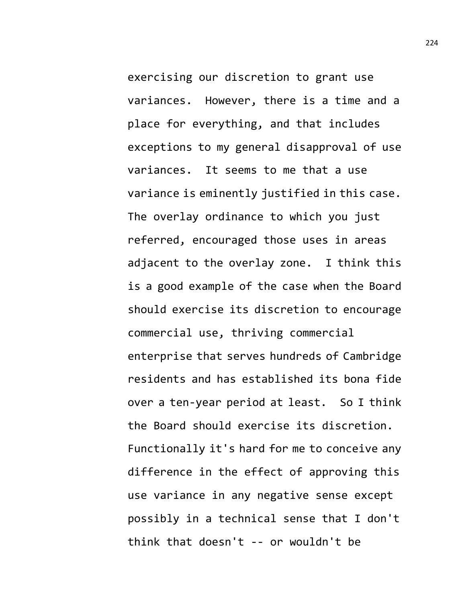exercising our discretion to grant use variances. However, there is a time and a place for everything, and that includes exceptions to my general disapproval of use variances. It seems to me that a use variance is eminently justified in this case. The overlay ordinance to which you just referred, encouraged those uses in areas adjacent to the overlay zone. I think this is a good example of the case when the Board should exercise its discretion to encourage commercial use, thriving commercial enterprise that serves hundreds of Cambridge residents and has established its bona fide over a ten-year period at least. So I think the Board should exercise its discretion. Functionally it's hard for me to conceive any difference in the effect of approving this use variance in any negative sense except possibly in a technical sense that I don't think that doesn't -- or wouldn't be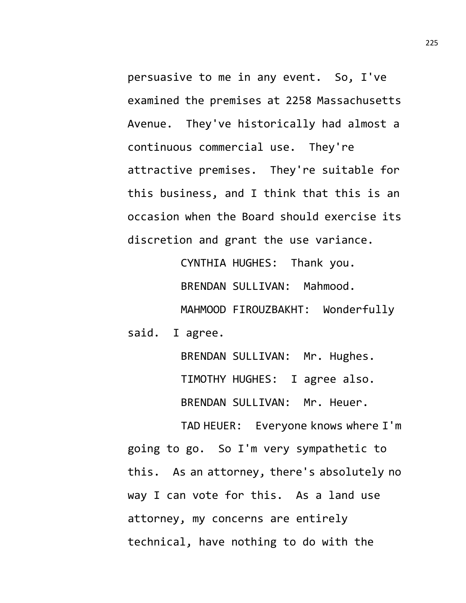persuasive to me in any event. So, I've examined the premises at 2258 Massachusetts Avenue. They've historically had almost a continuous commercial use. They're attractive premises. They're suitable for this business, and I think that this is an occasion when the Board should exercise its discretion and grant the use variance.

CYNTHIA HUGHES: Thank you. BRENDAN SULLIVAN: Mahmood. MAHMOOD FIROUZBAKHT: Wonderfully said. I agree.

> BRENDAN SULLIVAN: Mr. Hughes. TIMOTHY HUGHES: I agree also. BRENDAN SULLIVAN: Mr. Heuer.

TAD HEUER: Everyone knows where I'm going to go. So I'm very sympathetic to this. As an attorney, there's absolutely no way I can vote for this. As a land use attorney, my concerns are entirely technical, have nothing to do with the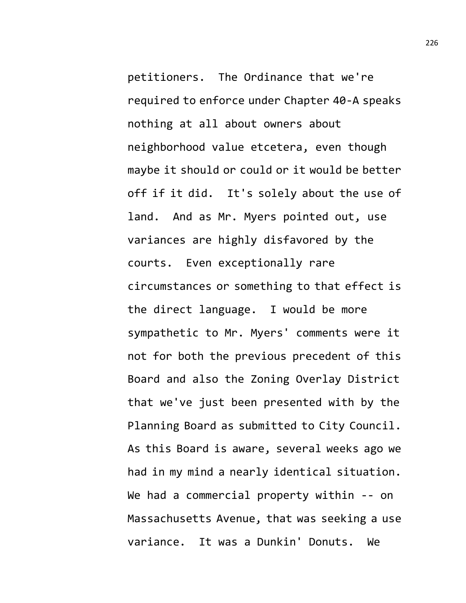petitioners. The Ordinance that we're required to enforce under Chapter 40-A speaks nothing at all about owners about neighborhood value etcetera, even though maybe it should or could or it would be better off if it did. It's solely about the use of land. And as Mr. Myers pointed out, use variances are highly disfavored by the courts. Even exceptionally rare circumstances or something to that effect is the direct language. I would be more sympathetic to Mr. Myers' comments were it not for both the previous precedent of this Board and also the Zoning Overlay District that we've just been presented with by the Planning Board as submitted to City Council. As this Board is aware, several weeks ago we had in my mind a nearly identical situation. We had a commercial property within -- on Massachusetts Avenue, that was seeking a use variance. It was a Dunkin' Donuts. We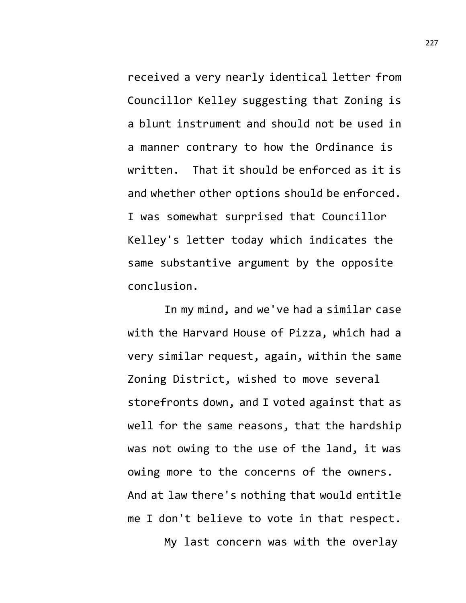received a very nearly identical letter from Councillor Kelley suggesting that Zoning is a blunt instrument and should not be used in a manner contrary to how the Ordinance is written. That it should be enforced as it is and whether other options should be enforced. I was somewhat surprised that Councillor Kelley's letter today which indicates the same substantive argument by the opposite conclusion.

In my mind, and we've had a similar case with the Harvard House of Pizza, which had a very similar request, again, within the same Zoning District, wished to move several storefronts down, and I voted against that as well for the same reasons, that the hardship was not owing to the use of the land, it was owing more to the concerns of the owners. And at law there's nothing that would entitle me I don't believe to vote in that respect. My last concern was with the overlay

227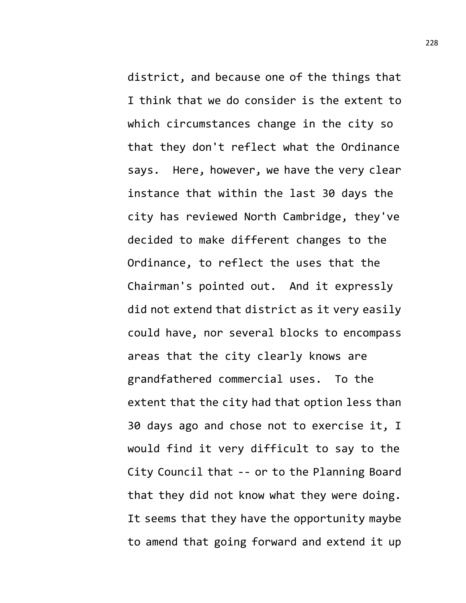district, and because one of the things that I think that we do consider is the extent to which circumstances change in the city so that they don't reflect what the Ordinance says. Here, however, we have the very clear instance that within the last 30 days the city has reviewed North Cambridge, they've decided to make different changes to the Ordinance, to reflect the uses that the Chairman's pointed out. And it expressly did not extend that district as it very easily could have, nor several blocks to encompass areas that the city clearly knows are grandfathered commercial uses. To the extent that the city had that option less than 30 days ago and chose not to exercise it, I would find it very difficult to say to the City Council that -- or to the Planning Board that they did not know what they were doing. It seems that they have the opportunity maybe to amend that going forward and extend it up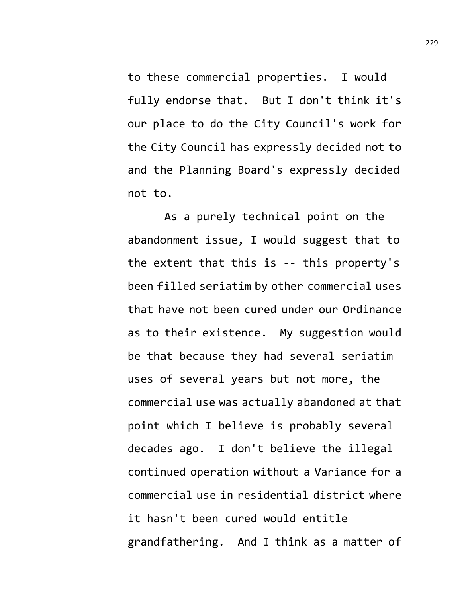to these commercial properties. I would fully endorse that. But I don't think it's our place to do the City Council's work for the City Council has expressly decided not to and the Planning Board's expressly decided not to.

As a purely technical point on the abandonment issue, I would suggest that to the extent that this is -- this property's been filled seriatim by other commercial uses that have not been cured under our Ordinance as to their existence. My suggestion would be that because they had several seriatim uses of several years but not more, the commercial use was actually abandoned at that point which I believe is probably several decades ago. I don't believe the illegal continued operation without a Variance for a commercial use in residential district where it hasn't been cured would entitle grandfathering. And I think as a matter of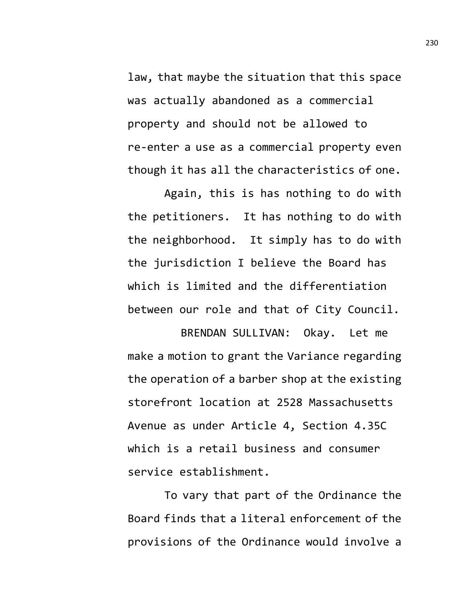law, that maybe the situation that this space was actually abandoned as a commercial property and should not be allowed to re-enter a use as a commercial property even though it has all the characteristics of one.

Again, this is has nothing to do with the petitioners. It has nothing to do with the neighborhood. It simply has to do with the jurisdiction I believe the Board has which is limited and the differentiation between our role and that of City Council.

BRENDAN SULLIVAN: Okay. Let me make a motion to grant the Variance regarding the operation of a barber shop at the existing storefront location at 2528 Massachusetts Avenue as under Article 4, Section 4.35C which is a retail business and consumer service establishment.

To vary that part of the Ordinance the Board finds that a literal enforcement of the provisions of the Ordinance would involve a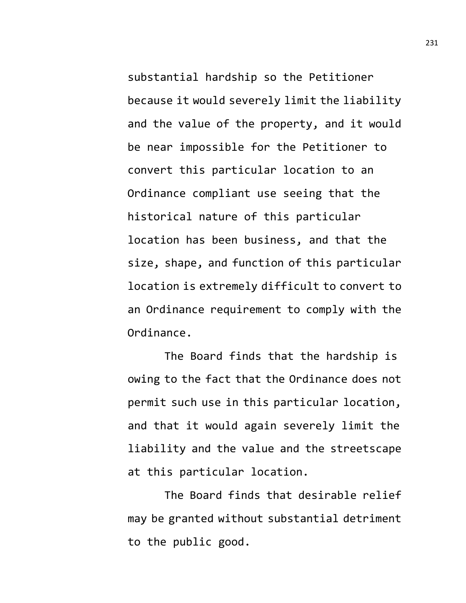substantial hardship so the Petitioner because it would severely limit the liability and the value of the property, and it would be near impossible for the Petitioner to convert this particular location to an Ordinance compliant use seeing that the historical nature of this particular location has been business, and that the size, shape, and function of this particular location is extremely difficult to convert to an Ordinance requirement to comply with the Ordinance.

The Board finds that the hardship is owing to the fact that the Ordinance does not permit such use in this particular location, and that it would again severely limit the liability and the value and the streetscape at this particular location.

The Board finds that desirable relief may be granted without substantial detriment to the public good.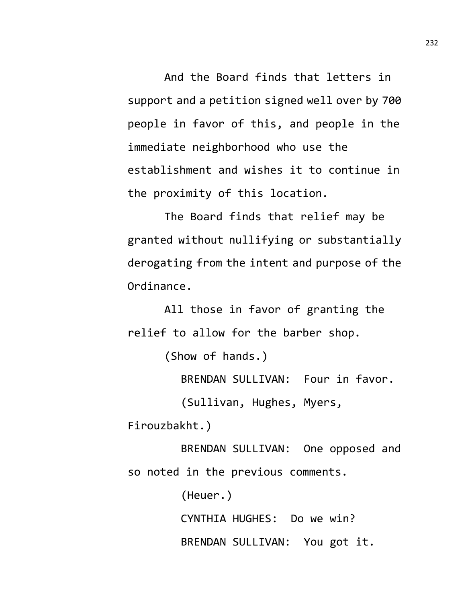And the Board finds that letters in support and a petition signed well over by 700 people in favor of this, and people in the immediate neighborhood who use the establishment and wishes it to continue in the proximity of this location.

The Board finds that relief may be granted without nullifying or substantially derogating from the intent and purpose of the Ordinance.

All those in favor of granting the relief to allow for the barber shop.

(Show of hands.)

BRENDAN SULLIVAN: Four in favor.

(Sullivan, Hughes, Myers,

Firouzbakht.)

BRENDAN SULLIVAN: One opposed and so noted in the previous comments.

(Heuer.)

CYNTHIA HUGHES: Do we win? BRENDAN SULLIVAN: You got it.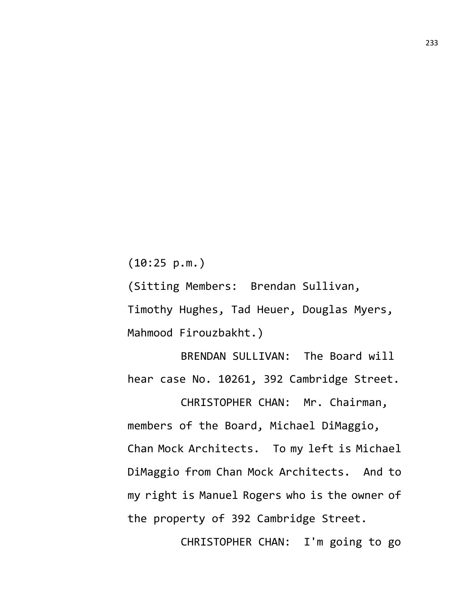(10:25 p.m.)

(Sitting Members: Brendan Sullivan, Timothy Hughes, Tad Heuer, Douglas Myers, Mahmood Firouzbakht.)

BRENDAN SULLIVAN: The Board will hear case No. 10261, 392 Cambridge Street.

CHRISTOPHER CHAN: Mr. Chairman, members of the Board, Michael DiMaggio, Chan Mock Architects. To my left is Michael DiMaggio from Chan Mock Architects. And to my right is Manuel Rogers who is the owner of the property of 392 Cambridge Street.

CHRISTOPHER CHAN: I'm going to go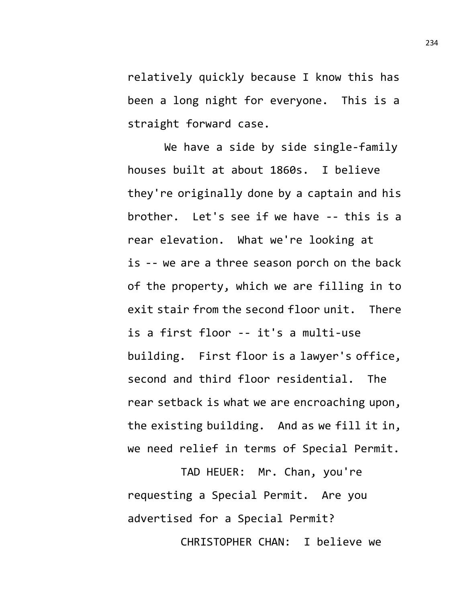relatively quickly because I know this has been a long night for everyone. This is a straight forward case.

We have a side by side single-family houses built at about 1860s. I believe they're originally done by a captain and his brother. Let's see if we have -- this is a rear elevation. What we're looking at is -- we are a three season porch on the back of the property, which we are filling in to exit stair from the second floor unit. There is a first floor -- it's a multi-use building. First floor is a lawyer's office, second and third floor residential. The rear setback is what we are encroaching upon, the existing building. And as we fill it in, we need relief in terms of Special Permit.

TAD HEUER: Mr. Chan, you're requesting a Special Permit. Are you advertised for a Special Permit? CHRISTOPHER CHAN: I believe we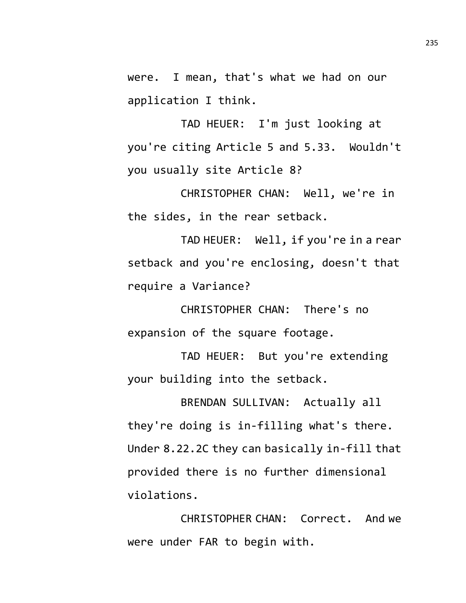were. I mean, that's what we had on our application I think.

TAD HEUER: I'm just looking at you're citing Article 5 and 5.33. Wouldn't you usually site Article 8?

CHRISTOPHER CHAN: Well, we're in the sides, in the rear setback.

TAD HEUER: Well, if you're in a rear setback and you're enclosing, doesn't that require a Variance?

CHRISTOPHER CHAN: There's no expansion of the square footage.

TAD HEUER: But you're extending your building into the setback.

BRENDAN SULLIVAN: Actually all they're doing is in-filling what's there. Under 8.22.2C they can basically in-fill that provided there is no further dimensional violations.

CHRISTOPHER CHAN: Correct. And we were under FAR to begin with.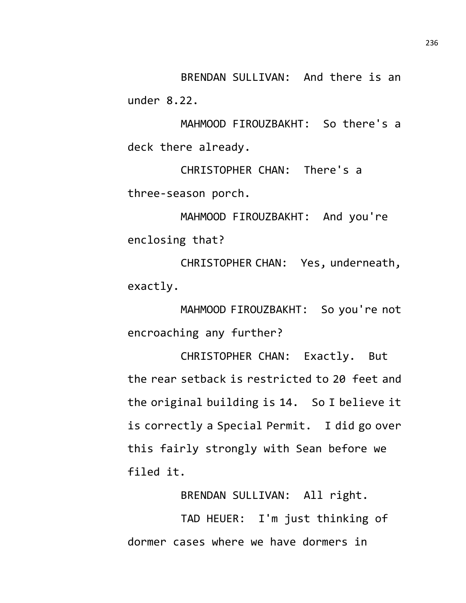BRENDAN SULLIVAN: And there is an under 8.22.

MAHMOOD FIROUZBAKHT: So there's a deck there already.

CHRISTOPHER CHAN: There's a three-season porch.

MAHMOOD FIROUZBAKHT: And you're enclosing that?

CHRISTOPHER CHAN: Yes, underneath, exactly.

MAHMOOD FIROUZBAKHT: So you're not encroaching any further?

CHRISTOPHER CHAN: Exactly. But the rear setback is restricted to 20 feet and the original building is 14. So I believe it is correctly a Special Permit. I did go over this fairly strongly with Sean before we filed it.

BRENDAN SULLIVAN: All right.

TAD HEUER: I'm just thinking of dormer cases where we have dormers in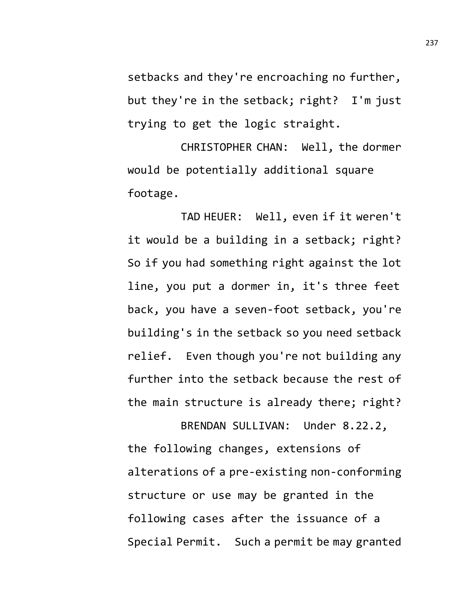setbacks and they're encroaching no further, but they're in the setback; right? I'm just trying to get the logic straight.

CHRISTOPHER CHAN: Well, the dormer would be potentially additional square footage.

TAD HEUER: Well, even if it weren't it would be a building in a setback; right? So if you had something right against the lot line, you put a dormer in, it's three feet back, you have a seven-foot setback, you're building's in the setback so you need setback relief. Even though you're not building any further into the setback because the rest of the main structure is already there; right?

BRENDAN SULLIVAN: Under 8.22.2, the following changes, extensions of alterations of a pre-existing non-conforming structure or use may be granted in the following cases after the issuance of a Special Permit. Such a permit be may granted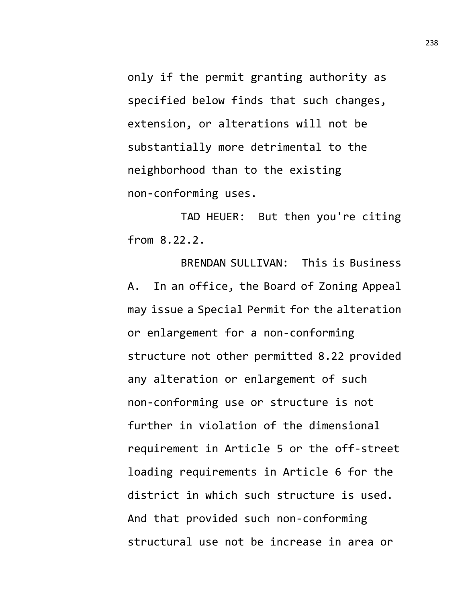only if the permit granting authority as specified below finds that such changes, extension, or alterations will not be substantially more detrimental to the neighborhood than to the existing non-conforming uses.

TAD HEUER: But then you're citing from 8.22.2.

BRENDAN SULLIVAN: This is Business A. In an office, the Board of Zoning Appeal may issue a Special Permit for the alteration or enlargement for a non-conforming structure not other permitted 8.22 provided any alteration or enlargement of such non-conforming use or structure is not further in violation of the dimensional requirement in Article 5 or the off-street loading requirements in Article 6 for the district in which such structure is used. And that provided such non-conforming structural use not be increase in area or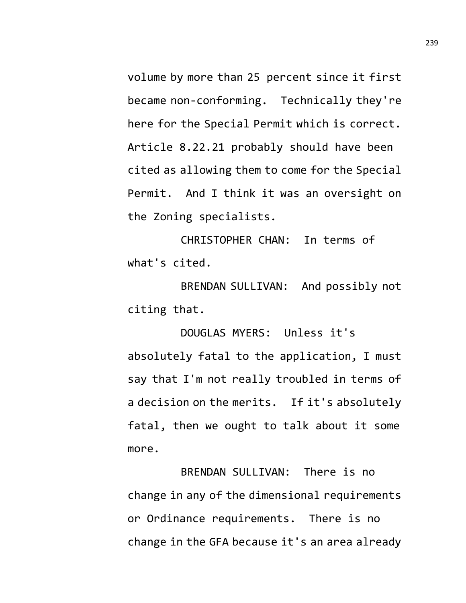volume by more than 25 percent since it first became non-conforming. Technically they're here for the Special Permit which is correct. Article 8.22.21 probably should have been cited as allowing them to come for the Special Permit. And I think it was an oversight on the Zoning specialists.

CHRISTOPHER CHAN: In terms of what's cited.

BRENDAN SULLIVAN: And possibly not citing that.

DOUGLAS MYERS: Unless it's absolutely fatal to the application, I must say that I'm not really troubled in terms of a decision on the merits. If it's absolutely fatal, then we ought to talk about it some more.

BRENDAN SULLIVAN: There is no change in any of the dimensional requirements or Ordinance requirements. There is no change in the GFA because it's an area already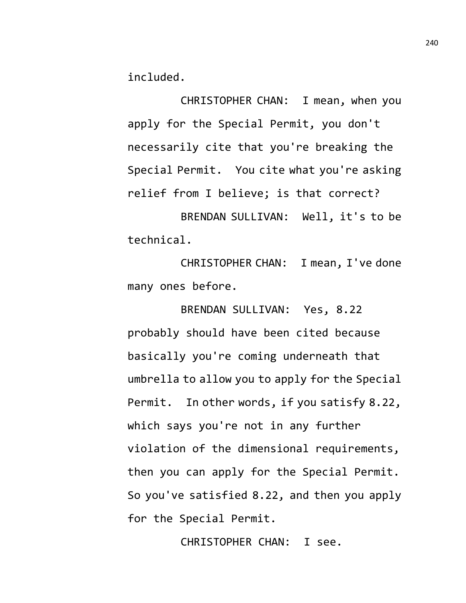included.

CHRISTOPHER CHAN: I mean, when you apply for the Special Permit, you don't necessarily cite that you're breaking the Special Permit. You cite what you're asking relief from I believe; is that correct?

BRENDAN SULLIVAN: Well, it's to be technical.

CHRISTOPHER CHAN: I mean, I've done many ones before.

BRENDAN SULLIVAN: Yes, 8.22 probably should have been cited because basically you're coming underneath that umbrella to allow you to apply for the Special Permit. In other words, if you satisfy 8.22, which says you're not in any further violation of the dimensional requirements, then you can apply for the Special Permit. So you've satisfied 8.22, and then you apply for the Special Permit.

CHRISTOPHER CHAN: I see.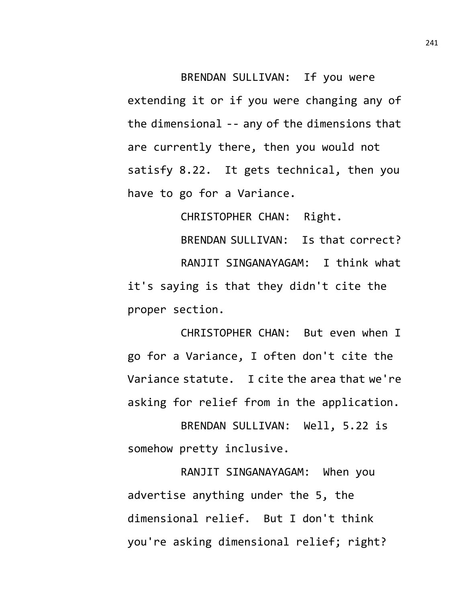BRENDAN SULLIVAN: If you were extending it or if you were changing any of the dimensional -- any of the dimensions that are currently there, then you would not satisfy 8.22. It gets technical, then you have to go for a Variance.

CHRISTOPHER CHAN: Right.

BRENDAN SULLIVAN: Is that correct? RANJIT SINGANAYAGAM: I think what it's saying is that they didn't cite the proper section.

CHRISTOPHER CHAN: But even when I go for a Variance, I often don't cite the Variance statute. I cite the area that we're asking for relief from in the application.

BRENDAN SULLIVAN: Well, 5.22 is somehow pretty inclusive.

RANJIT SINGANAYAGAM: When you advertise anything under the 5, the dimensional relief. But I don't think you're asking dimensional relief; right?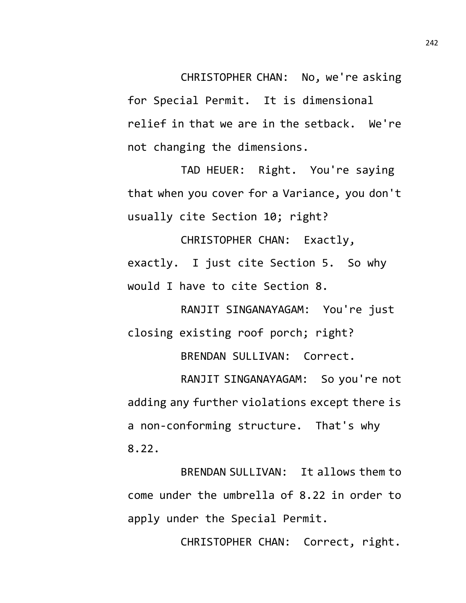CHRISTOPHER CHAN: No, we're asking for Special Permit. It is dimensional relief in that we are in the setback. We're not changing the dimensions.

TAD HEUER: Right. You're saying that when you cover for a Variance, you don't usually cite Section 10; right?

CHRISTOPHER CHAN: Exactly, exactly. I just cite Section 5. So why would I have to cite Section 8.

RANJIT SINGANAYAGAM: You're just closing existing roof porch; right? BRENDAN SULLIVAN: Correct.

RANJIT SINGANAYAGAM: So you're not adding any further violations except there is a non-conforming structure. That's why 8.22.

BRENDAN SULLIVAN: It allows them to come under the umbrella of 8.22 in order to apply under the Special Permit.

CHRISTOPHER CHAN: Correct, right.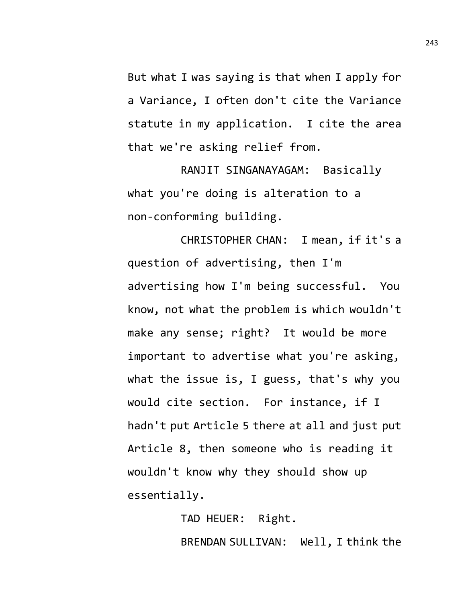But what I was saying is that when I apply for a Variance, I often don't cite the Variance statute in my application. I cite the area that we're asking relief from.

RANJIT SINGANAYAGAM: Basically what you're doing is alteration to a non-conforming building.

CHRISTOPHER CHAN: I mean, if it's a question of advertising, then I'm advertising how I'm being successful. You know, not what the problem is which wouldn't make any sense; right? It would be more important to advertise what you're asking, what the issue is, I guess, that's why you would cite section. For instance, if I hadn't put Article 5 there at all and just put Article 8, then someone who is reading it wouldn't know why they should show up essentially.

> TAD HEUER: Right. BRENDAN SULLIVAN: Well, I think the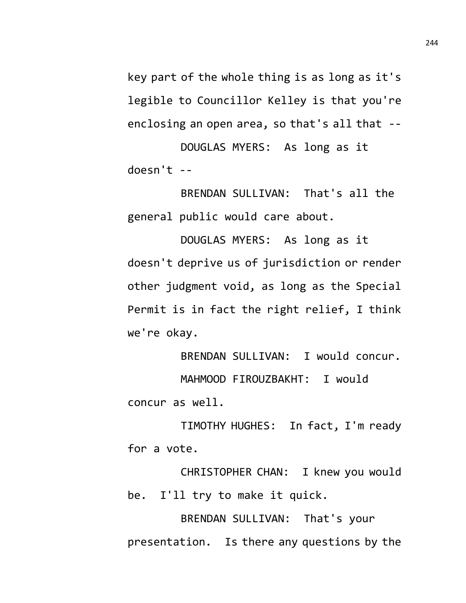key part of the whole thing is as long as it's legible to Councillor Kelley is that you're enclosing an open area, so that's all that --

DOUGLAS MYERS: As long as it doesn't --

BRENDAN SULLIVAN: That's all the general public would care about.

DOUGLAS MYERS: As long as it doesn't deprive us of jurisdiction or render other judgment void, as long as the Special Permit is in fact the right relief, I think we're okay.

BRENDAN SULLIVAN: I would concur. MAHMOOD FIROUZBAKHT: I would concur as well.

TIMOTHY HUGHES: In fact, I'm ready for a vote.

CHRISTOPHER CHAN: I knew you would be. I'll try to make it quick.

BRENDAN SULLIVAN: That's your presentation. Is there any questions by the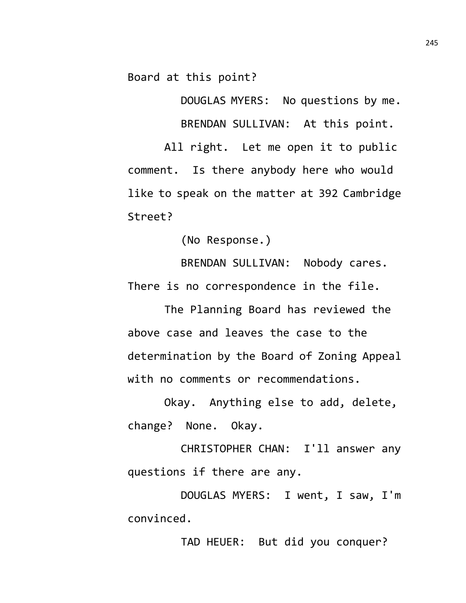Board at this point?

DOUGLAS MYERS: No questions by me. BRENDAN SULLIVAN: At this point.

All right. Let me open it to public comment. Is there anybody here who would like to speak on the matter at 392 Cambridge Street?

(No Response.)

BRENDAN SULLIVAN: Nobody cares. There is no correspondence in the file.

The Planning Board has reviewed the above case and leaves the case to the determination by the Board of Zoning Appeal with no comments or recommendations.

Okay. Anything else to add, delete, change? None. Okay.

CHRISTOPHER CHAN: I'll answer any questions if there are any.

DOUGLAS MYERS: I went, I saw, I'm convinced.

TAD HEUER: But did you conquer?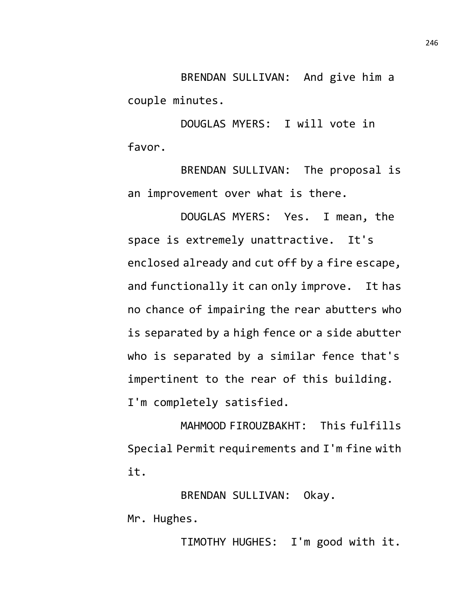BRENDAN SULLIVAN: And give him a couple minutes.

DOUGLAS MYERS: I will vote in favor.

BRENDAN SULLIVAN: The proposal is an improvement over what is there.

DOUGLAS MYERS: Yes. I mean, the space is extremely unattractive. It's enclosed already and cut off by a fire escape, and functionally it can only improve. It has no chance of impairing the rear abutters who is separated by a high fence or a side abutter who is separated by a similar fence that's impertinent to the rear of this building. I'm completely satisfied.

MAHMOOD FIROUZBAKHT: This fulfills Special Permit requirements and I'm fine with it.

BRENDAN SULLIVAN: Okay.

Mr. Hughes.

TIMOTHY HUGHES: I'm good with it.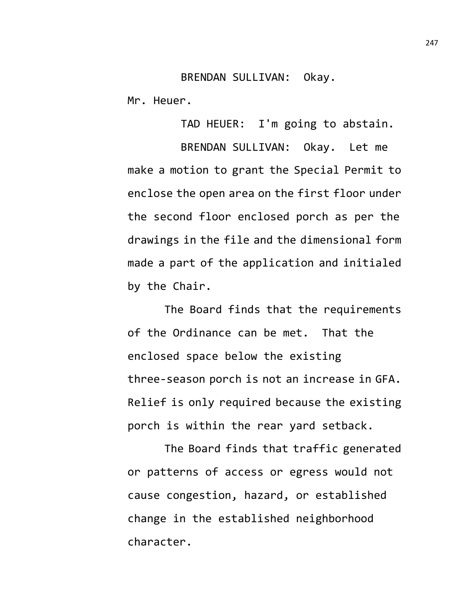## BRENDAN SULLIVAN: Okay.

Mr. Heuer.

TAD HEUER: I'm going to abstain.

BRENDAN SULLIVAN: Okay. Let me make a motion to grant the Special Permit to enclose the open area on the first floor under the second floor enclosed porch as per the drawings in the file and the dimensional form made a part of the application and initialed by the Chair.

The Board finds that the requirements of the Ordinance can be met. That the enclosed space below the existing three-season porch is not an increase in GFA. Relief is only required because the existing porch is within the rear yard setback.

The Board finds that traffic generated or patterns of access or egress would not cause congestion, hazard, or established change in the established neighborhood character.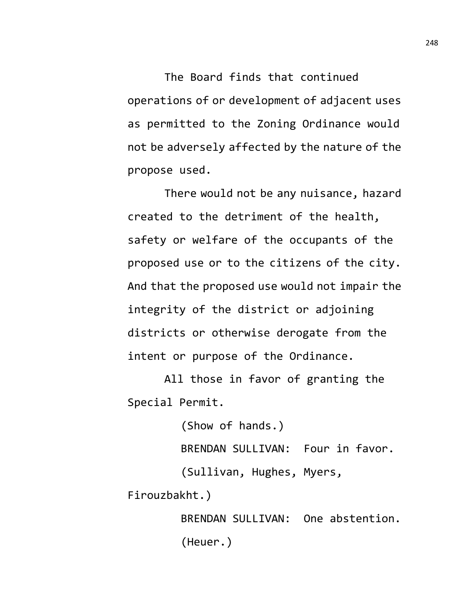The Board finds that continued operations of or development of adjacent uses as permitted to the Zoning Ordinance would not be adversely affected by the nature of the propose used.

There would not be any nuisance, hazard created to the detriment of the health, safety or welfare of the occupants of the proposed use or to the citizens of the city. And that the proposed use would not impair the integrity of the district or adjoining districts or otherwise derogate from the intent or purpose of the Ordinance.

All those in favor of granting the Special Permit.

> (Show of hands.) BRENDAN SULLIVAN: Four in favor. (Sullivan, Hughes, Myers,

Firouzbakht.)

BRENDAN SULLIVAN: One abstention. (Heuer.)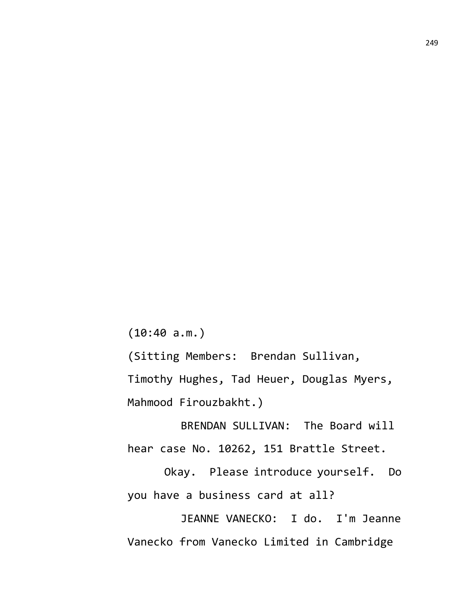(10:40 a.m.)

(Sitting Members: Brendan Sullivan, Timothy Hughes, Tad Heuer, Douglas Myers, Mahmood Firouzbakht.)

BRENDAN SULLIVAN: The Board will hear case No. 10262, 151 Brattle Street.

Okay. Please introduce yourself. Do you have a business card at all?

JEANNE VANECKO: I do. I'm Jeanne Vanecko from Vanecko Limited in Cambridge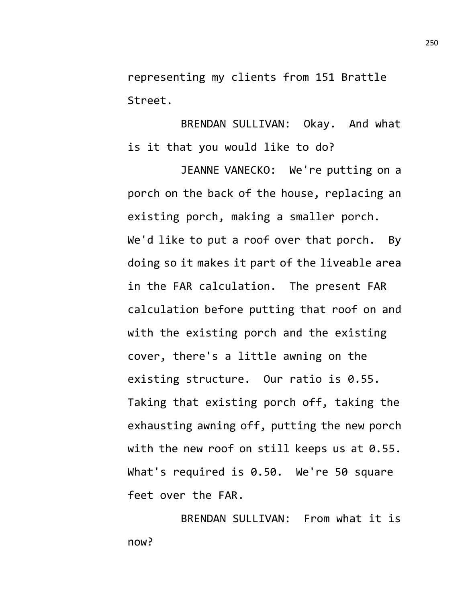representing my clients from 151 Brattle Street.

BRENDAN SULLIVAN: Okay. And what is it that you would like to do?

JEANNE VANECKO: We're putting on a porch on the back of the house, replacing an existing porch, making a smaller porch. We'd like to put a roof over that porch. By doing so it makes it part of the liveable area in the FAR calculation. The present FAR calculation before putting that roof on and with the existing porch and the existing cover, there's a little awning on the existing structure. Our ratio is 0.55. Taking that existing porch off, taking the exhausting awning off, putting the new porch with the new roof on still keeps us at 0.55. What's required is 0.50. We're 50 square feet over the FAR.

BRENDAN SULLIVAN: From what it is now?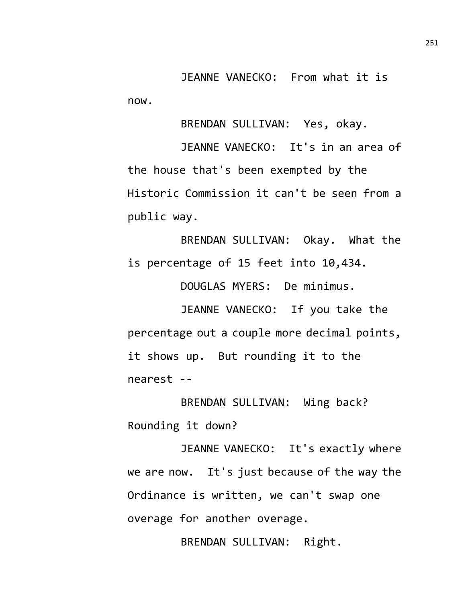JEANNE VANECKO: From what it is now.

BRENDAN SULLIVAN: Yes, okay.

JEANNE VANECKO: It's in an area of the house that's been exempted by the Historic Commission it can't be seen from a public way.

BRENDAN SULLIVAN: Okay. What the is percentage of 15 feet into 10,434.

DOUGLAS MYERS: De minimus.

JEANNE VANECKO: If you take the percentage out a couple more decimal points, it shows up. But rounding it to the nearest --

BRENDAN SULLIVAN: Wing back? Rounding it down?

JEANNE VANECKO: It's exactly where we are now. It's just because of the way the Ordinance is written, we can't swap one overage for another overage.

BRENDAN SULLIVAN: Right.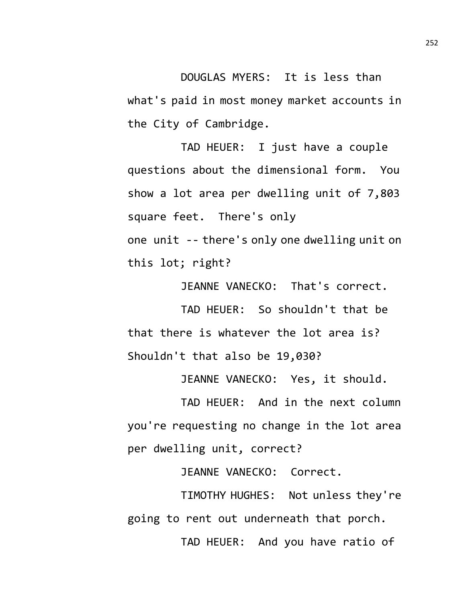DOUGLAS MYERS: It is less than what's paid in most money market accounts in the City of Cambridge.

TAD HEUER: I just have a couple questions about the dimensional form. You show a lot area per dwelling unit of 7,803 square feet. There's only one unit -- there's only one dwelling unit on this lot; right?

JEANNE VANECKO: That's correct.

TAD HEUER: So shouldn't that be that there is whatever the lot area is? Shouldn't that also be 19,030?

JEANNE VANECKO: Yes, it should.

TAD HEUER: And in the next column you're requesting no change in the lot area per dwelling unit, correct?

JEANNE VANECKO: Correct.

TIMOTHY HUGHES: Not unless they're going to rent out underneath that porch.

TAD HEUER: And you have ratio of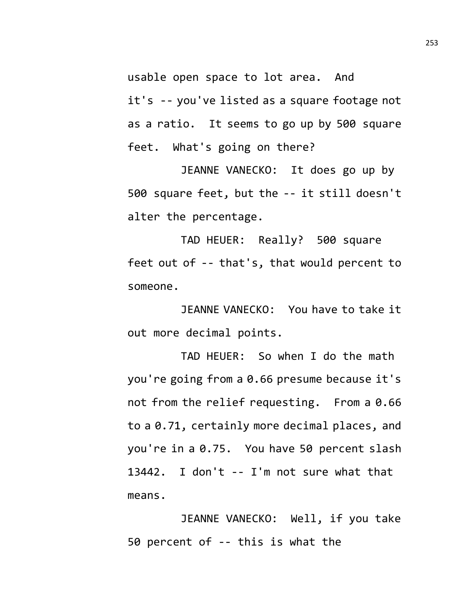usable open space to lot area. And it's -- you've listed as a square footage not as a ratio. It seems to go up by 500 square feet. What's going on there?

JEANNE VANECKO: It does go up by 500 square feet, but the -- it still doesn't alter the percentage.

TAD HEUER: Really? 500 square feet out of -- that's, that would percent to someone.

JEANNE VANECKO: You have to take it out more decimal points.

TAD HEUER: So when I do the math you're going from a 0.66 presume because it's not from the relief requesting. From a 0.66 to a 0.71, certainly more decimal places, and you're in a 0.75. You have 50 percent slash 13442. I don't -- I'm not sure what that means.

JEANNE VANECKO: Well, if you take 50 percent of -- this is what the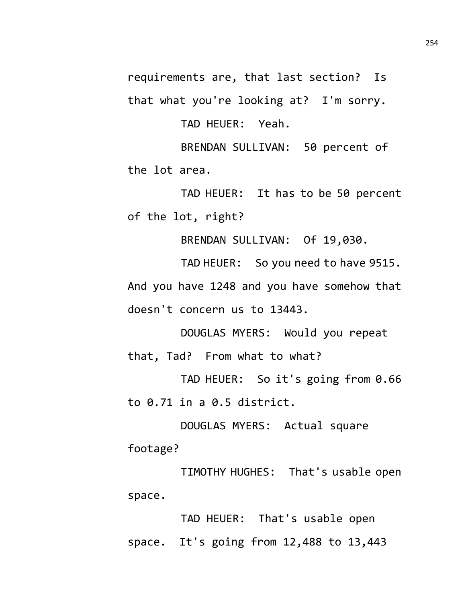requirements are, that last section? Is that what you're looking at? I'm sorry.

TAD HEUER: Yeah.

BRENDAN SULLIVAN: 50 percent of the lot area.

TAD HEUER: It has to be 50 percent of the lot, right?

BRENDAN SULLIVAN: Of 19,030.

TAD HEUER: So you need to have 9515. And you have 1248 and you have somehow that doesn't concern us to 13443.

DOUGLAS MYERS: Would you repeat that, Tad? From what to what?

TAD HEUER: So it's going from 0.66 to 0.71 in a 0.5 district.

DOUGLAS MYERS: Actual square footage?

TIMOTHY HUGHES: That's usable open space.

TAD HEUER: That's usable open space. It's going from 12,488 to 13,443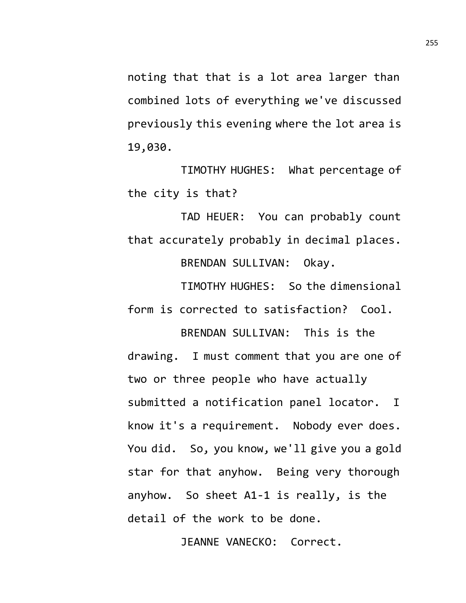noting that that is a lot area larger than combined lots of everything we've discussed previously this evening where the lot area is 19,030.

TIMOTHY HUGHES: What percentage of the city is that?

TAD HEUER: You can probably count that accurately probably in decimal places. BRENDAN SULLIVAN: Okay.

TIMOTHY HUGHES: So the dimensional form is corrected to satisfaction? Cool.

BRENDAN SULLIVAN: This is the drawing. I must comment that you are one of two or three people who have actually submitted a notification panel locator. I know it's a requirement. Nobody ever does. You did. So, you know, we'll give you a gold star for that anyhow. Being very thorough anyhow. So sheet A1-1 is really, is the detail of the work to be done.

JEANNE VANECKO: Correct.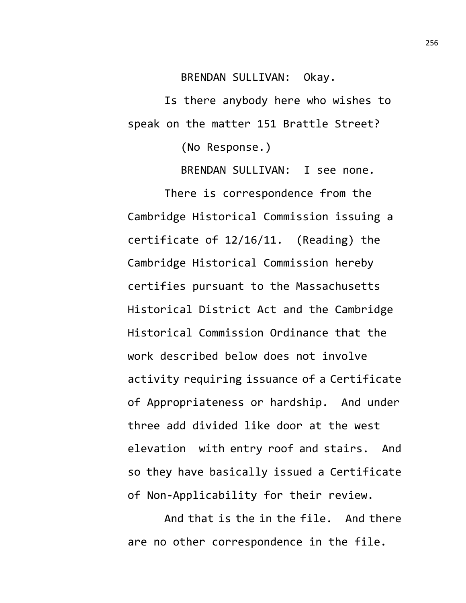BRENDAN SULLIVAN: Okay.

Is there anybody here who wishes to speak on the matter 151 Brattle Street?

(No Response.)

BRENDAN SULLIVAN: I see none.

There is correspondence from the Cambridge Historical Commission issuing a certificate of 12/16/11. (Reading) the Cambridge Historical Commission hereby certifies pursuant to the Massachusetts Historical District Act and the Cambridge Historical Commission Ordinance that the work described below does not involve activity requiring issuance of a Certificate of Appropriateness or hardship. And under three add divided like door at the west elevation with entry roof and stairs. And so they have basically issued a Certificate of Non-Applicability for their review.

And that is the in the file. And there are no other correspondence in the file.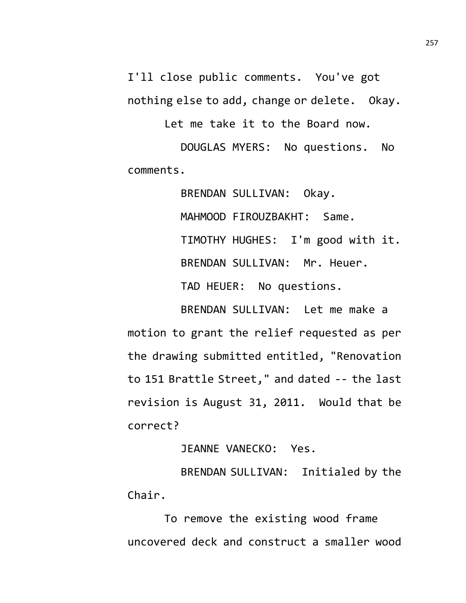I'll close public comments. You've got nothing else to add, change or delete. Okay.

Let me take it to the Board now.

DOUGLAS MYERS: No questions. No comments.

> BRENDAN SULLIVAN: Okay. MAHMOOD FIROUZBAKHT: Same. TIMOTHY HUGHES: I'm good with it. BRENDAN SULLIVAN: Mr. Heuer. TAD HEUER: No questions.

BRENDAN SULLIVAN: Let me make a motion to grant the relief requested as per the drawing submitted entitled, "Renovation to 151 Brattle Street," and dated -- the last revision is August 31, 2011. Would that be correct?

JEANNE VANECKO: Yes.

BRENDAN SULLIVAN: Initialed by the Chair.

To remove the existing wood frame uncovered deck and construct a smaller wood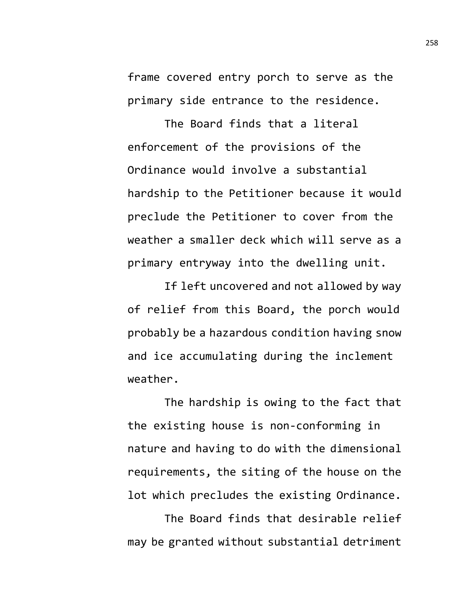frame covered entry porch to serve as the primary side entrance to the residence.

The Board finds that a literal enforcement of the provisions of the Ordinance would involve a substantial hardship to the Petitioner because it would preclude the Petitioner to cover from the weather a smaller deck which will serve as a primary entryway into the dwelling unit.

If left uncovered and not allowed by way of relief from this Board, the porch would probably be a hazardous condition having snow and ice accumulating during the inclement weather.

The hardship is owing to the fact that the existing house is non-conforming in nature and having to do with the dimensional requirements, the siting of the house on the lot which precludes the existing Ordinance.

The Board finds that desirable relief may be granted without substantial detriment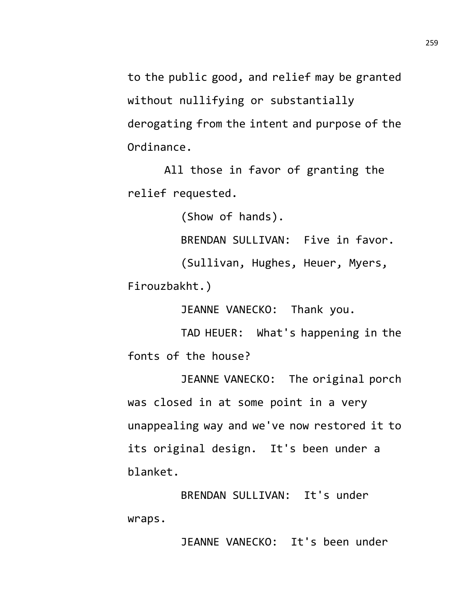to the public good, and relief may be granted without nullifying or substantially derogating from the intent and purpose of the Ordinance.

All those in favor of granting the relief requested.

(Show of hands).

BRENDAN SULLIVAN: Five in favor.

(Sullivan, Hughes, Heuer, Myers, Firouzbakht.)

JEANNE VANECKO: Thank you.

TAD HEUER: What's happening in the fonts of the house?

JEANNE VANECKO: The original porch was closed in at some point in a very unappealing way and we've now restored it to its original design. It's been under a blanket.

BRENDAN SULLIVAN: It's under wraps.

JEANNE VANECKO: It's been under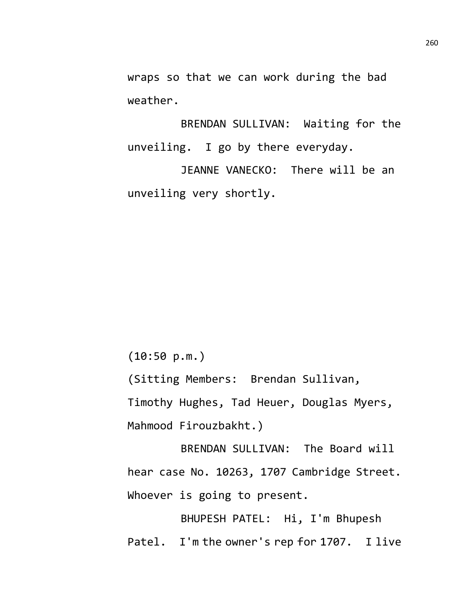wraps so that we can work during the bad weather.

BRENDAN SULLIVAN: Waiting for the unveiling. I go by there everyday.

JEANNE VANECKO: There will be an unveiling very shortly.

(10:50 p.m.)

(Sitting Members: Brendan Sullivan, Timothy Hughes, Tad Heuer, Douglas Myers, Mahmood Firouzbakht.)

BRENDAN SULLIVAN: The Board will hear case No. 10263, 1707 Cambridge Street. Whoever is going to present.

BHUPESH PATEL: Hi, I'm Bhupesh Patel. I'm the owner's rep for 1707. I live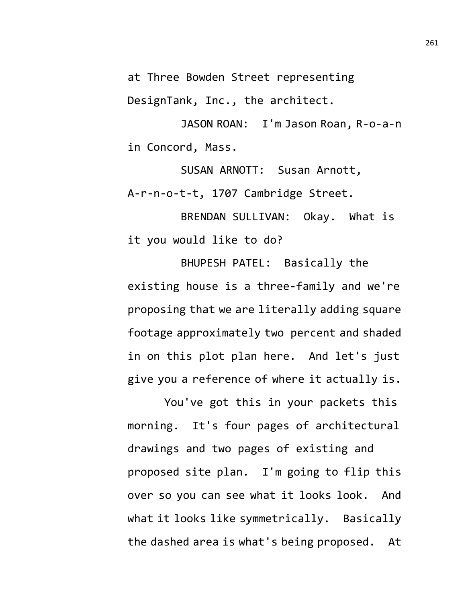at Three Bowden Street representing DesignTank, Inc., the architect.

JASON ROAN: I'm Jason Roan, R-o-a-n in Concord, Mass.

SUSAN ARNOTT: Susan Arnott, A-r-n-o-t-t, 1707 Cambridge Street.

BRENDAN SULLIVAN: Okay. What is it you would like to do?

BHUPESH PATEL: Basically the existing house is a three-family and we're proposing that we are literally adding square footage approximately two percent and shaded in on this plot plan here. And let's just give you a reference of where it actually is.

You've got this in your packets this morning. It's four pages of architectural drawings and two pages of existing and proposed site plan. I'm going to flip this over so you can see what it looks look. And what it looks like symmetrically. Basically the dashed area is what's being proposed. At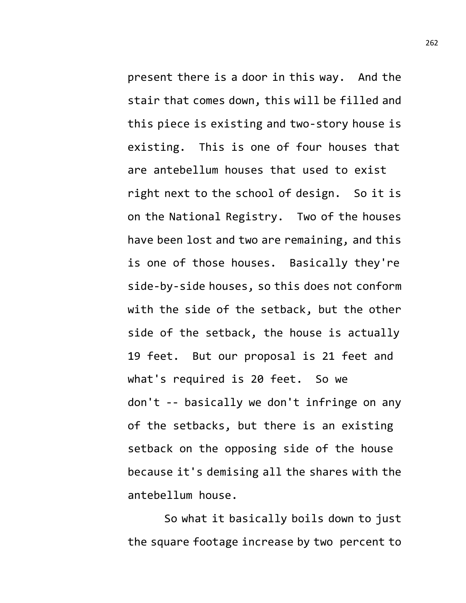present there is a door in this way. And the stair that comes down, this will be filled and this piece is existing and two-story house is existing. This is one of four houses that are antebellum houses that used to exist right next to the school of design. So it is on the National Registry. Two of the houses have been lost and two are remaining, and this is one of those houses. Basically they're side-by-side houses, so this does not conform with the side of the setback, but the other side of the setback, the house is actually 19 feet. But our proposal is 21 feet and what's required is 20 feet. So we don't -- basically we don't infringe on any of the setbacks, but there is an existing setback on the opposing side of the house because it's demising all the shares with the antebellum house.

So what it basically boils down to just the square footage increase by two percent to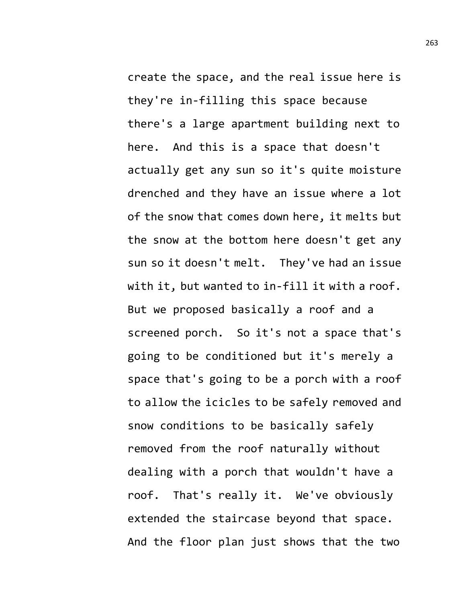create the space, and the real issue here is they're in-filling this space because there's a large apartment building next to here. And this is a space that doesn't actually get any sun so it's quite moisture drenched and they have an issue where a lot of the snow that comes down here, it melts but the snow at the bottom here doesn't get any sun so it doesn't melt. They've had an issue with it, but wanted to in-fill it with a roof. But we proposed basically a roof and a screened porch. So it's not a space that's going to be conditioned but it's merely a space that's going to be a porch with a roof to allow the icicles to be safely removed and snow conditions to be basically safely removed from the roof naturally without dealing with a porch that wouldn't have a roof. That's really it. We've obviously extended the staircase beyond that space. And the floor plan just shows that the two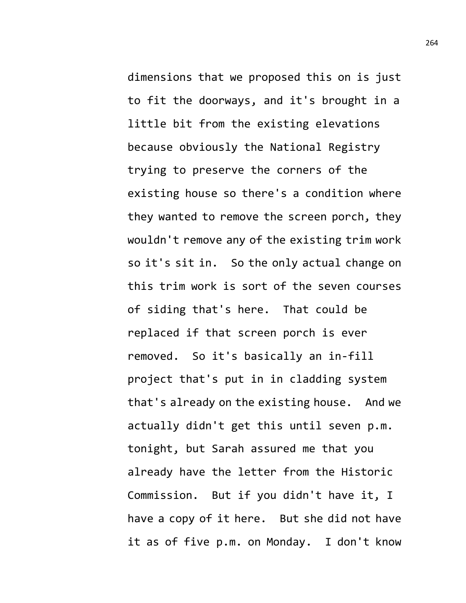dimensions that we proposed this on is just to fit the doorways, and it's brought in a little bit from the existing elevations because obviously the National Registry trying to preserve the corners of the existing house so there's a condition where they wanted to remove the screen porch, they wouldn't remove any of the existing trim work so it's sit in. So the only actual change on this trim work is sort of the seven courses of siding that's here. That could be replaced if that screen porch is ever removed. So it's basically an in-fill project that's put in in cladding system that's already on the existing house. And we actually didn't get this until seven p.m. tonight, but Sarah assured me that you already have the letter from the Historic Commission. But if you didn't have it, I have a copy of it here. But she did not have it as of five p.m. on Monday. I don't know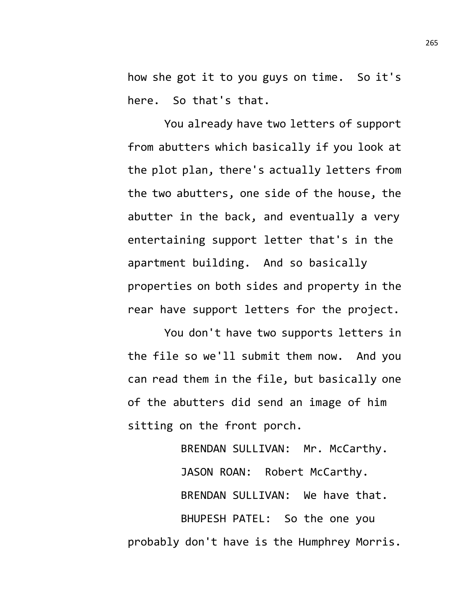how she got it to you guys on time. So it's here. So that's that.

You already have two letters of support from abutters which basically if you look at the plot plan, there's actually letters from the two abutters, one side of the house, the abutter in the back, and eventually a very entertaining support letter that's in the apartment building. And so basically properties on both sides and property in the rear have support letters for the project.

You don't have two supports letters in the file so we'll submit them now. And you can read them in the file, but basically one of the abutters did send an image of him sitting on the front porch.

BRENDAN SULLIVAN: Mr. McCarthy. JASON ROAN: Robert McCarthy. BRENDAN SULLIVAN: We have that. BHUPESH PATEL: So the one you probably don't have is the Humphrey Morris.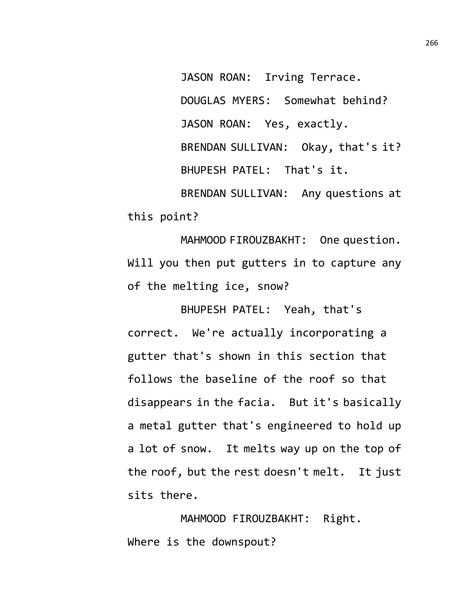JASON ROAN: Irving Terrace. DOUGLAS MYERS: Somewhat behind? JASON ROAN: Yes, exactly. BRENDAN SULLIVAN: Okay, that's it? BHUPESH PATEL: That's it. BRENDAN SULLIVAN: Any questions at this point?

MAHMOOD FIROUZBAKHT: One question. Will you then put gutters in to capture any of the melting ice, snow?

BHUPESH PATEL: Yeah, that's correct. We're actually incorporating a gutter that's shown in this section that follows the baseline of the roof so that disappears in the facia. But it's basically a metal gutter that's engineered to hold up a lot of snow. It melts way up on the top of the roof, but the rest doesn't melt. It just sits there.

MAHMOOD FIROUZBAKHT: Right. Where is the downspout?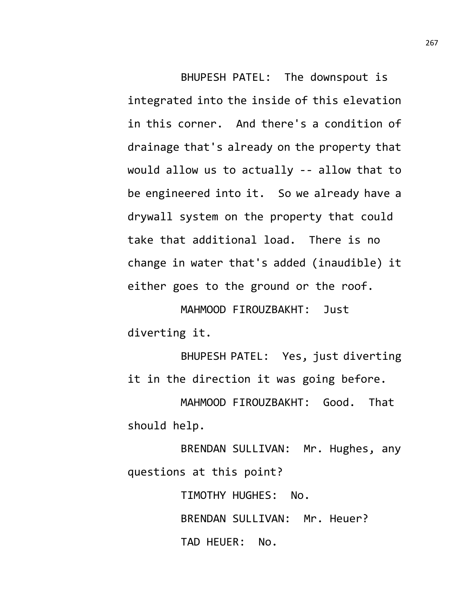BHUPESH PATEL: The downspout is integrated into the inside of this elevation in this corner. And there's a condition of drainage that's already on the property that would allow us to actually -- allow that to be engineered into it. So we already have a drywall system on the property that could take that additional load. There is no change in water that's added (inaudible) it either goes to the ground or the roof.

MAHMOOD FIROUZBAKHT: Just diverting it.

BHUPESH PATEL: Yes, just diverting it in the direction it was going before.

MAHMOOD FIROUZBAKHT: Good. That should help.

BRENDAN SULLIVAN: Mr. Hughes, any questions at this point?

> TIMOTHY HUGHES: No. BRENDAN SULLIVAN: Mr. Heuer? TAD HEUER: No.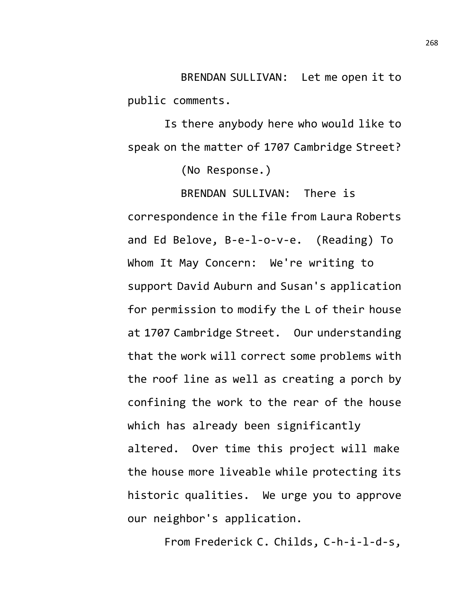BRENDAN SULLIVAN: Let me open it to public comments.

Is there anybody here who would like to speak on the matter of 1707 Cambridge Street?

(No Response.)

BRENDAN SULLIVAN: There is correspondence in the file from Laura Roberts and Ed Belove, B-e-l-o-v-e. (Reading) To Whom It May Concern: We're writing to support David Auburn and Susan's application for permission to modify the L of their house at 1707 Cambridge Street. Our understanding that the work will correct some problems with the roof line as well as creating a porch by confining the work to the rear of the house which has already been significantly altered. Over time this project will make the house more liveable while protecting its historic qualities. We urge you to approve our neighbor's application.

From Frederick C. Childs, C-h-i-l-d-s,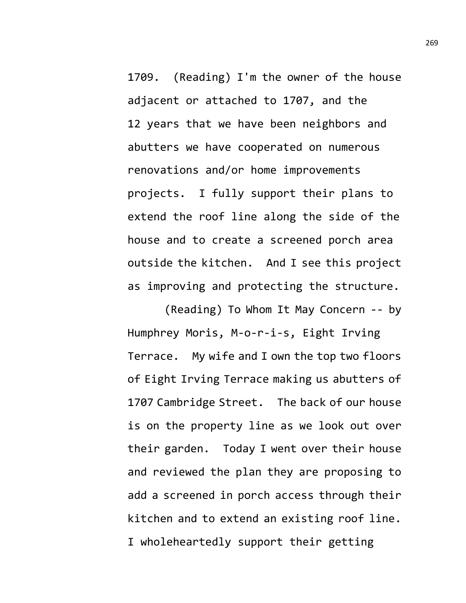1709. (Reading) I'm the owner of the house adjacent or attached to 1707, and the 12 years that we have been neighbors and abutters we have cooperated on numerous renovations and/or home improvements projects. I fully support their plans to extend the roof line along the side of the house and to create a screened porch area outside the kitchen. And I see this project as improving and protecting the structure.

(Reading) To Whom It May Concern -- by Humphrey Moris, M-o-r-i-s, Eight Irving Terrace. My wife and I own the top two floors of Eight Irving Terrace making us abutters of 1707 Cambridge Street. The back of our house is on the property line as we look out over their garden. Today I went over their house and reviewed the plan they are proposing to add a screened in porch access through their kitchen and to extend an existing roof line. I wholeheartedly support their getting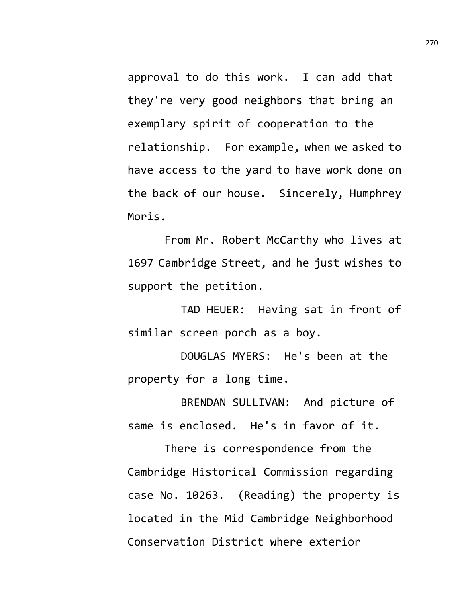approval to do this work. I can add that they're very good neighbors that bring an exemplary spirit of cooperation to the relationship. For example, when we asked to have access to the yard to have work done on the back of our house. Sincerely, Humphrey Moris.

From Mr. Robert McCarthy who lives at 1697 Cambridge Street, and he just wishes to support the petition.

TAD HEUER: Having sat in front of similar screen porch as a boy.

DOUGLAS MYERS: He's been at the property for a long time.

BRENDAN SULLIVAN: And picture of same is enclosed. He's in favor of it.

There is correspondence from the Cambridge Historical Commission regarding case No. 10263. (Reading) the property is located in the Mid Cambridge Neighborhood Conservation District where exterior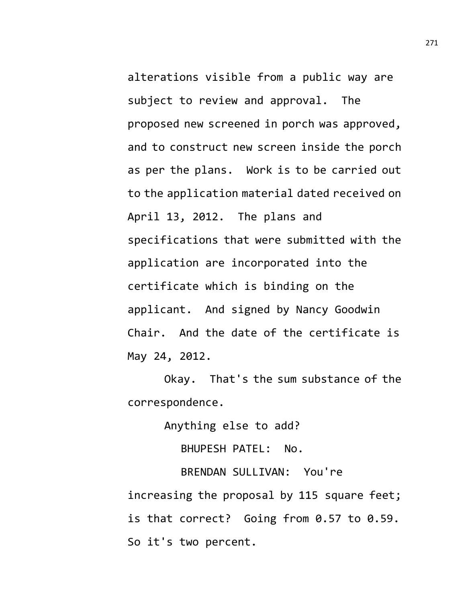alterations visible from a public way are subject to review and approval. The proposed new screened in porch was approved, and to construct new screen inside the porch as per the plans. Work is to be carried out to the application material dated received on April 13, 2012. The plans and specifications that were submitted with the application are incorporated into the certificate which is binding on the applicant. And signed by Nancy Goodwin Chair. And the date of the certificate is May 24, 2012.

Okay. That's the sum substance of the correspondence.

Anything else to add?

BHUPESH PATEL: No.

BRENDAN SULLIVAN: You're increasing the proposal by 115 square feet; is that correct? Going from 0.57 to 0.59. So it's two percent.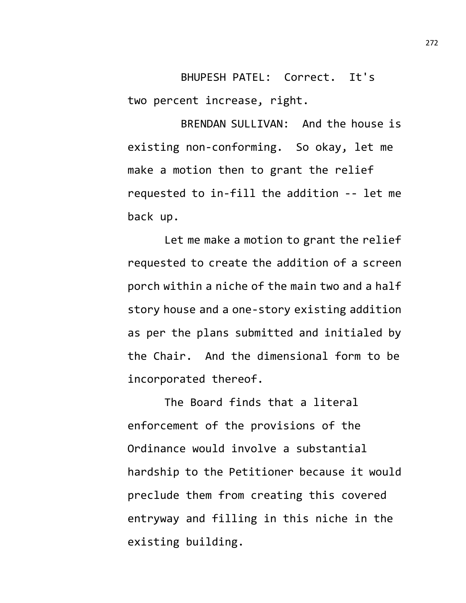BHUPESH PATEL: Correct. It's two percent increase, right.

BRENDAN SULLIVAN: And the house is existing non-conforming. So okay, let me make a motion then to grant the relief requested to in-fill the addition -- let me back up.

Let me make a motion to grant the relief requested to create the addition of a screen porch within a niche of the main two and a half story house and a one-story existing addition as per the plans submitted and initialed by the Chair. And the dimensional form to be incorporated thereof.

The Board finds that a literal enforcement of the provisions of the Ordinance would involve a substantial hardship to the Petitioner because it would preclude them from creating this covered entryway and filling in this niche in the existing building.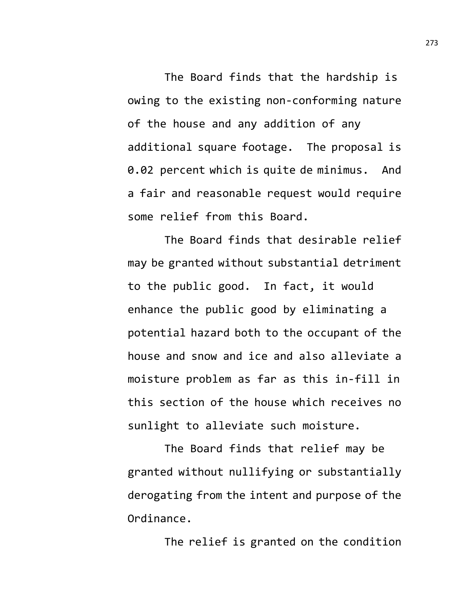The Board finds that the hardship is owing to the existing non-conforming nature of the house and any addition of any additional square footage. The proposal is 0.02 percent which is quite de minimus. And a fair and reasonable request would require some relief from this Board.

The Board finds that desirable relief may be granted without substantial detriment to the public good. In fact, it would enhance the public good by eliminating a potential hazard both to the occupant of the house and snow and ice and also alleviate a moisture problem as far as this in-fill in this section of the house which receives no sunlight to alleviate such moisture.

The Board finds that relief may be granted without nullifying or substantially derogating from the intent and purpose of the Ordinance.

The relief is granted on the condition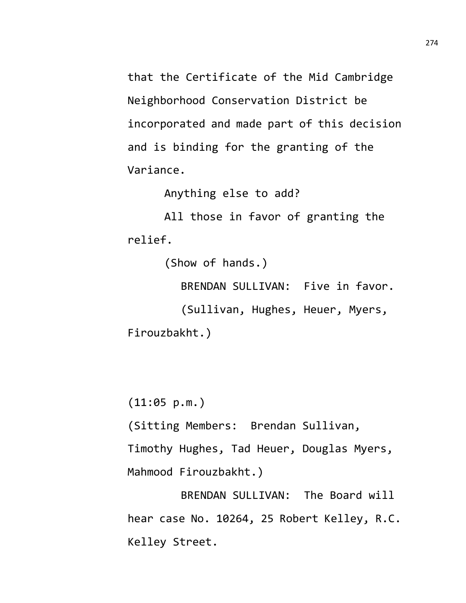that the Certificate of the Mid Cambridge Neighborhood Conservation District be incorporated and made part of this decision and is binding for the granting of the Variance.

Anything else to add?

All those in favor of granting the relief.

(Show of hands.)

BRENDAN SULLIVAN: Five in favor.

(Sullivan, Hughes, Heuer, Myers, Firouzbakht.)

(11:05 p.m.)

(Sitting Members: Brendan Sullivan,

Timothy Hughes, Tad Heuer, Douglas Myers, Mahmood Firouzbakht.)

BRENDAN SULLIVAN: The Board will hear case No. 10264, 25 Robert Kelley, R.C. Kelley Street.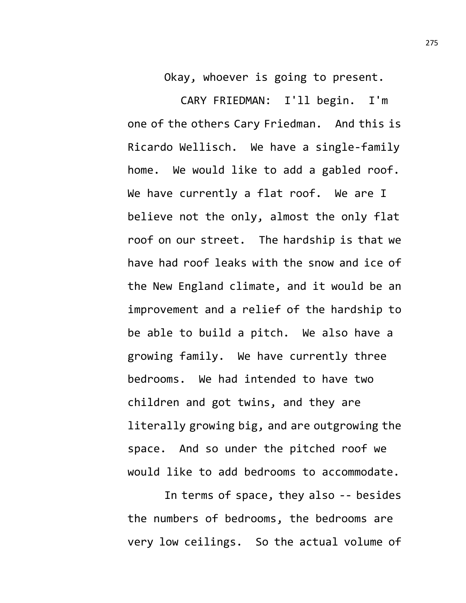Okay, whoever is going to present.

CARY FRIEDMAN: I'll begin. I'm one of the others Cary Friedman. And this is Ricardo Wellisch. We have a single-family home. We would like to add a gabled roof. We have currently a flat roof. We are I believe not the only, almost the only flat roof on our street. The hardship is that we have had roof leaks with the snow and ice of the New England climate, and it would be an improvement and a relief of the hardship to be able to build a pitch. We also have a growing family. We have currently three bedrooms. We had intended to have two children and got twins, and they are literally growing big, and are outgrowing the space. And so under the pitched roof we would like to add bedrooms to accommodate.

In terms of space, they also -- besides the numbers of bedrooms, the bedrooms are very low ceilings. So the actual volume of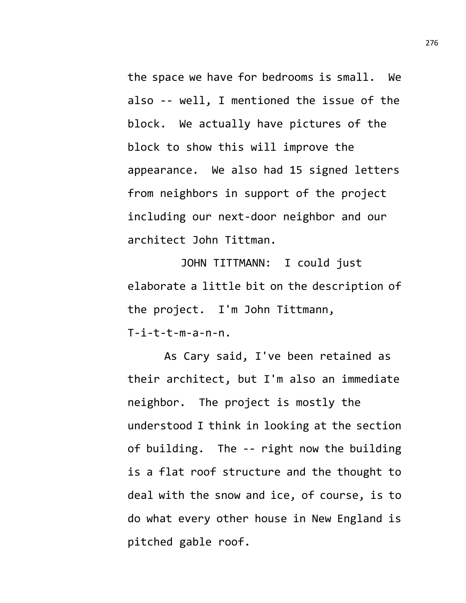the space we have for bedrooms is small. We also -- well, I mentioned the issue of the block. We actually have pictures of the block to show this will improve the appearance. We also had 15 signed letters from neighbors in support of the project including our next-door neighbor and our architect John Tittman.

JOHN TITTMANN: I could just elaborate a little bit on the description of the project. I'm John Tittmann,  $T$ -i-t-t-m-a-n-n.

As Cary said, I've been retained as their architect, but I'm also an immediate neighbor. The project is mostly the understood I think in looking at the section of building. The -- right now the building is a flat roof structure and the thought to deal with the snow and ice, of course, is to do what every other house in New England is pitched gable roof.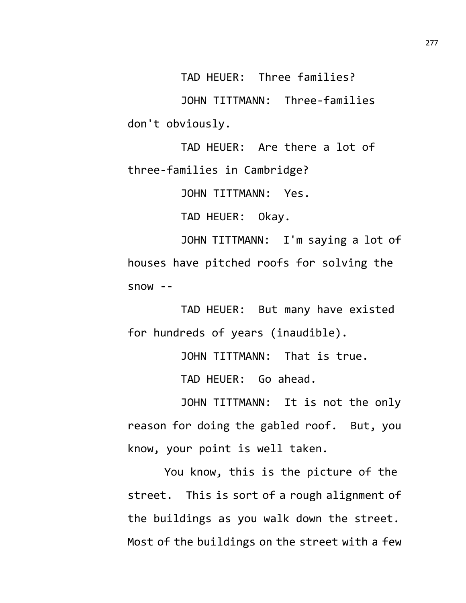TAD HEUER: Three families?

JOHN TITTMANN: Three-families don't obviously.

TAD HEUER: Are there a lot of three-families in Cambridge?

JOHN TITTMANN: Yes.

TAD HEUER: Okay.

JOHN TITTMANN: I'm saying a lot of houses have pitched roofs for solving the  $500W - -$ 

TAD HEUER: But many have existed for hundreds of years (inaudible).

JOHN TITTMANN: That is true.

TAD HEUER: Go ahead.

JOHN TITTMANN: It is not the only reason for doing the gabled roof. But, you know, your point is well taken.

You know, this is the picture of the street. This is sort of a rough alignment of the buildings as you walk down the street. Most of the buildings on the street with a few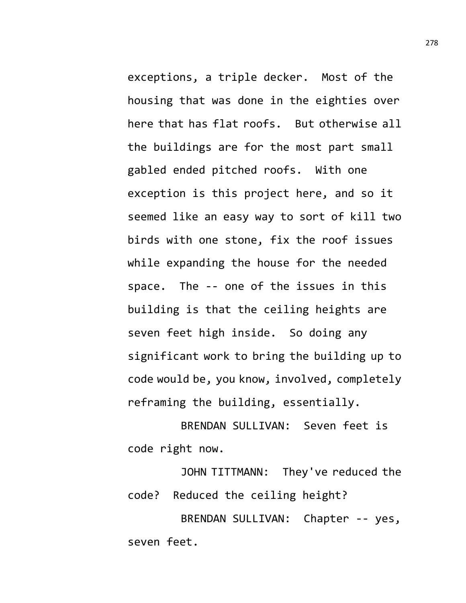exceptions, a triple decker. Most of the housing that was done in the eighties over here that has flat roofs. But otherwise all the buildings are for the most part small gabled ended pitched roofs. With one exception is this project here, and so it seemed like an easy way to sort of kill two birds with one stone, fix the roof issues while expanding the house for the needed space. The -- one of the issues in this building is that the ceiling heights are seven feet high inside. So doing any significant work to bring the building up to code would be, you know, involved, completely reframing the building, essentially.

BRENDAN SULLIVAN: Seven feet is code right now.

JOHN TITTMANN: They've reduced the code? Reduced the ceiling height?

BRENDAN SULLIVAN: Chapter -- yes, seven feet.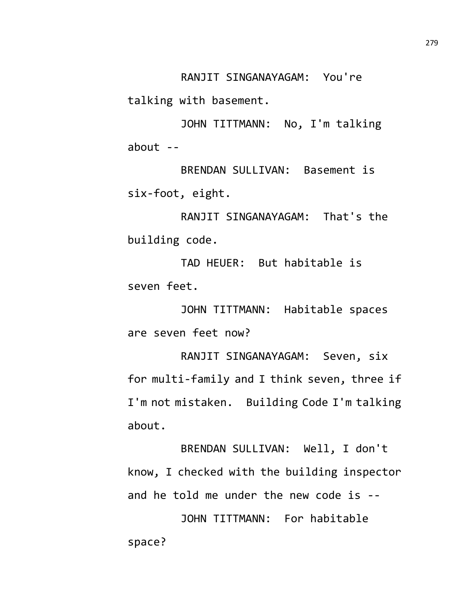RANJIT SINGANAYAGAM: You're

talking with basement.

JOHN TITTMANN: No, I'm talking about --

BRENDAN SULLIVAN: Basement is six-foot, eight.

RANJIT SINGANAYAGAM: That's the building code.

TAD HEUER: But habitable is seven feet.

JOHN TITTMANN: Habitable spaces are seven feet now?

RANJIT SINGANAYAGAM: Seven, six for multi-family and I think seven, three if I'm not mistaken. Building Code I'm talking about.

BRENDAN SULLIVAN: Well, I don't know, I checked with the building inspector and he told me under the new code is --

JOHN TITTMANN: For habitable space?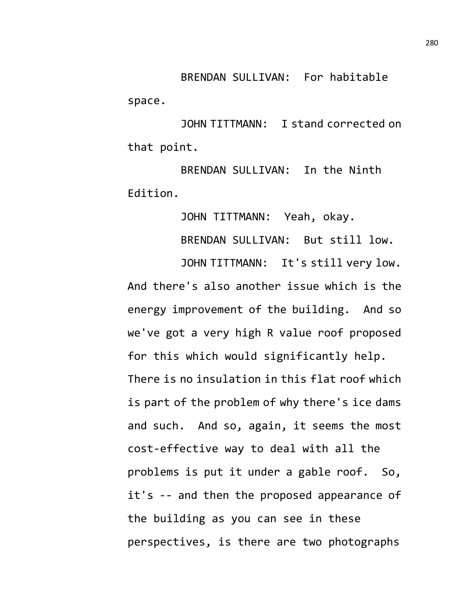BRENDAN SULLIVAN: For habitable space.

JOHN TITTMANN: I stand corrected on that point.

BRENDAN SULLIVAN: In the Ninth Edition.

JOHN TITTMANN: Yeah, okay.

BRENDAN SULLIVAN: But still low.

JOHN TITTMANN: It's still very low. And there's also another issue which is the energy improvement of the building. And so we've got a very high R value roof proposed for this which would significantly help. There is no insulation in this flat roof which is part of the problem of why there's ice dams and such. And so, again, it seems the most cost-effective way to deal with all the problems is put it under a gable roof. So, it's -- and then the proposed appearance of the building as you can see in these perspectives, is there are two photographs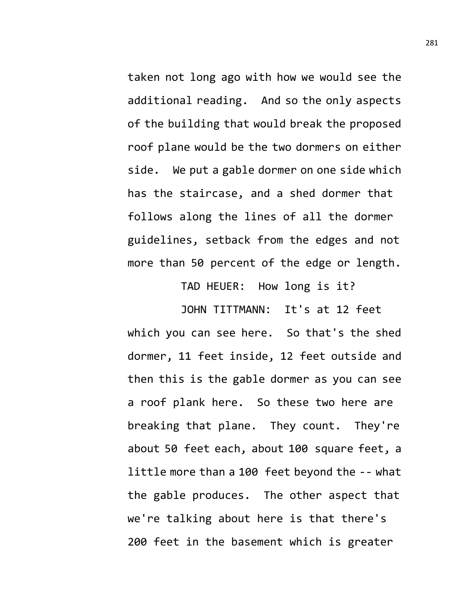taken not long ago with how we would see the additional reading. And so the only aspects of the building that would break the proposed roof plane would be the two dormers on either side. We put a gable dormer on one side which has the staircase, and a shed dormer that follows along the lines of all the dormer guidelines, setback from the edges and not more than 50 percent of the edge or length.

TAD HEUER: How long is it?

JOHN TITTMANN: It's at 12 feet which you can see here. So that's the shed dormer, 11 feet inside, 12 feet outside and then this is the gable dormer as you can see a roof plank here. So these two here are breaking that plane. They count. They're about 50 feet each, about 100 square feet, a little more than a 100 feet beyond the -- what the gable produces. The other aspect that we're talking about here is that there's 200 feet in the basement which is greater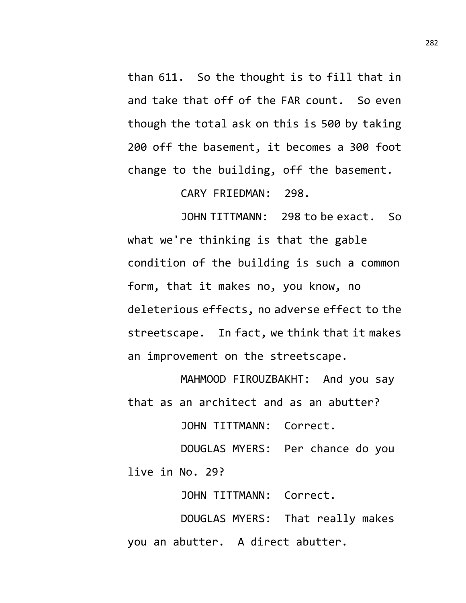than 611. So the thought is to fill that in and take that off of the FAR count. So even though the total ask on this is 500 by taking 200 off the basement, it becomes a 300 foot change to the building, off the basement.

CARY FRIEDMAN: 298.

JOHN TITTMANN: 298 to be exact. So what we're thinking is that the gable condition of the building is such a common form, that it makes no, you know, no deleterious effects, no adverse effect to the streetscape. In fact, we think that it makes an improvement on the streetscape.

MAHMOOD FIROUZBAKHT: And you say that as an architect and as an abutter?

JOHN TITTMANN: Correct.

DOUGLAS MYERS: Per chance do you live in No. 29?

JOHN TITTMANN: Correct.

DOUGLAS MYERS: That really makes you an abutter. A direct abutter.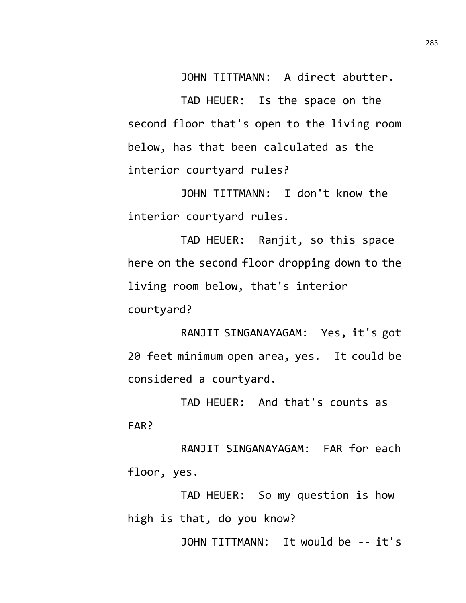JOHN TITTMANN: A direct abutter.

TAD HEUER: Is the space on the second floor that's open to the living room below, has that been calculated as the interior courtyard rules?

JOHN TITTMANN: I don't know the interior courtyard rules.

TAD HEUER: Ranjit, so this space here on the second floor dropping down to the living room below, that's interior courtyard?

RANJIT SINGANAYAGAM: Yes, it's got 20 feet minimum open area, yes. It could be considered a courtyard.

TAD HEUER: And that's counts as FAR?

RANJIT SINGANAYAGAM: FAR for each floor, yes.

TAD HEUER: So my question is how high is that, do you know?

JOHN TITTMANN: It would be -- it's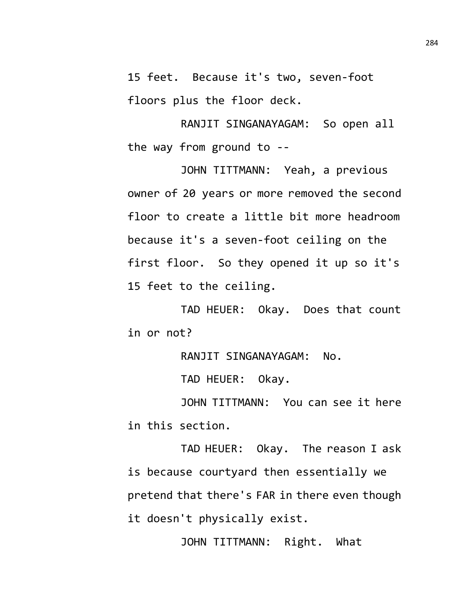15 feet. Because it's two, seven-foot floors plus the floor deck.

RANJIT SINGANAYAGAM: So open all the way from ground to --

JOHN TITTMANN: Yeah, a previous owner of 20 years or more removed the second floor to create a little bit more headroom because it's a seven-foot ceiling on the first floor. So they opened it up so it's 15 feet to the ceiling.

TAD HEUER: Okay. Does that count in or not?

RANJIT SINGANAYAGAM: No.

TAD HEUER: Okay.

JOHN TITTMANN: You can see it here in this section.

TAD HEUER: Okay. The reason I ask is because courtyard then essentially we pretend that there's FAR in there even though it doesn't physically exist.

JOHN TITTMANN: Right. What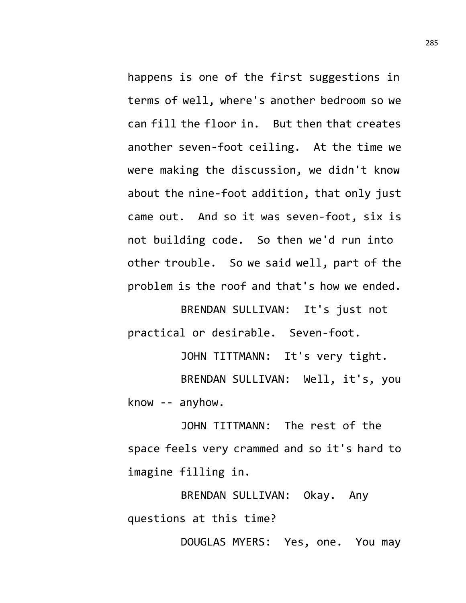happens is one of the first suggestions in terms of well, where's another bedroom so we can fill the floor in. But then that creates another seven-foot ceiling. At the time we were making the discussion, we didn't know about the nine-foot addition, that only just came out. And so it was seven-foot, six is not building code. So then we'd run into other trouble. So we said well, part of the problem is the roof and that's how we ended.

BRENDAN SULLIVAN: It's just not practical or desirable. Seven-foot.

JOHN TITTMANN: It's very tight. BRENDAN SULLIVAN: Well, it's, you know -- anyhow.

JOHN TITTMANN: The rest of the space feels very crammed and so it's hard to imagine filling in.

BRENDAN SULLIVAN: Okay. Any questions at this time?

DOUGLAS MYERS: Yes, one. You may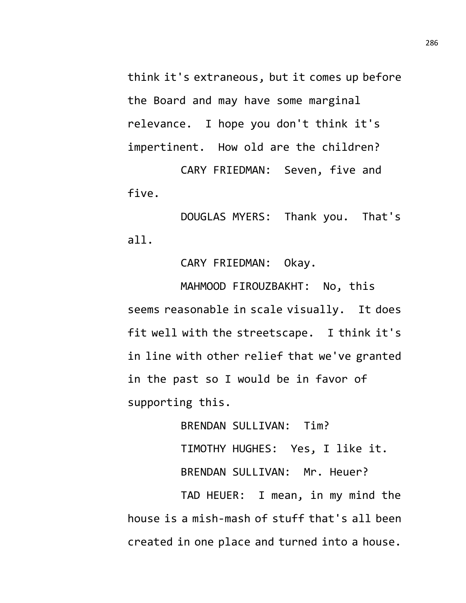think it's extraneous, but it comes up before the Board and may have some marginal relevance. I hope you don't think it's impertinent. How old are the children?

CARY FRIEDMAN: Seven, five and five.

DOUGLAS MYERS: Thank you. That's all.

CARY FRIEDMAN: Okay.

MAHMOOD FIROUZBAKHT: No, this seems reasonable in scale visually. It does fit well with the streetscape. I think it's in line with other relief that we've granted in the past so I would be in favor of supporting this.

> BRENDAN SULLIVAN: Tim? TIMOTHY HUGHES: Yes, I like it. BRENDAN SULLIVAN: Mr. Heuer?

TAD HEUER: I mean, in my mind the house is a mish-mash of stuff that's all been created in one place and turned into a house.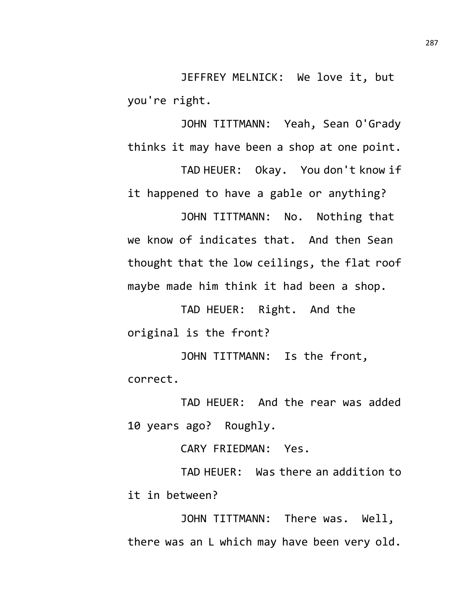JEFFREY MELNICK: We love it, but you're right.

JOHN TITTMANN: Yeah, Sean O'Grady thinks it may have been a shop at one point.

TAD HEUER: Okay. You don't know if it happened to have a gable or anything?

JOHN TITTMANN: No. Nothing that we know of indicates that. And then Sean thought that the low ceilings, the flat roof maybe made him think it had been a shop.

TAD HEUER: Right. And the original is the front?

JOHN TITTMANN: Is the front, correct.

TAD HEUER: And the rear was added 10 years ago? Roughly.

CARY FRIEDMAN: Yes.

TAD HEUER: Was there an addition to it in between?

JOHN TITTMANN: There was. Well, there was an L which may have been very old.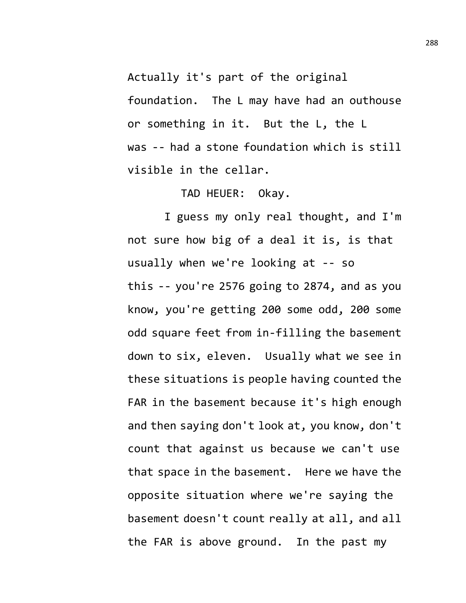Actually it's part of the original

foundation. The L may have had an outhouse or something in it. But the L, the L was -- had a stone foundation which is still visible in the cellar.

TAD HEUER: Okay.

I guess my only real thought, and I'm not sure how big of a deal it is, is that usually when we're looking at -- so this -- you're 2576 going to 2874, and as you know, you're getting 200 some odd, 200 some odd square feet from in-filling the basement down to six, eleven. Usually what we see in these situations is people having counted the FAR in the basement because it's high enough and then saying don't look at, you know, don't count that against us because we can't use that space in the basement. Here we have the opposite situation where we're saying the basement doesn't count really at all, and all the FAR is above ground. In the past my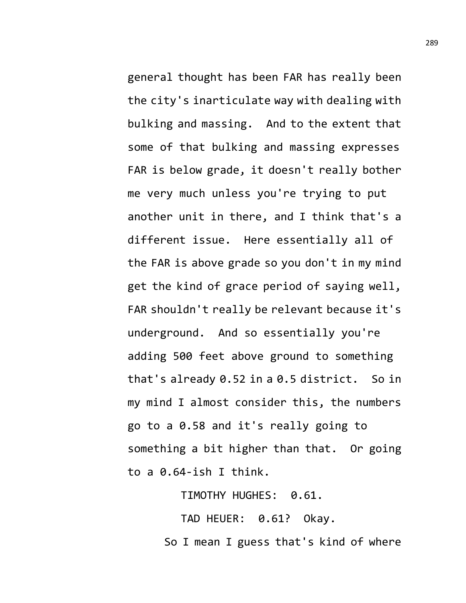general thought has been FAR has really been the city's inarticulate way with dealing with bulking and massing. And to the extent that some of that bulking and massing expresses FAR is below grade, it doesn't really bother me very much unless you're trying to put another unit in there, and I think that's a different issue. Here essentially all of the FAR is above grade so you don't in my mind get the kind of grace period of saying well, FAR shouldn't really be relevant because it's underground. And so essentially you're adding 500 feet above ground to something that's already 0.52 in a 0.5 district. So in my mind I almost consider this, the numbers go to a 0.58 and it's really going to something a bit higher than that. Or going to a 0.64-ish I think.

TIMOTHY HUGHES: 0.61.

TAD HEUER: 0.61? Okay. So I mean I guess that's kind of where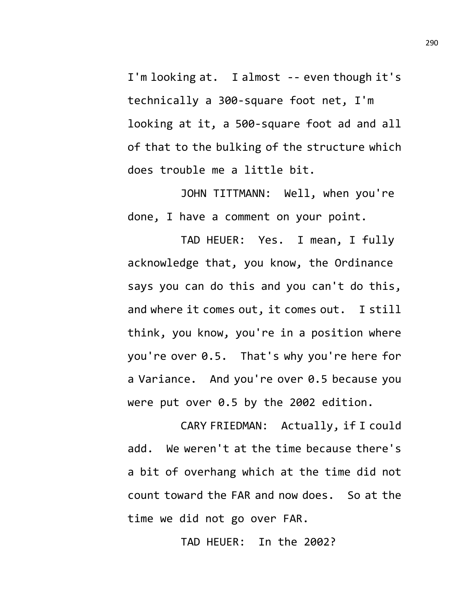I'm looking at. I almost -- even though it's technically a 300-square foot net, I'm looking at it, a 500-square foot ad and all of that to the bulking of the structure which does trouble me a little bit.

JOHN TITTMANN: Well, when you're done, I have a comment on your point.

TAD HEUER: Yes. I mean, I fully acknowledge that, you know, the Ordinance says you can do this and you can't do this, and where it comes out, it comes out. I still think, you know, you're in a position where you're over 0.5. That's why you're here for a Variance. And you're over 0.5 because you were put over 0.5 by the 2002 edition.

CARY FRIEDMAN: Actually, if I could add. We weren't at the time because there's a bit of overhang which at the time did not count toward the FAR and now does. So at the time we did not go over FAR.

TAD HEUER: In the 2002?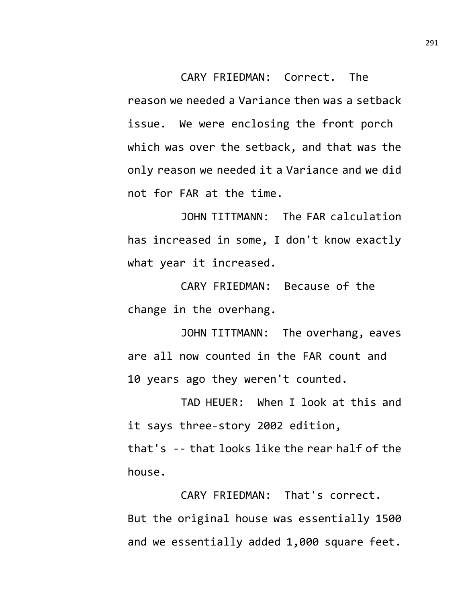CARY FRIEDMAN: Correct. The reason we needed a Variance then was a setback issue. We were enclosing the front porch which was over the setback, and that was the only reason we needed it a Variance and we did not for FAR at the time.

JOHN TITTMANN: The FAR calculation has increased in some, I don't know exactly what year it increased.

CARY FRIEDMAN: Because of the change in the overhang.

JOHN TITTMANN: The overhang, eaves are all now counted in the FAR count and 10 years ago they weren't counted.

TAD HEUER: When I look at this and it says three-story 2002 edition, that's -- that looks like the rear half of the house.

CARY FRIEDMAN: That's correct. But the original house was essentially 1500 and we essentially added 1,000 square feet.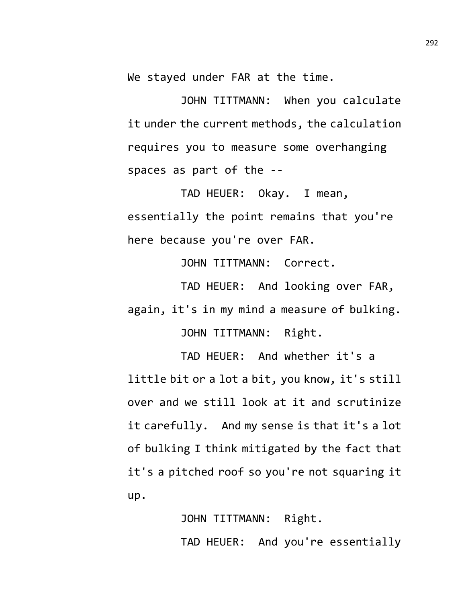We stayed under FAR at the time.

JOHN TITTMANN: When you calculate it under the current methods, the calculation requires you to measure some overhanging spaces as part of the --

TAD HEUER: Okay. I mean, essentially the point remains that you're here because you're over FAR.

JOHN TITTMANN: Correct.

TAD HEUER: And looking over FAR, again, it's in my mind a measure of bulking. JOHN TITTMANN: Right.

TAD HEUER: And whether it's a little bit or a lot a bit, you know, it's still over and we still look at it and scrutinize it carefully. And my sense is that it's a lot of bulking I think mitigated by the fact that it's a pitched roof so you're not squaring it up.

> JOHN TITTMANN: Right. TAD HEUER: And you're essentially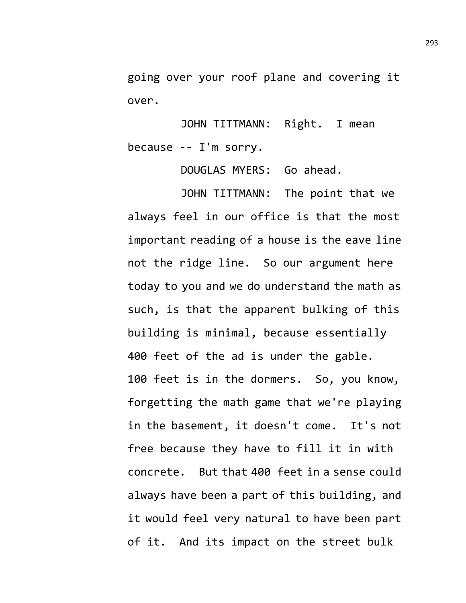going over your roof plane and covering it over.

JOHN TITTMANN: Right. I mean because -- I'm sorry.

DOUGLAS MYERS: Go ahead.

JOHN TITTMANN: The point that we always feel in our office is that the most important reading of a house is the eave line not the ridge line. So our argument here today to you and we do understand the math as such, is that the apparent bulking of this building is minimal, because essentially 400 feet of the ad is under the gable. 100 feet is in the dormers. So, you know, forgetting the math game that we're playing in the basement, it doesn't come. It's not free because they have to fill it in with concrete. But that 400 feet in a sense could always have been a part of this building, and it would feel very natural to have been part of it. And its impact on the street bulk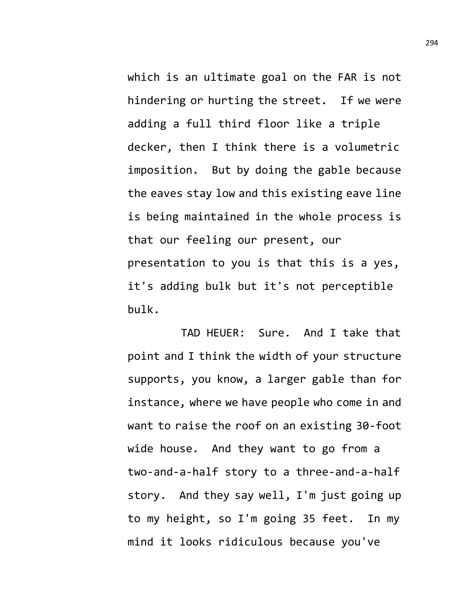which is an ultimate goal on the FAR is not hindering or hurting the street. If we were adding a full third floor like a triple decker, then I think there is a volumetric imposition. But by doing the gable because the eaves stay low and this existing eave line is being maintained in the whole process is that our feeling our present, our presentation to you is that this is a yes, it's adding bulk but it's not perceptible bulk.

TAD HEUER: Sure. And I take that point and I think the width of your structure supports, you know, a larger gable than for instance, where we have people who come in and want to raise the roof on an existing 30-foot wide house. And they want to go from a two-and-a-half story to a three-and-a-half story. And they say well, I'm just going up to my height, so I'm going 35 feet. In my mind it looks ridiculous because you've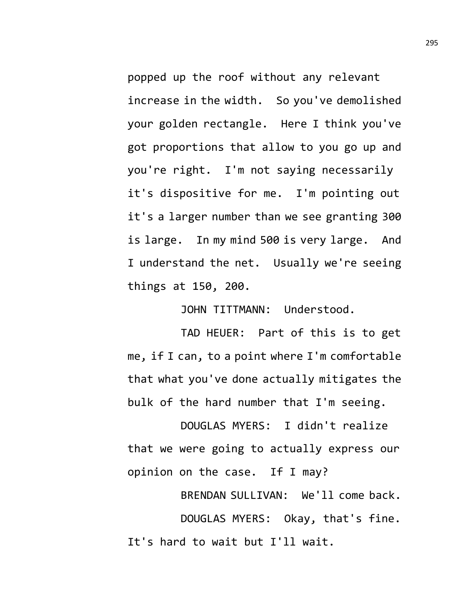popped up the roof without any relevant increase in the width. So you've demolished your golden rectangle. Here I think you've got proportions that allow to you go up and you're right. I'm not saying necessarily it's dispositive for me. I'm pointing out it's a larger number than we see granting 300 is large. In my mind 500 is very large. And I understand the net. Usually we're seeing things at 150, 200.

JOHN TITTMANN: Understood.

TAD HEUER: Part of this is to get me, if I can, to a point where I'm comfortable that what you've done actually mitigates the bulk of the hard number that I'm seeing.

DOUGLAS MYERS: I didn't realize that we were going to actually express our opinion on the case. If I may?

BRENDAN SULLIVAN: We'll come back. DOUGLAS MYERS: Okay, that's fine. It's hard to wait but I'll wait.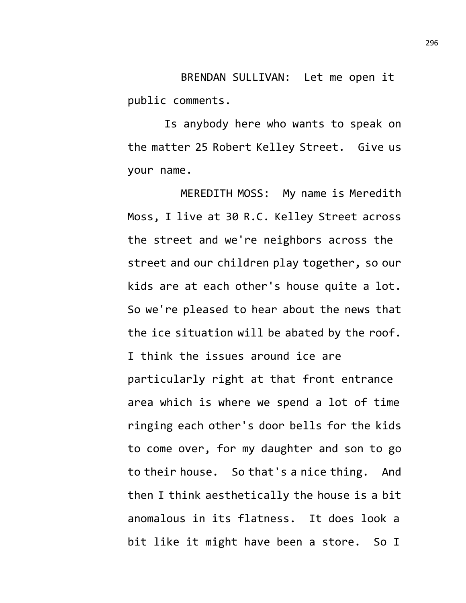BRENDAN SULLIVAN: Let me open it public comments.

Is anybody here who wants to speak on the matter 25 Robert Kelley Street. Give us your name.

MEREDITH MOSS: My name is Meredith Moss, I live at 30 R.C. Kelley Street across the street and we're neighbors across the street and our children play together, so our kids are at each other's house quite a lot. So we're pleased to hear about the news that the ice situation will be abated by the roof. I think the issues around ice are particularly right at that front entrance area which is where we spend a lot of time ringing each other's door bells for the kids to come over, for my daughter and son to go to their house. So that's a nice thing. And then I think aesthetically the house is a bit anomalous in its flatness. It does look a bit like it might have been a store. So I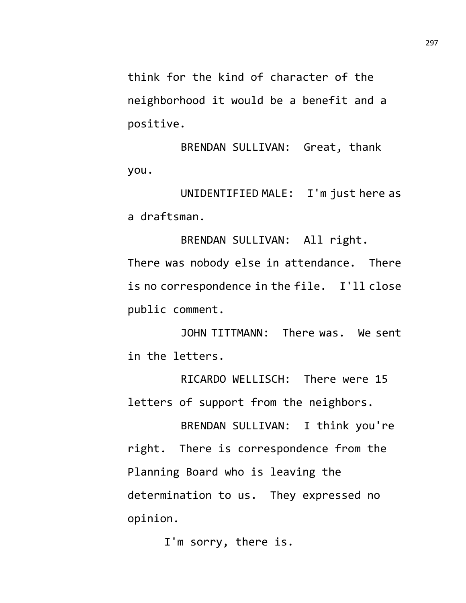think for the kind of character of the neighborhood it would be a benefit and a positive.

BRENDAN SULLIVAN: Great, thank you.

UNIDENTIFIED MALE: I'm just here as a draftsman.

BRENDAN SULLIVAN: All right. There was nobody else in attendance. There is no correspondence in the file. I'll close public comment.

JOHN TITTMANN: There was. We sent in the letters.

RICARDO WELLISCH: There were 15 letters of support from the neighbors.

BRENDAN SULLIVAN: I think you're right. There is correspondence from the Planning Board who is leaving the determination to us. They expressed no opinion.

I'm sorry, there is.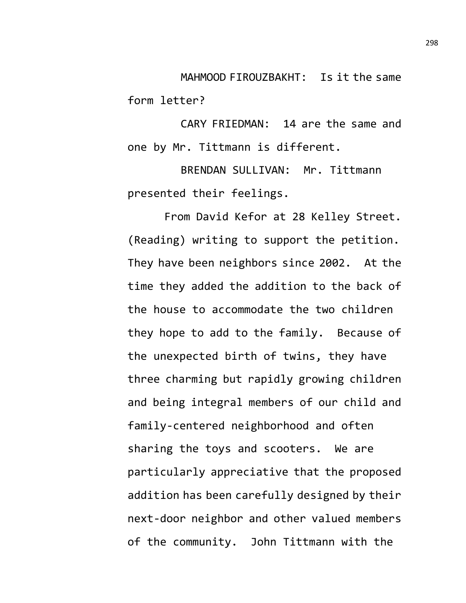MAHMOOD FIROUZBAKHT: Is it the same form letter?

CARY FRIEDMAN: 14 are the same and one by Mr. Tittmann is different.

BRENDAN SULLIVAN: Mr. Tittmann presented their feelings.

From David Kefor at 28 Kelley Street. (Reading) writing to support the petition. They have been neighbors since 2002. At the time they added the addition to the back of the house to accommodate the two children they hope to add to the family. Because of the unexpected birth of twins, they have three charming but rapidly growing children and being integral members of our child and family-centered neighborhood and often sharing the toys and scooters. We are particularly appreciative that the proposed addition has been carefully designed by their next-door neighbor and other valued members of the community. John Tittmann with the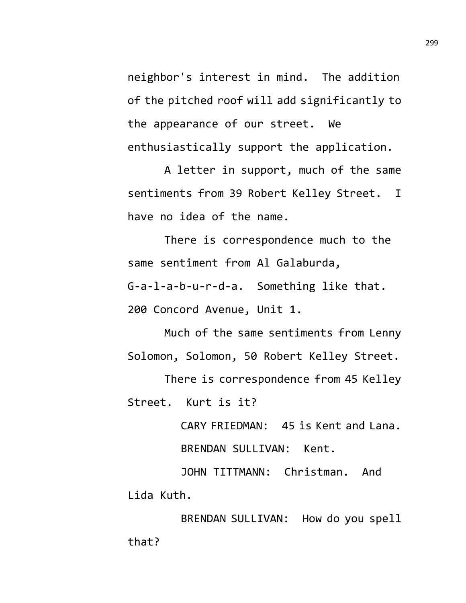neighbor's interest in mind. The addition of the pitched roof will add significantly to the appearance of our street. We enthusiastically support the application.

A letter in support, much of the same sentiments from 39 Robert Kelley Street. I have no idea of the name.

There is correspondence much to the same sentiment from Al Galaburda,

G-a-l-a-b-u-r-d-a. Something like that.

200 Concord Avenue, Unit 1.

Much of the same sentiments from Lenny Solomon, Solomon, 50 Robert Kelley Street.

There is correspondence from 45 Kelley Street. Kurt is it?

CARY FRIEDMAN: 45 is Kent and Lana.

BRENDAN SULLIVAN: Kent.

JOHN TITTMANN: Christman. And Lida Kuth.

BRENDAN SULLIVAN: How do you spell that?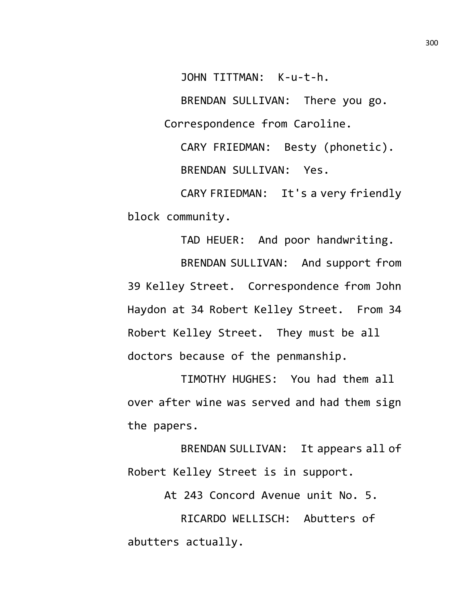JOHN TITTMAN: K-u-t-h.

BRENDAN SULLIVAN: There you go. Correspondence from Caroline.

CARY FRIEDMAN: Besty (phonetic). BRENDAN SULLIVAN: Yes.

CARY FRIEDMAN: It's a very friendly block community.

TAD HEUER: And poor handwriting. BRENDAN SULLIVAN: And support from 39 Kelley Street. Correspondence from John Haydon at 34 Robert Kelley Street. From 34 Robert Kelley Street. They must be all doctors because of the penmanship.

TIMOTHY HUGHES: You had them all over after wine was served and had them sign the papers.

BRENDAN SULLIVAN: It appears all of Robert Kelley Street is in support.

At 243 Concord Avenue unit No. 5.

RICARDO WELLISCH: Abutters of abutters actually.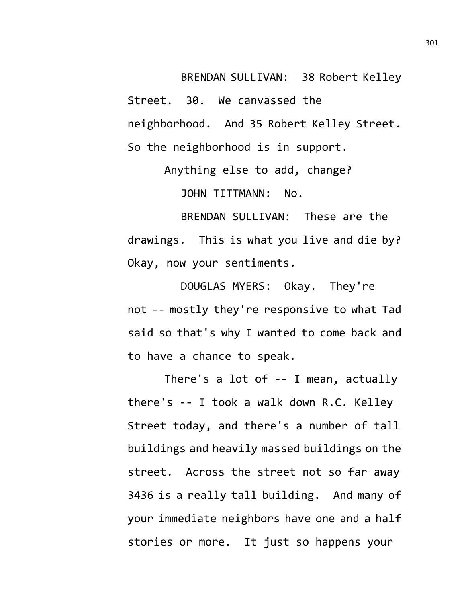BRENDAN SULLIVAN: 38 Robert Kelley Street. 30. We canvassed the neighborhood. And 35 Robert Kelley Street. So the neighborhood is in support.

> Anything else to add, change? JOHN TITTMANN: No.

BRENDAN SULLIVAN: These are the drawings. This is what you live and die by? Okay, now your sentiments.

DOUGLAS MYERS: Okay. They're not -- mostly they're responsive to what Tad said so that's why I wanted to come back and to have a chance to speak.

There's a lot of -- I mean, actually there's -- I took a walk down R.C. Kelley Street today, and there's a number of tall buildings and heavily massed buildings on the street. Across the street not so far away 3436 is a really tall building. And many of your immediate neighbors have one and a half stories or more. It just so happens your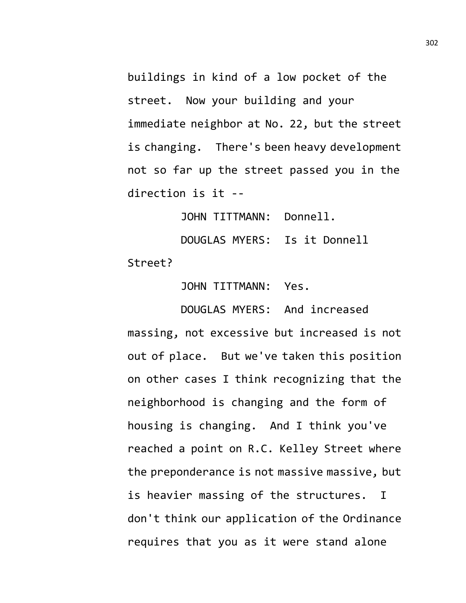buildings in kind of a low pocket of the street. Now your building and your immediate neighbor at No. 22, but the street is changing. There's been heavy development not so far up the street passed you in the direction is it --

JOHN TITTMANN: Donnell.

DOUGLAS MYERS: Is it Donnell Street?

JOHN TITTMANN: Yes.

DOUGLAS MYERS: And increased massing, not excessive but increased is not out of place. But we've taken this position on other cases I think recognizing that the neighborhood is changing and the form of housing is changing. And I think you've reached a point on R.C. Kelley Street where the preponderance is not massive massive, but is heavier massing of the structures. I don't think our application of the Ordinance requires that you as it were stand alone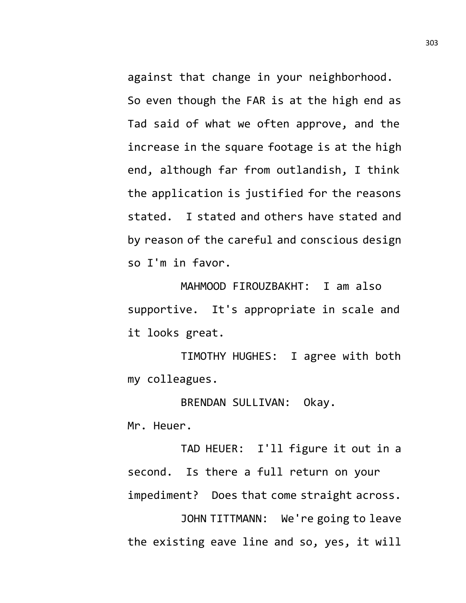against that change in your neighborhood. So even though the FAR is at the high end as Tad said of what we often approve, and the increase in the square footage is at the high end, although far from outlandish, I think the application is justified for the reasons stated. I stated and others have stated and by reason of the careful and conscious design so I'm in favor.

MAHMOOD FIROUZBAKHT: I am also supportive. It's appropriate in scale and it looks great.

TIMOTHY HUGHES: I agree with both my colleagues.

BRENDAN SULLIVAN: Okay.

Mr. Heuer.

TAD HEUER: I'll figure it out in a second. Is there a full return on your impediment? Does that come straight across.

JOHN TITTMANN: We're going to leave the existing eave line and so, yes, it will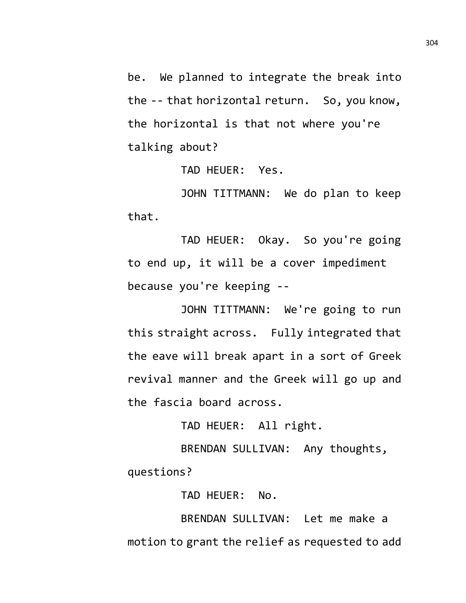be. We planned to integrate the break into the -- that horizontal return. So, you know, the horizontal is that not where you're talking about?

TAD HEUER: Yes.

JOHN TITTMANN: We do plan to keep that.

TAD HEUER: Okay. So you're going to end up, it will be a cover impediment because you're keeping --

JOHN TITTMANN: We're going to run this straight across. Fully integrated that the eave will break apart in a sort of Greek revival manner and the Greek will go up and the fascia board across.

TAD HEUER: All right.

BRENDAN SULLIVAN: Any thoughts, questions?

TAD HEUER: No.

BRENDAN SULLIVAN: Let me make a motion to grant the relief as requested to add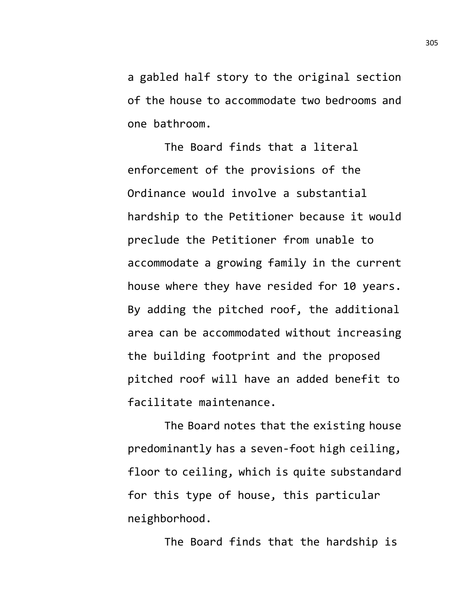a gabled half story to the original section of the house to accommodate two bedrooms and one bathroom.

The Board finds that a literal enforcement of the provisions of the Ordinance would involve a substantial hardship to the Petitioner because it would preclude the Petitioner from unable to accommodate a growing family in the current house where they have resided for 10 years. By adding the pitched roof, the additional area can be accommodated without increasing the building footprint and the proposed pitched roof will have an added benefit to facilitate maintenance.

The Board notes that the existing house predominantly has a seven-foot high ceiling, floor to ceiling, which is quite substandard for this type of house, this particular neighborhood.

The Board finds that the hardship is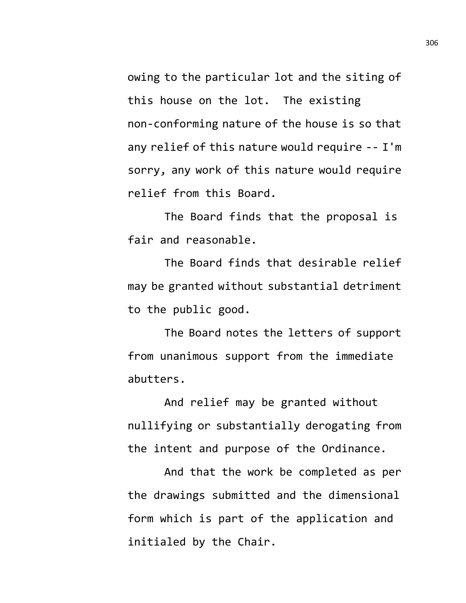owing to the particular lot and the siting of this house on the lot. The existing non-conforming nature of the house is so that any relief of this nature would require -- I'm sorry, any work of this nature would require relief from this Board.

The Board finds that the proposal is fair and reasonable.

The Board finds that desirable relief may be granted without substantial detriment to the public good.

The Board notes the letters of support from unanimous support from the immediate abutters.

And relief may be granted without nullifying or substantially derogating from the intent and purpose of the Ordinance.

And that the work be completed as per the drawings submitted and the dimensional form which is part of the application and initialed by the Chair.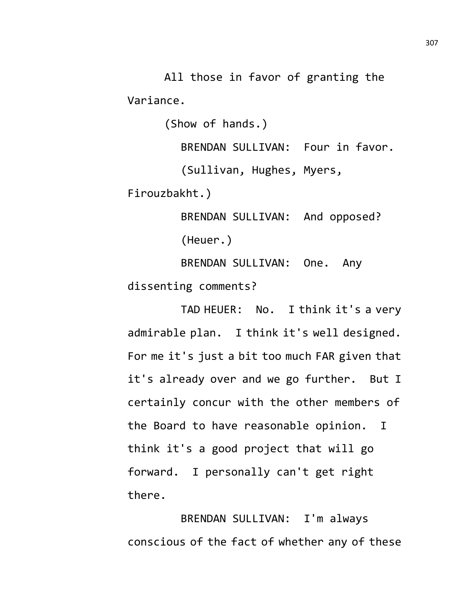All those in favor of granting the Variance.

(Show of hands.)

BRENDAN SULLIVAN: Four in favor.

(Sullivan, Hughes, Myers,

Firouzbakht.)

BRENDAN SULLIVAN: And opposed? (Heuer.)

BRENDAN SULLIVAN: One. Any dissenting comments?

TAD HEUER: No. I think it's a very admirable plan. I think it's well designed. For me it's just a bit too much FAR given that it's already over and we go further. But I certainly concur with the other members of the Board to have reasonable opinion. I think it's a good project that will go forward. I personally can't get right there.

BRENDAN SULLIVAN: I'm always conscious of the fact of whether any of these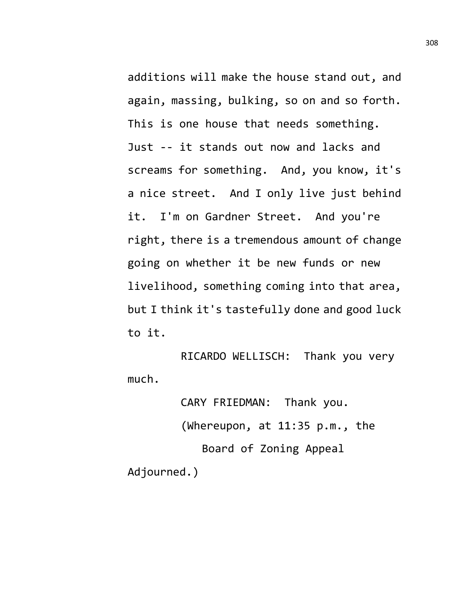additions will make the house stand out, and again, massing, bulking, so on and so forth. This is one house that needs something. Just -- it stands out now and lacks and screams for something. And, you know, it's a nice street. And I only live just behind it. I'm on Gardner Street. And you're right, there is a tremendous amount of change going on whether it be new funds or new livelihood, something coming into that area, but I think it's tastefully done and good luck to it.

RICARDO WELLISCH: Thank you very much.

CARY FRIEDMAN: Thank you. (Whereupon, at 11:35 p.m., the Board of Zoning Appeal Adjourned.)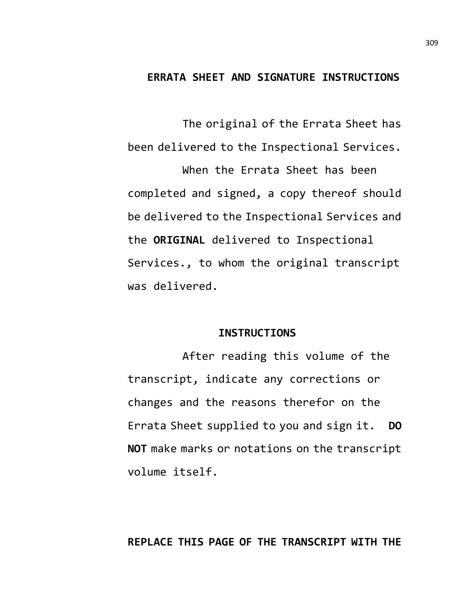### **ERRATA SHEET AND SIGNATURE INSTRUCTIONS**

The original of the Errata Sheet has been delivered to the Inspectional Services. When the Errata Sheet has been completed and signed, a copy thereof should be delivered to the Inspectional Services and the **ORIGINAL** delivered to Inspectional Services., to whom the original transcript was delivered.

#### **INSTRUCTIONS**

After reading this volume of the transcript, indicate any corrections or changes and the reasons therefor on the Errata Sheet supplied to you and sign it. **DO NOT** make marks or notations on the transcript volume itself.

### **REPLACE THIS PAGE OF THE TRANSCRIPT WITH THE**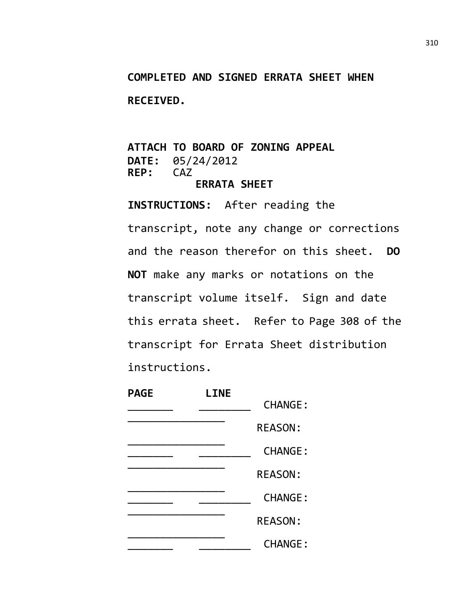# **COMPLETED AND SIGNED ERRATA SHEET WHEN**

**RECEIVED.**

### **ATTACH TO BOARD OF ZONING APPEAL DATE:** 05/24/2012<br>**REP:** CAZ REP: **ERRATA SHEET**

**INSTRUCTIONS:** After reading the transcript, note any change or corrections and the reason therefor on this sheet. **DO NOT** make any marks or notations on the transcript volume itself. Sign and date this errata sheet. Refer to Page 308 of the transcript for Errata Sheet distribution instructions.

| <b>PAGE</b> | <b>LINE</b> |                |  |
|-------------|-------------|----------------|--|
|             |             | <b>CHANGE:</b> |  |
|             |             | <b>REASON:</b> |  |
|             |             | <b>CHANGE:</b> |  |
|             |             | <b>REASON:</b> |  |
|             |             | <b>CHANGE:</b> |  |
|             |             | <b>REASON:</b> |  |
|             |             | <b>CHANGE:</b> |  |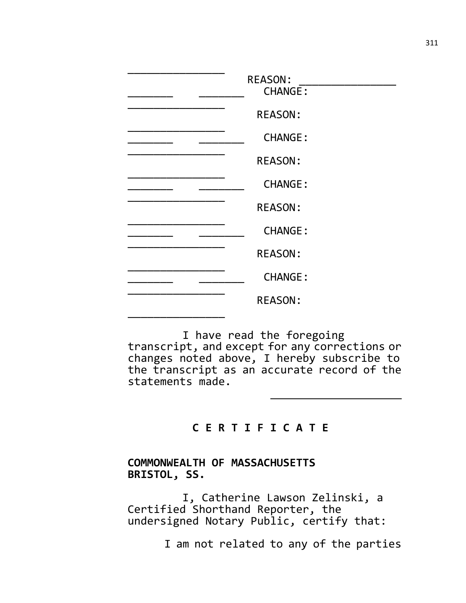| <b>REASON:</b><br><b>CHANGE:</b><br><b>REASON:</b><br><b>CHANGE:</b><br><b>REASON:</b><br><b>CHANGE:</b><br><b>REASON:</b><br><b>CHANGE:</b><br><b>REASON:</b><br><b>CHANGE:</b> |
|----------------------------------------------------------------------------------------------------------------------------------------------------------------------------------|
| <b>REASON:</b>                                                                                                                                                                   |

I have read the foregoing transcript, and except for any corrections or changes noted above, I hereby subscribe to the transcript as an accurate record of the statements made.

# **C E R T I F I C A T E**

# **COMMONWEALTH OF MASSACHUSETTS BRISTOL, SS.**

I, Catherine Lawson Zelinski, a Certified Shorthand Reporter, the undersigned Notary Public, certify that:

I am not related to any of the parties